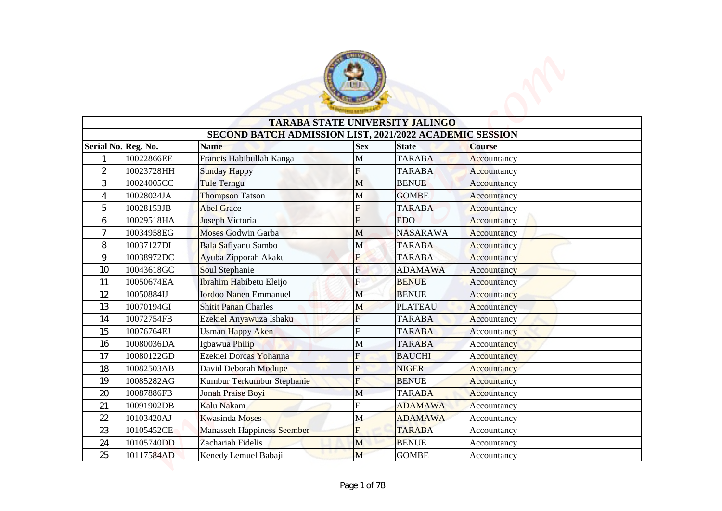

|                |                     |                                                                        |              | <b>TARABA STATE UNIVERSITY JALINGO</b> |                    |
|----------------|---------------------|------------------------------------------------------------------------|--------------|----------------------------------------|--------------------|
|                | Serial No. Reg. No. | SECOND BATCH ADMISSION LIST, 2021/2022 ACADEMIC SESSION<br><b>Name</b> | <b>Sex</b>   | <b>State</b>                           | <b>Course</b>      |
| 1              | 10022866EE          | Francis Habibullah Kanga                                               | $\mathbf M$  | <b>TARABA</b>                          | Accountancy        |
| $\overline{c}$ | 10023728HH          | <b>Sunday Happy</b>                                                    | F            | <b>TARABA</b>                          | Accountancy        |
| 3              | 10024005CC          | <b>Tule Terngu</b>                                                     | $\mathbf M$  | <b>BENUE</b>                           | Accountancy        |
| 4              | 10028024JA          | Thompson Tatson                                                        | M            | <b>GOMBE</b>                           | Accountancy        |
| 5              | 10028153JB          | <b>Abel Grace</b>                                                      | F            | <b>TARABA</b>                          | Accountancy        |
| 6              | 10029518HA          | Joseph Victoria                                                        | F            | <b>EDO</b>                             | Accountancy        |
| 7              | 10034958EG          | <b>Moses Godwin Garba</b>                                              | M            | <b>NASARAWA</b>                        | Accountancy        |
| 8              | 10037127DI          | Bala Safiyanu Sambo                                                    | M            | <b>TARABA</b>                          | Accountancy        |
| 9              | 10038972DC          | Ayuba Zipporah Akaku                                                   | F            | <b>TARABA</b>                          | Accountancy        |
| 10             | 10043618GC          | Soul Stephanie                                                         | F            | <b>ADAMAWA</b>                         | Accountancy        |
| 11             | 10050674EA          | Ibrahim Habibetu Eleijo                                                | F            | <b>BENUE</b>                           | Accountancy        |
| 12             | 10050884IJ          | <b>Iordoo Nanen Emmanuel</b>                                           | $\mathbf M$  | <b>BENUE</b>                           | Accountancy        |
| 13             | 10070194GI          | <b>Shitit Panan Charles</b>                                            | M            | <b>PLATEAU</b>                         | Accountancy        |
| 14             | 10072754FB          | Ezekiel Anyawuza Ishaku                                                | F            | <b>TARABA</b>                          | Accountancy        |
| 15             | 10076764EJ          | <b>Usman Happy Aken</b>                                                | F            | <b>TARABA</b>                          | Accountancy        |
| 16             | 10080036DA          | Igbawua Philip                                                         | $\mathbf M$  | <b>TARABA</b>                          | Accountancy        |
| 17             | 10080122GD          | Ezekiel Dorcas Yohanna                                                 | F            | <b>BAUCHI</b>                          | <b>Accountancy</b> |
| 18             | 10082503AB          | David Deborah Modupe                                                   | F            | <b>NIGER</b>                           | Accountancy        |
| 19             | 10085282AG          | Kumbur Terkumbur Stephanie                                             | F            | <b>BENUE</b>                           | Accountancy        |
| 20             | 10087886FB          | Jonah Praise Boyi                                                      | M            | <b>TARABA</b>                          | Accountancy        |
| 21             | 10091902DB          | Kalu Nakam                                                             | F            | <b>ADAMAWA</b>                         | Accountancy        |
| 22             | 10103420AJ          | <b>Kwasinda</b> Moses                                                  | M            | <b>ADAMAWA</b>                         | Accountancy        |
|                | 10105452CE          | <b>Manasseh Happiness Seember</b>                                      | F            | <b>TARABA</b>                          | Accountancy        |
| 23             | 10105740DD          | Zachariah Fidelis                                                      | $\mathbf{M}$ | <b>BENUE</b>                           | Accountancy        |
| 24             |                     |                                                                        | M            | <b>GOMBE</b>                           |                    |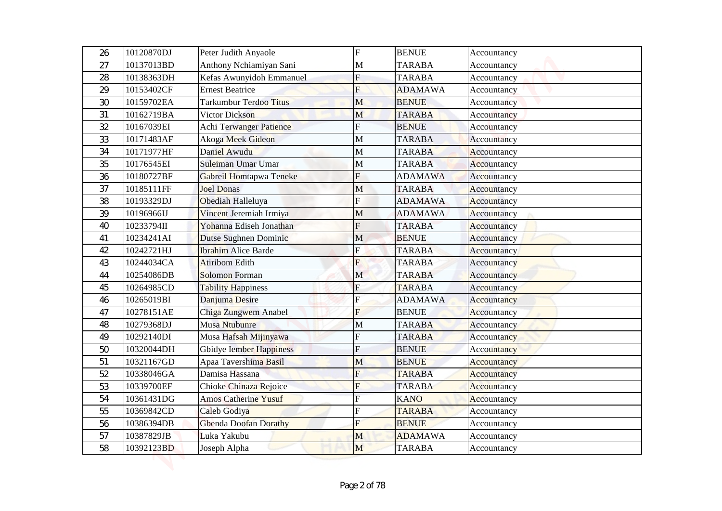| 26 | 10120870DJ | Peter Judith Anyaole          | F            | <b>BENUE</b>   | Accountancy        |
|----|------------|-------------------------------|--------------|----------------|--------------------|
| 27 | 10137013BD | Anthony Nchiamiyan Sani       | $\mathbf{M}$ | <b>TARABA</b>  | Accountancy        |
| 28 | 10138363DH | Kefas Awunyidoh Emmanuel      | F            | <b>TARABA</b>  | Accountancy        |
| 29 | 10153402CF | <b>Ernest Beatrice</b>        | F            | <b>ADAMAWA</b> | Accountancy        |
| 30 | 10159702EA | <b>Tarkumbur Terdoo Titus</b> | M            | <b>BENUE</b>   | Accountancy        |
| 31 | 10162719BA | <b>Victor Dickson</b>         | M            | <b>TARABA</b>  | Accountancy        |
| 32 | 10167039EI | Achi Terwanger Patience       | F            | <b>BENUE</b>   | Accountancy        |
| 33 | 10171483AF | Akoga Meek Gideon             | $\mathbf M$  | <b>TARABA</b>  | Accountancy        |
| 34 | 10171977HF | Daniel Awudu                  | М            | <b>TARABA</b>  | Accountancy        |
| 35 | 10176545EI | Suleiman Umar Umar            | M            | <b>TARABA</b>  | Accountancy        |
| 36 | 10180727BF | Gabreil Homtapwa Teneke       | F            | <b>ADAMAWA</b> | Accountancy        |
| 37 | 10185111FF | <b>Joel Donas</b>             | M            | <b>TARABA</b>  | Accountancy        |
| 38 | 10193329DJ | Obediah Halleluya             | F            | <b>ADAMAWA</b> | Accountancy        |
| 39 | 10196966IJ | Vincent Jeremiah Irmiya       | M            | <b>ADAMAWA</b> | Accountancy        |
| 40 | 10233794II | Yohanna Ediseh Jonathan       | F            | <b>TARABA</b>  | Accountancy        |
| 41 | 10234241AI | Dutse Sughnen Dominic         | M            | <b>BENUE</b>   | Accountancy        |
| 42 | 10242721HJ | <b>Ibrahim Alice Barde</b>    | F            | <b>TARABA</b>  | Accountancy        |
| 43 | 10244034CA | <b>Atiribom Edith</b>         | F            | <b>TARABA</b>  | Accountancy        |
| 44 | 10254086DB | <b>Solomon</b> Forman         | $\mathbf{M}$ | <b>TARABA</b>  | Accountancy        |
| 45 | 10264985CD | <b>Tability Happiness</b>     | F            | <b>TARABA</b>  | Accountancy        |
| 46 | 10265019BI | Danjuma Desire                | F            | <b>ADAMAWA</b> | Accountancy        |
| 47 | 10278151AE | Chiga Zungwem Anabel          | F            | <b>BENUE</b>   | Accountancy        |
| 48 | 10279368DJ | Musa Ntubunre                 | $\mathbf M$  | <b>TARABA</b>  | Accountancy        |
| 49 | 10292140DI | Musa Hafsah Mijinyawa         | F            | <b>TARABA</b>  | Accountancy        |
| 50 | 10320044DH | Gbidye Iember Happiness       | F            | <b>BENUE</b>   | Accountancy        |
| 51 | 10321167GD | Apaa Tavershima Basil         | M            | <b>BENUE</b>   | <b>Accountancy</b> |
| 52 | 10338046GA | Damisa Hassana                | F            | <b>TARABA</b>  | Accountancy        |
| 53 | 10339700EF | Chioke Chinaza Rejoice        | F            | <b>TARABA</b>  | Accountancy        |
| 54 | 10361431DG | <b>Amos Catherine Yusuf</b>   | F            | <b>KANO</b>    | Accountancy        |
| 55 | 10369842CD | Caleb Godiya                  | F            | <b>TARABA</b>  | Accountancy        |
| 56 | 10386394DB | <b>Gbenda Doofan Dorathy</b>  | F            | <b>BENUE</b>   | Accountancy        |
| 57 | 10387829JB | Luka Yakubu                   | M            | <b>ADAMAWA</b> | Accountancy        |
| 58 | 10392123BD | Joseph Alpha                  | M            | <b>TARABA</b>  | Accountancy        |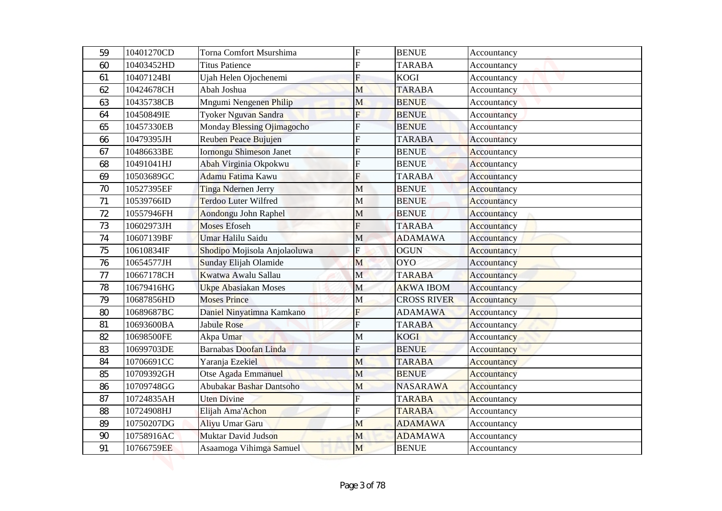| 59       | 10401270CD               | Torna Comfort Msurshima                            | $\overline{F}$      | <b>BENUE</b>                 | Accountancy                |
|----------|--------------------------|----------------------------------------------------|---------------------|------------------------------|----------------------------|
| 60       | 10403452HD               | <b>Titus Patience</b>                              | F                   | <b>TARABA</b>                | Accountancy                |
| 61       | 10407124BI               | Ujah Helen Ojochenemi                              | F                   | <b>KOGI</b>                  | Accountancy                |
| 62       | 10424678CH               | Abah Joshua                                        | M                   | <b>TARABA</b>                | Accountancy                |
| 63       | 10435738CB               | Mngumi Nengenen Philip                             | M                   | <b>BENUE</b>                 | Accountancy                |
| 64       | 10450849IE<br>10457330EB | Tyoker Nguvan Sandra<br>Monday Blessing Ojimagocho | $\overline{F}$<br>F | <b>BENUE</b><br><b>BENUE</b> | Accountancy                |
| 65<br>66 | 10479395JH               | Reuben Peace Bujujen                               | F                   | <b>TARABA</b>                | Accountancy<br>Accountancy |
| 67       | 10486633BE               | <b>Iornongu Shimeson Janet</b>                     | F                   | <b>BENUE</b>                 | Accountancy                |
| 68       | 10491041HJ               | Abah Virginia Okpokwu                              | F                   | <b>BENUE</b>                 | Accountancy                |
| 69       | 10503689GC               | Adamu Fatima Kawu                                  | F                   | <b>TARABA</b>                | Accountancy                |
| 70       | 10527395EF               | Tinga Ndernen Jerry                                | $\mathbf{M}$        | <b>BENUE</b>                 | Accountancy                |
| 71       | 10539766ID               | <b>Terdoo Luter Wilfred</b>                        | M                   | <b>BENUE</b>                 | Accountancy                |
| 72       | 10557946FH               | Aondongu John Raphel                               | M                   | <b>BENUE</b>                 | Accountancy                |
| 73       | 10602973JH               | <b>Moses Efoseh</b>                                | F                   | <b>TARABA</b>                | Accountancy                |
| 74       | 10607139BF               | <b>Umar Halilu Saidu</b>                           | M                   | <b>ADAMAWA</b>               | Accountancy                |
| 75       | 10610834IF               | Shodipo Mojisola Anjolaoluwa                       | F                   | <b>OGUN</b>                  | Accountancy                |
| 76       | 10654577JH               | Sunday Elijah Olamide                              | M                   | <b>OYO</b>                   | Accountancy                |
| $77 \,$  | 10667178CH               | Kwatwa Awalu Sallau                                | $\mathbf M$         | <b>TARABA</b>                | Accountancy                |
| 78       | 10679416HG               | <b>Ukpe Abasiakan Moses</b>                        | M                   | <b>AKWA IBOM</b>             | Accountancy                |
| 79       | 10687856HD               | <b>Moses Prince</b>                                | M                   | <b>CROSS RIVER</b>           | Accountancy                |
| 80       | 10689687BC               | Daniel Ninyatimna Kamkano                          | F                   | <b>ADAMAWA</b>               | Accountancy                |
| 81       | 10693600BA               | Jabule Rose                                        | $\overline{F}$      | <b>TARABA</b>                | Accountancy                |
| 82       | 10698500FE               | Akpa Umar                                          | M                   | <b>KOGI</b>                  | Accountancy                |
| 83       | 10699703DE               | <b>Barnabas Doofan Linda</b>                       | F                   | <b>BENUE</b>                 | Accountancy                |
| 84       | 10706691CC               | Yaranja Ezekiel                                    | M                   | <b>TARABA</b>                | <b>Accountancy</b>         |
| 85       | 10709392GH               | Otse Agada Emmanuel                                | M                   | <b>BENUE</b>                 | Accountancy                |
| 86       | 10709748GG               | Abubakar Bashar Dantsoho                           | M                   | <b>NASARAWA</b>              | Accountancy                |
| 87       | 10724835AH               | <b>Uten Divine</b>                                 |                     | <b>TARABA</b>                | Accountancy                |
| 88       | 10724908HJ               | Elijah Ama'Achon                                   | F                   | <b>TARABA</b>                | Accountancy                |
| 89       | 10750207DG               | Aliyu Umar Garu                                    | M                   | <b>ADAMAWA</b>               | Accountancy                |
| 90       | 10758916AC               | Muktar David Judson                                | M                   | <b>ADAMAWA</b>               | Accountancy                |
| 91       | 10766759EE               | Asaamoga Vihimga Samuel                            | M                   | <b>BENUE</b>                 | Accountancy                |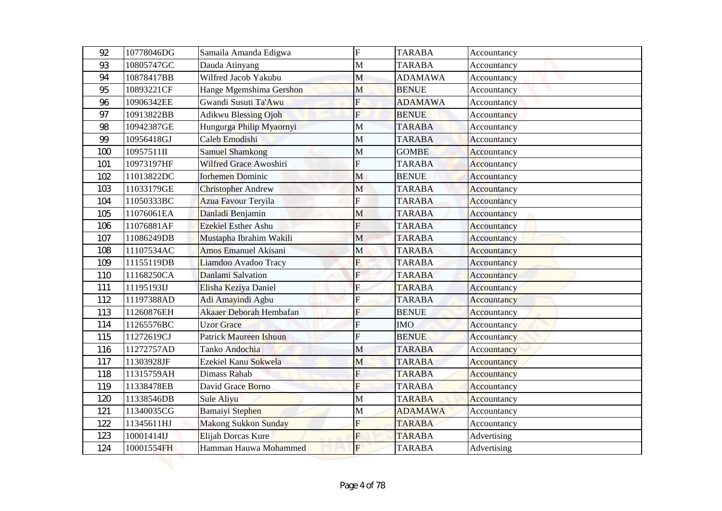| 92  | 10778046DG | Samaila Amanda Edigwa       | $\overline{F}$          | <b>TARABA</b>  | Accountancy        |
|-----|------------|-----------------------------|-------------------------|----------------|--------------------|
| 93  | 10805747GC | Dauda Atinyang              | $\mathbf{M}$            | <b>TARABA</b>  | Accountancy        |
| 94  | 10878417BB | Wilfred Jacob Yakubu        | M                       | <b>ADAMAWA</b> | Accountancy        |
| 95  | 10893221CF | Hange Mgemshima Gershon     | M                       | <b>BENUE</b>   | Accountancy        |
| 96  | 10906342EE | Gwandi Susuti Ta'Awu        | $\overline{\mathrm{F}}$ | <b>ADAMAWA</b> | Accountancy        |
| 97  | 10913822BB | <b>Adikwu Blessing Ojoh</b> | $\overline{\mathrm{F}}$ | <b>BENUE</b>   | Accountancy        |
| 98  | 10942387GE | Hungurga Philip Myaornyi    | M                       | <b>TARABA</b>  | Accountancy        |
| 99  | 10956418GJ | Caleb Emodishi              | M                       | <b>TARABA</b>  | Accountancy        |
| 100 | 10957511II | <b>Samuel Shamkong</b>      | M                       | <b>GOMBE</b>   | Accountancy        |
| 101 | 10973197HF | Wilfred Grace Awoshiri      | F                       | <b>TARABA</b>  | Accountancy        |
| 102 | 11013822DC | <b>Iorhemen Dominic</b>     | M                       | <b>BENUE</b>   | Accountancy        |
| 103 | 11033179GE | <b>Christopher Andrew</b>   | $\mathbf{M}$            | <b>TARABA</b>  | Accountancy        |
| 104 | 11050333BC | Azua Favour Teryila         | F                       | <b>TARABA</b>  | Accountancy        |
| 105 | 11076061EA | Danladi Benjamin            | M                       | <b>TARABA</b>  | Accountancy        |
| 106 | 11076881AF | <b>Ezekiel Esther Ashu</b>  | F                       | <b>TARABA</b>  | Accountancy        |
| 107 | 11086249DB | Mustapha Ibrahim Wakili     | M                       | <b>TARABA</b>  | Accountancy        |
| 108 | 11107534AC | <b>Amos Emanuel Akisani</b> | M                       | <b>TARABA</b>  | Accountancy        |
| 109 | 11155119DB | Liamdoo Avadoo Tracy        | F                       | <b>TARABA</b>  | Accountancy        |
| 110 | 11168250CA | Danlami Salvation           | $\mathbf{F}$            | <b>TARABA</b>  | Accountancy        |
| 111 | 11195193IJ | Elisha Keziya Daniel        | ${\bf F}$               | <b>TARABA</b>  | Accountancy        |
| 112 | 11197388AD | Adi Amayindi Agbu           | $\overline{F}$          | <b>TARABA</b>  | <b>Accountancy</b> |
| 113 | 11260876EH | Akaaer Deborah Hembafan     | F                       | <b>BENUE</b>   | Accountancy        |
| 114 | 11265576BC | <b>Uzor Grace</b>           | $\overline{F}$          | <b>IMO</b>     | Accountancy        |
| 115 | 11272619CJ | Patrick Maureen Ishuun      | F                       | <b>BENUE</b>   | Accountancy        |
| 116 | 11272757AD | Tanko Andochia              | M                       | <b>TARABA</b>  | Accountancy        |
| 117 | 11303928JF | Ezekiel Kanu Sokwela        | M                       | <b>TARABA</b>  | <b>Accountancy</b> |
| 118 | 11315759AH | Dimass Rahab                | F                       | <b>TARABA</b>  | Accountancy        |
| 119 | 11338478EB | David Grace Borno           | $\overline{\mathrm{F}}$ | <b>TARABA</b>  | Accountancy        |
| 120 | 11338546DB | Sule Aliyu                  | $\mathbf M$             | <b>TARABA</b>  | Accountancy        |
| 121 | 11340035CG | Bamaiyi Stephen             | M                       | <b>ADAMAWA</b> | Accountancy        |
| 122 | 11345611HJ | <b>Makong Sukkon Sunday</b> | F                       | <b>TARABA</b>  | Accountancy        |
| 123 | 10001414IJ | Elijah Dorcas Kure          | F                       | <b>TARABA</b>  | Advertising        |
| 124 | 10001554FH | Hamman Hauwa Mohammed       | $F_{\rm}$               | <b>TARABA</b>  | Advertising        |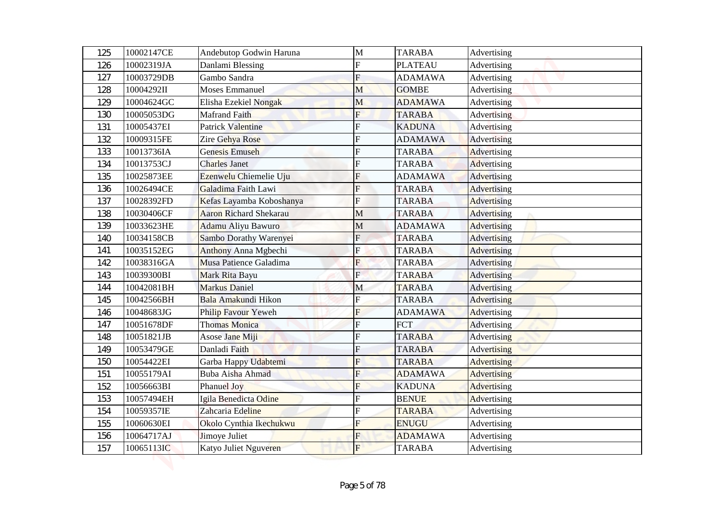| 125        | 10002147CE               | Andebutop Godwin Haruna                | $\mathbf M$             | <b>TARABA</b>                   | Advertising                |
|------------|--------------------------|----------------------------------------|-------------------------|---------------------------------|----------------------------|
| 126        | 10002319JA               | Danlami Blessing                       | F                       | <b>PLATEAU</b>                  | Advertising                |
| 127        | 10003729DB               | Gambo Sandra                           | F                       | <b>ADAMAWA</b>                  | Advertising                |
| 128        | 10004292II               | <b>Moses Emmanuel</b>                  | M                       | <b>GOMBE</b>                    | Advertising                |
| 129        | 10004624GC               | Elisha Ezekiel Nongak                  | M                       | <b>ADAMAWA</b>                  | Advertising                |
| 130        | 10005053DG               | <b>Mafrand Faith</b>                   | $\overline{F}$          | <b>TARABA</b>                   | Advertising                |
| 131        | 10005437EI               | <b>Patrick Valentine</b>               | F                       | <b>KADUNA</b>                   | Advertising                |
| 132        | 10009315FE               | Zire Gehya Rose                        | F                       | <b>ADAMAWA</b>                  | Advertising                |
| 133        | 10013736IA               | <b>Genesis Emuseh</b>                  | F                       | <b>TARABA</b>                   | <b>Advertising</b>         |
| 134        | 10013753CJ               | <b>Charles Janet</b>                   | F                       | <b>TARABA</b>                   | Advertising                |
| 135        | 10025873EE               | Ezenwelu Chiemelie Uju                 | F                       | <b>ADAMAWA</b>                  | Advertising                |
| 136        | 10026494CE               | Galadima Faith Lawi                    | F                       | <b>TARABA</b>                   | <b>Advertising</b>         |
| 137        | 10028392FD               | Kefas Layamba Koboshanya               | F                       | <b>TARABA</b>                   | <b>Advertising</b>         |
| 138        | 10030406CF               | <b>Aaron Richard Shekarau</b>          | M                       | <b>TARABA</b>                   | Advertising                |
| 139        | 10033623HE               | Adamu Aliyu Bawuro                     | M                       | <b>ADAMAWA</b>                  | <b>Advertising</b>         |
| 140        | 10034158CB               | Sambo Dorathy Warenyei                 | $\overline{F}$          | <b>TARABA</b>                   | <b>Advertising</b>         |
| 141        | 10035152EG               | Anthony Anna Mgbechi                   | Ė                       | <b>TARABA</b>                   | <b>Advertising</b>         |
| 142        | 10038316GA               | Musa Patience Galadima                 | F                       | <b>TARABA</b>                   | Advertising                |
| 143        | 10039300BI               | Mark Rita Bayu                         | $\mathbf{F}$            | <b>TARABA</b>                   | Advertising                |
| 144        | 10042081BH               | <b>Markus Daniel</b>                   | $\mathbf M$             | <b>TARABA</b>                   | <b>Advertising</b>         |
| 145        | 10042566BH               | Bala Amakundi Hikon                    | $\overline{\mathrm{F}}$ | <b>TARABA</b>                   | <b>Advertising</b>         |
| 146        | 10048683JG               | Philip Favour Yeweh                    | F                       | <b>ADAMAWA</b>                  | <b>Advertising</b>         |
| 147        | 10051678DF               | <b>Thomas Monica</b>                   | $\overline{F}$          | <b>FCT</b>                      | Advertising                |
| 148        | 10051821JB               | Asose Jane Miji                        | F                       | <b>TARABA</b>                   | <b>Advertising</b>         |
| 149        | 10053479GE               | Danladi Faith                          | F                       | <b>TARABA</b>                   | <b>Advertising</b>         |
| 150        | 10054422EI               | Garba Happy Udabtemi                   | $\overline{\mathrm{F}}$ | <b>TARABA</b>                   | <b>Advertising</b>         |
| 151        | 10055179AI               | Buba Aisha Ahmad                       | F                       | <b>ADAMAWA</b>                  | <b>Advertising</b>         |
| 152        | 10056663BI               | <b>Phanuel Joy</b>                     | F                       | <b>KADUNA</b>                   | <b>Advertising</b>         |
| 153        | 10057494EH               | Igila Benedicta Odine                  |                         | <b>BENUE</b>                    | <b>Advertising</b>         |
| 154        | 10059357IE               | Zahcaria Edeline                       | F                       | <b>TARABA</b>                   | Advertising                |
| 155        | 10060630EI               | Okolo Cynthia Ikechukwu                | F                       | <b>ENUGU</b>                    | Advertising                |
| 156<br>157 | 10064717AJ<br>10065113IC | Jimoye Juliet<br>Katyo Juliet Nguveren | F<br>$F_{\rm}$          | <b>ADAMAWA</b><br><b>TARABA</b> | Advertising<br>Advertising |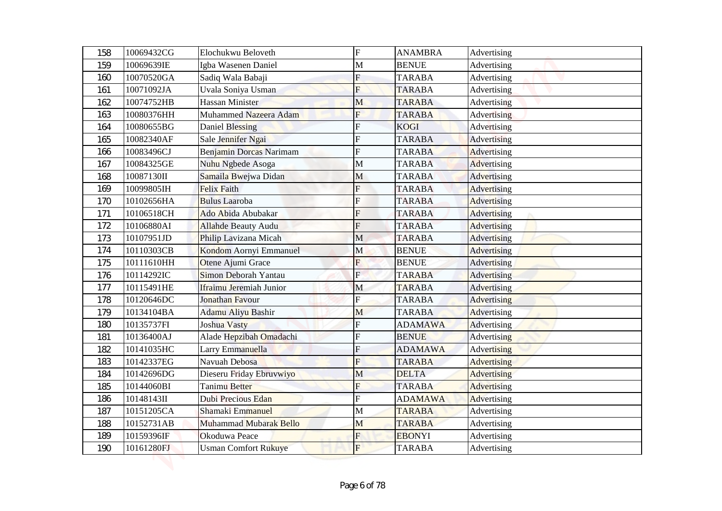| 158 | 10069432CG | Elochukwu Beloveth          | $\boldsymbol{\mathrm{F}}$ | <b>ANAMBRA</b> | Advertising        |
|-----|------------|-----------------------------|---------------------------|----------------|--------------------|
| 159 | 10069639IE | Igba Wasenen Daniel         | M                         | <b>BENUE</b>   | Advertising        |
| 160 | 10070520GA | Sadiq Wala Babaji           | F                         | <b>TARABA</b>  | Advertising        |
| 161 | 10071092JA | Uvala Soniya Usman          | F                         | <b>TARABA</b>  | Advertising        |
| 162 | 10074752HB | Hassan Minister             | M                         | <b>TARABA</b>  | Advertising        |
| 163 | 10080376HH | Muhammed Nazeera Adam       | F                         | <b>TARABA</b>  | Advertising        |
| 164 | 10080655BG | Daniel Blessing             | F                         | <b>KOGI</b>    | Advertising        |
| 165 | 10082340AF | Sale Jennifer Ngai          | F                         | <b>TARABA</b>  | Advertising        |
| 166 | 10083496CJ | Benjamin Dorcas Narimam     | F                         | <b>TARABA</b>  | <b>Advertising</b> |
| 167 | 10084325GE | Nuhu Ngbede Asoga           | M                         | <b>TARABA</b>  | Advertising        |
| 168 | 10087130II | Samaila Bwejwa Didan        | М                         | <b>TARABA</b>  | Advertising        |
| 169 | 10099805IH | <b>Felix Faith</b>          | F                         | <b>TARABA</b>  | <b>Advertising</b> |
| 170 | 10102656HA | <b>Bulus Laaroba</b>        | F                         | <b>TARABA</b>  | Advertising        |
| 171 | 10106518CH | Ado Abida Abubakar          | F                         | <b>TARABA</b>  | <b>Advertising</b> |
| 172 | 10106880AI | <b>Allahde Beauty Audu</b>  | F                         | <b>TARABA</b>  | <b>Advertising</b> |
| 173 | 10107951JD | Philip Lavizana Micah       | M                         | <b>TARABA</b>  | <b>Advertising</b> |
| 174 | 10110303CB | Kondom Aornyi Emmanuel      | M                         | <b>BENUE</b>   | <b>Advertising</b> |
| 175 | 10111610HH | Otene Ajumi Grace           | F                         | <b>BENUE</b>   | Advertising        |
| 176 | 10114292IC | Simon Deborah Yantau        | $\mathbf{E}$              | <b>TARABA</b>  | Advertising        |
| 177 | 10115491HE | Ifraimu Jeremiah Junior     | M                         | <b>TARABA</b>  | Advertising        |
| 178 | 10120646DC | Jonathan Favour             | $\mathbf F$               | <b>TARABA</b>  | <b>Advertising</b> |
| 179 | 10134104BA | Adamu Aliyu Bashir          | $\overline{\mathsf{M}}$   | <b>TARABA</b>  | <b>Advertising</b> |
| 180 | 10135737FI | Joshua Vasty                | F                         | <b>ADAMAWA</b> | Advertising        |
| 181 | 10136400AJ | Alade Hepzibah Omadachi     | F                         | <b>BENUE</b>   | <b>Advertising</b> |
| 182 | 10141035HC | Larry Emmanuella            | F                         | <b>ADAMAWA</b> | Advertising        |
| 183 | 10142337EG | Navuah Debosa               | F                         | <b>TARABA</b>  | <b>Advertising</b> |
| 184 | 10142696DG | Dieseru Friday Ebruvwiyo    | M                         | <b>DELTA</b>   | <b>Advertising</b> |
| 185 | 10144060BI | Tanimu Better               | F                         | <b>TARABA</b>  | <b>Advertising</b> |
| 186 | 10148143II | Dubi Precious Edan          | F                         | <b>ADAMAWA</b> | Advertising        |
| 187 | 10151205CA | Shamaki Emmanuel            | M                         | <b>TARABA</b>  | Advertising        |
| 188 | 10152731AB | Muhammad Mubarak Bello      | M                         | <b>TARABA</b>  | Advertising        |
| 189 | 10159396IF | Okoduwa Peace               | F                         | <b>EBONYI</b>  | Advertising        |
| 190 | 10161280FJ | <b>Usman Comfort Rukuye</b> | $\overline{F}$            | <b>TARABA</b>  | Advertising        |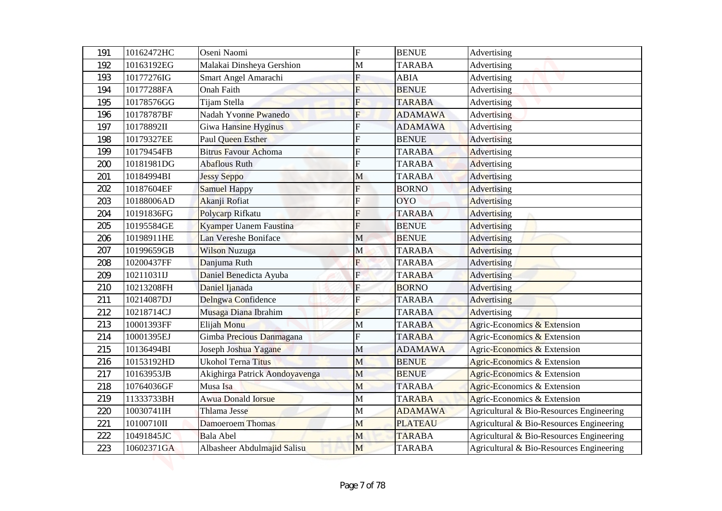|            | 10162472HC               | Oseni Naomi                       | F            | <b>BENUE</b>                  |                                          |
|------------|--------------------------|-----------------------------------|--------------|-------------------------------|------------------------------------------|
| 191        |                          |                                   |              |                               | Advertising                              |
| 192        | 10163192EG               | Malakai Dinsheya Gershion         | M<br>F       | <b>TARABA</b><br><b>ABIA</b>  | Advertising                              |
| 193        | 10177276IG               | Smart Angel Amarachi              |              |                               | Advertising                              |
| 194        | 10177288FA               | <b>Onah Faith</b><br>Tijam Stella | F            | <b>BENUE</b><br><b>TARABA</b> | Advertising                              |
| 195        | 10178576GG<br>10178787BF | Nadah Yvonne Pwanedo              | F            | <b>ADAMAWA</b>                | Advertising                              |
| 196<br>197 | 10178892II               | Giwa Hansine Hyginus              | F            | <b>ADAMAWA</b>                | Advertising<br>Advertising               |
| 198        | 10179327EE               | Paul Queen Esther                 | F            | <b>BENUE</b>                  | Advertising                              |
| 199        | 10179454FB               | <b>Bitrus Favour Achoma</b>       | F            | <b>TARABA</b>                 | <b>Advertising</b>                       |
| 200        | 10181981DG               | Abaflous Ruth                     | F            | <b>TARABA</b>                 | Advertising                              |
| 201        | 10184994BI               | <b>Jessy Seppo</b>                | М            | <b>TARABA</b>                 | Advertising                              |
| 202        | 10187604EF               | <b>Samuel Happy</b>               | F            | <b>BORNO</b>                  | <b>Advertising</b>                       |
| 203        | 10188006AD               | Akanji Rofiat                     | F            | <b>OYO</b>                    | Advertising                              |
| 204        | 10191836FG               | Polycarp Rifkatu                  | F            | <b>TARABA</b>                 | <b>Advertising</b>                       |
| 205        | 10195584GE               | Kyamper Uanem Faustina            | F            | <b>BENUE</b>                  | <b>Advertising</b>                       |
| 206        | 10198911HE               | Lan Vereshe Boniface              | M            | <b>BENUE</b>                  | <b>Advertising</b>                       |
| 207        | 10199659GB               | <b>Wilson Nuzuga</b>              | M            | <b>TARABA</b>                 | <b>Advertising</b>                       |
| 208        | 10200437FF               | Danjuma Ruth                      | F            | <b>TARABA</b>                 | Advertising                              |
| 209        | 10211031IJ               | Daniel Benedicta Ayuba            | $\mathbf{E}$ | <b>TARABA</b>                 | Advertising                              |
| 210        | 10213208FH               | Daniel Ijanada                    | F            | <b>BORNO</b>                  | Advertising                              |
| 211        | 10214087DJ               | Delngwa Confidence                | F            | <b>TARABA</b>                 | Advertising                              |
| 212        | 10218714CJ               | Musaga Diana Ibrahim              | F            | <b>TARABA</b>                 | <b>Advertising</b>                       |
| 213        | 10001393FF               | Elijah Monu                       | M            | <b>TARABA</b>                 | Agric-Economics & Extension              |
| 214        | 10001395EJ               | Gimba Precious Danmagana          | F            | <b>TARABA</b>                 | Agric-Economics & Extension              |
| 215        | 10136494BI               | Joseph Joshua Yagane              | M            | <b>ADAMAWA</b>                | Agric-Economics & Extension              |
| 216        | 10153192HD               | <b>Ukohol Terna Titus</b>         | M            | <b>BENUE</b>                  | Agric-Economics & Extension              |
| 217        | 10163953JB               | Akighirga Patrick Aondoyavenga    | M            | <b>BENUE</b>                  | Agric-Economics & Extension              |
| 218        | 10764036GF               | Musa Isa                          | M            | <b>TARABA</b>                 | Agric-Economics & Extension              |
| 219        | 11333733BH               | <b>Awua Donald Iorsue</b>         | $\mathbf M$  | <b>TARABA</b>                 | Agric-Economics & Extension              |
| 220        | 10030741IH               | Thlama Jesse                      | М            | <b>ADAMAWA</b>                | Agricultural & Bio-Resources Engineering |
| 221        | 10100710II               | Damoeroem Thomas                  | M            | <b>PLATEAU</b>                | Agricultural & Bio-Resources Engineering |
| 222        | 10491845JC               | <b>Bala Abel</b>                  | M            | <b>TARABA</b>                 | Agricultural & Bio-Resources Engineering |
| 223        | 10602371GA               | Albasheer Abdulmajid Salisu       | M            | <b>TARABA</b>                 | Agricultural & Bio-Resources Engineering |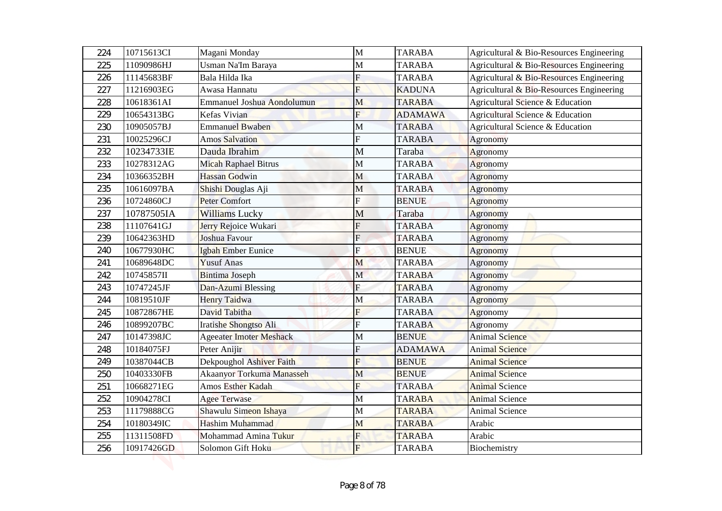| 224 | 10715613CI | Magani Monday                     | M                       | <b>TARABA</b>  | Agricultural & Bio-Resources Engineering |
|-----|------------|-----------------------------------|-------------------------|----------------|------------------------------------------|
| 225 | 11090986HJ | Usman Na'Im Baraya                | M                       | <b>TARABA</b>  | Agricultural & Bio-Resources Engineering |
| 226 | 11145683BF | Bala Hilda Ika                    | F                       | <b>TARABA</b>  | Agricultural & Bio-Resources Engineering |
| 227 | 11216903EG | Awasa Hannatu                     | F                       | <b>KADUNA</b>  | Agricultural & Bio-Resources Engineering |
| 228 | 10618361AI | <b>Emmanuel Joshua Aondolumun</b> | M                       | <b>TARABA</b>  | Agricultural Science & Education         |
| 229 | 10654313BG | Kefas Vivian                      | $\overline{\mathrm{F}}$ | <b>ADAMAWA</b> | Agricultural Science & Education         |
| 230 | 10905057BJ | <b>Emmanuel Bwaben</b>            | M                       | <b>TARABA</b>  | Agricultural Science & Education         |
| 231 | 10025296CJ | <b>Amos Salvation</b>             | F                       | <b>TARABA</b>  | Agronomy                                 |
| 232 | 10234733IE | Dauda Ibrahim                     | M                       | Taraba         | Agronomy                                 |
| 233 | 10278312AG | <b>Micah Raphael Bitrus</b>       | M                       | <b>TARABA</b>  | Agronomy                                 |
| 234 | 10366352BH | <b>Hassan Godwin</b>              | M                       | <b>TARABA</b>  | Agronomy                                 |
| 235 | 10616097BA | Shishi Douglas Aji                | $\mathbf{M}$            | <b>TARABA</b>  | Agronomy                                 |
| 236 | 10724860CJ | <b>Peter Comfort</b>              | F                       | <b>BENUE</b>   | <b>Agronomy</b>                          |
| 237 | 10787505IA | <b>Williams Lucky</b>             | M                       | Taraba         | Agronomy                                 |
| 238 | 11107641GJ | Jerry Rejoice Wukari              | F                       | <b>TARABA</b>  | <b>Agronomy</b>                          |
| 239 | 10642363HD | Joshua Favour                     | $\overline{F}$          | <b>TARABA</b>  | Agronomy                                 |
| 240 | 10677930HC | <b>Igbah Ember Eunice</b>         | F                       | <b>BENUE</b>   | Agronomy                                 |
| 241 | 10689648DC | <b>Yusuf Anas</b>                 | M                       | <b>TARABA</b>  | <b>Agronomy</b>                          |
| 242 | 10745857II | <b>Bintima Joseph</b>             | $\mathbf M$             | <b>TARABA</b>  | Agronomy                                 |
| 243 | 10747245JF | Dan-Azumi Blessing                | ${\bf F}$               | <b>TARABA</b>  | Agronomy                                 |
| 244 | 10819510JF | <b>Henry Taidwa</b>               | M                       | <b>TARABA</b>  | Agronomy                                 |
| 245 | 10872867HE | David Tabitha                     | F                       | <b>TARABA</b>  | Agronomy                                 |
| 246 | 10899207BC | Iratishe Shongtso Ali             | $\overline{F}$          | <b>TARABA</b>  | Agronomy                                 |
| 247 | 10147398JC | <b>Ageeater Imoter Meshack</b>    | M                       | <b>BENUE</b>   | <b>Animal Science</b>                    |
| 248 | 10184075FJ | Peter Anijir                      | F                       | <b>ADAMAWA</b> | <b>Animal Science</b>                    |
| 249 | 10387044CB | Dekpoughol Ashiver Faith          | $\overline{\mathrm{F}}$ | <b>BENUE</b>   | <b>Animal Science</b>                    |
| 250 | 10403330FB | <b>Akaanyor Torkuma Manasseh</b>  | M                       | <b>BENUE</b>   | <b>Animal Science</b>                    |
| 251 | 10668271EG | Amos Esther Kadah                 | F                       | <b>TARABA</b>  | <b>Animal Science</b>                    |
| 252 | 10904278CI | <b>Agee Terwase</b>               | $\mathbf M$             | <b>TARABA</b>  | <b>Animal Science</b>                    |
| 253 | 11179888CG | Shawulu Simeon Ishaya             | $\mathbf M$             | <b>TARABA</b>  | Animal Science                           |
| 254 | 10180349IC | Hashim Muhammad                   | M                       | <b>TARABA</b>  | Arabic                                   |
| 255 | 11311508FD | Mohammad Amina Tukur              | F                       | <b>TARABA</b>  | Arabic                                   |
| 256 | 10917426GD | Solomon Gift Hoku                 | $F_{\rm}$               | <b>TARABA</b>  | Biochemistry                             |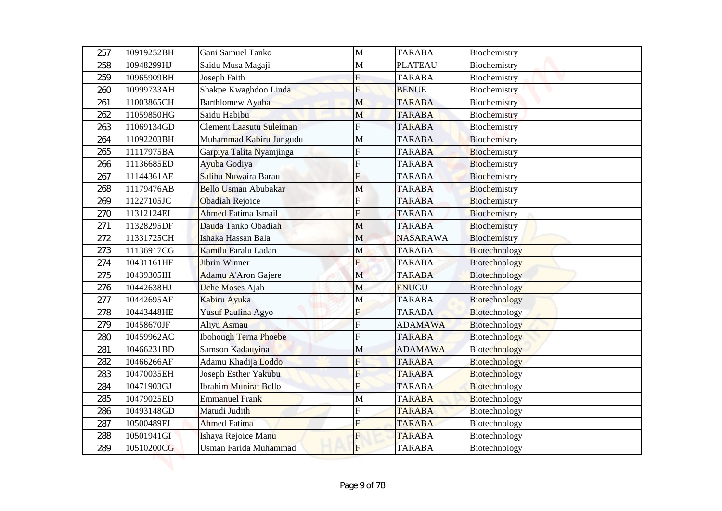| 257        | 10919252BH               | Gani Samuel Tanko                               | $\mathbf{M}$   | <b>TARABA</b>                  | Biochemistry                 |
|------------|--------------------------|-------------------------------------------------|----------------|--------------------------------|------------------------------|
| 258        | 10948299HJ               | Saidu Musa Magaji                               | M              | <b>PLATEAU</b>                 | Biochemistry                 |
| 259        | 10965909BH               | Joseph Faith                                    | $\mathbf F$    | <b>TARABA</b>                  | Biochemistry                 |
| 260        | 10999733AH<br>11003865CH | Shakpe Kwaghdoo Linda                           | F              | <b>BENUE</b>                   | Biochemistry                 |
| 261        |                          | <b>Barthlomew Ayuba</b>                         | M              | <b>TARABA</b>                  | Biochemistry                 |
| 262        | 11059850HG<br>11069134GD | Saidu Habibu<br><b>Clement Laasutu Suleiman</b> | M<br>F         | <b>TARABA</b><br><b>TARABA</b> | Biochemistry                 |
| 263<br>264 | 11092203BH               | Muhammad Kabiru Jungudu                         | $\mathbf M$    | <b>TARABA</b>                  | Biochemistry<br>Biochemistry |
| 265        | 11117975BA               | Garpiya Talita Nyamjinga                        | F              | <b>TARABA</b>                  | Biochemistry                 |
| 266        | 11136685ED               | Ayuba Godiya                                    | F              | <b>TARABA</b>                  | Biochemistry                 |
| 267        | 11144361AE               | Salihu Nuwaira Barau                            | F              | <b>TARABA</b>                  | Biochemistry                 |
| 268        | 11179476AB               | <b>Bello Usman Abubakar</b>                     | M              | <b>TARABA</b>                  | Biochemistry                 |
| 269        | 11227105JC               | <b>Obadiah Rejoice</b>                          | F              | <b>TARABA</b>                  | Biochemistry                 |
| 270        | 11312124EI               | <b>Ahmed Fatima Ismail</b>                      | F              | <b>TARABA</b>                  | Biochemistry                 |
| 271        | 11328295DF               | Dauda Tanko Obadiah                             | M              | <b>TARABA</b>                  | Biochemistry                 |
| 272        | 11331725CH               | Ishaka Hassan Bala                              | M              | <b>NASARAWA</b>                | Biochemistry                 |
| 273        | 11136917CG               | Kamilu Faralu Ladan                             | M              | <b>TARABA</b>                  | Biotechnology                |
| 274        | 10431161HF               | Jibrin Winner                                   | $\overline{F}$ | <b>TARABA</b>                  | Biotechnology                |
| 275        | 10439305IH               | Adamu A'Aron Gajere                             | $\mathbf M$    | <b>TARABA</b>                  | Biotechnology                |
| 276        | 10442638HJ               | <b>Uche Moses Ajah</b>                          | M              | <b>ENUGU</b>                   | Biotechnology                |
| 277        | 10442695AF               | Kabiru Ayuka                                    | M              | <b>TARABA</b>                  | <b>Biotechnology</b>         |
| 278        | 10443448HE               | Yusuf Paulina Agyo                              | F              | <b>TARABA</b>                  | Biotechnology                |
| 279        | 10458670JF               | Aliyu Asmau                                     | $\overline{F}$ | <b>ADAMAWA</b>                 | Biotechnology                |
| 280        | 10459962AC               | <b>Ibohough Terna Phoebe</b>                    | F              | <b>TARABA</b>                  | Biotechnology                |
| 281        | 10466231BD               | Samson Kadauyina                                | $\mathbf M$    | <b>ADAMAWA</b>                 | <b>Biotechnology</b>         |
| 282        | 10466266AF               | Adamu Khadija Loddo                             | $\overline{F}$ | <b>TARABA</b>                  | <b>Biotechnology</b>         |
| 283        | 10470035EH               | Joseph Esther Yakubu                            | F              | <b>TARABA</b>                  | <b>Biotechnology</b>         |
| 284        | 10471903GJ               | <b>Ibrahim Munirat Bello</b>                    | F              | <b>TARABA</b>                  | Biotechnology                |
| 285        | 10479025ED               | <b>Emmanuel Frank</b>                           | M              | <b>TARABA</b>                  | Biotechnology                |
| 286        | 10493148GD               | Matudi Judith                                   | F              | <b>TARABA</b>                  | Biotechnology                |
| 287        | 10500489FJ               | <b>Ahmed Fatima</b>                             | F              | <b>TARABA</b>                  | Biotechnology                |
| 288        | 10501941GI               | Ishaya Rejoice Manu                             | F              | <b>TARABA</b>                  | Biotechnology                |
| 289        | 10510200CG               | Usman Farida Muhammad                           | $\mathbf{F}$   | <b>TARABA</b>                  | Biotechnology                |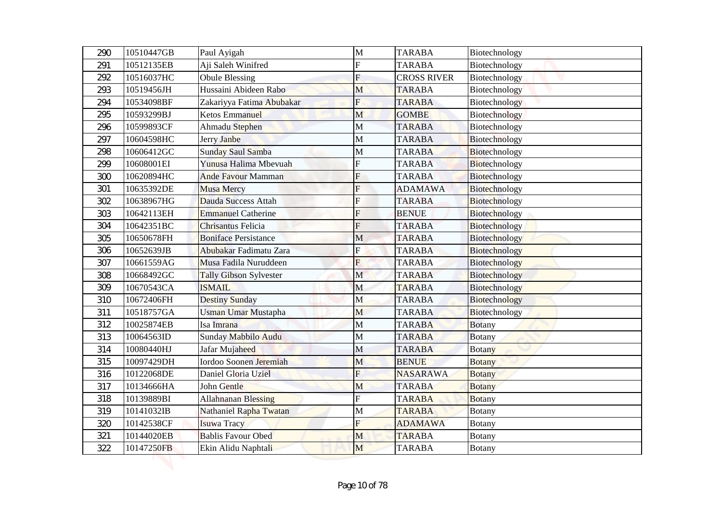| 290 | 10510447GB | Paul Ayigah                 | M                       | <b>TARABA</b>      | Biotechnology |
|-----|------------|-----------------------------|-------------------------|--------------------|---------------|
| 291 | 10512135EB | Aji Saleh Winifred          | F                       | <b>TARABA</b>      | Biotechnology |
| 292 | 10516037HC | <b>Obule Blessing</b>       | F                       | <b>CROSS RIVER</b> | Biotechnology |
| 293 | 10519456JH | Hussaini Abideen Rabo       | M                       | <b>TARABA</b>      | Biotechnology |
| 294 | 10534098BF | Zakariyya Fatima Abubakar   | $\overline{\mathrm{F}}$ | <b>TARABA</b>      | Biotechnology |
| 295 | 10593299BJ | <b>Ketos Emmanuel</b>       | M                       | <b>GOMBE</b>       | Biotechnology |
| 296 | 10599893CF | Ahmadu Stephen              | M                       | <b>TARABA</b>      | Biotechnology |
| 297 | 10604598HC | Jerry Janbe                 | M                       | <b>TARABA</b>      | Biotechnology |
| 298 | 10606412GC | Sunday Saul Samba           | M                       | <b>TARABA</b>      | Biotechnology |
| 299 | 10608001EI | Yunusa Halima Mbevuah       | F                       | <b>TARABA</b>      | Biotechnology |
| 300 | 10620894HC | <b>Ande Favour Mamman</b>   | F                       | <b>TARABA</b>      | Biotechnology |
| 301 | 10635392DE | Musa Mercy                  | F                       | <b>ADAMAWA</b>     | Biotechnology |
| 302 | 10638967HG | Dauda Success Attah         | F                       | <b>TARABA</b>      | Biotechnology |
| 303 | 10642113EH | <b>Emmanuel Catherine</b>   | F                       | <b>BENUE</b>       | Biotechnology |
| 304 | 10642351BC | Chrisantus Felicia          | F                       | <b>TARABA</b>      | Biotechnology |
| 305 | 10650678FH | <b>Boniface Persistance</b> | $\mathbf{M}$            | <b>TARABA</b>      | Biotechnology |
| 306 | 10652639JB | Abubakar Fadimatu Zara      | Ė                       | <b>TARABA</b>      | Biotechnology |
| 307 | 10661559AG | Musa Fadila Nuruddeen       | F                       | <b>TARABA</b>      | Biotechnology |
| 308 | 10668492GC | Tally Gibson Sylvester      | $\mathbf M$             | <b>TARABA</b>      | Biotechnology |
| 309 | 10670543CA | <b>ISMAIL</b>               | M                       | <b>TARABA</b>      | Biotechnology |
| 310 | 10672406FH | <b>Destiny Sunday</b>       | M                       | <b>TARABA</b>      | Biotechnology |
| 311 | 10518757GA | Usman Umar Mustapha         | M                       | <b>TARABA</b>      | Biotechnology |
| 312 | 10025874EB | Isa Imrana                  | $\mathbf{M}$            | <b>TARABA</b>      | <b>Botany</b> |
| 313 | 10064563ID | Sunday Mabbilo Audu         | $\mathbf M$             | <b>TARABA</b>      | <b>Botany</b> |
| 314 | 10080440HJ | Jafar Mujaheed              | M                       | <b>TARABA</b>      | Botany        |
| 315 | 10097429DH | Iordoo Soonen Jeremiah      | M                       | <b>BENUE</b>       | <b>Botany</b> |
| 316 | 10122068DE | Daniel Gloria Uziel         | F                       | <b>NASARAWA</b>    | <b>Botany</b> |
| 317 | 10134666HA | John Gentle                 | M                       | <b>TARABA</b>      | <b>Botany</b> |
| 318 | 10139889BI | <b>Allahnanan Blessing</b>  | F                       | <b>TARABA</b>      | <b>Botany</b> |
| 319 | 10141032IB | Nathaniel Rapha Twatan      | M                       | <b>TARABA</b>      | <b>Botany</b> |
| 320 | 10142538CF | Isuwa Tracy                 | F                       | <b>ADAMAWA</b>     | <b>Botany</b> |
| 321 | 10144020EB | <b>Bablis Favour Obed</b>   | M                       | <b>TARABA</b>      | <b>Botany</b> |
| 322 | 10147250FB | Ekin Alidu Naphtali         | M                       | <b>TARABA</b>      | <b>Botany</b> |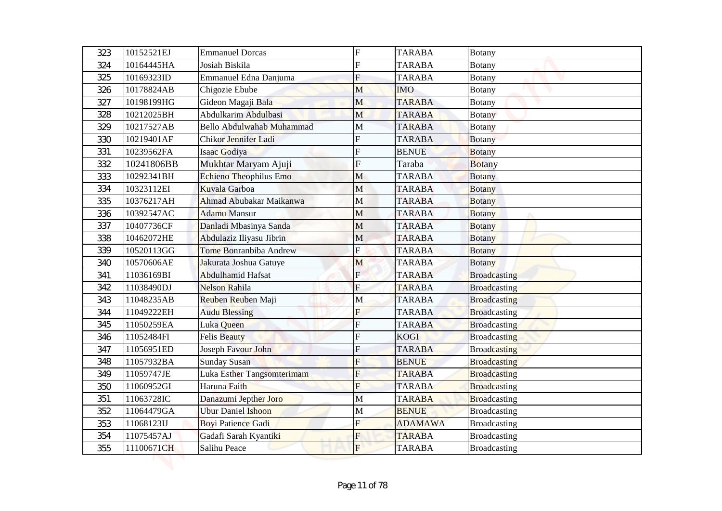| 323 | 10152521EJ | <b>Emmanuel Dorcas</b>        | $\overline{F}$ | <b>TARABA</b>  | <b>Botany</b>       |
|-----|------------|-------------------------------|----------------|----------------|---------------------|
| 324 | 10164445HA | Josiah Biskila                | F              | <b>TARABA</b>  | Botany              |
| 325 | 10169323ID | Emmanuel Edna Danjuma         | F              | <b>TARABA</b>  | Botany              |
| 326 | 10178824AB | Chigozie Ebube                | M              | <b>IMO</b>     | <b>Botany</b>       |
| 327 | 10198199HG | Gideon Magaji Bala            | M              | <b>TARABA</b>  | <b>Botany</b>       |
| 328 | 10212025BH | Abdulkarim Abdulbasi          | M              | <b>TARABA</b>  | <b>Botany</b>       |
| 329 | 10217527AB | Bello Abdulwahab Muhammad     | M              | <b>TARABA</b>  | <b>Botany</b>       |
| 330 | 10219401AF | Chikor Jennifer Ladi          | F              | <b>TARABA</b>  | <b>Botany</b>       |
| 331 | 10239562FA | Isaac Godiya                  | F              | <b>BENUE</b>   | <b>Botany</b>       |
| 332 | 10241806BB | Mukhtar Maryam Ajuji          | F              | Taraba         | <b>Botany</b>       |
| 333 | 10292341BH | Echieno Theophilus Emo        | M              | <b>TARABA</b>  | <b>Botany</b>       |
| 334 | 10323112EI | Kuvala Garboa                 | $\mathbf{M}$   | <b>TARABA</b>  | <b>Botany</b>       |
| 335 | 10376217AH | Ahmad Abubakar Maikanwa       | M              | <b>TARABA</b>  | <b>Botany</b>       |
| 336 | 10392547AC | <b>Adamu Mansur</b>           | M              | <b>TARABA</b>  | <b>Botany</b>       |
| 337 | 10407736CF | Danladi Mbasinya Sanda        | M              | <b>TARABA</b>  | <b>Botany</b>       |
| 338 | 10462072HE | Abdulaziz Iliyasu Jibrin      | M              | <b>TARABA</b>  | <b>Botany</b>       |
| 339 | 10520113GG | <b>Tome Bonranbiba Andrew</b> | F              | <b>TARABA</b>  | <b>Botany</b>       |
| 340 | 10570606AE | Jakurata Joshua Gatuye        | M              | <b>TARABA</b>  | <b>Botany</b>       |
| 341 | 11036169BI | Abdulhamid Hafsat             | $\mathbf{E}$   | <b>TARABA</b>  | Broadcasting        |
| 342 | 11038490DJ | Nelson Rahila                 | ${\bf F}$      | <b>TARABA</b>  | <b>Broadcasting</b> |
| 343 | 11048235AB | Reuben Reuben Maji            | M              | <b>TARABA</b>  | <b>Broadcasting</b> |
| 344 | 11049222EH | <b>Audu Blessing</b>          | F              | <b>TARABA</b>  | <b>Broadcasting</b> |
| 345 | 11050259EA | Luka Queen                    | $\overline{F}$ | <b>TARABA</b>  | <b>Broadcasting</b> |
| 346 | 11052484FI | <b>Felis Beauty</b>           | F              | <b>KOGI</b>    | <b>Broadcasting</b> |
| 347 | 11056951ED | Joseph Favour John            | F              | <b>TARABA</b>  | <b>Broadcasting</b> |
| 348 | 11057932BA | <b>Sunday Susan</b>           | $\overline{F}$ | <b>BENUE</b>   | <b>Broadcasting</b> |
| 349 | 11059747JE | Luka Esther Tangsomterimam    | F              | <b>TARABA</b>  | <b>Broadcasting</b> |
| 350 | 11060952GI | Haruna Faith                  | F              | <b>TARABA</b>  | <b>Broadcasting</b> |
| 351 | 11063728IC | Danazumi Jepther Joro         | $\mathbf M$    | <b>TARABA</b>  | <b>Broadcasting</b> |
| 352 | 11064479GA | <b>Ubur Daniel Ishoon</b>     | M              | <b>BENUE</b>   | <b>Broadcasting</b> |
| 353 | 11068123IJ | <b>Boyi Patience Gadi</b>     | F              | <b>ADAMAWA</b> | <b>Broadcasting</b> |
| 354 | 11075457AJ | Gadafi Sarah Kyantiki         | F              | <b>TARABA</b>  | <b>Broadcasting</b> |
| 355 | 11100671CH | Salihu Peace                  | $\overline{F}$ | <b>TARABA</b>  | <b>Broadcasting</b> |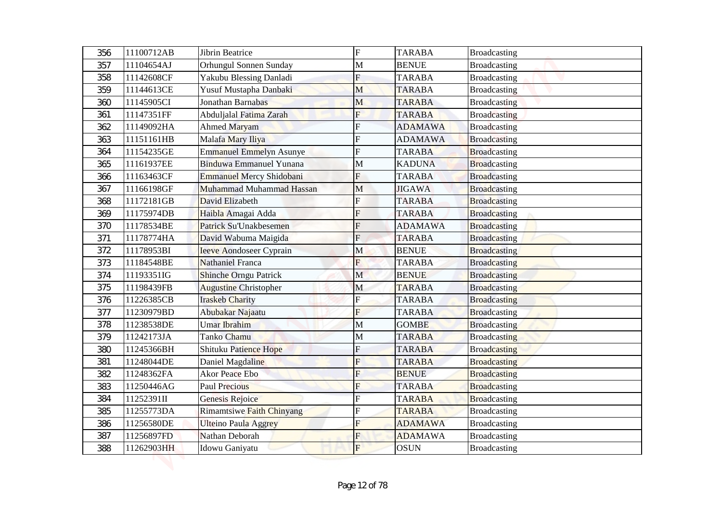| 356 | 11100712AB | <b>Jibrin Beatrice</b>           | $\overline{F}$            | <b>TARABA</b>  | <b>Broadcasting</b> |
|-----|------------|----------------------------------|---------------------------|----------------|---------------------|
| 357 | 11104654AJ | Orhungul Sonnen Sunday           | M                         | <b>BENUE</b>   | <b>Broadcasting</b> |
| 358 | 11142608CF | Yakubu Blessing Danladi          | $\boldsymbol{\mathrm{F}}$ | <b>TARABA</b>  | <b>Broadcasting</b> |
| 359 | 11144613CE | Yusuf Mustapha Danbaki           | M                         | <b>TARABA</b>  | <b>Broadcasting</b> |
| 360 | 11145905CI | Jonathan Barnabas                | M                         | <b>TARABA</b>  | <b>Broadcasting</b> |
| 361 | 11147351FF | Abduljalal Fatima Zarah          | $\overline{F}$            | <b>TARABA</b>  | <b>Broadcasting</b> |
| 362 | 11149092HA | <b>Ahmed Maryam</b>              | F                         | <b>ADAMAWA</b> | <b>Broadcasting</b> |
| 363 | 11151161HB | Malafa Mary Iliya                | F                         | <b>ADAMAWA</b> | <b>Broadcasting</b> |
| 364 | 11154235GE | <b>Emmanuel Emmelyn Asunye</b>   | F                         | <b>TARABA</b>  | <b>Broadcasting</b> |
| 365 | 11161937EE | Binduwa Emmanuel Yunana          | M                         | <b>KADUNA</b>  | <b>Broadcasting</b> |
| 366 | 11163463CF | Emmanuel Mercy Shidobani         | F                         | <b>TARABA</b>  | <b>Broadcasting</b> |
| 367 | 11166198GF | Muhammad Muhammad Hassan         | M                         | <b>JIGAWA</b>  | <b>Broadcasting</b> |
| 368 | 11172181GB | David Elizabeth                  | F                         | <b>TARABA</b>  | <b>Broadcasting</b> |
| 369 | 11175974DB | Haibla Amagai Adda               | F                         | <b>TARABA</b>  | <b>Broadcasting</b> |
| 370 | 11178534BE | <b>Patrick Su'Unakbesemen</b>    | F                         | <b>ADAMAWA</b> | <b>Broadcasting</b> |
| 371 | 11178774HA | David Wabuma Maigida             | $\overline{F}$            | <b>TARABA</b>  | <b>Broadcasting</b> |
| 372 | 11178953BI | <b>Ieeve Aondoseer Cyprain</b>   | M                         | <b>BENUE</b>   | <b>Broadcasting</b> |
| 373 | 11184548BE | Nathaniel Franca                 | F                         | <b>TARABA</b>  | <b>Broadcasting</b> |
| 374 | 11193351IG | <b>Shinche Orngu Patrick</b>     | $\mathbf M$               | <b>BENUE</b>   | Broadcasting        |
| 375 | 11198439FB | <b>Augustine Christopher</b>     | $\mathbf M$               | <b>TARABA</b>  | <b>Broadcasting</b> |
| 376 | 11226385CB | <b>Iraskeb Charity</b>           | $\overline{\mathrm{F}}$   | <b>TARABA</b>  | <b>Broadcasting</b> |
| 377 | 11230979BD | Abubakar Najaatu                 | F                         | <b>TARABA</b>  | <b>Broadcasting</b> |
| 378 | 11238538DE | <b>Umar Ibrahim</b>              | M                         | <b>GOMBE</b>   | <b>Broadcasting</b> |
| 379 | 11242173JA | Tanko Chamu                      | $\mathbf M$               | <b>TARABA</b>  | <b>Broadcasting</b> |
| 380 | 11245366BH | Shituku Patience Hope            | F                         | <b>TARABA</b>  | <b>Broadcasting</b> |
| 381 | 11248044DE | Daniel Magdaline                 | $\overline{F}$            | <b>TARABA</b>  | <b>Broadcasting</b> |
| 382 | 11248362FA | <b>Akor Peace Ebo</b>            | F                         | <b>BENUE</b>   | <b>Broadcasting</b> |
| 383 | 11250446AG | <b>Paul Precious</b>             | F                         | <b>TARABA</b>  | <b>Broadcasting</b> |
| 384 | 11252391II | Genesis Rejoice                  |                           | <b>TARABA</b>  | <b>Broadcasting</b> |
| 385 | 11255773DA | <b>Rimamtsiwe Faith Chinyang</b> | F                         | <b>TARABA</b>  | <b>Broadcasting</b> |
| 386 | 11256580DE | <b>Ulteino Paula Aggrey</b>      | F                         | <b>ADAMAWA</b> | <b>Broadcasting</b> |
| 387 | 11256897FD | Nathan Deborah                   | F                         | <b>ADAMAWA</b> | <b>Broadcasting</b> |
| 388 | 11262903HH | Idowu Ganiyatu                   | $F_{\rm}$                 | <b>OSUN</b>    | <b>Broadcasting</b> |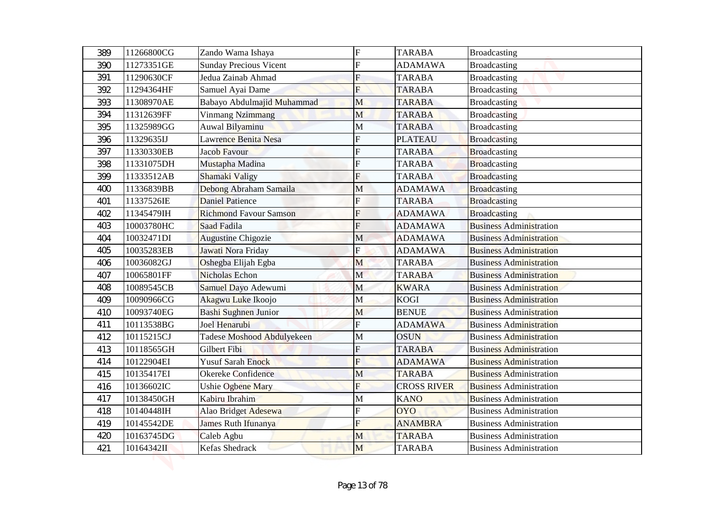| 389 | 11266800CG | Zando Wama Ishaya             | $\overline{F}$          | <b>TARABA</b>      | <b>Broadcasting</b>            |
|-----|------------|-------------------------------|-------------------------|--------------------|--------------------------------|
| 390 | 11273351GE | <b>Sunday Precious Vicent</b> | F                       | <b>ADAMAWA</b>     | <b>Broadcasting</b>            |
| 391 | 11290630CF | Jedua Zainab Ahmad            | F                       | <b>TARABA</b>      | <b>Broadcasting</b>            |
| 392 | 11294364HF | Samuel Ayai Dame              | F                       | <b>TARABA</b>      | <b>Broadcasting</b>            |
| 393 | 11308970AE | Babayo Abdulmajid Muhammad    | M                       | <b>TARABA</b>      | <b>Broadcasting</b>            |
| 394 | 11312639FF | <b>Vinmang Nzimmang</b>       | M                       | <b>TARABA</b>      | <b>Broadcasting</b>            |
| 395 | 11325989GG | Auwal Bilyaminu               | M                       | <b>TARABA</b>      | <b>Broadcasting</b>            |
| 396 | 11329635IJ | Lawrence Benita Nesa          | F                       | <b>PLATEAU</b>     | <b>Broadcasting</b>            |
| 397 | 11330330EB | Jacob Favour                  | F                       | <b>TARABA</b>      | Broadcasting                   |
| 398 | 11331075DH | Mustapha Madina               | F                       | <b>TARABA</b>      | <b>Broadcasting</b>            |
| 399 | 11333512AB | Shamaki Valigy                | F                       | <b>TARABA</b>      | <b>Broadcasting</b>            |
| 400 | 11336839BB | Debong Abraham Samaila        | M                       | <b>ADAMAWA</b>     | <b>Broadcasting</b>            |
| 401 | 11337526IE | <b>Daniel Patience</b>        | F                       | <b>TARABA</b>      | <b>Broadcasting</b>            |
| 402 | 11345479IH | <b>Richmond Favour Samson</b> | F                       | <b>ADAMAWA</b>     | <b>Broadcasting</b>            |
| 403 | 10003780HC | <b>Saad Fadila</b>            | F                       | <b>ADAMAWA</b>     | <b>Business Administration</b> |
| 404 | 10032471DI | <b>Augustine Chigozie</b>     | M                       | <b>ADAMAWA</b>     | <b>Business Administration</b> |
| 405 | 10035283EB | Jawati Nora Friday            | F                       | <b>ADAMAWA</b>     | <b>Business Administration</b> |
| 406 | 10036082GJ | Oshegba Elijah Egba           | M                       | <b>TARABA</b>      | <b>Business Administration</b> |
| 407 | 10065801FF | <b>Nicholas Echon</b>         | $\mathbf M$             | <b>TARABA</b>      | <b>Business Administration</b> |
| 408 | 10089545CB | Samuel Dayo Adewumi           | M                       | <b>KWARA</b>       | <b>Business Administration</b> |
| 409 | 10090966CG | Akagwu Luke Ikoojo            | M                       | <b>KOGI</b>        | <b>Business Administration</b> |
| 410 | 10093740EG | Bashi Sughnen Junior          | M                       | <b>BENUE</b>       | <b>Business Administration</b> |
| 411 | 10113538BG | Joel Henarubi                 | $\overline{\mathrm{F}}$ | <b>ADAMAWA</b>     | <b>Business Administration</b> |
| 412 | 10115215CJ | Tadese Moshood Abdulyekeen    | M                       | <b>OSUN</b>        | <b>Business Administration</b> |
| 413 | 10118565GH | Gilbert Fibi                  | F                       | <b>TARABA</b>      | <b>Business Administration</b> |
| 414 | 10122904EI | <b>Yusuf Sarah Enock</b>      | $\overline{\mathrm{F}}$ | <b>ADAMAWA</b>     | <b>Business Administration</b> |
| 415 | 10135417EI | Okereke Confidence            | M                       | <b>TARABA</b>      | <b>Business Administration</b> |
| 416 | 10136602IC | Ushie Ogbene Mary             | F                       | <b>CROSS RIVER</b> | <b>Business Administration</b> |
| 417 | 10138450GH | Kabiru Ibrahim                | M                       | <b>KANO</b>        | <b>Business Administration</b> |
| 418 | 10140448IH | Alao Bridget Adesewa          | F                       | <b>OYO</b>         | <b>Business Administration</b> |
| 419 | 10145542DE | James Ruth Ifunanya           | F                       | <b>ANAMBRA</b>     | <b>Business Administration</b> |
| 420 | 10163745DG | Caleb Agbu                    | M                       | <b>TARABA</b>      | <b>Business Administration</b> |
| 421 | 10164342II | Kefas Shedrack                | M                       | <b>TARABA</b>      | <b>Business Administration</b> |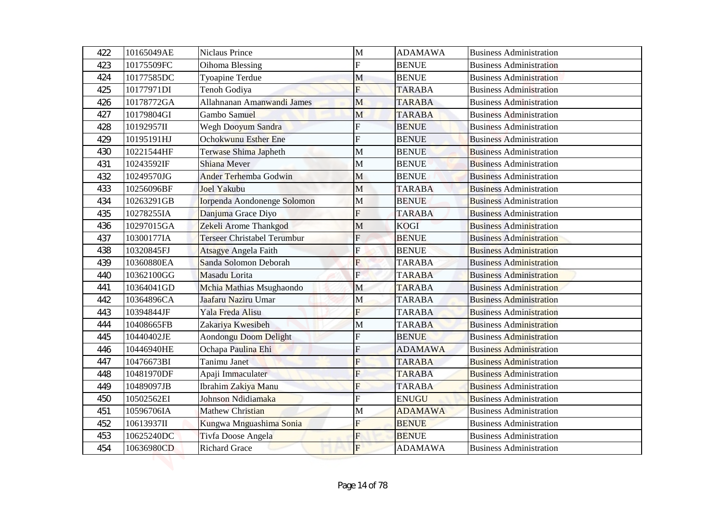| 422 | 10165049AE | Niclaus Prince                     | $\mathbf{M}$            | <b>ADAMAWA</b> | <b>Business Administration</b> |
|-----|------------|------------------------------------|-------------------------|----------------|--------------------------------|
| 423 | 10175509FC | Oihoma Blessing                    | F                       | <b>BENUE</b>   | <b>Business Administration</b> |
| 424 | 10177585DC | Tyoapine Terdue                    | M                       | <b>BENUE</b>   | <b>Business Administration</b> |
| 425 | 10177971DI | Tenoh Godiya                       | F                       | <b>TARABA</b>  | <b>Business Administration</b> |
| 426 | 10178772GA | Allahnanan Amanwandi James         | M                       | <b>TARABA</b>  | <b>Business Administration</b> |
| 427 | 10179804GI | Gambo Samuel                       | M                       | <b>TARABA</b>  | <b>Business Administration</b> |
| 428 | 10192957II | Wegh Dooyum Sandra                 | F                       | <b>BENUE</b>   | <b>Business Administration</b> |
| 429 | 10195191HJ | <b>Ochokwunu Esther Ene</b>        | F                       | <b>BENUE</b>   | <b>Business Administration</b> |
| 430 | 10221544HF | Terwase Shima Japheth              | М                       | <b>BENUE</b>   | <b>Business Administration</b> |
| 431 | 10243592IF | Shiana Mever                       | M                       | <b>BENUE</b>   | <b>Business Administration</b> |
| 432 | 10249570JG | <b>Ander Terhemba Godwin</b>       | M                       | <b>BENUE</b>   | <b>Business Administration</b> |
| 433 | 10256096BF | Joel Yakubu                        | M                       | <b>TARABA</b>  | <b>Business Administration</b> |
| 434 | 10263291GB | <b>Iorpenda Aondonenge Solomon</b> | M                       | <b>BENUE</b>   | <b>Business Administration</b> |
| 435 | 10278255IA | Danjuma Grace Diyo                 | F                       | <b>TARABA</b>  | <b>Business Administration</b> |
| 436 | 10297015GA | Zekeli Arome Thankgod              | M                       | <b>KOGI</b>    | <b>Business Administration</b> |
| 437 | 10300177IA | <b>Terseer Christabel Terumbur</b> | $F_{\rm}$               | <b>BENUE</b>   | <b>Business Administration</b> |
| 438 | 10320845FJ | <b>Atsagye Angela Faith</b>        | F                       | <b>BENUE</b>   | <b>Business Administration</b> |
| 439 | 10360880EA | Sanda Solomon Deborah              | F                       | <b>TARABA</b>  | <b>Business Administration</b> |
| 440 | 10362100GG | Masadu Lorita                      | $\mathbf{E}$            | <b>TARABA</b>  | <b>Business Administration</b> |
| 441 | 10364041GD | Mchia Mathias Msughaondo           | M                       | <b>TARABA</b>  | <b>Business Administration</b> |
| 442 | 10364896CA | Jaafaru Naziru Umar                | M                       | <b>TARABA</b>  | <b>Business Administration</b> |
| 443 | 10394844JF | Yala Freda Alisu                   | F                       | <b>TARABA</b>  | <b>Business Administration</b> |
| 444 | 10408665FB | Zakariya Kwesibeh                  | M                       | <b>TARABA</b>  | <b>Business Administration</b> |
| 445 | 10440402JE | Aondongu Doom Delight              |                         | <b>BENUE</b>   | <b>Business Administration</b> |
| 446 | 10446940HE | Ochapa Paulina Ehi                 | F                       | <b>ADAMAWA</b> | <b>Business Administration</b> |
| 447 | 10476673BI | Tanimu Janet                       | $\overline{\mathrm{F}}$ | <b>TARABA</b>  | <b>Business Administration</b> |
| 448 | 10481970DF | Apaji Immaculater                  | F                       | <b>TARABA</b>  | <b>Business Administration</b> |
| 449 | 10489097JB | Ibrahim Zakiya Manu                | F                       | <b>TARABA</b>  | <b>Business Administration</b> |
| 450 | 10502562EI | Johnson Ndidiamaka                 | F                       | <b>ENUGU</b>   | <b>Business Administration</b> |
| 451 | 10596706IA | Mathew Christian                   | М                       | <b>ADAMAWA</b> | <b>Business Administration</b> |
| 452 | 10613937II | Kungwa Mnguashima Sonia            | F                       | <b>BENUE</b>   | <b>Business Administration</b> |
| 453 | 10625240DC | Tivfa Doose Angela                 | F                       | <b>BENUE</b>   | <b>Business Administration</b> |
| 454 | 10636980CD | <b>Richard Grace</b>               | $\overline{F}$          | <b>ADAMAWA</b> | <b>Business Administration</b> |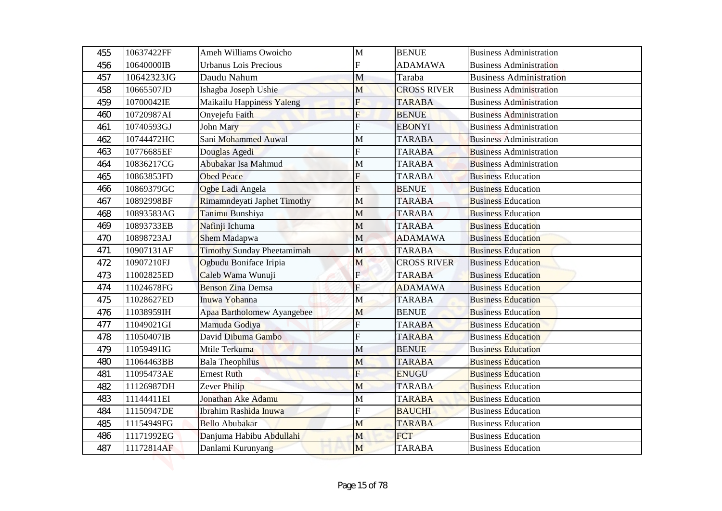| 455        | 10637422FF               | Ameh Williams Owoicho                         | M            | <b>BENUE</b>                | <b>Business Administration</b>                         |
|------------|--------------------------|-----------------------------------------------|--------------|-----------------------------|--------------------------------------------------------|
| 456        | 10640000IB               | <b>Urbanus Lois Precious</b>                  | F            | <b>ADAMAWA</b>              | <b>Business Administration</b>                         |
| 457        | 10642323JG               | Daudu Nahum                                   | M            | Taraba                      | <b>Business Administration</b>                         |
| 458        | 10665507JD               | Ishagba Joseph Ushie                          | M            | <b>CROSS RIVER</b>          | <b>Business Administration</b>                         |
| 459        | 10700042IE               | Maikailu Happiness Yaleng                     | F            | <b>TARABA</b>               | <b>Business Administration</b>                         |
| 460        | 10720987AI               | Onyejefu Faith                                | F            | <b>BENUE</b>                | <b>Business Administration</b>                         |
| 461        | 10740593GJ               | John Mary                                     | Ė            | <b>EBONYI</b>               | <b>Business Administration</b>                         |
| 462        | 10744472HC               | Sani Mohammed Auwal                           | M            | <b>TARABA</b>               | <b>Business Administration</b>                         |
| 463        | 10776685EF               | Douglas Agedi                                 | F            | <b>TARABA</b>               | <b>Business Administration</b>                         |
| 464        | 10836217CG               | Abubakar Isa Mahmud                           | M            | <b>TARABA</b>               | <b>Business Administration</b>                         |
| 465        | 10863853FD               | <b>Obed Peace</b>                             | F            | <b>TARABA</b>               | <b>Business Education</b>                              |
| 466        | 10869379GC               | Ogbe Ladi Angela                              | F            | <b>BENUE</b>                | <b>Business Education</b>                              |
| 467        | 10892998BF               | Rimamndeyati Japhet Timothy                   | M            | <b>TARABA</b>               | <b>Business Education</b>                              |
| 468        | 10893583AG               | Tanimu Bunshiya                               | М            | <b>TARABA</b>               | <b>Business Education</b>                              |
| 469        | 10893733EB               | Nafinji Ichuma                                | M            | <b>TARABA</b>               | <b>Business Education</b>                              |
| 470        | 10898723AJ               | Shem Madapwa                                  | M            | <b>ADAMAWA</b>              | <b>Business Education</b>                              |
| 471        | 10907131AF               | <b>Timothy Sunday Pheetamimah</b>             | M            | <b>TARABA</b>               | <b>Business Education</b>                              |
| 472        | 10907210FJ               | Ogbudu Boniface Iripia                        | M            | <b>CROSS RIVER</b>          | <b>Business Education</b>                              |
| 473        | 11002825ED               | Caleb Wama Wunuji                             | $\mathbf{E}$ | <b>TARABA</b>               | <b>Business Education</b>                              |
| 474        | 11024678FG               | <b>Benson Zina Demsa</b>                      | ${\bf F}$    | <b>ADAMAWA</b>              | <b>Business Education</b>                              |
| 475        | 11028627ED               | Inuwa Yohanna                                 | M            | <b>TARABA</b>               | <b>Business Education</b>                              |
| 476        | 11038959IH               | Apaa Bartholomew Ayangebee                    | M            | <b>BENUE</b>                | <b>Business Education</b>                              |
| 477        | 11049021GI               | Mamuda Godiya                                 | F            | <b>TARABA</b>               | <b>Business Education</b>                              |
| 478        | 11050407IB               | David Dibuma Gambo                            | F            | <b>TARABA</b>               | <b>Business Education</b>                              |
| 479        | 11059491IG               | Mtile Terkuma                                 | M            | <b>BENUE</b>                | <b>Business Education</b>                              |
| 480        | 11064463BB               | <b>Bala Theophilus</b>                        | M            | <b>TARABA</b>               | <b>Business Education</b>                              |
| 481        | 11095473AE               | <b>Ernest Ruth</b>                            | F            | <b>ENUGU</b>                | <b>Business Education</b>                              |
| 482        | 11126987DH               | Zever Philip                                  | M            | <b>TARABA</b>               | <b>Business Education</b>                              |
| 483        | 11144411EI               | Jonathan Ake Adamu                            | $\mathbf M$  | <b>TARABA</b>               | <b>Business Education</b>                              |
| 484        | 11150947DE               | Ibrahim Rashida Inuwa                         | F            | <b>BAUCHI</b>               | <b>Business Education</b>                              |
| 485        | 11154949FG               | <b>Bello Abubakar</b>                         | M            | <b>TARABA</b><br><b>FCT</b> | <b>Business Education</b>                              |
| 486<br>487 | 11171992EG<br>11172814AF | Danjuma Habibu Abdullahi<br>Danlami Kurunyang | M<br>M       | <b>TARABA</b>               | <b>Business Education</b><br><b>Business Education</b> |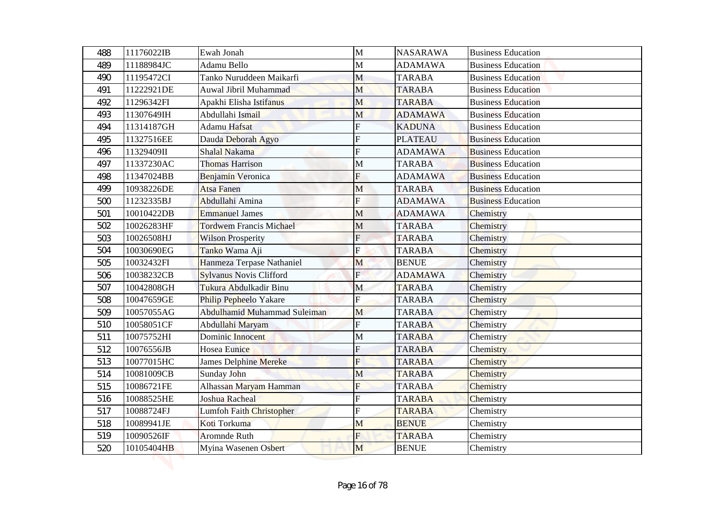| 488 | 11176022IB | Ewah Jonah                     | M                       | <b>NASARAWA</b> | <b>Business Education</b> |
|-----|------------|--------------------------------|-------------------------|-----------------|---------------------------|
| 489 | 11188984JC | Adamu Bello                    | M                       | <b>ADAMAWA</b>  | <b>Business Education</b> |
| 490 | 11195472CI | Tanko Nuruddeen Maikarfi       | M                       | <b>TARABA</b>   | <b>Business Education</b> |
| 491 | 11222921DE | Auwal Jibril Muhammad          | M                       | <b>TARABA</b>   | <b>Business Education</b> |
| 492 | 11296342FI | Apakhi Elisha Istifanus        | M                       | <b>TARABA</b>   | <b>Business Education</b> |
| 493 | 11307649IH | Abdullahi Ismail               | M                       | <b>ADAMAWA</b>  | <b>Business Education</b> |
| 494 | 11314187GH | Adamu Hafsat                   | F                       | <b>KADUNA</b>   | <b>Business Education</b> |
| 495 | 11327516EE | Dauda Deborah Agyo             | F                       | <b>PLATEAU</b>  | <b>Business Education</b> |
| 496 | 11329409II | <b>Shalal Nakama</b>           | F                       | <b>ADAMAWA</b>  | <b>Business Education</b> |
| 497 | 11337230AC | <b>Thomas Harrison</b>         | M                       | <b>TARABA</b>   | <b>Business Education</b> |
| 498 | 11347024BB | Benjamin Veronica              | F                       | <b>ADAMAWA</b>  | <b>Business Education</b> |
| 499 | 10938226DE | <b>Atsa Fanen</b>              | M                       | <b>TARABA</b>   | <b>Business Education</b> |
| 500 | 11232335BJ | Abdullahi Amina                | F                       | <b>ADAMAWA</b>  | <b>Business Education</b> |
| 501 | 10010422DB | <b>Emmanuel James</b>          | M                       | <b>ADAMAWA</b>  | Chemistry                 |
| 502 | 10026283HF | <b>Tordwem Francis Michael</b> | M                       | <b>TARABA</b>   | Chemistry                 |
| 503 | 10026508HJ | <b>Wilson Prosperity</b>       | $\overline{F}$          | <b>TARABA</b>   | Chemistry                 |
| 504 | 10030690EG | Tanko Wama Aji                 | Ė                       | <b>TARABA</b>   | Chemistry                 |
| 505 | 10032432FI | Hanmeza Terpase Nathaniel      | M                       | <b>BENUE</b>    | Chemistry                 |
| 506 | 10038232CB | <b>Sylvanus Novis Clifford</b> | $\mathbf{E}$            | <b>ADAMAWA</b>  | Chemistry                 |
| 507 | 10042808GH | Tukura Abdulkadir Binu         | M                       | <b>TARABA</b>   | Chemistry                 |
| 508 | 10047659GE | Philip Pepheelo Yakare         | $\overline{\mathrm{F}}$ | <b>TARABA</b>   | Chemistry                 |
| 509 | 10057055AG | Abdulhamid Muhammad Suleiman   | M                       | <b>TARABA</b>   | Chemistry                 |
| 510 | 10058051CF | Abdullahi Maryam               | $\overline{F}$          | <b>TARABA</b>   | Chemistry                 |
| 511 | 10075752HI | Dominic Innocent               | M                       | <b>TARABA</b>   | Chemistry                 |
| 512 | 10076556JB | Hosea Eunice                   | F                       | <b>TARABA</b>   | Chemistry                 |
| 513 | 10077015HC | James Delphine Mereke          | $\overline{\mathrm{F}}$ | <b>TARABA</b>   | Chemistry                 |
| 514 | 10081009CB | Sunday John                    | M                       | <b>TARABA</b>   | Chemistry                 |
| 515 | 10086721FE | Alhassan Maryam Hamman         | F                       | <b>TARABA</b>   | Chemistry                 |
| 516 | 10088525HE | Joshua Racheal                 |                         | <b>TARABA</b>   | Chemistry                 |
| 517 | 10088724FJ | Lumfoh Faith Christopher       | F                       | <b>TARABA</b>   | Chemistry                 |
| 518 | 10089941JE | Koti Torkuma                   | M                       | <b>BENUE</b>    | Chemistry                 |
| 519 | 10090526IF | <b>Aromnde Ruth</b>            | F                       | <b>TARABA</b>   | Chemistry                 |
| 520 | 10105404HB | Myina Wasenen Osbert           | M                       | <b>BENUE</b>    | Chemistry                 |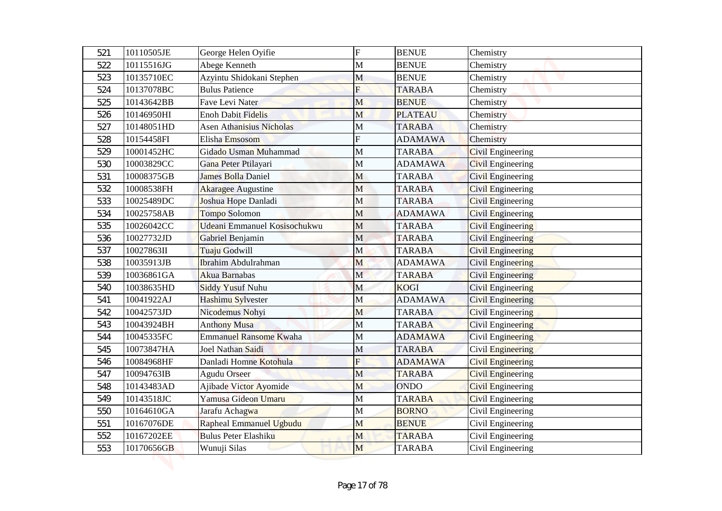| 521 | 10110505JE | George Helen Oyifie             | ${\bf F}$               | <b>BENUE</b>   | Chemistry                |
|-----|------------|---------------------------------|-------------------------|----------------|--------------------------|
| 522 | 10115516JG | Abege Kenneth                   | $\mathbf{M}$            | <b>BENUE</b>   | Chemistry                |
| 523 | 10135710EC | Azyintu Shidokani Stephen       | M                       | <b>BENUE</b>   | Chemistry                |
| 524 | 10137078BC | <b>Bulus Patience</b>           | F                       | <b>TARABA</b>  | Chemistry                |
| 525 | 10143642BB | Fave Levi Nater                 | M                       | <b>BENUE</b>   | Chemistry                |
| 526 | 10146950HI | <b>Enoh Dabit Fidelis</b>       | M                       | <b>PLATEAU</b> | Chemistry                |
| 527 | 10148051HD | <b>Asen Athanisius Nicholas</b> | М                       | <b>TARABA</b>  | Chemistry                |
| 528 | 10154458FI | Elisha Emsosom                  | F                       | <b>ADAMAWA</b> | Chemistry                |
| 529 | 10001452HC | Gidado Usman Muhammad           | M                       | <b>TARABA</b>  | Civil Engineering        |
| 530 | 10003829CC | Gana Peter Ptilayari            | M                       | <b>ADAMAWA</b> | <b>Civil Engineering</b> |
| 531 | 10008375GB | James Bolla Daniel              | M                       | <b>TARABA</b>  | Civil Engineering        |
| 532 | 10008538FH | <b>Akaragee Augustine</b>       | M                       | <b>TARABA</b>  | <b>Civil Engineering</b> |
| 533 | 10025489DC | Joshua Hope Danladi             | M                       | <b>TARABA</b>  | <b>Civil Engineering</b> |
| 534 | 10025758AB | Tompo Solomon                   | M                       | <b>ADAMAWA</b> | <b>Civil Engineering</b> |
| 535 | 10026042CC | Udeani Emmanuel Kosisochukwu    | M                       | <b>TARABA</b>  | <b>Civil Engineering</b> |
| 536 | 10027732JD | Gabriel Benjamin                | M                       | <b>TARABA</b>  | <b>Civil Engineering</b> |
| 537 | 10027863II | Tuaju Godwill                   | M                       | <b>TARABA</b>  | <b>Civil Engineering</b> |
| 538 | 10035913JB | <b>Ibrahim Abdulrahman</b>      | M                       | <b>ADAMAWA</b> | <b>Civil Engineering</b> |
| 539 | 10036861GA | Akua Barnabas                   | $\mathbf M$             | <b>TARABA</b>  | <b>Civil Engineering</b> |
| 540 | 10038635HD | <b>Siddy Yusuf Nuhu</b>         | M                       | <b>KOGI</b>    | <b>Civil Engineering</b> |
| 541 | 10041922AJ | Hashimu Sylvester               | M                       | <b>ADAMAWA</b> | <b>Civil Engineering</b> |
| 542 | 10042573JD | Nicodemus Nohyi                 | M                       | <b>TARABA</b>  | <b>Civil Engineering</b> |
| 543 | 10043924BH | <b>Anthony Musa</b>             | M                       | <b>TARABA</b>  | Civil Engineering        |
| 544 | 10045335FC | <b>Emmanuel Ransome Kwaha</b>   | M                       | <b>ADAMAWA</b> | <b>Civil Engineering</b> |
| 545 | 10073847HA | Joel Nathan Saidi               | M                       | <b>TARABA</b>  | Civil Engineering        |
| 546 | 10084968HF | Danladi Homne Kotohula          | $\overline{\mathrm{F}}$ | <b>ADAMAWA</b> | <b>Civil Engineering</b> |
| 547 | 10094763IB | <b>Agudu Orseer</b>             | M                       | <b>TARABA</b>  | <b>Civil Engineering</b> |
| 548 | 10143483AD | Ajibade Victor Ayomide          | M                       | <b>ONDO</b>    | <b>Civil Engineering</b> |
| 549 | 10143518JC | Yamusa Gideon Umaru             | M                       | <b>TARABA</b>  | <b>Civil Engineering</b> |
| 550 | 10164610GA | Jarafu Achagwa                  | M                       | <b>BORNO</b>   | Civil Engineering        |
| 551 | 10167076DE | Rapheal Emmanuel Ugbudu         | M                       | <b>BENUE</b>   | Civil Engineering        |
| 552 | 10167202EE | <b>Bulus Peter Elashiku</b>     | M                       | <b>TARABA</b>  | Civil Engineering        |
| 553 | 10170656GB | Wunuji Silas                    | M                       | <b>TARABA</b>  | Civil Engineering        |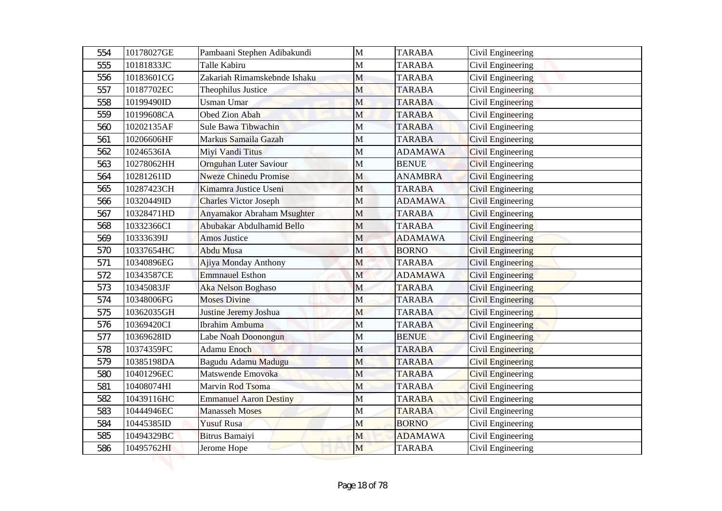| 554 | 10178027GE | Pambaani Stephen Adibakundi   | $\mathbf{M}$ | <b>TARABA</b>  | Civil Engineering        |
|-----|------------|-------------------------------|--------------|----------------|--------------------------|
| 555 | 10181833JC | Talle Kabiru                  | M            | <b>TARABA</b>  | Civil Engineering        |
| 556 | 10183601CG | Zakariah Rimamskebnde Ishaku  | M            | <b>TARABA</b>  | Civil Engineering        |
| 557 | 10187702EC | Theophilus Justice            | M            | <b>TARABA</b>  | Civil Engineering        |
| 558 | 10199490ID | <b>Usman Umar</b>             | M            | <b>TARABA</b>  | Civil Engineering        |
| 559 | 10199608CA | Obed Zion Abah                | M            | <b>TARABA</b>  | Civil Engineering        |
| 560 | 10202135AF | Sule Bawa Tibwachin           | М            | <b>TARABA</b>  | Civil Engineering        |
| 561 | 10206606HF | Markus Samaila Gazah          | $\mathbf M$  | <b>TARABA</b>  | Civil Engineering        |
| 562 | 10246536IA | Miyi Vandi Titus              | M            | <b>ADAMAWA</b> | Civil Engineering        |
| 563 | 10278062HH | Ornguhan Luter Saviour        | M            | <b>BENUE</b>   | <b>Civil Engineering</b> |
| 564 | 10281261ID | <b>Nweze Chinedu Promise</b>  | M            | <b>ANAMBRA</b> | <b>Civil Engineering</b> |
| 565 | 10287423CH | Kimamra Justice Useni         | M            | <b>TARABA</b>  | <b>Civil Engineering</b> |
| 566 | 10320449ID | <b>Charles Victor Joseph</b>  | M            | <b>ADAMAWA</b> | <b>Civil Engineering</b> |
| 567 | 10328471HD | Anyamakor Abraham Msughter    | M            | <b>TARABA</b>  | <b>Civil Engineering</b> |
| 568 | 10332366CI | Abubakar Abdulhamid Bello     | M            | <b>TARABA</b>  | Civil Engineering        |
| 569 | 10333639IJ | <b>Amos Justice</b>           | $\mathbf M$  | <b>ADAMAWA</b> | <b>Civil Engineering</b> |
| 570 | 10337654HC | <b>Abdu Musa</b>              | M            | <b>BORNO</b>   | <b>Civil Engineering</b> |
| 571 | 10340896EG | Ajiya Monday Anthony          | M            | <b>TARABA</b>  | <b>Civil Engineering</b> |
| 572 | 10343587CE | <b>Emmnauel Esthon</b>        | $\mathbf M$  | <b>ADAMAWA</b> | <b>Civil Engineering</b> |
| 573 | 10345083JF | Aka Nelson Boghaso            | M            | <b>TARABA</b>  | <b>Civil Engineering</b> |
| 574 | 10348006FG | <b>Moses Divine</b>           | M            | <b>TARABA</b>  | <b>Civil Engineering</b> |
| 575 | 10362035GH | Justine Jeremy Joshua         | M            | <b>TARABA</b>  | <b>Civil Engineering</b> |
| 576 | 10369420CI | Ibrahim Ambuma                | M            | <b>TARABA</b>  | Civil Engineering        |
| 577 | 10369628ID | Labe Noah Doonongun           | M            | <b>BENUE</b>   | <b>Civil Engineering</b> |
| 578 | 10374359FC | Adamu Enoch                   | M            | <b>TARABA</b>  | Civil Engineering        |
| 579 | 10385198DA | Bagudu Adamu Madugu           | M            | <b>TARABA</b>  | <b>Civil Engineering</b> |
| 580 | 10401296EC | Matswende Emovoka             | M            | <b>TARABA</b>  | <b>Civil Engineering</b> |
| 581 | 10408074HI | Marvin Rod Tsoma              | M            | <b>TARABA</b>  | <b>Civil Engineering</b> |
| 582 | 10439116HC | <b>Emmanuel Aaron Destiny</b> | M            | <b>TARABA</b>  | <b>Civil Engineering</b> |
| 583 | 10444946EC | <b>Manasseh Moses</b>         | M            | <b>TARABA</b>  | Civil Engineering        |
| 584 | 10445385ID | <b>Yusuf Rusa</b>             | M            | <b>BORNO</b>   | Civil Engineering        |
| 585 | 10494329BC | Bitrus Bamaiyi                | M            | <b>ADAMAWA</b> | Civil Engineering        |
| 586 | 10495762HI | Jerome Hope                   | M            | <b>TARABA</b>  | Civil Engineering        |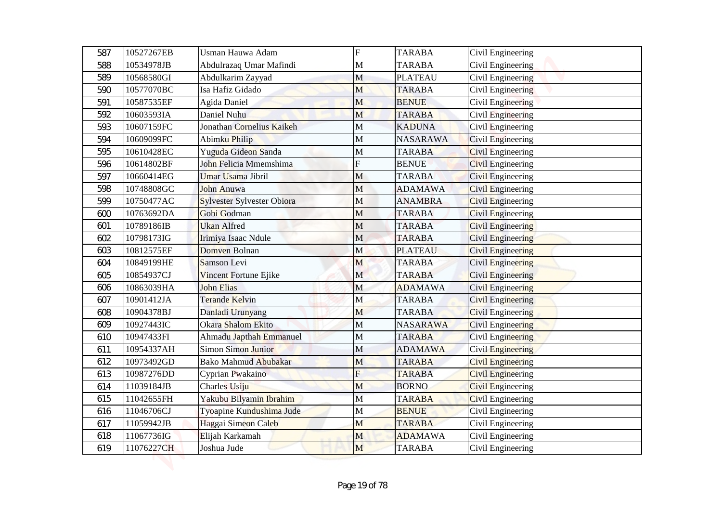| 587 | 10527267EB | Usman Hauwa Adam                  | ${\bf F}$   | <b>TARABA</b>   | Civil Engineering        |
|-----|------------|-----------------------------------|-------------|-----------------|--------------------------|
| 588 | 10534978JB | Abdulrazaq Umar Mafindi           | M           | <b>TARABA</b>   | Civil Engineering        |
| 589 | 10568580GI | Abdulkarim Zayyad                 | M           | <b>PLATEAU</b>  | Civil Engineering        |
| 590 | 10577070BC | Isa Hafiz Gidado                  | M           | <b>TARABA</b>   | Civil Engineering        |
| 591 | 10587535EF | Agida Daniel                      | M           | <b>BENUE</b>    | Civil Engineering        |
| 592 | 10603593IA | Daniel Nuhu                       | M           | <b>TARABA</b>   | Civil Engineering        |
| 593 | 10607159FC | Jonathan Cornelius Kaikeh         | M           | <b>KADUNA</b>   | Civil Engineering        |
| 594 | 10609099FC | Abimku Philip                     | $\mathbf M$ | <b>NASARAWA</b> | Civil Engineering        |
| 595 | 10610428EC | Yuguda Gideon Sanda               | M           | <b>TARABA</b>   | Civil Engineering        |
| 596 | 10614802BF | John Felicia Mmemshima            | F           | <b>BENUE</b>    | <b>Civil Engineering</b> |
| 597 | 10660414EG | Umar Usama Jibril                 | M           | <b>TARABA</b>   | <b>Civil Engineering</b> |
| 598 | 10748808GC | <b>John Anuwa</b>                 | M           | <b>ADAMAWA</b>  | <b>Civil Engineering</b> |
| 599 | 10750477AC | <b>Sylvester Sylvester Obiora</b> | M           | <b>ANAMBRA</b>  | <b>Civil Engineering</b> |
| 600 | 10763692DA | Gobi Godman                       | M           | <b>TARABA</b>   | <b>Civil Engineering</b> |
| 601 | 10789186IB | <b>Ukan Alfred</b>                | M           | <b>TARABA</b>   | <b>Civil Engineering</b> |
| 602 | 10798173IG | Irimiya Isaac Ndule               | $\mathbf M$ | <b>TARABA</b>   | <b>Civil Engineering</b> |
| 603 | 10812575EF | Domven Bolnan                     | M           | <b>PLATEAU</b>  | <b>Civil Engineering</b> |
| 604 | 10849199HE | Samson Levi                       | M           | <b>TARABA</b>   | <b>Civil Engineering</b> |
| 605 | 10854937CJ | Vincent Fortune Ejike             | $\mathbf M$ | <b>TARABA</b>   | <b>Civil Engineering</b> |
| 606 | 10863039HA | <b>John Elias</b>                 | M           | <b>ADAMAWA</b>  | <b>Civil Engineering</b> |
| 607 | 10901412JA | <b>Terande Kelvin</b>             | M           | <b>TARABA</b>   | <b>Civil Engineering</b> |
| 608 | 10904378BJ | Danladi Urunyang                  | M           | <b>TARABA</b>   | <b>Civil Engineering</b> |
| 609 | 10927443IC | Okara Shalom Ekito                | M           | <b>NASARAWA</b> | <b>Civil Engineering</b> |
| 610 | 10947433FI | Ahmadu Japthah Emmanuel           | M           | <b>TARABA</b>   | <b>Civil Engineering</b> |
| 611 | 10954337AH | Simon Simon Junior                | M           | <b>ADAMAWA</b>  | Civil Engineering        |
| 612 | 10973492GD | <b>Bako Mahmud Abubakar</b>       | M           | <b>TARABA</b>   | <b>Civil Engineering</b> |
| 613 | 10987276DD | Cyprian Pwakaino                  | F           | <b>TARABA</b>   | <b>Civil Engineering</b> |
| 614 | 11039184JB | Charles Usiju                     | M           | <b>BORNO</b>    | <b>Civil Engineering</b> |
| 615 | 11042655FH | Yakubu Bilyamin Ibrahim           | M           | <b>TARABA</b>   | <b>Civil Engineering</b> |
| 616 | 11046706CJ | Tyoapine Kundushima Jude          | M           | <b>BENUE</b>    | Civil Engineering        |
| 617 | 11059942JB | Haggai Simeon Caleb               | M           | <b>TARABA</b>   | Civil Engineering        |
| 618 | 11067736IG | Elijah Karkamah                   | M           | <b>ADAMAWA</b>  | Civil Engineering        |
| 619 | 11076227CH | Joshua Jude                       | M           | <b>TARABA</b>   | Civil Engineering        |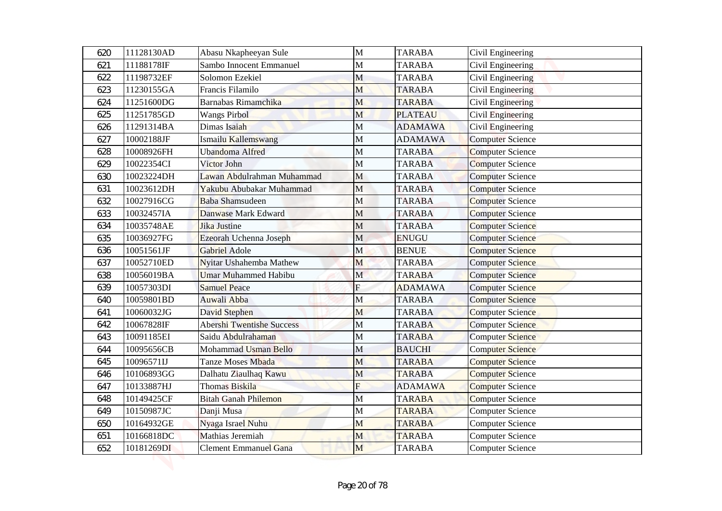| 620 | 11128130AD | Abasu Nkapheeyan Sule            | $\mathbf{M}$ | <b>TARABA</b>  | Civil Engineering       |
|-----|------------|----------------------------------|--------------|----------------|-------------------------|
| 621 | 11188178IF | Sambo Innocent Emmanuel          | $\mathbf M$  | <b>TARABA</b>  | Civil Engineering       |
| 622 | 11198732EF | Solomon Ezekiel                  | M            | <b>TARABA</b>  | Civil Engineering       |
| 623 | 11230155GA | Francis Filamilo                 | M            | <b>TARABA</b>  | Civil Engineering       |
| 624 | 11251600DG | <b>Barnabas Rimamchika</b>       | M            | <b>TARABA</b>  | Civil Engineering       |
| 625 | 11251785GD | <b>Wangs Pirbol</b>              | M            | <b>PLATEAU</b> | Civil Engineering       |
| 626 | 11291314BA | Dimas Isaiah                     | M            | <b>ADAMAWA</b> | Civil Engineering       |
| 627 | 10002188JF | Ismailu Kallemswang              | $\mathbf M$  | <b>ADAMAWA</b> | <b>Computer Science</b> |
| 628 | 10008926FH | <b>Ubandoma Alfred</b>           | M            | <b>TARABA</b>  | <b>Computer Science</b> |
| 629 | 10022354CI | Victor John                      | M            | <b>TARABA</b>  | <b>Computer Science</b> |
| 630 | 10023224DH | Lawan Abdulrahman Muhammad       | $\mathbf M$  | <b>TARABA</b>  | <b>Computer Science</b> |
| 631 | 10023612DH | Yakubu Abubakar Muhammad         | M            | <b>TARABA</b>  | <b>Computer Science</b> |
| 632 | 10027916CG | <b>Baba Shamsudeen</b>           | $\mathbf{M}$ | <b>TARABA</b>  | <b>Computer Science</b> |
| 633 | 10032457IA | Danwase Mark Edward              | M            | <b>TARABA</b>  | <b>Computer Science</b> |
| 634 | 10035748AE | Jika Justine                     | M            | <b>TARABA</b>  | <b>Computer Science</b> |
| 635 | 10036927FG | Ezeorah Uchenna Joseph           | $\mathbf M$  | <b>ENUGU</b>   | <b>Computer Science</b> |
| 636 | 10051561JF | Gabriel Adole                    | M            | <b>BENUE</b>   | <b>Computer Science</b> |
| 637 | 10052710ED | Nyitar Ushahemba Mathew          | M            | <b>TARABA</b>  | <b>Computer Science</b> |
| 638 | 10056019BA | <b>Umar Muhammed Habibu</b>      | $\mathbf M$  | <b>TARABA</b>  | <b>Computer Science</b> |
| 639 | 10057303DI | <b>Samuel Peace</b>              | ${\bf F}$    | <b>ADAMAWA</b> | <b>Computer Science</b> |
| 640 | 10059801BD | Auwali Abba                      | M            | <b>TARABA</b>  | <b>Computer Science</b> |
| 641 | 10060032JG | David Stephen                    | M            | <b>TARABA</b>  | <b>Computer Science</b> |
| 642 | 10067828IF | <b>Abershi Twentishe Success</b> | $\mathbf M$  | <b>TARABA</b>  | <b>Computer Science</b> |
| 643 | 10091185EI | Saidu Abdulrahaman               | M            | <b>TARABA</b>  | <b>Computer Science</b> |
| 644 | 10095656CB | Mohammad Usman Bello             | M            | <b>BAUCHI</b>  | <b>Computer Science</b> |
| 645 | 10096571IJ | Tanze Moses Mbada                | M            | <b>TARABA</b>  | <b>Computer Science</b> |
| 646 | 10106893GG | Dalhatu Ziaulhaq Kawu            | M            | <b>TARABA</b>  | <b>Computer Science</b> |
| 647 | 10133887HJ | Thomas Biskila                   | F            | <b>ADAMAWA</b> | <b>Computer Science</b> |
| 648 | 10149425CF | <b>Bitah Ganah Philemon</b>      | M            | <b>TARABA</b>  | <b>Computer Science</b> |
| 649 | 10150987JC | Danji Musa                       | M            | <b>TARABA</b>  | <b>Computer Science</b> |
| 650 | 10164932GE | Nyaga Israel Nuhu                | M            | <b>TARABA</b>  | <b>Computer Science</b> |
| 651 | 10166818DC | Mathias Jeremiah                 | M            | <b>TARABA</b>  | <b>Computer Science</b> |
| 652 | 10181269DI | <b>Clement Emmanuel Gana</b>     | M            | <b>TARABA</b>  | <b>Computer Science</b> |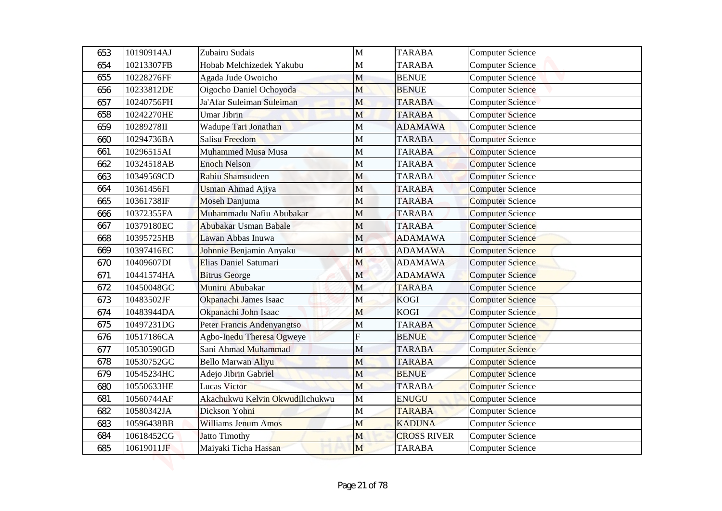| 653 | 10190914AJ | Zubairu Sudais                  | $\mathbf{M}$ | <b>TARABA</b>      | <b>Computer Science</b> |
|-----|------------|---------------------------------|--------------|--------------------|-------------------------|
| 654 | 10213307FB | Hobab Melchizedek Yakubu        | $\mathbf M$  | <b>TARABA</b>      | <b>Computer Science</b> |
| 655 | 10228276FF | Agada Jude Owoicho              | M            | <b>BENUE</b>       | <b>Computer Science</b> |
| 656 | 10233812DE | Oigocho Daniel Ochoyoda         | M            | <b>BENUE</b>       | <b>Computer Science</b> |
| 657 | 10240756FH | Ja'Afar Suleiman Suleiman       | M            | <b>TARABA</b>      | <b>Computer Science</b> |
| 658 | 10242270HE | <b>Umar Jibrin</b>              | M            | <b>TARABA</b>      | <b>Computer Science</b> |
| 659 | 10289278II | Wadupe Tari Jonathan            | $\mathbf M$  | <b>ADAMAWA</b>     | <b>Computer Science</b> |
| 660 | 10294736BA | <b>Salisu Freedom</b>           | $\mathbf M$  | <b>TARABA</b>      | <b>Computer Science</b> |
| 661 | 10296515AI | Muhammed Musa Musa              | M            | <b>TARABA</b>      | <b>Computer Science</b> |
| 662 | 10324518AB | <b>Enoch Nelson</b>             | M            | <b>TARABA</b>      | <b>Computer Science</b> |
| 663 | 10349569CD | Rabiu Shamsudeen                | $\mathbf M$  | <b>TARABA</b>      | <b>Computer Science</b> |
| 664 | 10361456FI | <b>Usman Ahmad Ajiya</b>        | M            | <b>TARABA</b>      | <b>Computer Science</b> |
| 665 | 10361738IF | Moseh Danjuma                   | $\mathbf{M}$ | <b>TARABA</b>      | <b>Computer Science</b> |
| 666 | 10372355FA | Muhammadu Nafiu Abubakar        | M            | <b>TARABA</b>      | <b>Computer Science</b> |
| 667 | 10379180EC | Abubakar Usman Babale           | M            | <b>TARABA</b>      | <b>Computer Science</b> |
| 668 | 10395725HB | Lawan Abbas Inuwa               | M            | <b>ADAMAWA</b>     | <b>Computer Science</b> |
| 669 | 10397416EC | Johnnie Benjamin Anyaku         | M            | <b>ADAMAWA</b>     | <b>Computer Science</b> |
| 670 | 10409607DI | Elias Daniel Satumari           | M            | <b>ADAMAWA</b>     | <b>Computer Science</b> |
| 671 | 10441574HA | <b>Bitrus George</b>            | $\mathbf M$  | <b>ADAMAWA</b>     | <b>Computer Science</b> |
| 672 | 10450048GC | Muniru Abubakar                 | M            | <b>TARABA</b>      | <b>Computer Science</b> |
| 673 | 10483502JF | Okpanachi James Isaac           | M            | <b>KOGI</b>        | <b>Computer Science</b> |
| 674 | 10483944DA | Okpanachi John Isaac            | M            | <b>KOGI</b>        | <b>Computer Science</b> |
| 675 | 10497231DG | Peter Francis Andenyangtso      | $\mathbf M$  | <b>TARABA</b>      | <b>Computer Science</b> |
| 676 | 10517186CA | Agbo-Inedu Theresa Ogweye       |              | <b>BENUE</b>       | <b>Computer Science</b> |
| 677 | 10530590GD | Sani Ahmad Muhammad             | M            | <b>TARABA</b>      | <b>Computer Science</b> |
| 678 | 10530752GC | <b>Bello Marwan Aliyu</b>       | M            | <b>TARABA</b>      | <b>Computer Science</b> |
| 679 | 10545234HC | Adejo Jibrin Gabriel            | M            | <b>BENUE</b>       | <b>Computer Science</b> |
| 680 | 10550633HE | Lucas Victor                    | M            | <b>TARABA</b>      | <b>Computer Science</b> |
| 681 | 10560744AF | Akachukwu Kelvin Okwudilichukwu | M            | <b>ENUGU</b>       | <b>Computer Science</b> |
| 682 | 10580342JA | Dickson Yohni                   | M            | <b>TARABA</b>      | <b>Computer Science</b> |
| 683 | 10596438BB | Williams Jenum Amos             | M            | <b>KADUNA</b>      | <b>Computer Science</b> |
| 684 | 10618452CG | <b>Jatto Timothy</b>            | M            | <b>CROSS RIVER</b> | <b>Computer Science</b> |
| 685 | 10619011JF | Maiyaki Ticha Hassan            | M            | <b>TARABA</b>      | <b>Computer Science</b> |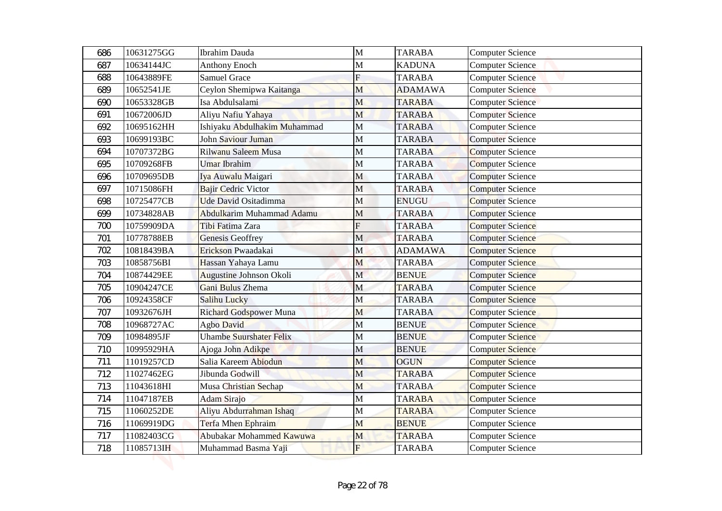| 686 | 10631275GG | <b>Ibrahim Dauda</b>          | $\mathbf{M}$   | <b>TARABA</b>  | <b>Computer Science</b> |
|-----|------------|-------------------------------|----------------|----------------|-------------------------|
| 687 | 10634144JC | <b>Anthony Enoch</b>          | $\mathbf{M}$   | <b>KADUNA</b>  | <b>Computer Science</b> |
| 688 | 10643889FE | <b>Samuel Grace</b>           | $\overline{F}$ | <b>TARABA</b>  | <b>Computer Science</b> |
| 689 | 10652541JE | Ceylon Shemipwa Kaitanga      | M              | <b>ADAMAWA</b> | <b>Computer Science</b> |
| 690 | 10653328GB | Isa Abdulsalami               | M              | <b>TARABA</b>  | <b>Computer Science</b> |
| 691 | 10672006JD | Aliyu Nafiu Yahaya            | M              | <b>TARABA</b>  | <b>Computer Science</b> |
| 692 | 10695162HH | Ishiyaku Abdulhakim Muhammad  | $\mathbf M$    | <b>TARABA</b>  | <b>Computer Science</b> |
| 693 | 10699193BC | John Saviour Juman            | $\mathbf M$    | <b>TARABA</b>  | <b>Computer Science</b> |
| 694 | 10707372BG | Rilwanu Saleem Musa           | M              | <b>TARABA</b>  | <b>Computer Science</b> |
| 695 | 10709268FB | Umar Ibrahim                  | M              | <b>TARABA</b>  | <b>Computer Science</b> |
| 696 | 10709695DB | Iya Auwalu Maigari            | $\mathbf M$    | <b>TARABA</b>  | <b>Computer Science</b> |
| 697 | 10715086FH | <b>Bajir Cedric Victor</b>    | M              | <b>TARABA</b>  | <b>Computer Science</b> |
| 698 | 10725477CB | Ude David Ositadimma          | $\mathbf{M}$   | <b>ENUGU</b>   | <b>Computer Science</b> |
| 699 | 10734828AB | Abdulkarim Muhammad Adamu     | M              | <b>TARABA</b>  | <b>Computer Science</b> |
| 700 | 10759909DA | Tibi Fatima Zara              | F              | <b>TARABA</b>  | <b>Computer Science</b> |
| 701 | 10778788EB | Genesis Geoffrey              | M              | <b>TARABA</b>  | <b>Computer Science</b> |
| 702 | 10818439BA | Erickson Pwaadakai            | M              | <b>ADAMAWA</b> | <b>Computer Science</b> |
| 703 | 10858756BI | Hassan Yahaya Lamu            | M              | <b>TARABA</b>  | <b>Computer Science</b> |
| 704 | 10874429EE | Augustine Johnson Okoli       | $\mathbf M$    | <b>BENUE</b>   | <b>Computer Science</b> |
| 705 | 10904247CE | Gani Bulus Zhema              | M              | <b>TARABA</b>  | <b>Computer Science</b> |
| 706 | 10924358CF | Salihu Lucky                  | M              | <b>TARABA</b>  | <b>Computer Science</b> |
| 707 | 10932676JH | <b>Richard Godspower Muna</b> | M              | <b>TARABA</b>  | <b>Computer Science</b> |
| 708 | 10968727AC | Agbo David                    | M              | <b>BENUE</b>   | <b>Computer Science</b> |
| 709 | 10984895JF | Uhambe Suurshater Felix       | M              | <b>BENUE</b>   | <b>Computer Science</b> |
| 710 | 10995929HA | Ajoga John Adikpe             | M              | <b>BENUE</b>   | <b>Computer Science</b> |
| 711 | 11019257CD | Salia Kareem Abiodun          | M              | <b>OGUN</b>    | <b>Computer Science</b> |
| 712 | 11027462EG | Jibunda Godwill               | M              | <b>TARABA</b>  | <b>Computer Science</b> |
| 713 | 11043618HI | Musa Christian Sechap         | M              | <b>TARABA</b>  | <b>Computer Science</b> |
| 714 | 11047187EB | <b>Adam Sirajo</b>            | M              | <b>TARABA</b>  | <b>Computer Science</b> |
| 715 | 11060252DE | Aliyu Abdurrahman Ishaq       | M              | <b>TARABA</b>  | <b>Computer Science</b> |
| 716 | 11069919DG | Terfa Mhen Ephraim            | M              | <b>BENUE</b>   | <b>Computer Science</b> |
| 717 | 11082403CG | Abubakar Mohammed Kawuwa      | M              | <b>TARABA</b>  | <b>Computer Science</b> |
| 718 | 11085713IH | Muhammad Basma Yaji           | $F_{\rm}$      | <b>TARABA</b>  | <b>Computer Science</b> |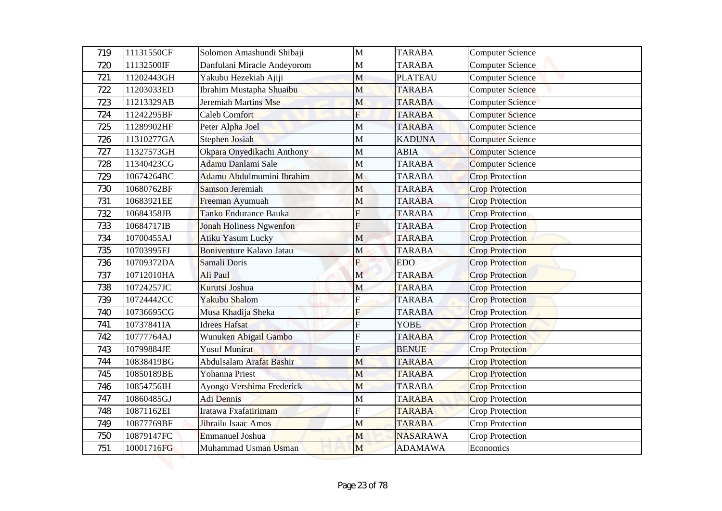| 719 | 11131550CF | Solomon Amashundi Shibaji       | $\mathbf{M}$            | <b>TARABA</b>   | <b>Computer Science</b> |
|-----|------------|---------------------------------|-------------------------|-----------------|-------------------------|
| 720 | 11132500IF | Danfulani Miracle Andeyorom     | $\mathbf M$             | <b>TARABA</b>   | <b>Computer Science</b> |
| 721 | 11202443GH | Yakubu Hezekiah Ajiji           | M                       | <b>PLATEAU</b>  | <b>Computer Science</b> |
| 722 | 11203033ED | Ibrahim Mustapha Shuaibu        | M                       | <b>TARABA</b>   | <b>Computer Science</b> |
| 723 | 11213329AB | Jeremiah Martins Mse            | M                       | <b>TARABA</b>   | <b>Computer Science</b> |
| 724 | 11242295BF | <b>Caleb Comfort</b>            | F                       | <b>TARABA</b>   | <b>Computer Science</b> |
| 725 | 11289902HF | Peter Alpha Joel                | $\mathbf M$             | <b>TARABA</b>   | <b>Computer Science</b> |
| 726 | 11310277GA | <b>Stephen Josiah</b>           | $\mathbf M$             | <b>KADUNA</b>   | <b>Computer Science</b> |
| 727 | 11327573GH | Okpara Onyedikachi Anthony      | M                       | <b>ABIA</b>     | <b>Computer Science</b> |
| 728 | 11340423CG | Adamu Danlami Sale              | M                       | <b>TARABA</b>   | <b>Computer Science</b> |
| 729 | 10674264BC | Adamu Abdulmumini Ibrahim       | M                       | <b>TARABA</b>   | <b>Crop Protection</b>  |
| 730 | 10680762BF | <b>Samson Jeremiah</b>          | M                       | <b>TARABA</b>   | <b>Crop Protection</b>  |
| 731 | 10683921EE | Freeman Ayumuah                 | M                       | <b>TARABA</b>   | <b>Crop Protection</b>  |
| 732 | 10684358JB | Tanko Endurance Bauka           | F                       | <b>TARABA</b>   | <b>Crop Protection</b>  |
| 733 | 10684717IB | <b>Jonah Holiness Ngwenfon</b>  | F                       | <b>TARABA</b>   | <b>Crop Protection</b>  |
| 734 | 10700455AJ | <b>Atiku Yasum Lucky</b>        | M                       | <b>TARABA</b>   | <b>Crop Protection</b>  |
| 735 | 10703995FJ | <b>Boniventure Kalavo Jatau</b> | M                       | <b>TARABA</b>   | <b>Crop Protection</b>  |
| 736 | 10709372DA | Samali Doris                    | F                       | <b>EDO</b>      | <b>Crop Protection</b>  |
| 737 | 10712010HA | Ali Paul                        | $\mathbf M$             | <b>TARABA</b>   | <b>Crop Protection</b>  |
| 738 | 10724257JC | Kurutsi Joshua                  | M                       | <b>TARABA</b>   | <b>Crop Protection</b>  |
| 739 | 10724442CC | Yakubu Shalom                   | ${\bf F}$               | <b>TARABA</b>   | <b>Crop Protection</b>  |
| 740 | 10736695CG | Musa Khadija Sheka              | F                       | <b>TARABA</b>   | <b>Crop Protection</b>  |
| 741 | 10737841IA | <b>Idrees Hafsat</b>            | $\overline{\mathrm{F}}$ | <b>YOBE</b>     | <b>Crop Protection</b>  |
| 742 | 10777764AJ | Wunuken Abigail Gambo           | F                       | <b>TARABA</b>   | <b>Crop Protection</b>  |
| 743 | 10799884JE | <b>Yusuf Munirat</b>            | F                       | <b>BENUE</b>    | <b>Crop Protection</b>  |
| 744 | 10838419BG | Abdulsalam Arafat Bashir        | M                       | <b>TARABA</b>   | <b>Crop Protection</b>  |
| 745 | 10850189BE | Yohanna Priest                  | M                       | <b>TARABA</b>   | <b>Crop Protection</b>  |
| 746 | 10854756IH | Ayongo Vershima Frederick       | M                       | <b>TARABA</b>   | <b>Crop Protection</b>  |
| 747 | 10860485GJ | Adi Dennis                      | M                       | <b>TARABA</b>   | <b>Crop Protection</b>  |
| 748 | 10871162EI | Iratawa Fxafatirimam            | F                       | <b>TARABA</b>   | Crop Protection         |
| 749 | 10877769BF | Jibrailu Isaac Amos             | M                       | <b>TARABA</b>   | Crop Protection         |
| 750 | 10879147FC | Emmanuel Joshua                 | M                       | <b>NASARAWA</b> | Crop Protection         |
| 751 | 10001716FG | Muhammad Usman Usman            | M                       | <b>ADAMAWA</b>  | Economics               |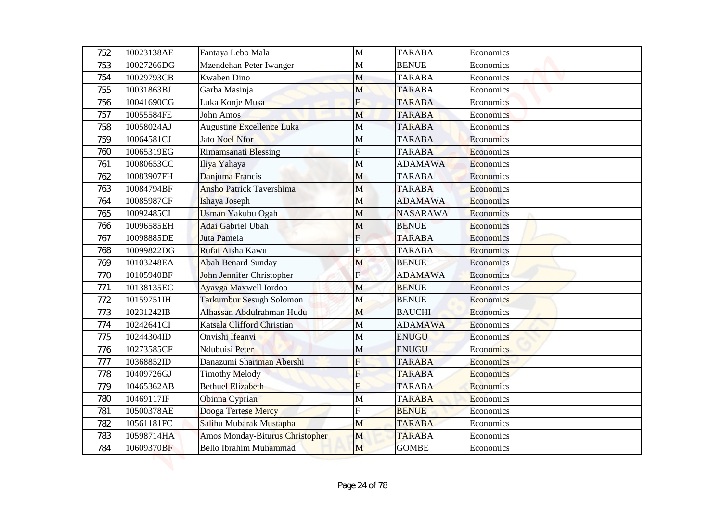| 752        | 10023138AE               | Fantaya Lebo Mala                             | M                       | <b>TARABA</b>                  | Economics              |
|------------|--------------------------|-----------------------------------------------|-------------------------|--------------------------------|------------------------|
| 753        | 10027266DG               | Mzendehan Peter Iwanger                       | $\mathbf{M}$            | <b>BENUE</b>                   | Economics              |
| 754        | 10029793CB               | Kwaben Dino                                   | M                       | <b>TARABA</b>                  | Economics              |
| 755        | 10031863BJ               | Garba Masinja                                 | M<br>F                  | <b>TARABA</b>                  | Economics              |
| 756        | 10041690CG               | Luka Konje Musa                               |                         | <b>TARABA</b>                  | Economics              |
| 757        | 10055584FE<br>10058024AJ | <b>John Amos</b><br>Augustine Excellence Luka | M<br>M                  | <b>TARABA</b><br><b>TARABA</b> | Economics<br>Economics |
| 758<br>759 | 10064581CJ               | <b>Jato Noel Nfor</b>                         | M                       | <b>TARABA</b>                  | Economics              |
| 760        | 10065319EG               | Rimamsanati Blessing                          | F                       | <b>TARABA</b>                  | Economics              |
| 761        | 10080653CC               | Iliya Yahaya                                  | M                       | <b>ADAMAWA</b>                 | Economics              |
| 762        | 10083907FH               | Danjuma Francis                               | M                       | <b>TARABA</b>                  | Economics              |
| 763        | 10084794BF               | <b>Ansho Patrick Tavershima</b>               | $\mathbf{M}$            | <b>TARABA</b>                  | Economics              |
| 764        | 10085987CF               | Ishaya Joseph                                 | M                       | <b>ADAMAWA</b>                 | Economics              |
| 765        | 10092485CI               | <b>Usman Yakubu Ogah</b>                      | M                       | <b>NASARAWA</b>                | Economics              |
| 766        | 10096585EH               | Adai Gabriel Ubah                             | M                       | <b>BENUE</b>                   | Economics              |
| 767        | 10098885DE               | Juta Pamela                                   | $\overline{F}$          | <b>TARABA</b>                  | Economics              |
| 768        | 10099822DG               | Rufai Aisha Kawu                              | Ė                       | <b>TARABA</b>                  | Economics              |
| 769        | 10103248EA               | <b>Abah Benard Sunday</b>                     | M                       | <b>BENUE</b>                   | Economics              |
| 770        | 10105940BF               | John Jennifer Christopher                     | $\mathbf{E}$            | <b>ADAMAWA</b>                 | Economics              |
| 771        | 10138135EC               | Ayavga Maxwell Iordoo                         | M                       | <b>BENUE</b>                   | Economics              |
| 772        | 10159751IH               | Tarkumbur Sesugh Solomon                      | M                       | <b>BENUE</b>                   | Economics              |
| 773        | 10231242IB               | Alhassan Abdulrahman Hudu                     | M                       | <b>BAUCHI</b>                  | Economics              |
| 774        | 10242641CI               | Katsala Clifford Christian                    | M                       | <b>ADAMAWA</b>                 | Economics              |
| 775        | 10244304ID               | Onyishi Ifeanyi                               | M                       | <b>ENUGU</b>                   | Economics              |
| 776        | 10273585CF               | Ndubuisi Peter                                | M                       | <b>ENUGU</b>                   | Economics              |
| 777        | 10368852ID               | Danazumi Shariman Abershi                     | $\overline{\mathrm{F}}$ | <b>TARABA</b>                  | <b>Economics</b>       |
| 778        | 10409726GJ               | <b>Timothy Melody</b>                         | F                       | <b>TARABA</b>                  | <b>Economics</b>       |
| 779        | 10465362AB               | <b>Bethuel Elizabeth</b>                      | F                       | <b>TARABA</b>                  | Economics              |
| 780        | 10469117IF               | Obinna Cyprian                                | M                       | <b>TARABA</b>                  | Economics              |
| 781        | 10500378AE               | Dooga Tertese Mercy                           | F                       | <b>BENUE</b>                   | Economics              |
| 782        | 10561181FC               | Salihu Mubarak Mustapha                       | M                       | <b>TARABA</b>                  | Economics              |
| 783        | 10598714HA               | Amos Monday-Biturus Christopher               | M                       | <b>TARABA</b>                  | Economics              |
| 784        | 10609370BF               | <b>Bello Ibrahim Muhammad</b>                 | M                       | <b>GOMBE</b>                   | Economics              |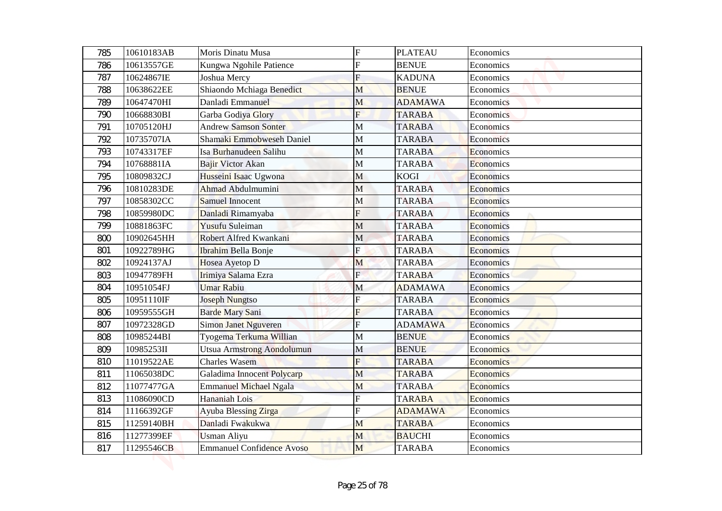| 785 | 10610183AB | Moris Dinatu Musa                | $\overline{F}$          | <b>PLATEAU</b> | Economics        |
|-----|------------|----------------------------------|-------------------------|----------------|------------------|
| 786 | 10613557GE | Kungwa Ngohile Patience          | F                       | <b>BENUE</b>   | Economics        |
| 787 | 10624867IE | Joshua Mercy                     | F                       | <b>KADUNA</b>  | Economics        |
| 788 | 10638622EE | Shiaondo Mchiaga Benedict        | M                       | <b>BENUE</b>   | Economics        |
| 789 | 10647470HI | Danladi Emmanuel                 | M                       | <b>ADAMAWA</b> | Economics        |
| 790 | 10668830BI | Garba Godiya Glory               | $\overline{F}$          | <b>TARABA</b>  | Economics        |
| 791 | 10705120HJ | <b>Andrew Samson Sonter</b>      | M                       | <b>TARABA</b>  | Economics        |
| 792 | 10735707IA | Shamaki Emmobweseh Daniel        | M                       | <b>TARABA</b>  | Economics        |
| 793 | 10743317EF | Isa Burhanudeen Salihu           | M                       | <b>TARABA</b>  | Economics        |
| 794 | 10768881IA | Bajir Victor Akan                | M                       | <b>TARABA</b>  | Economics        |
| 795 | 10809832CJ | Husseini Isaac Ugwona            | M                       | <b>KOGI</b>    | Economics        |
| 796 | 10810283DE | Ahmad Abdulmumini                | M                       | <b>TARABA</b>  | Economics        |
| 797 | 10858302CC | <b>Samuel Innocent</b>           | M                       | <b>TARABA</b>  | Economics        |
| 798 | 10859980DC | Danladi Rimamyaba                | F                       | <b>TARABA</b>  | Economics        |
| 799 | 10881863FC | Yusufu Suleiman                  | M                       | <b>TARABA</b>  | Economics        |
| 800 | 10902645HH | Robert Alfred Kwankani           | M                       | <b>TARABA</b>  | Economics        |
| 801 | 10922789HG | Ibrahim Bella Bonje              | Ė                       | <b>TARABA</b>  | Economics        |
| 802 | 10924137AJ | Hosea Ayetop D                   | M                       | <b>TARABA</b>  | Economics        |
| 803 | 10947789FH | Irimiya Salama Ezra              | $\mathbf{F}$            | <b>TARABA</b>  | Economics        |
| 804 | 10951054FJ | <b>Umar Rabiu</b>                | M                       | <b>ADAMAWA</b> | Economics        |
| 805 | 10951110IF | <b>Joseph Nungtso</b>            | $\overline{\mathrm{F}}$ | <b>TARABA</b>  | Economics        |
| 806 | 10959555GH | Barde Mary Sani                  | F                       | <b>TARABA</b>  | Economics        |
| 807 | 10972328GD | Simon Janet Nguveren             | $\overline{F}$          | <b>ADAMAWA</b> | Economics        |
| 808 | 10985244BI | Tyogema Terkuma Willian          | M                       | <b>BENUE</b>   | Economics        |
| 809 | 10985253II | Utsua Armstrong Aondolumun       | M                       | <b>BENUE</b>   | Economics        |
| 810 | 11019522AE | <b>Charles Wasem</b>             | $\overline{F}$          | <b>TARABA</b>  | <b>Economics</b> |
| 811 | 11065038DC | Galadima Innocent Polycarp       | M                       | <b>TARABA</b>  | <b>Economics</b> |
| 812 | 11077477GA | <b>Emmanuel Michael Ngala</b>    | M                       | <b>TARABA</b>  | Economics        |
| 813 | 11086090CD | Hananiah Lois                    | F                       | <b>TARABA</b>  | Economics        |
| 814 | 11166392GF | Ayuba Blessing Zirga             | F                       | <b>ADAMAWA</b> | Economics        |
| 815 | 11259140BH | Danladi Fwakukwa                 | M                       | <b>TARABA</b>  | Economics        |
| 816 | 11277399EF | <b>Usman Aliyu</b>               | M                       | <b>BAUCHI</b>  | Economics        |
| 817 | 11295546CB | <b>Emmanuel Confidence Avoso</b> | M                       | <b>TARABA</b>  | Economics        |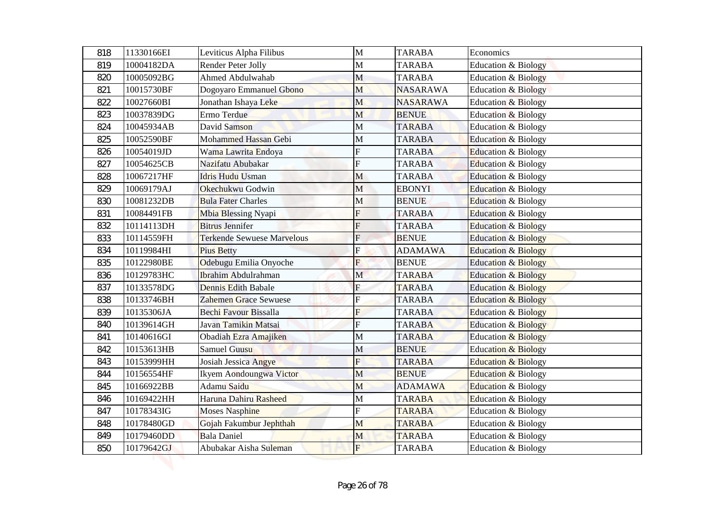| 818 | 11330166EI | Leviticus Alpha Filibus           | $\mathbf{M}$              | <b>TARABA</b>   | Economics                      |
|-----|------------|-----------------------------------|---------------------------|-----------------|--------------------------------|
| 819 | 10004182DA | Render Peter Jolly                | M                         | <b>TARABA</b>   | Education & Biology            |
| 820 | 10005092BG | Ahmed Abdulwahab                  | M                         | <b>TARABA</b>   | <b>Education &amp; Biology</b> |
| 821 | 10015730BF | Dogoyaro Emmanuel Gbono           | M                         | <b>NASARAWA</b> | <b>Education &amp; Biology</b> |
| 822 | 10027660BI | Jonathan Ishaya Leke              | M                         | <b>NASARAWA</b> | <b>Education &amp; Biology</b> |
| 823 | 10037839DG | Ermo Terdue                       | M                         | <b>BENUE</b>    | <b>Education &amp; Biology</b> |
| 824 | 10045934AB | David Samson                      | M                         | <b>TARABA</b>   | Education & Biology            |
| 825 | 10052590BF | Mohammed Hassan Gebi              | M                         | <b>TARABA</b>   | <b>Education &amp; Biology</b> |
| 826 | 10054019JD | Wama Lawrita Endoya               | F                         | <b>TARABA</b>   | Education & Biology            |
| 827 | 10054625CB | Nazifatu Abubakar                 | F                         | <b>TARABA</b>   | <b>Education &amp; Biology</b> |
| 828 | 10067217HF | <b>Idris Hudu Usman</b>           | M                         | <b>TARABA</b>   | <b>Education &amp; Biology</b> |
| 829 | 10069179AJ | Okechukwu Godwin                  | M                         | <b>EBONYI</b>   | Education & Biology            |
| 830 | 10081232DB | <b>Bula Fater Charles</b>         | M                         | <b>BENUE</b>    | Education & Biology            |
| 831 | 10084491FB | Mbia Blessing Nyapi               | F                         | <b>TARABA</b>   | <b>Education &amp; Biology</b> |
| 832 | 10114113DH | <b>Bitrus Jennifer</b>            | F                         | <b>TARABA</b>   | <b>Education &amp; Biology</b> |
| 833 | 10114559FH | <b>Terkende Sewuese Marvelous</b> | $F_{\rm}$                 | <b>BENUE</b>    | <b>Education &amp; Biology</b> |
| 834 | 10119984HI | <b>Pius Betty</b>                 | F                         | <b>ADAMAWA</b>  | <b>Education &amp; Biology</b> |
| 835 | 10122980BE | Odebugu Emilia Onyoche            | F                         | <b>BENUE</b>    | <b>Education &amp; Biology</b> |
| 836 | 10129783HC | Ibrahim Abdulrahman               | $\mathbf M$               | <b>TARABA</b>   | Education & Biology            |
| 837 | 10133578DG | <b>Dennis Edith Babale</b>        | $\boldsymbol{\mathrm{F}}$ | <b>TARABA</b>   | <b>Education &amp; Biology</b> |
| 838 | 10133746BH | <b>Zahemen Grace Sewuese</b>      | $\mathbf F$               | <b>TARABA</b>   | <b>Education &amp; Biology</b> |
| 839 | 10135306JA | Bechi Favour Bissalla             | F                         | <b>TARABA</b>   | <b>Education &amp; Biology</b> |
| 840 | 10139614GH | Javan Tamikin Matsai              | $\overline{F}$            | <b>TARABA</b>   | <b>Education &amp; Biology</b> |
| 841 | 10140616GI | Obadiah Ezra Amajiken             | M                         | <b>TARABA</b>   | <b>Education &amp; Biology</b> |
| 842 | 10153613HB | Samuel Guusu                      | M                         | <b>BENUE</b>    | <b>Education &amp; Biology</b> |
| 843 | 10153999HH | Josiah Jessica Angye              | F                         | <b>TARABA</b>   | <b>Education &amp; Biology</b> |
| 844 | 10156554HF | Ikyem Aondoungwa Victor           | M                         | <b>BENUE</b>    | <b>Education &amp; Biology</b> |
| 845 | 10166922BB | Adamu Saidu                       | M                         | <b>ADAMAWA</b>  | <b>Education &amp; Biology</b> |
| 846 | 10169422HH | Haruna Dahiru Rasheed             | M                         | <b>TARABA</b>   | Education & Biology            |
| 847 | 10178343IG | <b>Moses Nasphine</b>             | F                         | <b>TARABA</b>   | Education & Biology            |
| 848 | 10178480GD | Gojah Fakumbur Jephthah           | M                         | <b>TARABA</b>   | Education & Biology            |
| 849 | 10179460DD | <b>Bala Daniel</b>                | M                         | <b>TARABA</b>   | Education & Biology            |
| 850 | 10179642GJ | Abubakar Aisha Suleman            | $\mathbf{F}$              | <b>TARABA</b>   | Education & Biology            |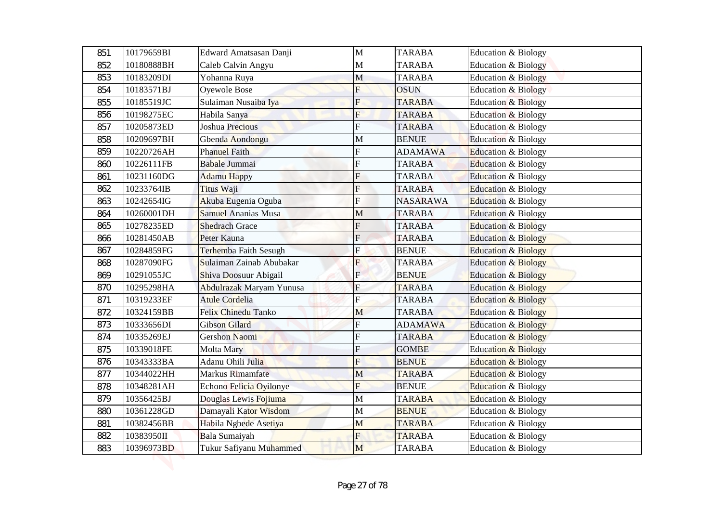| 851 | 10179659BI | Edward Amatsasan Danji     | $\mathbf{M}$   | <b>TARABA</b>   | Education & Biology            |
|-----|------------|----------------------------|----------------|-----------------|--------------------------------|
| 852 | 10180888BH | Caleb Calvin Angyu         | $\mathbf{M}$   | <b>TARABA</b>   | Education & Biology            |
| 853 | 10183209DI | Yohanna Ruya               | M              | <b>TARABA</b>   | <b>Education &amp; Biology</b> |
| 854 | 10183571BJ | Oyewole Bose               | F              | <b>OSUN</b>     | <b>Education &amp; Biology</b> |
| 855 | 10185519JC | Sulaiman Nusaiba Iya       | F              | <b>TARABA</b>   | <b>Education &amp; Biology</b> |
| 856 | 10198275EC | Habila Sanya               | $\overline{F}$ | <b>TARABA</b>   | <b>Education &amp; Biology</b> |
| 857 | 10205873ED | Joshua Precious            | F              | <b>TARABA</b>   | Education & Biology            |
| 858 | 10209697BH | Gbenda Aondongu            | M              | <b>BENUE</b>    | <b>Education &amp; Biology</b> |
| 859 | 10220726AH | <b>Phanuel Faith</b>       | F              | <b>ADAMAWA</b>  | Education & Biology            |
| 860 | 10226111FB | Babale Jummai              | F              | <b>TARABA</b>   | <b>Education &amp; Biology</b> |
| 861 | 10231160DG | <b>Adamu Happy</b>         | F              | <b>TARABA</b>   | <b>Education &amp; Biology</b> |
| 862 | 10233764IB | Titus Waji                 | F              | <b>TARABA</b>   | Education & Biology            |
| 863 | 10242654IG | Akuba Eugenia Oguba        | F              | <b>NASARAWA</b> | Education & Biology            |
| 864 | 10260001DH | <b>Samuel Ananias Musa</b> | M              | <b>TARABA</b>   | <b>Education &amp; Biology</b> |
| 865 | 10278235ED | <b>Shedrach Grace</b>      | F              | <b>TARABA</b>   | <b>Education &amp; Biology</b> |
| 866 | 10281450AB | Peter Kauna                | $\overline{F}$ | <b>TARABA</b>   | <b>Education &amp; Biology</b> |
| 867 | 10284859FG | Terhemba Faith Sesugh      | Ė              | <b>BENUE</b>    | <b>Education &amp; Biology</b> |
| 868 | 10287090FG | Sulaiman Zainab Abubakar   | F              | <b>TARABA</b>   | <b>Education &amp; Biology</b> |
| 869 | 10291055JC | Shiva Doosuur Abigail      | $\mathbf{E}$   | <b>BENUE</b>    | <b>Education &amp; Biology</b> |
| 870 | 10295298HA | Abdulrazak Maryam Yunusa   | ${\bf F}$      | <b>TARABA</b>   | <b>Education &amp; Biology</b> |
| 871 | 10319233EF | <b>Atule Cordelia</b>      | $\overline{F}$ | <b>TARABA</b>   | <b>Education &amp; Biology</b> |
| 872 | 10324159BB | Felix Chinedu Tanko        | M              | <b>TARABA</b>   | <b>Education &amp; Biology</b> |
| 873 | 10333656DI | Gibson Gilard              | $\overline{F}$ | <b>ADAMAWA</b>  | <b>Education &amp; Biology</b> |
| 874 | 10335269EJ | Gershon Naomi              | F              | <b>TARABA</b>   | <b>Education &amp; Biology</b> |
| 875 | 10339018FE | Molta Mary                 | F              | <b>GOMBE</b>    | <b>Education &amp; Biology</b> |
| 876 | 10343333BA | Adanu Ohili Julia          | $\overline{F}$ | <b>BENUE</b>    | <b>Education &amp; Biology</b> |
| 877 | 10344022HH | Markus Rimamfate           | M              | <b>TARABA</b>   | <b>Education &amp; Biology</b> |
| 878 | 10348281AH | Echono Felicia Oyilonye    | F              | <b>BENUE</b>    | <b>Education &amp; Biology</b> |
| 879 | 10356425BJ | Douglas Lewis Fojiuma      | M              | <b>TARABA</b>   | <b>Education &amp; Biology</b> |
| 880 | 10361228GD | Damayali Kator Wisdom      | M              | <b>BENUE</b>    | Education & Biology            |
| 881 | 10382456BB | Habila Ngbede Asetiya      | M              | <b>TARABA</b>   | Education & Biology            |
| 882 | 10383950II | Bala Sumaiyah              | F              | <b>TARABA</b>   | Education & Biology            |
| 883 | 10396973BD | Tukur Safiyanu Muhammed    | M              | <b>TARABA</b>   | Education & Biology            |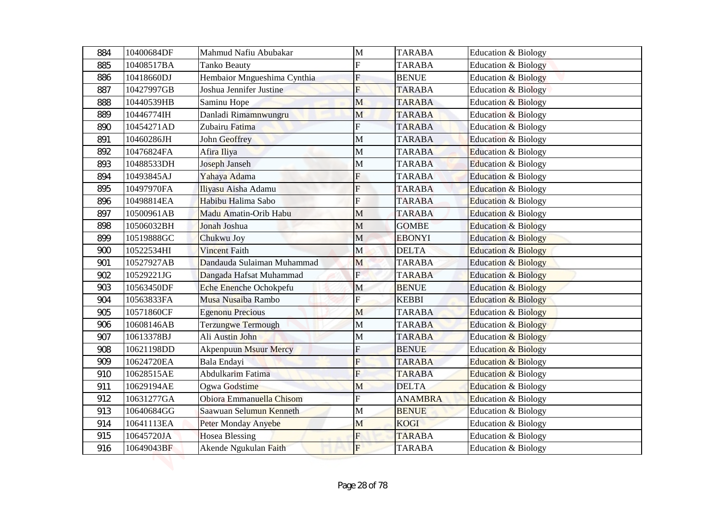| 884 | 10400684DF | Mahmud Nafiu Abubakar        | M                       | <b>TARABA</b>  | Education & Biology            |
|-----|------------|------------------------------|-------------------------|----------------|--------------------------------|
| 885 | 10408517BA | <b>Tanko Beauty</b>          | F                       | <b>TARABA</b>  | <b>Education &amp; Biology</b> |
| 886 | 10418660DJ | Hembaior Mngueshima Cynthia  | F                       | <b>BENUE</b>   | <b>Education &amp; Biology</b> |
| 887 | 10427997GB | Joshua Jennifer Justine      | F                       | <b>TARABA</b>  | <b>Education &amp; Biology</b> |
| 888 | 10440539HB | Saminu Hope                  | M                       | <b>TARABA</b>  | <b>Education &amp; Biology</b> |
| 889 | 10446774IH | Danladi Rimamnwungru         | M                       | <b>TARABA</b>  | <b>Education &amp; Biology</b> |
| 890 | 10454271AD | Zubairu Fatima               | F                       | <b>TARABA</b>  | <b>Education &amp; Biology</b> |
| 891 | 10460286JH | <b>John Geoffrey</b>         | M                       | <b>TARABA</b>  | <b>Education &amp; Biology</b> |
| 892 | 10476824FA | Afira Iliya                  | M                       | <b>TARABA</b>  | Education & Biology            |
| 893 | 10488533DH | Joseph Janseh                | M                       | <b>TARABA</b>  | <b>Education &amp; Biology</b> |
| 894 | 10493845AJ | Yahaya Adama                 | F                       | <b>TARABA</b>  | <b>Education &amp; Biology</b> |
| 895 | 10497970FA | Iliyasu Aisha Adamu          | F                       | <b>TARABA</b>  | Education & Biology            |
| 896 | 10498814EA | Habibu Halima Sabo           | F                       | <b>TARABA</b>  | Education & Biology            |
| 897 | 10500961AB | Madu Amatin-Orib Habu        | M                       | <b>TARABA</b>  | <b>Education &amp; Biology</b> |
| 898 | 10506032BH | Jonah Joshua                 | M                       | <b>GOMBE</b>   | <b>Education &amp; Biology</b> |
| 899 | 10519888GC | Chukwu Joy                   | M                       | <b>EBONYI</b>  | <b>Education &amp; Biology</b> |
| 900 | 10522534HI | <b>Vincent Faith</b>         | M                       | <b>DELTA</b>   | <b>Education &amp; Biology</b> |
| 901 | 10527927AB | Dandauda Sulaiman Muhammad   | M                       | <b>TARABA</b>  | <b>Education &amp; Biology</b> |
| 902 | 10529221JG | Dangada Hafsat Muhammad      | $\mathbf{F}$            | <b>TARABA</b>  | <b>Education &amp; Biology</b> |
| 903 | 10563450DF | Eche Enenche Ochokpefu       | $\mathbf{M}$            | <b>BENUE</b>   | <b>Education &amp; Biology</b> |
| 904 | 10563833FA | Musa Nusaiba Rambo           | $\overline{\mathrm{F}}$ | <b>KEBBI</b>   | <b>Education &amp; Biology</b> |
| 905 | 10571860CF | <b>Egenonu Precious</b>      | M                       | <b>TARABA</b>  | <b>Education &amp; Biology</b> |
| 906 | 10608146AB | Terzungwe Termough           | $\mathbf M$             | <b>TARABA</b>  | <b>Education &amp; Biology</b> |
| 907 | 10613378BJ | Ali Austin John              | M                       | <b>TARABA</b>  | <b>Education &amp; Biology</b> |
| 908 | 10621198DD | <b>Akpenpuun Msuur Mercy</b> | F                       | <b>BENUE</b>   | <b>Education &amp; Biology</b> |
| 909 | 10624720EA | Bala Endayi                  | $\overline{F}$          | <b>TARABA</b>  | <b>Education &amp; Biology</b> |
| 910 | 10628515AE | Abdulkarim Fatima            | F                       | <b>TARABA</b>  | <b>Education &amp; Biology</b> |
| 911 | 10629194AE | Ogwa Godstime                | M                       | <b>DELTA</b>   | <b>Education &amp; Biology</b> |
| 912 | 10631277GA | Obiora Emmanuella Chisom     | F                       | <b>ANAMBRA</b> | <b>Education &amp; Biology</b> |
| 913 | 10640684GG | Saawuan Selumun Kenneth      | M                       | <b>BENUE</b>   | Education & Biology            |
| 914 | 10641113EA | Peter Monday Anyebe          | M                       | <b>KOGI</b>    | Education & Biology            |
| 915 | 10645720JA | <b>Hosea Blessing</b>        | F                       | <b>TARABA</b>  | Education & Biology            |
| 916 | 10649043BF | Akende Ngukulan Faith        | $F_{\rm}$               | <b>TARABA</b>  | Education & Biology            |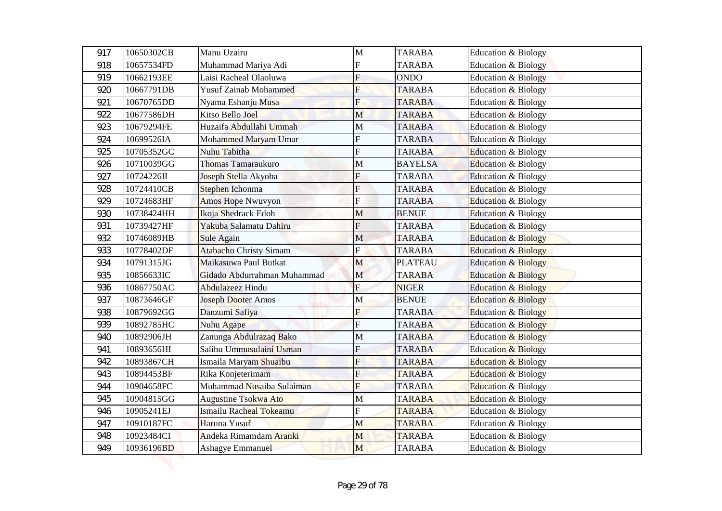| 917 | 10650302CB | Manu Uzairu                   | $\mathbf{M}$              | <b>TARABA</b>  | Education & Biology            |
|-----|------------|-------------------------------|---------------------------|----------------|--------------------------------|
| 918 | 10657534FD | Muhammad Mariya Adi           | F                         | <b>TARABA</b>  | <b>Education &amp; Biology</b> |
| 919 | 10662193EE | Laisi Racheal Olaoluwa        | $\overline{F}$            | <b>ONDO</b>    | <b>Education &amp; Biology</b> |
| 920 | 10667791DB | <b>Yusuf Zainab Mohammed</b>  | F                         | <b>TARABA</b>  | <b>Education &amp; Biology</b> |
| 921 | 10670765DD | Nyama Eshanju Musa            | F                         | <b>TARABA</b>  | <b>Education &amp; Biology</b> |
| 922 | 10677586DH | Kitso Bello Joel              | M                         | <b>TARABA</b>  | <b>Education &amp; Biology</b> |
| 923 | 10679294FE | Huzaifa Abdullahi Ummah       | M                         | <b>TARABA</b>  | <b>Education &amp; Biology</b> |
| 924 | 10699526IA | Mohammed Maryam Umar          | F                         | <b>TARABA</b>  | <b>Education &amp; Biology</b> |
| 925 | 10705352GC | Nuhu Tabitha                  | F                         | <b>TARABA</b>  | Education & Biology            |
| 926 | 10710039GG | Thomas Tamaraukuro            | M                         | <b>BAYELSA</b> | Education & Biology            |
| 927 | 10724226II | Joseph Stella Akyoba          | F                         | <b>TARABA</b>  | <b>Education &amp; Biology</b> |
| 928 | 10724410CB | Stephen Ichonma               | F                         | <b>TARABA</b>  | Education & Biology            |
| 929 | 10724683HF | <b>Amos Hope Nwuvyon</b>      | F                         | <b>TARABA</b>  | Education & Biology            |
| 930 | 10738424HH | Ikoja Shedrack Edoh           | М                         | <b>BENUE</b>   | <b>Education &amp; Biology</b> |
| 931 | 10739427HF | Yakuba Salamatu Dahiru        | F                         | <b>TARABA</b>  | <b>Education &amp; Biology</b> |
| 932 | 10746089HB | <b>Sule Again</b>             | M                         | <b>TARABA</b>  | <b>Education &amp; Biology</b> |
| 933 | 10778402DF | <b>Atabacho Christy Simam</b> | Ė                         | <b>TARABA</b>  | <b>Education &amp; Biology</b> |
| 934 | 10791315JG | Maikasuwa Paul Butkat         | M                         | <b>PLATEAU</b> | <b>Education &amp; Biology</b> |
| 935 | 10856633IC | Gidado Abdurrahman Muhammad   | $\mathbf M$               | <b>TARABA</b>  | <b>Education &amp; Biology</b> |
| 936 | 10867750AC | Abdulazeez Hindu              | $\boldsymbol{\mathrm{F}}$ | <b>NIGER</b>   | <b>Education &amp; Biology</b> |
| 937 | 10873646GF | <b>Joseph Dooter Amos</b>     | M                         | <b>BENUE</b>   | <b>Education &amp; Biology</b> |
| 938 | 10879692GG | Danzumi Safiya                | F                         | <b>TARABA</b>  | <b>Education &amp; Biology</b> |
| 939 | 10892785HC | Nuhu Agape                    | $\overline{F}$            | <b>TARABA</b>  | <b>Education &amp; Biology</b> |
| 940 | 10892906JH | Zanunga Abdulrazaq Bako       | M                         | <b>TARABA</b>  | <b>Education &amp; Biology</b> |
| 941 | 10893656HI | Salihu Ummusulaini Usman      | F                         | <b>TARABA</b>  | <b>Education &amp; Biology</b> |
| 942 | 10893867CH | Ismaila Maryam Shuaibu        | $\overline{F}$            | <b>TARABA</b>  | <b>Education &amp; Biology</b> |
| 943 | 10894453BF | Rika Konjeterimam             | F                         | <b>TARABA</b>  | <b>Education &amp; Biology</b> |
| 944 | 10904658FC | Muhammad Nusaiba Sulaiman     | F                         | <b>TARABA</b>  | Education & Biology            |
| 945 | 10904815GG | <b>Augustine Tsokwa Ato</b>   | M                         | <b>TARABA</b>  | Education & Biology            |
| 946 | 10905241EJ | Ismailu Racheal Tokeamu       | F                         | <b>TARABA</b>  | Education & Biology            |
| 947 | 10910187FC | Haruna Yusuf                  | M                         | <b>TARABA</b>  | Education & Biology            |
| 948 | 10923484CI | Andeka Rimamdam Aranki        | M                         | <b>TARABA</b>  | Education & Biology            |
| 949 | 10936196BD | <b>Ashagye Emmanuel</b>       | M                         | <b>TARABA</b>  | Education & Biology            |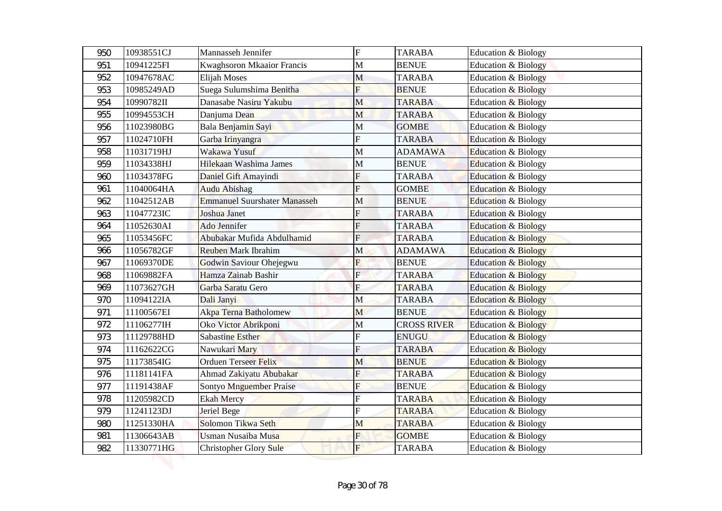| 950        | 10938551CJ               | Mannasseh Jennifer                           | $\overline{F}$    | <b>TARABA</b>      | <b>Education &amp; Biology</b> |
|------------|--------------------------|----------------------------------------------|-------------------|--------------------|--------------------------------|
| 951        | 10941225FI               | Kwaghsoron Mkaaior Francis                   | M                 | <b>BENUE</b>       | <b>Education &amp; Biology</b> |
| 952        | 10947678AC               | Elijah Moses                                 | M                 | <b>TARABA</b>      | <b>Education &amp; Biology</b> |
| 953        | 10985249AD               | Suega Sulumshima Benitha                     | F                 | <b>BENUE</b>       | <b>Education &amp; Biology</b> |
| 954        | 10990782II               | Danasabe Nasiru Yakubu                       | M                 | <b>TARABA</b>      | <b>Education &amp; Biology</b> |
| 955        | 10994553CH               | Danjuma Dean                                 | M                 | <b>TARABA</b>      | <b>Education &amp; Biology</b> |
| 956        | 11023980BG               | Bala Benjamin Sayi                           | M                 | <b>GOMBE</b>       | <b>Education &amp; Biology</b> |
| 957        | 11024710FH               | Garba Irinyangra                             | F                 | <b>TARABA</b>      | <b>Education &amp; Biology</b> |
| 958        | 11031719HJ               | Wakawa Yusuf                                 | M                 | <b>ADAMAWA</b>     | Education & Biology            |
| 959        | 11034338HJ               | Hilekaan Washima James                       | M                 | <b>BENUE</b>       | <b>Education &amp; Biology</b> |
| 960        | 11034378FG               | Daniel Gift Amayindi                         | F                 | <b>TARABA</b>      | <b>Education &amp; Biology</b> |
| 961        | 11040064HA               | <b>Audu Abishag</b>                          | F                 | <b>GOMBE</b>       | Education & Biology            |
| 962        | 11042512AB               | <b>Emmanuel Suurshater Manasseh</b>          | M                 | <b>BENUE</b>       | Education & Biology            |
| 963        | 11047723IC               | <b>Joshua Janet</b>                          | F                 | <b>TARABA</b>      | <b>Education &amp; Biology</b> |
| 964        | 11052630AI               | <b>Ado Jennifer</b>                          | F                 | <b>TARABA</b>      | <b>Education &amp; Biology</b> |
| 965        | 11053456FC               | Abubakar Mufida Abdulhamid                   | F                 | <b>TARABA</b>      | <b>Education &amp; Biology</b> |
| 966        | 11056782GF               | <b>Reuben Mark Ibrahim</b>                   | M                 | <b>ADAMAWA</b>     | <b>Education &amp; Biology</b> |
| 967        | 11069370DE               | Godwin Saviour Ohejegwu                      | F<br>$\mathbf{F}$ | <b>BENUE</b>       | <b>Education &amp; Biology</b> |
| 968        | 11069882FA               | Hamza Zainab Bashir                          |                   | <b>TARABA</b>      | <b>Education &amp; Biology</b> |
| 969        | 11073627GH               | Garba Saratu Gero                            | ${\bf F}$         | <b>TARABA</b>      | <b>Education &amp; Biology</b> |
| 970        | 11094122IA               | Dali Janyi                                   | M                 | <b>TARABA</b>      | <b>Education &amp; Biology</b> |
| 971        | 11100567EI               | Akpa Terna Batholomew                        | M                 | <b>BENUE</b>       | <b>Education &amp; Biology</b> |
| 972        | 11106277IH               | Oko Victor Abrikponi                         | $\mathbf M$       | <b>CROSS RIVER</b> | <b>Education &amp; Biology</b> |
| 973        | 11129788HD<br>11162622CG | <b>Sabastine Esther</b>                      | F<br>F            | <b>ENUGU</b>       | <b>Education &amp; Biology</b> |
| 974        |                          | Nawukari Mary<br><b>Orduen Terseer Felix</b> |                   | <b>TARABA</b>      | <b>Education &amp; Biology</b> |
| 975        | 11173854IG               |                                              | M<br>F            | <b>BENUE</b>       | <b>Education &amp; Biology</b> |
| 976        | 11181141FA               | Ahmad Zakiyatu Abubakar                      |                   | <b>TARABA</b>      | <b>Education &amp; Biology</b> |
| 977        | 11191438AF               | Sontyo Mnguember Praise                      | F                 | <b>BENUE</b>       | <b>Education &amp; Biology</b> |
| 978        | 11205982CD               | <b>Ekah Mercy</b>                            | F                 | <b>TARABA</b>      | <b>Education &amp; Biology</b> |
| 979        | 11241123DJ               | Jeriel Bege                                  |                   | <b>TARABA</b>      | Education & Biology            |
| 980<br>981 | 11251330HA               | Solomon Tikwa Seth                           | M<br>F            | <b>TARABA</b>      | Education & Biology            |
|            | 11306643AB               | Usman Nusaiba Musa                           |                   | <b>GOMBE</b>       | Education & Biology            |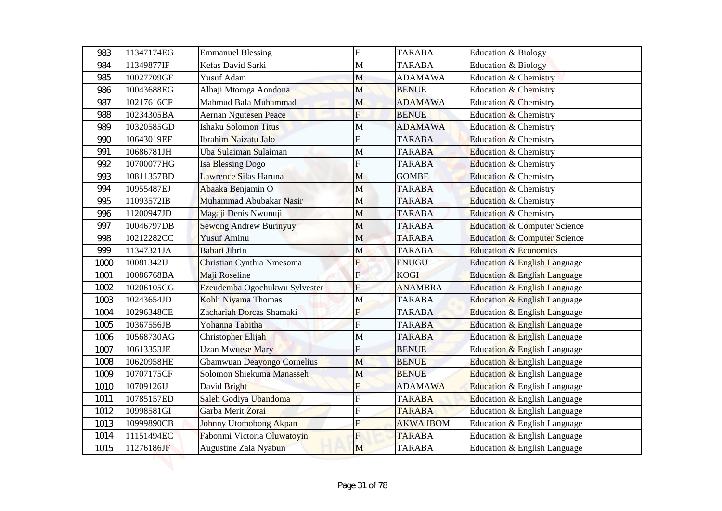| 983  | 11347174EG | <b>Emmanuel Blessing</b>      | $\overline{F}$            | <b>TARABA</b>    | Education & Biology                     |
|------|------------|-------------------------------|---------------------------|------------------|-----------------------------------------|
| 984  | 11349877IF | Kefas David Sarki             | M                         | <b>TARABA</b>    | <b>Education &amp; Biology</b>          |
| 985  | 10027709GF | Yusuf Adam                    | M                         | <b>ADAMAWA</b>   | <b>Education &amp; Chemistry</b>        |
| 986  | 10043688EG | Alhaji Mtomga Aondona         | M                         | <b>BENUE</b>     | <b>Education &amp; Chemistry</b>        |
| 987  | 10217616CF | Mahmud Bala Muhammad          | M                         | <b>ADAMAWA</b>   | <b>Education &amp; Chemistry</b>        |
| 988  | 10234305BA | Aernan Ngutesen Peace         | $\overline{F}$            | <b>BENUE</b>     | <b>Education &amp; Chemistry</b>        |
| 989  | 10320585GD | <b>Ishaku Solomon Titus</b>   | M                         | <b>ADAMAWA</b>   | Education & Chemistry                   |
| 990  | 10643019EF | <b>Ibrahim Naizatu Jalo</b>   | F                         | <b>TARABA</b>    | <b>Education &amp; Chemistry</b>        |
| 991  | 10686781JH | Uba Sulaiman Sulaiman         | $\mathbf{M}$              | <b>TARABA</b>    | Education & Chemistry                   |
| 992  | 10700077HG | <b>Isa Blessing Dogo</b>      | F                         | <b>TARABA</b>    | Education & Chemistry                   |
| 993  | 10811357BD | Lawrence Silas Haruna         | M                         | <b>GOMBE</b>     | Education & Chemistry                   |
| 994  | 10955487EJ | Abaaka Benjamin O             | $\mathbf{M}$              | <b>TARABA</b>    | Education & Chemistry                   |
| 995  | 11093572IB | Muhammad Abubakar Nasir       | M                         | <b>TARABA</b>    | Education & Chemistry                   |
| 996  | 11200947JD | Magaji Denis Nwunuji          | M                         | <b>TARABA</b>    | <b>Education &amp; Chemistry</b>        |
| 997  | 10046797DB | <b>Sewong Andrew Burinyuy</b> | M                         | <b>TARABA</b>    | <b>Education &amp; Computer Science</b> |
| 998  | 10212282CC | <b>Yusuf Aminu</b>            | M                         | <b>TARABA</b>    | <b>Education &amp; Computer Science</b> |
| 999  | 11347321JA | Babari Jibrin                 | M                         | <b>TARABA</b>    | <b>Education &amp; Economics</b>        |
| 1000 | 10081342IJ | Christian Cynthia Nmesoma     | F                         | <b>ENUGU</b>     | Education & English Language            |
| 1001 | 10086768BA | Maji Roseline                 | $\mathbf{E}$              | <b>KOGI</b>      | Education & English Language            |
| 1002 | 10206105CG | Ezeudemba Ogochukwu Sylvester | $\boldsymbol{\mathrm{F}}$ | <b>ANAMBRA</b>   | Education & English Language            |
| 1003 | 10243654JD | Kohli Niyama Thomas           | M                         | <b>TARABA</b>    | Education & English Language            |
| 1004 | 10296348CE | Zachariah Dorcas Shamaki      | F                         | <b>TARABA</b>    | Education & English Language            |
| 1005 | 10367556JB | Yohanna Tabitha               | $\overline{F}$            | <b>TARABA</b>    | Education & English Language            |
| 1006 | 10568730AG | Christopher Elijah            | M                         | <b>TARABA</b>    | Education & English Language            |
| 1007 | 10613353JE | <b>Uzan Mwuese Mary</b>       | F                         | <b>BENUE</b>     | Education & English Language            |
| 1008 | 10620958HE | Gbamwuan Deayongo Cornelius   | M                         | <b>BENUE</b>     | Education & English Language            |
| 1009 | 10707175CF | Solomon Shiekuma Manasseh     | M                         | <b>BENUE</b>     | Education & English Language            |
| 1010 | 10709126IJ | David Bright                  | F                         | <b>ADAMAWA</b>   | Education & English Language            |
| 1011 | 10785157ED | Saleh Godiya Ubandoma         | F                         | <b>TARABA</b>    | Education & English Language            |
| 1012 | 10998581GI | Garba Merit Zorai             | F                         | <b>TARABA</b>    | Education & English Language            |
| 1013 | 10999890CB | Johnny Utomobong Akpan        | F                         | <b>AKWA IBOM</b> | Education & English Language            |
| 1014 | 11151494EC | Fabonmi Victoria Oluwatoyin   | F                         | <b>TARABA</b>    | Education & English Language            |
| 1015 | 11276186JF | Augustine Zala Nyabun         | M                         | <b>TARABA</b>    | Education & English Language            |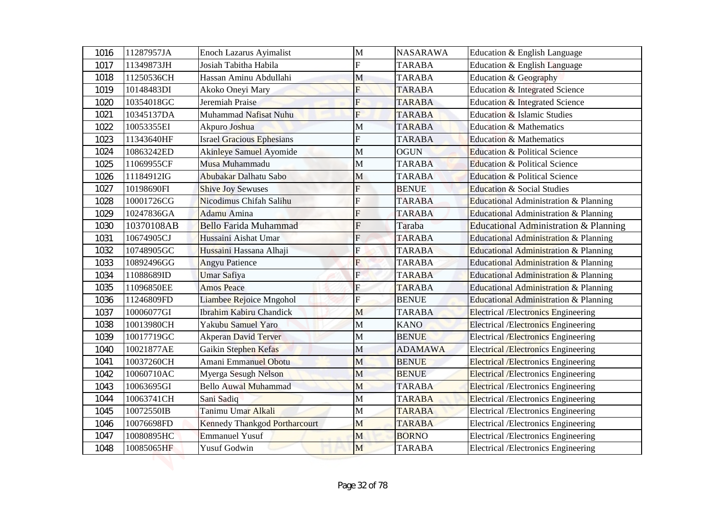| 1016 | 11287957JA | Enoch Lazarus Ayimalist          | $\mathbf{M}$              | <b>NASARAWA</b> | Education & English Language               |
|------|------------|----------------------------------|---------------------------|-----------------|--------------------------------------------|
| 1017 | 11349873JH | Josiah Tabitha Habila            | F                         | <b>TARABA</b>   | Education & English Language               |
| 1018 | 11250536CH | Hassan Aminu Abdullahi           | M                         | <b>TARABA</b>   | Education & Geography                      |
| 1019 | 10148483DI | Akoko Oneyi Mary                 | F                         | <b>TARABA</b>   | Education & Integrated Science             |
| 1020 | 10354018GC | Jeremiah Praise                  | F                         | <b>TARABA</b>   | Education & Integrated Science             |
| 1021 | 10345137DA | Muhammad Nafisat Nuhu            | $\overline{\mathrm{F}}$   | <b>TARABA</b>   | Education & Islamic Studies                |
| 1022 | 10053355EI | Akpuro Joshua                    | М                         | <b>TARABA</b>   | <b>Education &amp; Mathematics</b>         |
| 1023 | 11343640HF | <b>Israel Gracious Ephesians</b> | F                         | <b>TARABA</b>   | <b>Education &amp; Mathematics</b>         |
| 1024 | 10863242ED | Akinleye Samuel Ayomide          | M                         | <b>OGUN</b>     | Education & Political Science              |
| 1025 | 11069955CF | Musa Muhammadu                   | M                         | <b>TARABA</b>   | Education & Political Science              |
| 1026 | 11184912IG | Abubakar Dalhatu Sabo            | M                         | <b>TARABA</b>   | <b>Education &amp; Political Science</b>   |
| 1027 | 10198690FI | <b>Shive Joy Sewuses</b>         | F                         | <b>BENUE</b>    | <b>Education &amp; Social Studies</b>      |
| 1028 | 10001726CG | Nicodimus Chifah Salihu          | F                         | <b>TARABA</b>   | Educational Administration & Planning      |
| 1029 | 10247836GA | Adamu Amina                      | F                         | <b>TARABA</b>   | Educational Administration & Planning      |
| 1030 | 10370108AB | <b>Bello Farida Muhammad</b>     | F                         | Taraba          | Educational Administration & Planning      |
| 1031 | 10674905CJ | Hussaini Aishat Umar             | $\overline{F}$            | <b>TARABA</b>   | Educational Administration & Planning      |
| 1032 | 10748905GC | Hussaini Hassana Alhaji          | Ė                         | <b>TARABA</b>   | Educational Administration & Planning      |
| 1033 | 10892496GG | <b>Angyu Patience</b>            | F                         | <b>TARABA</b>   | Educational Administration & Planning      |
| 1034 | 11088689ID | <b>Umar Safiya</b>               | $\mathbf{E}$              | <b>TARABA</b>   | Educational Administration & Planning      |
| 1035 | 11096850EE | <b>Amos Peace</b>                | $\boldsymbol{\mathrm{F}}$ | <b>TARABA</b>   | Educational Administration & Planning      |
| 1036 | 11246809FD | Liambee Rejoice Mngohol          | ${\bf F}$                 | <b>BENUE</b>    | Educational Administration & Planning      |
| 1037 | 10006077GI | <b>Ibrahim Kabiru Chandick</b>   | M                         | <b>TARABA</b>   | <b>Electrical /Electronics Engineering</b> |
| 1038 | 10013980CH | Yakubu Samuel Yaro               | M                         | <b>KANO</b>     | <b>Electrical /Electronics Engineering</b> |
| 1039 | 10017719GC | <b>Akperan David Terver</b>      | M                         | <b>BENUE</b>    | <b>Electrical /Electronics Engineering</b> |
| 1040 | 10021877AE | Gaikin Stephen Kefas             | M                         | <b>ADAMAWA</b>  | <b>Electrical /Electronics Engineering</b> |
| 1041 | 10037260CH | <b>Amani Emmanuel Obotu</b>      | M                         | <b>BENUE</b>    | <b>Electrical /Electronics Engineering</b> |
| 1042 | 10060710AC | Myerga Sesugh Nelson             | M                         | <b>BENUE</b>    | <b>Electrical /Electronics Engineering</b> |
| 1043 | 10063695GI | <b>Bello Auwal Muhammad</b>      | M                         | <b>TARABA</b>   | <b>Electrical /Electronics Engineering</b> |
| 1044 | 10063741CH | Sani Sadiq                       | M                         | <b>TARABA</b>   | <b>Electrical /Electronics Engineering</b> |
| 1045 | 10072550IB | Tanimu Umar Alkali               | M                         | <b>TARABA</b>   | Electrical /Electronics Engineering        |
| 1046 | 10076698FD | Kennedy Thankgod Portharcourt    | M                         | <b>TARABA</b>   | Electrical /Electronics Engineering        |
| 1047 | 10080895HC | <b>Emmanuel Yusuf</b>            | M                         | <b>BORNO</b>    | Electrical /Electronics Engineering        |
| 1048 | 10085065HF | <b>Yusuf Godwin</b>              | M                         | <b>TARABA</b>   | <b>Electrical /Electronics Engineering</b> |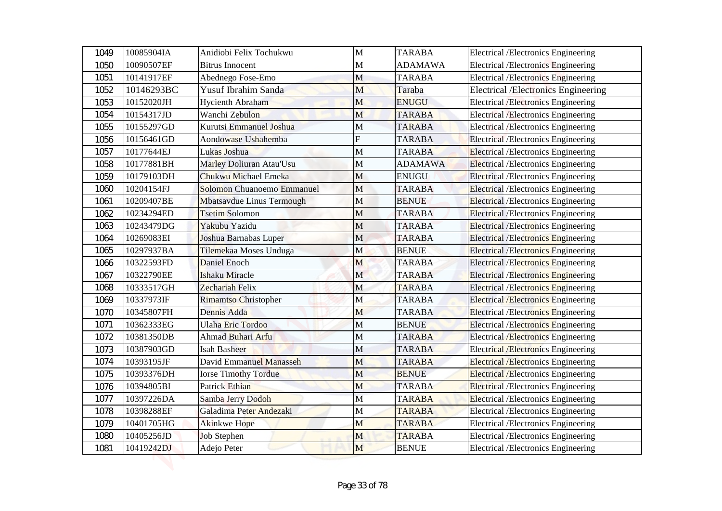| 1049 | 10085904IA | Anidiobi Felix Tochukwu     | $\mathbf{M}$ | <b>TARABA</b>  | <b>Electrical /Electronics Engineering</b>  |
|------|------------|-----------------------------|--------------|----------------|---------------------------------------------|
| 1050 | 10090507EF | <b>Bitrus Innocent</b>      | M            | <b>ADAMAWA</b> | <b>Electrical /Electronics Engineering</b>  |
| 1051 | 10141917EF | Abednego Fose-Emo           | M            | <b>TARABA</b>  | <b>Electrical /Electronics Engineering</b>  |
| 1052 | 10146293BC | <b>Yusuf Ibrahim Sanda</b>  | M            | Taraba         | <b>Electrical /Electronics Engineering</b>  |
| 1053 | 10152020JH | <b>Hycienth Abraham</b>     | M            | <b>ENUGU</b>   | <b>Electrical /Electronics Engineering</b>  |
| 1054 | 10154317JD | Wanchi Zebulon              | M            | <b>TARABA</b>  | <b>Electrical /Electronics Engineering</b>  |
| 1055 | 10155297GD | Kurutsi Emmanuel Joshua     | M            | <b>TARABA</b>  | <b>Electrical /Electronics Engineering</b>  |
| 1056 | 10156461GD | Aondowase Ushahemba         | F            | <b>TARABA</b>  | <b>Electrical /Electronics Engineering</b>  |
| 1057 | 10177644EJ | Lukas Joshua                | M            | <b>TARABA</b>  | <b>Electrical /Electronics Engineering</b>  |
| 1058 | 10177881BH | Marley Doliuran Atau'Usu    | M            | <b>ADAMAWA</b> | <b>Electrical /Electronics Engineering</b>  |
| 1059 | 10179103DH | <b>Chukwu Michael Emeka</b> | M            | <b>ENUGU</b>   | <b>Electrical /Electronics Engineering</b>  |
| 1060 | 10204154FJ | Solomon Chuanoemo Emmanuel  | M            | <b>TARABA</b>  | <b>Electrical /Electronics Engineering</b>  |
| 1061 | 10209407BE | Mbatsavdue Linus Termough   | M            | <b>BENUE</b>   | <b>Electrical</b> / Electronics Engineering |
| 1062 | 10234294ED | <b>Tsetim Solomon</b>       | M            | <b>TARABA</b>  | <b>Electrical /Electronics Engineering</b>  |
| 1063 | 10243479DG | Yakubu Yazidu               | M            | <b>TARABA</b>  | <b>Electrical /Electronics Engineering</b>  |
| 1064 | 10269083EI | Joshua Barnabas Luper       | $\mathbf M$  | <b>TARABA</b>  | <b>Electrical /Electronics Engineering</b>  |
| 1065 | 10297937BA | Tilemekaa Moses Unduga      | M            | <b>BENUE</b>   | <b>Electrical /Electronics Engineering</b>  |
| 1066 | 10322593FD | Daniel Enoch                | M            | <b>TARABA</b>  | <b>Electrical /Electronics Engineering</b>  |
| 1067 | 10322790EE | <b>Ishaku Miracle</b>       | $\mathbf M$  | <b>TARABA</b>  | <b>Electrical /Electronics Engineering</b>  |
| 1068 | 10333517GH | Zechariah Felix             | M            | <b>TARABA</b>  | <b>Electrical /Electronics Engineering</b>  |
| 1069 | 10337973IF | <b>Rimamtso Christopher</b> | M            | <b>TARABA</b>  | <b>Electrical /Electronics Engineering</b>  |
| 1070 | 10345807FH | Dennis Adda                 | M            | <b>TARABA</b>  | <b>Electrical /Electronics Engineering</b>  |
| 1071 | 10362333EG | Ulaha Eric Tordoo           | $\mathbf M$  | <b>BENUE</b>   | <b>Electrical /Electronics Engineering</b>  |
| 1072 | 10381350DB | Ahmad Buhari Arfu           | M            | <b>TARABA</b>  | <b>Electrical /Electronics Engineering</b>  |
| 1073 | 10387903GD | Isah Basheer                | M            | <b>TARABA</b>  | <b>Electrical /Electronics Engineering</b>  |
| 1074 | 10393195JF | David Emmanuel Manasseh     | M            | <b>TARABA</b>  | <b>Electrical /Electronics Engineering</b>  |
| 1075 | 10393376DH | <b>Iorse Timothy Tordue</b> | M            | <b>BENUE</b>   | <b>Electrical /Electronics Engineering</b>  |
| 1076 | 10394805BI | Patrick Ethian              | M            | <b>TARABA</b>  | <b>Electrical /Electronics Engineering</b>  |
| 1077 | 10397226DA | Samba Jerry Dodoh           | M            | <b>TARABA</b>  | <b>Electrical /Electronics Engineering</b>  |
| 1078 | 10398288EF | Galadima Peter Andezaki     | M            | <b>TARABA</b>  | Electrical /Electronics Engineering         |
| 1079 | 10401705HG | <b>Akinkwe Hope</b>         | M            | <b>TARABA</b>  | Electrical /Electronics Engineering         |
| 1080 | 10405256JD | <b>Job Stephen</b>          | M            | <b>TARABA</b>  | Electrical /Electronics Engineering         |
| 1081 | 10419242DJ | Adejo Peter                 | M            | <b>BENUE</b>   | <b>Electrical /Electronics Engineering</b>  |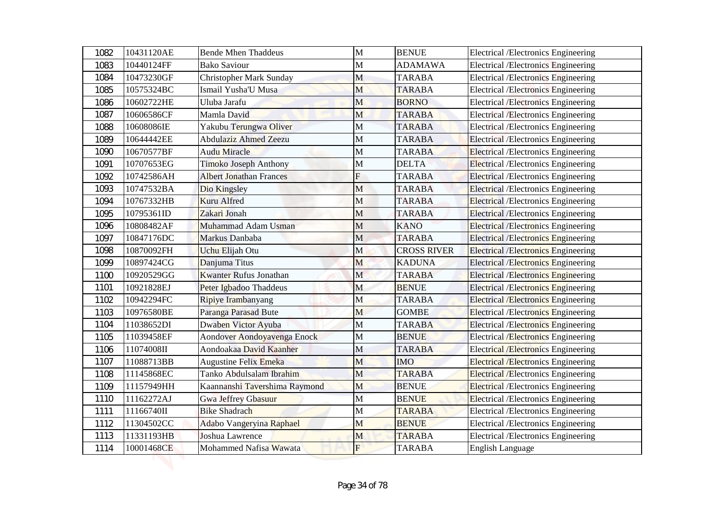| 1082 | 10431120AE | <b>Bende Mhen Thaddeus</b>     | $\mathbf{M}$ | <b>BENUE</b>       | <b>Electrical /Electronics Engineering</b>  |
|------|------------|--------------------------------|--------------|--------------------|---------------------------------------------|
| 1083 | 10440124FF | <b>Bako Saviour</b>            | $\mathbf M$  | <b>ADAMAWA</b>     | <b>Electrical /Electronics Engineering</b>  |
| 1084 | 10473230GF | <b>Christopher Mark Sunday</b> | M            | <b>TARABA</b>      | <b>Electrical /Electronics Engineering</b>  |
| 1085 | 10575324BC | Ismail Yusha'U Musa            | M            | <b>TARABA</b>      | <b>Electrical /Electronics Engineering</b>  |
| 1086 | 10602722HE | Uluba Jarafu                   | M            | <b>BORNO</b>       | <b>Electrical /Electronics Engineering</b>  |
| 1087 | 10606586CF | Mamla David                    | M            | <b>TARABA</b>      | <b>Electrical /Electronics Engineering</b>  |
| 1088 | 10608086IE | Yakubu Terungwa Oliver         | M            | <b>TARABA</b>      | <b>Electrical /Electronics Engineering</b>  |
| 1089 | 10644442EE | <b>Abdulaziz Ahmed Zeezu</b>   | $\mathbf M$  | <b>TARABA</b>      | <b>Electrical /Electronics Engineering</b>  |
| 1090 | 10670577BF | Audu Miracle                   | M            | <b>TARABA</b>      | <b>Electrical /Electronics Engineering</b>  |
| 1091 | 10707653EG | Timoko Joseph Anthony          | M            | <b>DELTA</b>       | <b>Electrical /Electronics Engineering</b>  |
| 1092 | 10742586AH | <b>Albert Jonathan Frances</b> | F            | <b>TARABA</b>      | <b>Electrical /Electronics Engineering</b>  |
| 1093 | 10747532BA | Dio Kingsley                   | M            | <b>TARABA</b>      | <b>Electrical /Electronics Engineering</b>  |
| 1094 | 10767332HB | <b>Kuru Alfred</b>             | M            | <b>TARABA</b>      | <b>Electrical</b> / Electronics Engineering |
| 1095 | 10795361ID | Zakari Jonah                   | M            | <b>TARABA</b>      | <b>Electrical /Electronics Engineering</b>  |
| 1096 | 10808482AF | Muhammad Adam Usman            | M            | <b>KANO</b>        | <b>Electrical /Electronics Engineering</b>  |
| 1097 | 10847176DC | Markus Danbaba                 | $\mathbf M$  | <b>TARABA</b>      | <b>Electrical /Electronics Engineering</b>  |
| 1098 | 10870092FH | Uchu Elijah Otu                | M            | <b>CROSS RIVER</b> | <b>Electrical /Electronics Engineering</b>  |
| 1099 | 10897424CG | Danjuma Titus                  | M            | <b>KADUNA</b>      | <b>Electrical /Electronics Engineering</b>  |
| 1100 | 10920529GG | <b>Kwanter Rufus Jonathan</b>  | $\mathbf M$  | <b>TARABA</b>      | <b>Electrical /Electronics Engineering</b>  |
| 1101 | 10921828EJ | Peter Igbadoo Thaddeus         | M            | <b>BENUE</b>       | <b>Electrical /Electronics Engineering</b>  |
| 1102 | 10942294FC | Ripiye Irambanyang             | M            | <b>TARABA</b>      | <b>Electrical /Electronics Engineering</b>  |
| 1103 | 10976580BE | Paranga Parasad Bute           | M            | <b>GOMBE</b>       | <b>Electrical /Electronics Engineering</b>  |
| 1104 | 11038652DI | Dwaben Victor Ayuba            | M            | <b>TARABA</b>      | <b>Electrical /Electronics Engineering</b>  |
| 1105 | 11039458EF | Aondover Aondoyavenga Enock    | M            | <b>BENUE</b>       | <b>Electrical / Electronics Engineering</b> |
| 1106 | 11074008II | Aondoakaa David Kaanher        | M            | <b>TARABA</b>      | <b>Electrical /Electronics Engineering</b>  |
| 1107 | 11088713BB | <b>Augustine Felix Emeka</b>   | M            | <b>IMO</b>         | <b>Electrical /Electronics Engineering</b>  |
| 1108 | 11145868EC | Tanko Abdulsalam Ibrahim       | M            | <b>TARABA</b>      | <b>Electrical /Electronics Engineering</b>  |
| 1109 | 11157949HH | Kaannanshi Tavershima Raymond  | M            | <b>BENUE</b>       | <b>Electrical</b> /Electronics Engineering  |
| 1110 | 11162272AJ | <b>Gwa Jeffrey Gbasuur</b>     | M            | <b>BENUE</b>       | <b>Electrical /Electronics Engineering</b>  |
| 1111 | 11166740II | <b>Bike Shadrach</b>           | M            | <b>TARABA</b>      | Electrical /Electronics Engineering         |
| 1112 | 11304502CC | Adabo Vangeryina Raphael       | M            | <b>BENUE</b>       | <b>Electrical /Electronics Engineering</b>  |
| 1113 | 11331193HB | Joshua Lawrence                | M            | <b>TARABA</b>      | <b>Electrical /Electronics Engineering</b>  |
| 1114 | 10001468CE | Mohammed Nafisa Wawata         | $\mathbf{F}$ | <b>TARABA</b>      | <b>English Language</b>                     |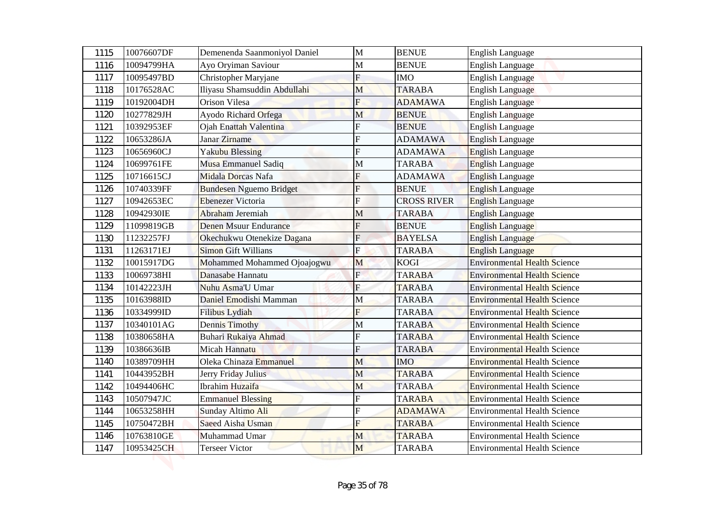| 1115 | 10076607DF | Demenenda Saanmoniyol Daniel   | $\mathbf{M}$              | <b>BENUE</b>       | <b>English Language</b>             |
|------|------------|--------------------------------|---------------------------|--------------------|-------------------------------------|
| 1116 | 10094799HA | Ayo Oryiman Saviour            | M                         | <b>BENUE</b>       | <b>English Language</b>             |
| 1117 | 10095497BD | Christopher Maryjane           | $\mathbf F$               | <b>IMO</b>         | <b>English Language</b>             |
| 1118 | 10176528AC | Iliyasu Shamsuddin Abdullahi   | M                         | <b>TARABA</b>      | <b>English Language</b>             |
| 1119 | 10192004DH | Orison Vilesa                  | F                         | <b>ADAMAWA</b>     | <b>English Language</b>             |
| 1120 | 10277829JH | Ayodo Richard Orfega           | M                         | <b>BENUE</b>       | English Language                    |
| 1121 | 10392953EF | Ojah Enattah Valentina         | F                         | <b>BENUE</b>       | <b>English Language</b>             |
| 1122 | 10653286JA | Janar Zirname                  | F                         | <b>ADAMAWA</b>     | <b>English Language</b>             |
| 1123 | 10656960CJ | <b>Yakubu Blessing</b>         | F                         | <b>ADAMAWA</b>     | English Language                    |
| 1124 | 10699761FE | Musa Emmanuel Sadiq            | M                         | <b>TARABA</b>      | English Language                    |
| 1125 | 10716615CJ | Midala Dorcas Nafa             | F                         | <b>ADAMAWA</b>     | <b>English Language</b>             |
| 1126 | 10740339FF | <b>Bundesen Nguemo Bridget</b> | F                         | <b>BENUE</b>       | <b>English Language</b>             |
| 1127 | 10942653EC | <b>Ebenezer</b> Victoria       | F                         | <b>CROSS RIVER</b> | <b>English Language</b>             |
| 1128 | 10942930IE | Abraham Jeremiah               | М                         | <b>TARABA</b>      | <b>English Language</b>             |
| 1129 | 11099819GB | <b>Denen Msuur Endurance</b>   | F                         | <b>BENUE</b>       | <b>English Language</b>             |
| 1130 | 11232257FJ | Okechukwu Otenekize Dagana     | $\mathbf F$               | <b>BAYELSA</b>     | <b>English Language</b>             |
| 1131 | 11263171EJ | <b>Simon Gift Willians</b>     | F                         | <b>TARABA</b>      | <b>English Language</b>             |
| 1132 | 10015917DG | Mohammed Mohammed Ojoajogwu    | M                         | <b>KOGI</b>        | <b>Environmental Health Science</b> |
| 1133 | 10069738HI | Danasabe Hannatu               | $\mathbf{E}$              | <b>TARABA</b>      | <b>Environmental Health Science</b> |
| 1134 | 10142223JH | Nuhu Asma'U Umar               | $\boldsymbol{\mathrm{F}}$ | <b>TARABA</b>      | <b>Environmental Health Science</b> |
| 1135 | 10163988ID | Daniel Emodishi Mamman         | M                         | <b>TARABA</b>      | <b>Environmental Health Science</b> |
| 1136 | 10334999ID | Filibus Lydiah                 | F                         | <b>TARABA</b>      | <b>Environmental Health Science</b> |
| 1137 | 10340101AG | <b>Dennis Timothy</b>          | M                         | <b>TARABA</b>      | <b>Environmental Health Science</b> |
| 1138 | 10380658HA | Buhari Rukaiya Ahmad           | F                         | <b>TARABA</b>      | <b>Environmental Health Science</b> |
| 1139 | 10386636IB | Micah Hannatu                  | F                         | <b>TARABA</b>      | <b>Environmental Health Science</b> |
| 1140 | 10389709HH | Oleka Chinaza Emmanuel         | M                         | <b>IMO</b>         | <b>Environmental Health Science</b> |
| 1141 | 10443952BH | Jerry Friday Julius            | M                         | <b>TARABA</b>      | <b>Environmental Health Science</b> |
| 1142 | 10494406HC | Ibrahim Huzaifa                | M                         | <b>TARABA</b>      | <b>Environmental Health Science</b> |
| 1143 | 10507947JC | <b>Emmanuel Blessing</b>       | F                         | <b>TARABA</b>      | <b>Environmental Health Science</b> |
| 1144 | 10653258HH | Sunday Altimo Ali              | F                         | <b>ADAMAWA</b>     | <b>Environmental Health Science</b> |
| 1145 | 10750472BH | Saeed Aisha Usman              | F                         | <b>TARABA</b>      | <b>Environmental Health Science</b> |
| 1146 | 10763810GE | Muhammad Umar                  | M                         | <b>TARABA</b>      | <b>Environmental Health Science</b> |
| 1147 | 10953425CH | <b>Terseer Victor</b>          | M                         | <b>TARABA</b>      | <b>Environmental Health Science</b> |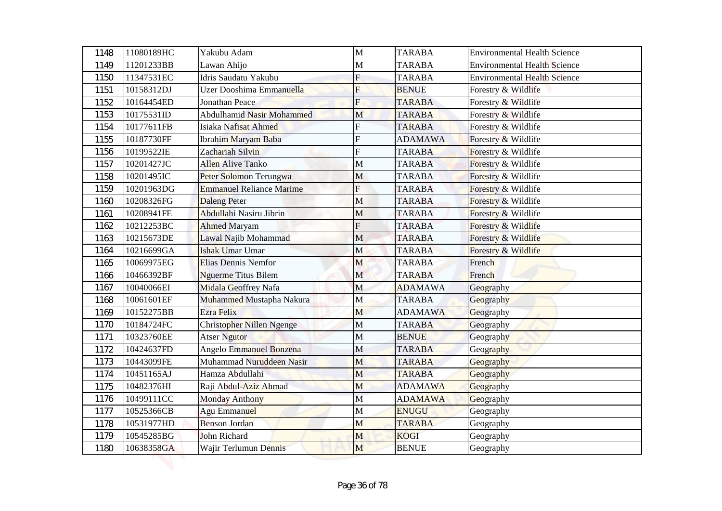| 1148 | 11080189HC | Yakubu Adam                      | $\mathbf{M}$   | <b>TARABA</b>  | <b>Environmental Health Science</b> |
|------|------------|----------------------------------|----------------|----------------|-------------------------------------|
| 1149 | 11201233BB | Lawan Ahijo                      | M              | <b>TARABA</b>  | <b>Environmental Health Science</b> |
| 1150 | 11347531EC | Idris Saudatu Yakubu             | $\overline{F}$ | <b>TARABA</b>  | <b>Environmental Health Science</b> |
| 1151 | 10158312DJ | Uzer Dooshima Emmanuella         | F              | <b>BENUE</b>   | Forestry & Wildlife                 |
| 1152 | 10164454ED | <b>Jonathan Peace</b>            | F              | <b>TARABA</b>  | Forestry & Wildlife                 |
| 1153 | 10175531ID | <b>Abdulhamid Nasir Mohammed</b> | M              | <b>TARABA</b>  | Forestry & Wildlife                 |
| 1154 | 10177611FB | Isiaka Nafisat Ahmed             | F              | <b>TARABA</b>  | Forestry & Wildlife                 |
| 1155 | 10187730FF | Ibrahim Maryam Baba              | F              | <b>ADAMAWA</b> | Forestry & Wildlife                 |
| 1156 | 10199522IE | Zachariah Silvin                 | F              | <b>TARABA</b>  | Forestry & Wildlife                 |
| 1157 | 10201427JC | Allen Alive Tanko                | M              | <b>TARABA</b>  | Forestry & Wildlife                 |
| 1158 | 10201495IC | Peter Solomon Terungwa           | M              | <b>TARABA</b>  | Forestry & Wildlife                 |
| 1159 | 10201963DG | <b>Emmanuel Reliance Marime</b>  | F              | <b>TARABA</b>  | Forestry & Wildlife                 |
| 1160 | 10208326FG | <b>Daleng Peter</b>              | M              | <b>TARABA</b>  | Forestry & Wildlife                 |
| 1161 | 10208941FE | Abdullahi Nasiru Jibrin          | М              | <b>TARABA</b>  | Forestry & Wildlife                 |
| 1162 | 10212253BC | <b>Ahmed Maryam</b>              | F              | <b>TARABA</b>  | Forestry & Wildlife                 |
| 1163 | 10215673DE | Lawal Najib Mohammad             | $\mathbf M$    | <b>TARABA</b>  | Forestry & Wildlife                 |
| 1164 | 10216699GA | <b>Ishak Umar Umar</b>           | M              | <b>TARABA</b>  | <b>Forestry &amp; Wildlife</b>      |
| 1165 | 10069975EG | Elias Dennis Nemfor              | M              | <b>TARABA</b>  | French                              |
| 1166 | 10466392BF | <b>Nguerme Titus Bilem</b>       | $\mathbf M$    | <b>TARABA</b>  | French                              |
| 1167 | 10040066EI | Midala Geoffrey Nafa             | M              | <b>ADAMAWA</b> | Geography                           |
| 1168 | 10061601EF | Muhammed Mustapha Nakura         | M              | <b>TARABA</b>  | Geography                           |
| 1169 | 10152275BB | Ezra Felix                       | M              | <b>ADAMAWA</b> | Geography                           |
| 1170 | 10184724FC | <b>Christopher Nillen Ngenge</b> | M              | <b>TARABA</b>  | Geography                           |
| 1171 | 10323760EE | <b>Atser Ngutor</b>              | M              | <b>BENUE</b>   | Geography                           |
| 1172 | 10424637FD | Angelo Emmanuel Bonzena          | M              | <b>TARABA</b>  | Geography                           |
| 1173 | 10443099FE | Muhammad Nuruddeen Nasir         | M              | <b>TARABA</b>  | Geography                           |
| 1174 | 10451165AJ | Hamza Abdullahi                  | M              | <b>TARABA</b>  | Geography                           |
| 1175 | 10482376HI | Raji Abdul-Aziz Ahmad            | M              | <b>ADAMAWA</b> | Geography                           |
| 1176 | 10499111CC | <b>Monday Anthony</b>            | M              | <b>ADAMAWA</b> | Geography                           |
| 1177 | 10525366CB | Agu Emmanuel                     | M              | <b>ENUGU</b>   | Geography                           |
| 1178 | 10531977HD | <b>Benson Jordan</b>             | M              | <b>TARABA</b>  | Geography                           |
| 1179 | 10545285BG | John Richard                     | M              | <b>KOGI</b>    | Geography                           |
| 1180 | 10638358GA | Wajir Terlumun Dennis            | M              | <b>BENUE</b>   | Geography                           |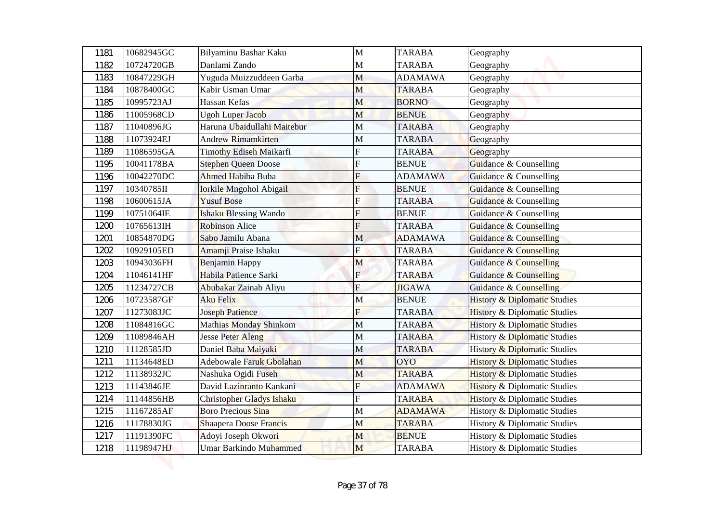| 1181 | 10682945GC | Bilyaminu Bashar Kaku         | $\mathbf{M}$              | <b>TARABA</b>  | Geography                               |
|------|------------|-------------------------------|---------------------------|----------------|-----------------------------------------|
| 1182 | 10724720GB | Danlami Zando                 | M                         | <b>TARABA</b>  | Geography                               |
| 1183 | 10847229GH | Yuguda Muizzuddeen Garba      | M                         | <b>ADAMAWA</b> | Geography                               |
| 1184 | 10878400GC | Kabir Usman Umar              | M                         | <b>TARABA</b>  | Geography                               |
| 1185 | 10995723AJ | Hassan Kefas                  | M                         | <b>BORNO</b>   | Geography                               |
| 1186 | 11005968CD | <b>Ugoh Luper Jacob</b>       | M                         | <b>BENUE</b>   | Geography                               |
| 1187 | 11040896JG | Haruna Ubaidullahi Maitebur   | М                         | <b>TARABA</b>  | Geography                               |
| 1188 | 11073924EJ | Andrew Rimamkirten            | M                         | <b>TARABA</b>  | Geography                               |
| 1189 | 11086595GA | Timothy Ediseh Maikarfi       | F                         | <b>TARABA</b>  | Geography                               |
| 1195 | 10041178BA | <b>Stephen Queen Doose</b>    | F                         | <b>BENUE</b>   | Guidance & Counselling                  |
| 1196 | 10042270DC | <b>Ahmed Habiba Buba</b>      | F                         | <b>ADAMAWA</b> | Guidance & Counselling                  |
| 1197 | 10340785II | Iorkile Mngohol Abigail       | F                         | <b>BENUE</b>   | <b>Guidance &amp; Counselling</b>       |
| 1198 | 10600615JA | <b>Yusuf Bose</b>             | F                         | <b>TARABA</b>  | Guidance & Counselling                  |
| 1199 | 10751064IE | <b>Ishaku Blessing Wando</b>  | F                         | <b>BENUE</b>   | Guidance & Counselling                  |
| 1200 | 10765613IH | <b>Robinson Alice</b>         | F                         | <b>TARABA</b>  | Guidance & Counselling                  |
| 1201 | 10854870DG | Sabo Jamilu Abana             | M                         | <b>ADAMAWA</b> | <b>Guidance &amp; Counselling</b>       |
| 1202 | 10929105ED | Amamji Praise Ishaku          | Ė                         | <b>TARABA</b>  | <b>Guidance &amp; Counselling</b>       |
| 1203 | 10943036FH | Benjamin Happy                | M                         | <b>TARABA</b>  | <b>Guidance &amp; Counselling</b>       |
| 1204 | 11046141HF | Habila Patience Sarki         | $\mathbf{E}$              | <b>TARABA</b>  | Guidance & Counselling                  |
| 1205 | 11234727CB | Abubakar Zainab Aliyu         | $\boldsymbol{\mathrm{F}}$ | <b>JIGAWA</b>  | <b>Guidance &amp; Counselling</b>       |
| 1206 | 10723587GF | <b>Aku Felix</b>              | M                         | <b>BENUE</b>   | <b>History &amp; Diplomatic Studies</b> |
| 1207 | 11273083JC | <b>Joseph Patience</b>        | F                         | <b>TARABA</b>  | <b>History &amp; Diplomatic Studies</b> |
| 1208 | 11084816GC | Mathias Monday Shinkom        | $\mathbf M$               | <b>TARABA</b>  | <b>History &amp; Diplomatic Studies</b> |
| 1209 | 11089846AH | <b>Jesse Peter Aleng</b>      | M                         | <b>TARABA</b>  | <b>History &amp; Diplomatic Studies</b> |
| 1210 | 11128585JD | Daniel Baba Maiyaki           | M                         | <b>TARABA</b>  | <b>History &amp; Diplomatic Studies</b> |
| 1211 | 11134648ED | Adebowale Faruk Gbolahan      | M                         | <b>OYO</b>     | <b>History &amp; Diplomatic Studies</b> |
| 1212 | 11138932JC | Nashuka Ogidi Fuseh           | M                         | <b>TARABA</b>  | <b>History &amp; Diplomatic Studies</b> |
| 1213 | 11143846JE | David Lazinranto Kankani      | F                         | <b>ADAMAWA</b> | <b>History &amp; Diplomatic Studies</b> |
| 1214 | 11144856HB | Christopher Gladys Ishaku     | F                         | <b>TARABA</b>  | <b>History &amp; Diplomatic Studies</b> |
| 1215 | 11167285AF | <b>Boro Precious Sina</b>     | M                         | <b>ADAMAWA</b> | History & Diplomatic Studies            |
| 1216 | 11178830JG | <b>Shaapera Doose Francis</b> | M                         | <b>TARABA</b>  | History & Diplomatic Studies            |
| 1217 | 11191390FC | Adoyi Joseph Okwori           | M                         | <b>BENUE</b>   | History & Diplomatic Studies            |
| 1218 | 11198947HJ | Umar Barkindo Muhammed        | M                         | <b>TARABA</b>  | History & Diplomatic Studies            |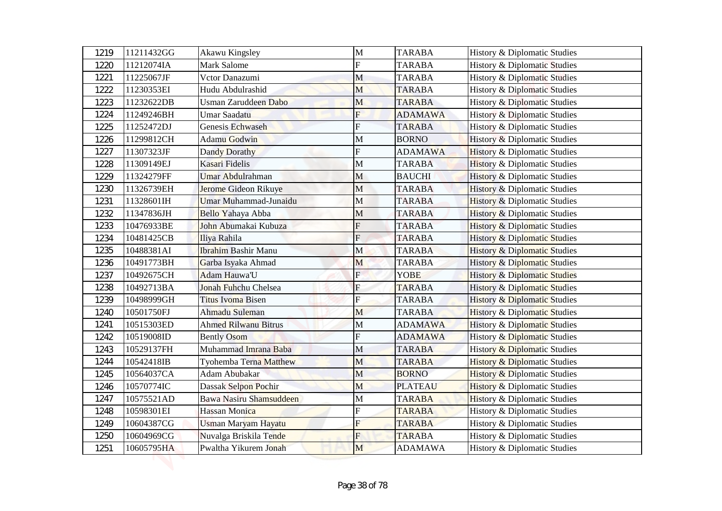| 1219 | 11211432GG | Akawu Kingsley             | $\mathbf{M}$              | <b>TARABA</b>  | History & Diplomatic Studies            |
|------|------------|----------------------------|---------------------------|----------------|-----------------------------------------|
| 1220 | 11212074IA | Mark Salome                | F                         | <b>TARABA</b>  | History & Diplomatic Studies            |
| 1221 | 11225067JF | Vctor Danazumi             | M                         | <b>TARABA</b>  | <b>History &amp; Diplomatic Studies</b> |
| 1222 | 11230353EI | Hudu Abdulrashid           | M                         | <b>TARABA</b>  | <b>History &amp; Diplomatic Studies</b> |
| 1223 | 11232622DB | Usman Zaruddeen Dabo       | M                         | <b>TARABA</b>  | <b>History &amp; Diplomatic Studies</b> |
| 1224 | 11249246BH | <b>Umar Saadatu</b>        | $\overline{\mathrm{F}}$   | <b>ADAMAWA</b> | <b>History &amp; Diplomatic Studies</b> |
| 1225 | 11252472DJ | Genesis Echwaseh           | Ė                         | <b>TARABA</b>  | History & Diplomatic Studies            |
| 1226 | 11299812CH | <b>Adamu Godwin</b>        | $\mathbf M$               | <b>BORNO</b>   | History & Diplomatic Studies            |
| 1227 | 11307323JF | <b>Dandy Dorathy</b>       | F                         | <b>ADAMAWA</b> | <b>History &amp; Diplomatic Studies</b> |
| 1228 | 11309149EJ | Kasari Fidelis             | M                         | <b>TARABA</b>  | <b>History &amp; Diplomatic Studies</b> |
| 1229 | 11324279FF | Umar Abdulrahman           | M                         | <b>BAUCHI</b>  | <b>History &amp; Diplomatic Studies</b> |
| 1230 | 11326739EH | Jerome Gideon Rikuye       | M                         | <b>TARABA</b>  | <b>History &amp; Diplomatic Studies</b> |
| 1231 | 11328601IH | Umar Muhammad-Junaidu      | M                         | <b>TARABA</b>  | <b>History &amp; Diplomatic Studies</b> |
| 1232 | 11347836JH | Bello Yahaya Abba          | М                         | <b>TARABA</b>  | <b>History &amp; Diplomatic Studies</b> |
| 1233 | 10476933BE | John Abumakai Kubuza       | F                         | <b>TARABA</b>  | <b>History &amp; Diplomatic Studies</b> |
| 1234 | 10481425CB | Iliya Rahila               | $\mathbf F$               | <b>TARABA</b>  | <b>History &amp; Diplomatic Studies</b> |
| 1235 | 10488381AI | <b>Ibrahim Bashir Manu</b> | M                         | <b>TARABA</b>  | <b>History &amp; Diplomatic Studies</b> |
| 1236 | 10491773BH | Garba Isyaka Ahmad         | M                         | <b>TARABA</b>  | <b>History &amp; Diplomatic Studies</b> |
| 1237 | 10492675CH | Adam Hauwa'U               | $\mathbf{E}$              | <b>YOBE</b>    | <b>History &amp; Diplomatic Studies</b> |
| 1238 | 10492713BA | Jonah Fuhchu Chelsea       | $\boldsymbol{\mathrm{F}}$ | <b>TARABA</b>  | <b>History &amp; Diplomatic Studies</b> |
| 1239 | 10498999GH | <b>Titus Ivoma Bisen</b>   | $\mathbf F$               | <b>TARABA</b>  | <b>History &amp; Diplomatic Studies</b> |
| 1240 | 10501750FJ | Ahmadu Suleman             | M                         | <b>TARABA</b>  | <b>History &amp; Diplomatic Studies</b> |
| 1241 | 10515303ED | Ahmed Rilwanu Bitrus       | M                         | <b>ADAMAWA</b> | <b>History &amp; Diplomatic Studies</b> |
| 1242 | 10519008ID | <b>Bently Osom</b>         | F                         | <b>ADAMAWA</b> | History & Diplomatic Studies            |
| 1243 | 10529137FH | Muhammad Imrana Baba       | M                         | <b>TARABA</b>  | History & Diplomatic Studies            |
| 1244 | 10542418IB | Tyohemba Terna Matthew     | M                         | <b>TARABA</b>  | <b>History &amp; Diplomatic Studies</b> |
| 1245 | 10564037CA | Adam Abubakar              | M                         | <b>BORNO</b>   | <b>History &amp; Diplomatic Studies</b> |
| 1246 | 10570774IC | Dassak Selpon Pochir       | M                         | <b>PLATEAU</b> | <b>History &amp; Diplomatic Studies</b> |
| 1247 | 10575521AD | Bawa Nasiru Shamsuddeen    | М                         | <b>TARABA</b>  | <b>History &amp; Diplomatic Studies</b> |
| 1248 | 10598301EI | Hassan Monica              | F                         | <b>TARABA</b>  | History & Diplomatic Studies            |
| 1249 | 10604387CG | Usman Maryam Hayatu        | F                         | <b>TARABA</b>  | History & Diplomatic Studies            |
| 1250 | 10604969CG | Nuvalga Briskila Tende     | F                         | <b>TARABA</b>  | History & Diplomatic Studies            |
| 1251 | 10605795HA | Pwaltha Yikurem Jonah      | M                         | <b>ADAMAWA</b> | History & Diplomatic Studies            |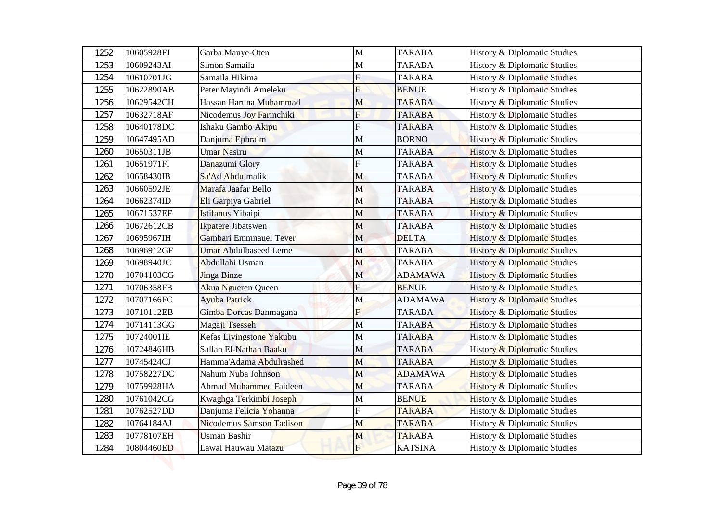| 1252 | 10605928FJ | Garba Manye-Oten                  | $\mathbf{M}$              | <b>TARABA</b>  | History & Diplomatic Studies            |
|------|------------|-----------------------------------|---------------------------|----------------|-----------------------------------------|
| 1253 | 10609243AI | Simon Samaila                     | M                         | <b>TARABA</b>  | History & Diplomatic Studies            |
| 1254 | 10610701JG | Samaila Hikima                    | $\mathbf F$               | <b>TARABA</b>  | <b>History &amp; Diplomatic Studies</b> |
| 1255 | 10622890AB | Peter Mayindi Ameleku             | F                         | <b>BENUE</b>   | <b>History &amp; Diplomatic Studies</b> |
| 1256 | 10629542CH | Hassan Haruna Muhammad            | M                         | <b>TARABA</b>  | <b>History &amp; Diplomatic Studies</b> |
| 1257 | 10632718AF | Nicodemus Joy Farinchiki          | F                         | <b>TARABA</b>  | <b>History &amp; Diplomatic Studies</b> |
| 1258 | 10640178DC | Ishaku Gambo Akipu                | F                         | <b>TARABA</b>  | History & Diplomatic Studies            |
| 1259 | 10647495AD | Danjuma Ephraim                   | $\mathbf M$               | <b>BORNO</b>   | History & Diplomatic Studies            |
| 1260 | 10650311JB | <b>Umar Nasiru</b>                | М                         | <b>TARABA</b>  | <b>History &amp; Diplomatic Studies</b> |
| 1261 | 10651971FI | Danazumi Glory                    | F                         | <b>TARABA</b>  | <b>History &amp; Diplomatic Studies</b> |
| 1262 | 10658430IB | Sa'Ad Abdulmalik                  | M                         | <b>TARABA</b>  | <b>History &amp; Diplomatic Studies</b> |
| 1263 | 10660592JE | Marafa Jaafar Bello               | M                         | <b>TARABA</b>  | <b>History &amp; Diplomatic Studies</b> |
| 1264 | 10662374ID | Eli Garpiya Gabriel               | M                         | <b>TARABA</b>  | <b>History &amp; Diplomatic Studies</b> |
| 1265 | 10671537EF | Istifanus Yibaipi                 | M                         | <b>TARABA</b>  | <b>History &amp; Diplomatic Studies</b> |
| 1266 | 10672612CB | Ikpatere Jibatswen                | M                         | <b>TARABA</b>  | <b>History &amp; Diplomatic Studies</b> |
| 1267 | 10695967IH | Gambari Emmnauel Tever            | $\mathbf M$               | <b>DELTA</b>   | <b>History &amp; Diplomatic Studies</b> |
| 1268 | 10696912GF | <b>Umar Abdulbaseed Leme</b>      | M                         | <b>TARABA</b>  | <b>History &amp; Diplomatic Studies</b> |
| 1269 | 10698940JC | Abdullahi Usman                   | M                         | <b>TARABA</b>  | <b>History &amp; Diplomatic Studies</b> |
| 1270 | 10704103CG | <b>Jinga Binze</b>                | $\mathbf M$               | <b>ADAMAWA</b> | <b>History &amp; Diplomatic Studies</b> |
| 1271 | 10706358FB | <b>Akua Ngueren Queen</b>         | $\boldsymbol{\mathrm{F}}$ | <b>BENUE</b>   | <b>History &amp; Diplomatic Studies</b> |
| 1272 | 10707166FC | <b>Ayuba Patrick</b>              | M                         | <b>ADAMAWA</b> | <b>History &amp; Diplomatic Studies</b> |
| 1273 | 10710112EB | Gimba Dorcas Danmagana            | F                         | <b>TARABA</b>  | <b>History &amp; Diplomatic Studies</b> |
| 1274 | 10714113GG | Magaji Tsesseh                    | M                         | <b>TARABA</b>  | <b>History &amp; Diplomatic Studies</b> |
| 1275 | 10724001IE | Kefas Livingstone Yakubu          | M                         | <b>TARABA</b>  | <b>History &amp; Diplomatic Studies</b> |
| 1276 | 10724846HB | Sallah El-Nathan Baaku            | M                         | <b>TARABA</b>  | History & Diplomatic Studies            |
| 1277 | 10745424CJ | Hamma'Adama Abdulrashed           | M                         | <b>TARABA</b>  | <b>History &amp; Diplomatic Studies</b> |
| 1278 | 10758227DC | Nahum Nuba Johnson                | M                         | <b>ADAMAWA</b> | <b>History &amp; Diplomatic Studies</b> |
| 1279 | 10759928HA | Ahmad Muhammed Faideen            | M                         | <b>TARABA</b>  | <b>History &amp; Diplomatic Studies</b> |
| 1280 | 10761042CG | Kwaghga Terkimbi Joseph           | М                         | <b>BENUE</b>   | <b>History &amp; Diplomatic Studies</b> |
| 1281 | 10762527DD | Danjuma Felicia Yohanna           | F                         | <b>TARABA</b>  | History & Diplomatic Studies            |
| 1282 | 10764184AJ | Nicodemus Samson Tadison          | M                         | <b>TARABA</b>  | History & Diplomatic Studies            |
| 1283 | 10778107EH | Usman Bashir                      | M                         | <b>TARABA</b>  | History & Diplomatic Studies            |
| 1284 | 10804460ED | Lawal Hauwau Mat <mark>azu</mark> | $\mathbf{F}$              | <b>KATSINA</b> | History & Diplomatic Studies            |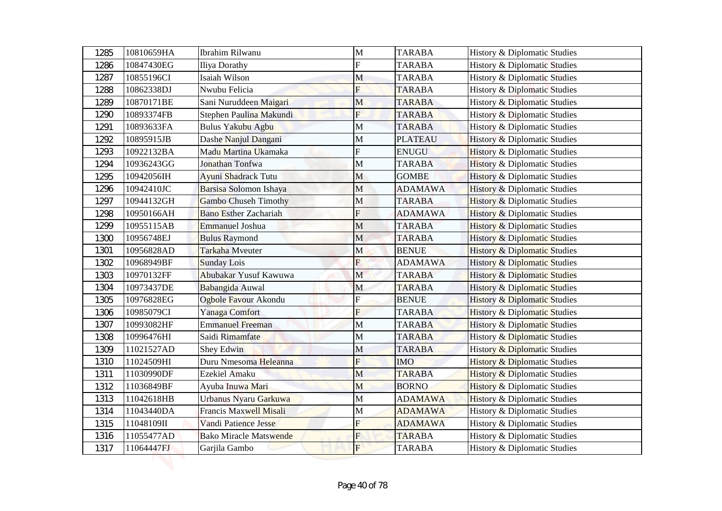| 1285 | 10810659HA | Ibrahim Rilwanu               | $\mathbf{M}$            | <b>TARABA</b>  | History & Diplomatic Studies            |
|------|------------|-------------------------------|-------------------------|----------------|-----------------------------------------|
| 1286 | 10847430EG | <b>Iliya Dorathy</b>          | F                       | <b>TARABA</b>  | History & Diplomatic Studies            |
| 1287 | 10855196CI | Isaiah Wilson                 | M                       | <b>TARABA</b>  | <b>History &amp; Diplomatic Studies</b> |
| 1288 | 10862338DJ | Nwubu Felicia                 | F                       | <b>TARABA</b>  | <b>History &amp; Diplomatic Studies</b> |
| 1289 | 10870171BE | Sani Nuruddeen Maigari        | M                       | <b>TARABA</b>  | <b>History &amp; Diplomatic Studies</b> |
| 1290 | 10893374FB | Stephen Paulina Makundi       | F                       | <b>TARABA</b>  | History & Diplomatic Studies            |
| 1291 | 10893633FA | Bulus Yakubu Agbu             | M                       | <b>TARABA</b>  | <b>History &amp; Diplomatic Studies</b> |
| 1292 | 10895915JB | Dashe Nanjul Dangani          | $\mathbf{M}$            | <b>PLATEAU</b> | History & Diplomatic Studies            |
| 1293 | 10922132BA | Madu Martina Ukamaka          | F                       | <b>ENUGU</b>   | <b>History &amp; Diplomatic Studies</b> |
| 1294 | 10936243GG | Jonathan Tonfwa               | M                       | <b>TARABA</b>  | <b>History &amp; Diplomatic Studies</b> |
| 1295 | 10942056IH | <b>Ayuni Shadrack Tutu</b>    | M                       | <b>GOMBE</b>   | <b>History &amp; Diplomatic Studies</b> |
| 1296 | 10942410JC | Barsisa Solomon Ishaya        | M                       | <b>ADAMAWA</b> | <b>History &amp; Diplomatic Studies</b> |
| 1297 | 10944132GH | <b>Gambo Chuseh Timothy</b>   | M                       | <b>TARABA</b>  | <b>History &amp; Diplomatic Studies</b> |
| 1298 | 10950166AH | <b>Bano Esther Zachariah</b>  | F                       | <b>ADAMAWA</b> | <b>History &amp; Diplomatic Studies</b> |
| 1299 | 10955115AB | <b>Emmanuel Joshua</b>        | $\mathbf{M}$            | <b>TARABA</b>  | <b>History &amp; Diplomatic Studies</b> |
| 1300 | 10956748EJ | <b>Bulus Raymond</b>          | M                       | <b>TARABA</b>  | <b>History &amp; Diplomatic Studies</b> |
| 1301 | 10956828AD | Tarkaha Mveuter               | M                       | <b>BENUE</b>   | <b>History &amp; Diplomatic Studies</b> |
| 1302 | 10968949BF | <b>Sunday Lois</b>            | $\overline{F}$          | <b>ADAMAWA</b> | <b>History &amp; Diplomatic Studies</b> |
| 1303 | 10970132FF | Abubakar Yusuf Kawuwa         | $\mathbf{M}$            | <b>TARABA</b>  | <b>History &amp; Diplomatic Studies</b> |
| 1304 | 10973437DE | Babangida Auwal               | M                       | <b>TARABA</b>  | <b>History &amp; Diplomatic Studies</b> |
| 1305 | 10976828EG | Ogbole Favour Akondu          | $\overline{\mathrm{F}}$ | <b>BENUE</b>   | <b>History &amp; Diplomatic Studies</b> |
| 1306 | 10985079CI | Yanaga Comfort                | $\overline{F}$          | <b>TARABA</b>  | <b>History &amp; Diplomatic Studies</b> |
| 1307 | 10993082HF | <b>Emmanuel Freeman</b>       | M                       | <b>TARABA</b>  | <b>History &amp; Diplomatic Studies</b> |
| 1308 | 10996476HI | Saidi Rimamfate               | $\mathbf M$             | <b>TARABA</b>  | <b>History &amp; Diplomatic Studies</b> |
| 1309 | 11021527AD | Shey Edwin                    | $\mathbf M$             | <b>TARABA</b>  | History & Diplomatic Studies            |
| 1310 | 11024509HI | Duru Nmesoma Heleanna         | $\overline{F}$          | <b>IMO</b>     | <b>History &amp; Diplomatic Studies</b> |
| 1311 | 11030990DF | Ezekiel Amaku                 | M                       | <b>TARABA</b>  | <b>History &amp; Diplomatic Studies</b> |
| 1312 | 11036849BF | Ayuba Inuwa Mari              | M                       | <b>BORNO</b>   | <b>History &amp; Diplomatic Studies</b> |
| 1313 | 11042618HB | Urbanus Nyaru Garkuwa         | M                       | <b>ADAMAWA</b> | <b>History &amp; Diplomatic Studies</b> |
| 1314 | 11043440DA | Francis Maxwell Misali        | M                       | <b>ADAMAWA</b> | History & Diplomatic Studies            |
| 1315 | 11048109II | Vandi Patience Jesse          | F                       | <b>ADAMAWA</b> | History & Diplomatic Studies            |
| 1316 | 11055477AD | <b>Bako Miracle Matswende</b> | $\overline{F}$          | <b>TARABA</b>  | History & Diplomatic Studies            |
| 1317 | 11064447FJ | Garjila Gambo                 | F                       | TARABA         | History & Diplomatic Studies            |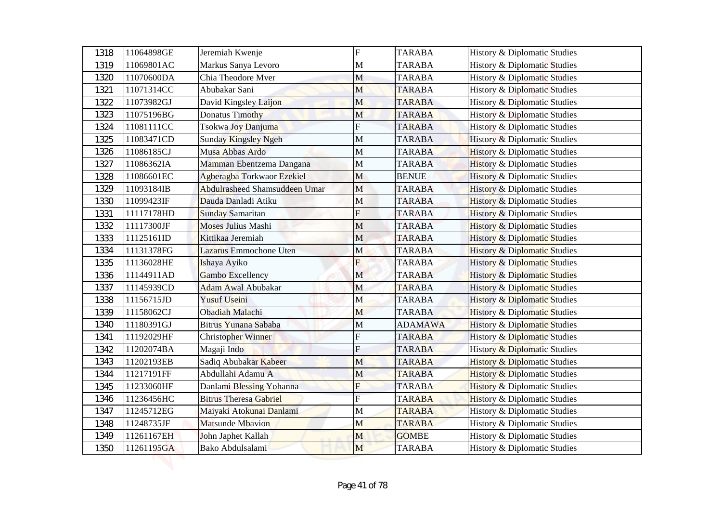| 1318 | 11064898GE | Jeremiah Kwenje                      | ${\rm F}$    | <b>TARABA</b>  | History & Diplomatic Studies            |
|------|------------|--------------------------------------|--------------|----------------|-----------------------------------------|
| 1319 | 11069801AC | Markus Sanya Levoro                  | $\mathbf{M}$ | <b>TARABA</b>  | History & Diplomatic Studies            |
| 1320 | 11070600DA | Chia Theodore Mver                   | M            | <b>TARABA</b>  | <b>History &amp; Diplomatic Studies</b> |
| 1321 | 11071314CC | Abubakar Sani                        | M            | <b>TARABA</b>  | <b>History &amp; Diplomatic Studies</b> |
| 1322 | 11073982GJ | David Kingsley Laijon                | M            | <b>TARABA</b>  | <b>History &amp; Diplomatic Studies</b> |
| 1323 | 11075196BG | Donatus Timothy                      | M            | <b>TARABA</b>  | <b>History &amp; Diplomatic Studies</b> |
| 1324 | 11081111CC | Tsokwa Joy Danjuma                   | F            | <b>TARABA</b>  | History & Diplomatic Studies            |
| 1325 | 11083471CD | <b>Sunday Kingsley Ngeh</b>          | $\mathbf M$  | <b>TARABA</b>  | History & Diplomatic Studies            |
| 1326 | 11086185CJ | Musa Abbas Ardo                      | M            | <b>TARABA</b>  | <b>History &amp; Diplomatic Studies</b> |
| 1327 | 11086362IA | Mamman Ebentzema Dangana             | M            | <b>TARABA</b>  | <b>History &amp; Diplomatic Studies</b> |
| 1328 | 11086601EC | Agberagba Torkwaor Ezekiel           | M            | <b>BENUE</b>   | <b>History &amp; Diplomatic Studies</b> |
| 1329 | 11093184IB | <b>Abdulrasheed Shamsuddeen Umar</b> | M            | <b>TARABA</b>  | <b>History &amp; Diplomatic Studies</b> |
| 1330 | 11099423IF | Dauda Danladi Atiku                  | M            | <b>TARABA</b>  | <b>History &amp; Diplomatic Studies</b> |
| 1331 | 11117178HD | <b>Sunday Samaritan</b>              | F            | <b>TARABA</b>  | <b>History &amp; Diplomatic Studies</b> |
| 1332 | 11117300JF | <b>Moses Julius Mashi</b>            | M            | <b>TARABA</b>  | <b>History &amp; Diplomatic Studies</b> |
| 1333 | 11125161ID | Kittikaa Jeremiah                    | $\mathbf M$  | <b>TARABA</b>  | <b>History &amp; Diplomatic Studies</b> |
| 1334 | 11131378FG | Lazarus Emmochone Uten               | M            | <b>TARABA</b>  | <b>History &amp; Diplomatic Studies</b> |
| 1335 | 11136028HE | Ishaya Ayiko                         | F            | <b>TARABA</b>  | <b>History &amp; Diplomatic Studies</b> |
| 1336 | 11144911AD | Gambo Excellency                     | $\mathbf M$  | <b>TARABA</b>  | <b>History &amp; Diplomatic Studies</b> |
| 1337 | 11145939CD | <b>Adam Awal Abubakar</b>            | M            | <b>TARABA</b>  | <b>History &amp; Diplomatic Studies</b> |
| 1338 | 11156715JD | <b>Yusuf Useini</b>                  | M            | <b>TARABA</b>  | <b>History &amp; Diplomatic Studies</b> |
| 1339 | 11158062CJ | Obadiah Malachi                      | M            | <b>TARABA</b>  | <b>History &amp; Diplomatic Studies</b> |
| 1340 | 11180391GJ | Bitrus Yunana Sababa                 | $\mathbf M$  | <b>ADAMAWA</b> | <b>History &amp; Diplomatic Studies</b> |
| 1341 | 11192029HF | Christopher Winner                   | F            | <b>TARABA</b>  | <b>History &amp; Diplomatic Studies</b> |
| 1342 | 11202074BA | Magaji Indo                          | F            | <b>TARABA</b>  | History & Diplomatic Studies            |
| 1343 | 11202193EB | Sadiq Abubakar Kabeer                | M            | <b>TARABA</b>  | <b>History &amp; Diplomatic Studies</b> |
| 1344 | 11217191FF | Abdullahi Adamu A                    | M            | <b>TARABA</b>  | <b>History &amp; Diplomatic Studies</b> |
| 1345 | 11233060HF | Danlami Blessing Yohanna             | F            | <b>TARABA</b>  | <b>History &amp; Diplomatic Studies</b> |
| 1346 | 11236456HC | <b>Bitrus Theresa Gabriel</b>        | F            | <b>TARABA</b>  | <b>History &amp; Diplomatic Studies</b> |
| 1347 | 11245712EG | Maiyaki Atokunai Danlami             | M            | <b>TARABA</b>  | History & Diplomatic Studies            |
| 1348 | 11248735JF | Matsunde Mbavion                     | M            | <b>TARABA</b>  | History & Diplomatic Studies            |
| 1349 | 11261167EH | John Japhet Kallah                   | M            | <b>GOMBE</b>   | History & Diplomatic Studies            |
| 1350 | 11261195GA | Bako Abdulsalami                     | M            | <b>TARABA</b>  | History & Diplomatic Studies            |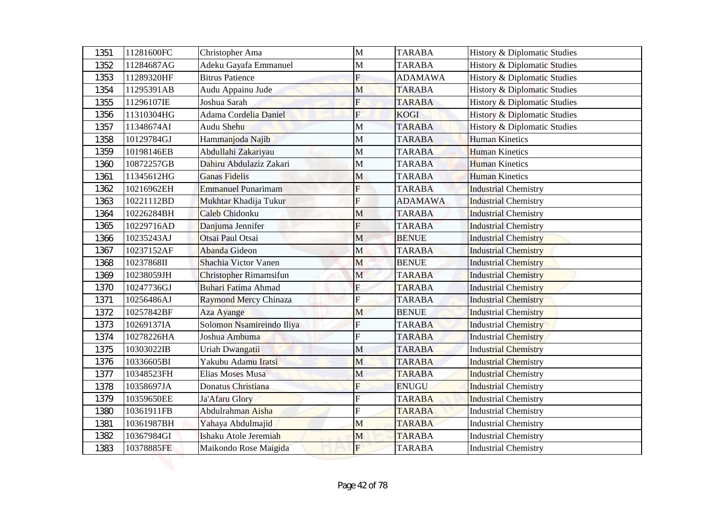| 1351 | 11281600FC | Christopher Ama               | $\mathbf{M}$              | <b>TARABA</b>  | History & Diplomatic Studies            |
|------|------------|-------------------------------|---------------------------|----------------|-----------------------------------------|
| 1352 | 11284687AG | Adeku Gayafa Emmanuel         | М                         | <b>TARABA</b>  | History & Diplomatic Studies            |
| 1353 | 11289320HF | <b>Bitrus Patience</b>        | F                         | <b>ADAMAWA</b> | <b>History &amp; Diplomatic Studies</b> |
| 1354 | 11295391AB | Audu Appainu Jude             | M                         | <b>TARABA</b>  | <b>History &amp; Diplomatic Studies</b> |
| 1355 | 11296107IE | Joshua Sarah                  | F                         | <b>TARABA</b>  | History & Diplomatic Studies            |
| 1356 | 11310304HG | Adama Cordelia Daniel         | F                         | <b>KOGI</b>    | <b>History &amp; Diplomatic Studies</b> |
| 1357 | 11348674AI | Audu Shehu                    | M                         | <b>TARABA</b>  | History & Diplomatic Studies            |
| 1358 | 10129784GJ | Hammanjoda Najib              | $\mathbf{M}$              | <b>TARABA</b>  | <b>Human Kinetics</b>                   |
| 1359 | 10198146EB | Abdullahi Zakariyau           | M                         | <b>TARABA</b>  | <b>Human Kinetics</b>                   |
| 1360 | 10872257GB | Dahiru Abdulaziz Zakari       | M                         | <b>TARABA</b>  | <b>Human Kinetics</b>                   |
| 1361 | 11345612HG | <b>Ganas Fidelis</b>          | M                         | <b>TARABA</b>  | <b>Human Kinetics</b>                   |
| 1362 | 10216962EH | <b>Emmanuel Punarimam</b>     | F                         | <b>TARABA</b>  | <b>Industrial Chemistry</b>             |
| 1363 | 10221112BD | Mukhtar Khadija Tukur         | $\overline{\mathrm{F}}$   | <b>ADAMAWA</b> | <b>Industrial Chemistry</b>             |
| 1364 | 10226284BH | Caleb Chidonku                | M                         | <b>TARABA</b>  | <b>Industrial Chemistry</b>             |
| 1365 | 10229716AD | Danjuma Jennifer              | F                         | <b>TARABA</b>  | <b>Industrial Chemistry</b>             |
| 1366 | 10235243AJ | Otsai Paul Otsai              | M                         | <b>BENUE</b>   | <b>Industrial Chemistry</b>             |
| 1367 | 10237152AF | Abanda Gideon                 | M                         | <b>TARABA</b>  | <b>Industrial Chemistry</b>             |
| 1368 | 10237868II | Shachia Victor Vanen          | M                         | <b>BENUE</b>   | <b>Industrial Chemistry</b>             |
| 1369 | 10238059JH | <b>Christopher Rimamsifun</b> | $\mathbf{M}$              | <b>TARABA</b>  | <b>Industrial Chemistry</b>             |
| 1370 | 10247736GJ | <b>Buhari Fatima Ahmad</b>    | $\mathbf F$               | <b>TARABA</b>  | <b>Industrial Chemistry</b>             |
| 1371 | 10256486AJ | Raymond Mercy Chinaza         | ${\bf F}$                 | <b>TARABA</b>  | <b>Industrial Chemistry</b>             |
| 1372 | 10257842BF | <b>Aza Ayange</b>             | M                         | <b>BENUE</b>   | <b>Industrial Chemistry</b>             |
| 1373 | 10269137IA | Solomon Nsamireindo Iliya     | $\boldsymbol{\mathrm{F}}$ | <b>TARABA</b>  | <b>Industrial Chemistry</b>             |
| 1374 | 10278226HA | Joshua Ambuma                 | F                         | <b>TARABA</b>  | <b>Industrial Chemistry</b>             |
| 1375 | 10303022IB | Uriah Dwangatii               | M                         | <b>TARABA</b>  | <b>Industrial Chemistry</b>             |
| 1376 | 10336605BI | Yakubu Adamu Iratsi           | M                         | <b>TARABA</b>  | <b>Industrial Chemistry</b>             |
| 1377 | 10348523FH | Elias Moses Musa              | M                         | <b>TARABA</b>  | <b>Industrial Chemistry</b>             |
| 1378 | 10358697JA | Donatus Christiana            | F                         | <b>ENUGU</b>   | <b>Industrial Chemistry</b>             |
| 1379 | 10359650EE | Ja'Afaru Glory                | F                         | <b>TARABA</b>  | <b>Industrial Chemistry</b>             |
| 1380 | 10361911FB | Abdulrahman Aisha             | F                         | <b>TARABA</b>  | <b>Industrial Chemistry</b>             |
| 1381 | 10361987BH | Yahaya Abdulmajid             | M                         | <b>TARABA</b>  | <b>Industrial Chemistry</b>             |
| 1382 | 10367984GI | Ishaku Atole Jeremiah         | M                         | <b>TARABA</b>  | <b>Industrial Chemistry</b>             |
| 1383 | 10378885FE | Maikondo Rose Maigida         | $\overline{F}$            | TARABA         | <b>Industrial Chemistry</b>             |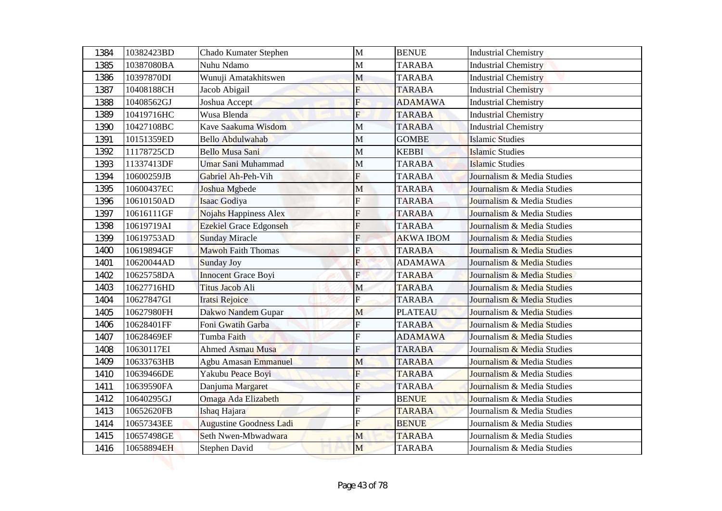| 1384 | 10382423BD | Chado Kumater Stephen          | M              | <b>BENUE</b>     | <b>Industrial Chemistry</b> |
|------|------------|--------------------------------|----------------|------------------|-----------------------------|
| 1385 | 10387080BA | Nuhu Ndamo                     | M              | <b>TARABA</b>    | <b>Industrial Chemistry</b> |
| 1386 | 10397870DI | Wunuji Amatakhitswen           | M              | <b>TARABA</b>    | <b>Industrial Chemistry</b> |
| 1387 | 10408188CH | Jacob Abigail                  | F              | <b>TARABA</b>    | <b>Industrial Chemistry</b> |
| 1388 | 10408562GJ | Joshua Accept                  | F              | <b>ADAMAWA</b>   | <b>Industrial Chemistry</b> |
| 1389 | 10419716HC | Wusa Blenda                    | F              | <b>TARABA</b>    | <b>Industrial Chemistry</b> |
| 1390 | 10427108BC | Kave Saakuma Wisdom            | M              | <b>TARABA</b>    | <b>Industrial Chemistry</b> |
| 1391 | 10151359ED | <b>Bello Abdulwahab</b>        | $\mathbf{M}$   | <b>GOMBE</b>     | <b>Islamic Studies</b>      |
| 1392 | 11178725CD | <b>Bello Musa Sani</b>         | M              | <b>KEBBI</b>     | <b>Islamic Studies</b>      |
| 1393 | 11337413DF | Umar Sani Muhammad             | M              | <b>TARABA</b>    | <b>Islamic Studies</b>      |
| 1394 | 10600259JB | Gabriel Ah-Peh-Vih             | F              | <b>TARABA</b>    | Journalism & Media Studies  |
| 1395 | 10600437EC | Joshua Mgbede                  | M              | <b>TARABA</b>    | Journalism & Media Studies  |
| 1396 | 10610150AD | Isaac Godiya                   | F              | <b>TARABA</b>    | Journalism & Media Studies  |
| 1397 | 10616111GF | Nojahs Happiness Alex          | F              | <b>TARABA</b>    | Journalism & Media Studies  |
| 1398 | 10619719AI | Ezekiel Grace Edgonseh         | F              | <b>TARABA</b>    | Journalism & Media Studies  |
| 1399 | 10619753AD | <b>Sunday Miracle</b>          | F              | <b>AKWA IBOM</b> | Journalism & Media Studies  |
| 1400 | 10619894GF | <b>Mawoh Faith Thomas</b>      | F              | <b>TARABA</b>    | Journalism & Media Studies  |
| 1401 | 10620044AD | <b>Sunday Joy</b>              | F              | <b>ADAMAWA</b>   | Journalism & Media Studies  |
| 1402 | 10625758DA | <b>Innocent Grace Boyi</b>     | $\mathbf{E}$   | <b>TARABA</b>    | Journalism & Media Studies  |
| 1403 | 10627716HD | Titus Jacob Ali                | M              | <b>TARABA</b>    | Journalism & Media Studies  |
| 1404 | 10627847GI | <b>Iratsi Rejoice</b>          | ${\bf F}$      | <b>TARABA</b>    | Journalism & Media Studies  |
| 1405 | 10627980FH | Dakwo Nandem Gupar             | M              | <b>PLATEAU</b>   | Journalism & Media Studies  |
| 1406 | 10628401FF | Foni Gwatih Garba              | $\overline{F}$ | <b>TARABA</b>    | Journalism & Media Studies  |
| 1407 | 10628469EF | Tumba Faith                    | F              | <b>ADAMAWA</b>   | Journalism & Media Studies  |
| 1408 | 10630117EI | Ahmed Asmau Musa               | F              | <b>TARABA</b>    | Journalism & Media Studies  |
| 1409 | 10633763HB | Agbu Amasan Emmanuel           | M              | <b>TARABA</b>    | Journalism & Media Studies  |
| 1410 | 10639466DE | Yakubu Peace Boyi              | F              | <b>TARABA</b>    | Journalism & Media Studies  |
| 1411 | 10639590FA | Danjuma Margaret               | F              | <b>TARABA</b>    | Journalism & Media Studies  |
| 1412 | 10640295GJ | Omaga Ada Elizabeth            |                | <b>BENUE</b>     | Journalism & Media Studies  |
| 1413 | 10652620FB | Ishaq Hajara                   | F              | <b>TARABA</b>    | Journalism & Media Studies  |
| 1414 | 10657343EE | <b>Augustine Goodness Ladi</b> | F              | <b>BENUE</b>     | Journalism & Media Studies  |
| 1415 | 10657498GE | Seth Nwen-Mbwadwara            | M              | <b>TARABA</b>    | Journalism & Media Studies  |
| 1416 | 10658894EH | Stephen David                  | M              | TARABA           | Journalism & Media Studies  |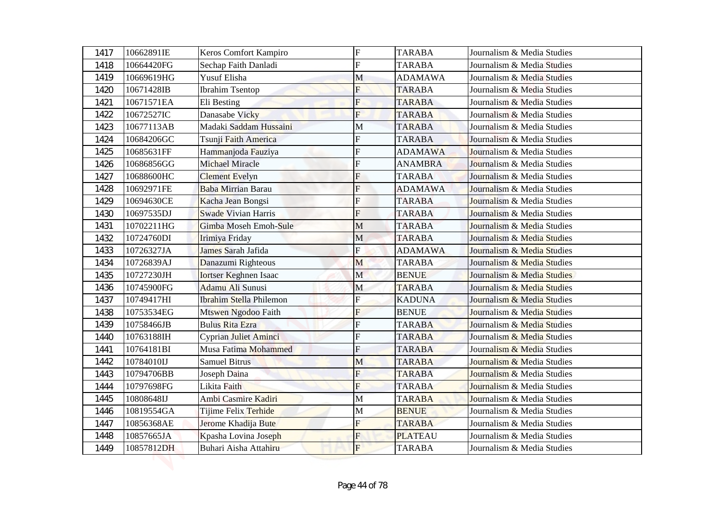| 1417 | 10662891IE | Keros Comfort Kampiro          | $\mathbf F$    | <b>TARABA</b>  | Journalism & Media Studies |
|------|------------|--------------------------------|----------------|----------------|----------------------------|
| 1418 | 10664420FG | Sechap Faith Danladi           | $\overline{F}$ | <b>TARABA</b>  | Journalism & Media Studies |
| 1419 | 10669619HG | Yusuf Elisha                   | M              | <b>ADAMAWA</b> | Journalism & Media Studies |
| 1420 | 10671428IB | <b>Ibrahim Tsentop</b>         | F              | <b>TARABA</b>  | Journalism & Media Studies |
| 1421 | 10671571EA | Eli Besting                    | F              | <b>TARABA</b>  | Journalism & Media Studies |
| 1422 | 10672527IC | Danasabe Vicky                 | F              | <b>TARABA</b>  | Journalism & Media Studies |
| 1423 | 10677113AB | Madaki Saddam Hussaini         | М              | <b>TARABA</b>  | Journalism & Media Studies |
| 1424 | 10684206GC | Tsunji Faith America           | F              | <b>TARABA</b>  | Journalism & Media Studies |
| 1425 | 10685631FF | Hammanjoda Fauziya             | F              | <b>ADAMAWA</b> | Journalism & Media Studies |
| 1426 | 10686856GG | Michael Miracle                | F              | <b>ANAMBRA</b> | Journalism & Media Studies |
| 1427 | 10688600HC | <b>Clement Evelyn</b>          | F              | <b>TARABA</b>  | Journalism & Media Studies |
| 1428 | 10692971FE | Baba Mirrian Barau             | F              | <b>ADAMAWA</b> | Journalism & Media Studies |
| 1429 | 10694630CE | Kacha Jean Bongsi              | F              | <b>TARABA</b>  | Journalism & Media Studies |
| 1430 | 10697535DJ | <b>Swade Vivian Harris</b>     | F              | <b>TARABA</b>  | Journalism & Media Studies |
| 1431 | 10702211HG | Gimba Moseh Emoh-Sule          | M              | <b>TARABA</b>  | Journalism & Media Studies |
| 1432 | 10724760DI | Irimiya Friday                 | M              | <b>TARABA</b>  | Journalism & Media Studies |
| 1433 | 10726327JA | James Sarah Jafida             | F              | <b>ADAMAWA</b> | Journalism & Media Studies |
| 1434 | 10726839AJ | Danazumi Righteous             | M              | <b>TARABA</b>  | Journalism & Media Studies |
| 1435 | 10727230JH | <b>Iortser Keghnen Isaac</b>   | $\mathbf{M}$   | <b>BENUE</b>   | Journalism & Media Studies |
| 1436 | 10745900FG | Adamu Ali Sunusi               | $\mathbf M$    | <b>TARABA</b>  | Journalism & Media Studies |
| 1437 | 10749417HI | <b>Ibrahim Stella Philemon</b> | ${\bf F}$      | <b>KADUNA</b>  | Journalism & Media Studies |
| 1438 | 10753534EG | Mtswen Ngodoo Faith            | F              | <b>BENUE</b>   | Journalism & Media Studies |
| 1439 | 10758466JB | <b>Bulus Rita Ezra</b>         | $\overline{F}$ | <b>TARABA</b>  | Journalism & Media Studies |
| 1440 | 10763188IH | Cyprian Juliet Aminci          | F              | <b>TARABA</b>  | Journalism & Media Studies |
| 1441 | 10764181BI | Musa Fatima Mohammed           | F              | <b>TARABA</b>  | Journalism & Media Studies |
| 1442 | 10784010IJ | <b>Samuel Bitrus</b>           | M              | <b>TARABA</b>  | Journalism & Media Studies |
| 1443 | 10794706BB | Joseph Daina                   | F              | <b>TARABA</b>  | Journalism & Media Studies |
| 1444 | 10797698FG | Likita Faith                   | F              | <b>TARABA</b>  | Journalism & Media Studies |
| 1445 | 10808648IJ | Ambi Casmire Kadiri            | M              | <b>TARABA</b>  | Journalism & Media Studies |
| 1446 | 10819554GA | Tijime Felix Terhide           | M              | <b>BENUE</b>   | Journalism & Media Studies |
| 1447 | 10856368AE | Jerome Khadija Bute            | F              | <b>TARABA</b>  | Journalism & Media Studies |
| 1448 | 10857665JA | Kpasha Lovina Joseph           | F              | <b>PLATEAU</b> | Journalism & Media Studies |
| 1449 | 10857812DH | Buhari Aisha Attahiru          | F              | <b>TARABA</b>  | Journalism & Media Studies |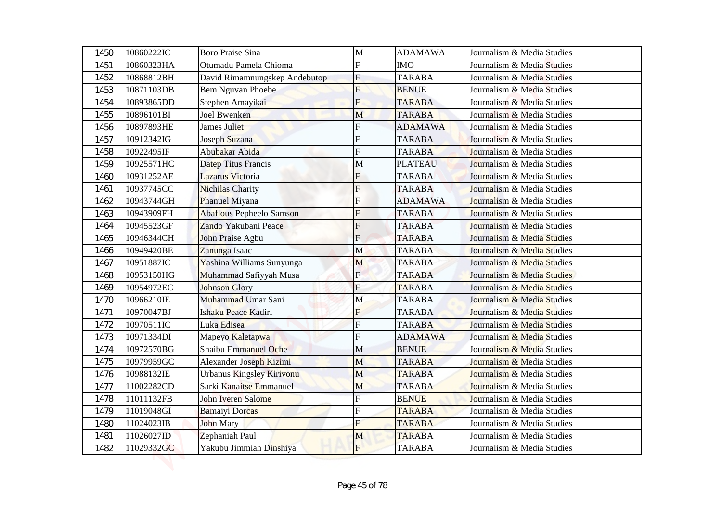| 1450 | 10860222IC | <b>Boro Praise Sina</b>         | M              | <b>ADAMAWA</b> | Journalism & Media Studies |
|------|------------|---------------------------------|----------------|----------------|----------------------------|
| 1451 | 10860323HA | Otumadu Pamela Chioma           | F              | <b>IMO</b>     | Journalism & Media Studies |
| 1452 | 10868812BH | David Rimamnungskep Andebutop   | $\mathbf F$    | <b>TARABA</b>  | Journalism & Media Studies |
| 1453 | 10871103DB | <b>Bem Nguvan Phoebe</b>        | F              | <b>BENUE</b>   | Journalism & Media Studies |
| 1454 | 10893865DD | Stephen Amayikai                | F              | <b>TARABA</b>  | Journalism & Media Studies |
| 1455 | 10896101BI | <b>Joel Bwenken</b>             | M              | <b>TARABA</b>  | Journalism & Media Studies |
| 1456 | 10897893HE | <b>James Juliet</b>             | F              | <b>ADAMAWA</b> | Journalism & Media Studies |
| 1457 | 10912342IG | Joseph Suzana                   | F              | <b>TARABA</b>  | Journalism & Media Studies |
| 1458 | 10922495IF | Abubakar Abida                  | F              | <b>TARABA</b>  | Journalism & Media Studies |
| 1459 | 10925571HC | Datep Titus Francis             | M              | <b>PLATEAU</b> | Journalism & Media Studies |
| 1460 | 10931252AE | Lazarus Victoria                | F              | <b>TARABA</b>  | Journalism & Media Studies |
| 1461 | 10937745CC | <b>Nichilas Charity</b>         | F              | <b>TARABA</b>  | Journalism & Media Studies |
| 1462 | 10943744GH | <b>Phanuel Miyana</b>           | F              | <b>ADAMAWA</b> | Journalism & Media Studies |
| 1463 | 10943909FH | <b>Abaflous Pepheelo Samson</b> | F              | <b>TARABA</b>  | Journalism & Media Studies |
| 1464 | 10945523GF | Zando Yakubani Peace            | F              | <b>TARABA</b>  | Journalism & Media Studies |
| 1465 | 10946344CH | John Praise Agbu                | $\overline{F}$ | <b>TARABA</b>  | Journalism & Media Studies |
| 1466 | 10949420BE | Zanunga Isaac                   | M              | <b>TARABA</b>  | Journalism & Media Studies |
| 1467 | 10951887IC | Yashina Williams Sunyunga       | M              | <b>TARABA</b>  | Journalism & Media Studies |
| 1468 | 10953150HG | Muhammad Safiyyah Musa          | $\mathbf{F}$   | <b>TARABA</b>  | Journalism & Media Studies |
| 1469 | 10954972EC | <b>Johnson Glory</b>            | $\mathbf F$    | <b>TARABA</b>  | Journalism & Media Studies |
| 1470 | 10966210IE | Muhammad Umar Sani              | M              | <b>TARABA</b>  | Journalism & Media Studies |
| 1471 | 10970047BJ | Ishaku Peace Kadiri             | F              | <b>TARABA</b>  | Journalism & Media Studies |
| 1472 | 10970511IC | Luka Edisea                     | $\overline{F}$ | <b>TARABA</b>  | Journalism & Media Studies |
| 1473 | 10971334DI | Mapeyo Kaletapwa                | F              | <b>ADAMAWA</b> | Journalism & Media Studies |
| 1474 | 10972570BG | Shaibu Emmanuel Oche            | M              | <b>BENUE</b>   | Journalism & Media Studies |
| 1475 | 10979959GC | Alexander Joseph Kizimi         | M              | <b>TARABA</b>  | Journalism & Media Studies |
| 1476 | 10988132IE | Urbanus Kingsley Kirivonu       | M              | <b>TARABA</b>  | Journalism & Media Studies |
| 1477 | 11002282CD | Sarki Kanaitse Emmanuel         | M              | <b>TARABA</b>  | Journalism & Media Studies |
| 1478 | 11011132FB | John Iveren Salome              |                | <b>BENUE</b>   | Journalism & Media Studies |
| 1479 | 11019048GI | <b>Bamaiyi Dorcas</b>           | F              | <b>TARABA</b>  | Journalism & Media Studies |
| 1480 | 11024023IB | <b>John Mary</b>                | F              | <b>TARABA</b>  | Journalism & Media Studies |
| 1481 | 11026027ID | Zephaniah Paul                  | M              | <b>TARABA</b>  | Journalism & Media Studies |
| 1482 | 11029332GC | Yakubu Jimmiah Dinshiya         | $\mathbf{F}$   | <b>TARABA</b>  | Journalism & Media Studies |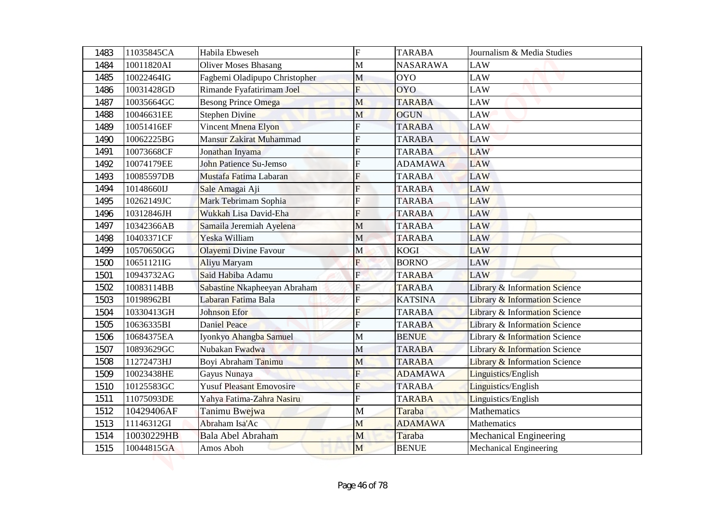| 1483         | 11035845CA | Habila Ebweseh                                               | $\overline{F}$          | <b>TARABA</b>   | Journalism & Media Studies               |
|--------------|------------|--------------------------------------------------------------|-------------------------|-----------------|------------------------------------------|
|              | 10011820AI |                                                              | $\mathbf{M}$            | <b>NASARAWA</b> | <b>LAW</b>                               |
| 1484         | 10022464IG | <b>Oliver Moses Bhasang</b><br>Fagbemi Oladipupo Christopher | M                       | <b>OYO</b>      | LAW                                      |
| 1485<br>1486 | 10031428GD | Rimande Fyafatirimam Joel                                    | F                       | <b>OYO</b>      | LAW                                      |
| 1487         | 10035664GC |                                                              | M                       | <b>TARABA</b>   | LAW                                      |
| 1488         | 10046631EE | <b>Besong Prince Omega</b><br><b>Stephen Divine</b>          | M                       | <b>OGUN</b>     | <b>LAW</b>                               |
| 1489         | 10051416EF | Vincent Mnena Elyon                                          | F                       | <b>TARABA</b>   | <b>LAW</b>                               |
| 1490         | 10062225BG | Mansur Zakirat Muhammad                                      | F                       | <b>TARABA</b>   | <b>LAW</b>                               |
| 1491         | 10073668CF | Jonathan Inyama                                              | F                       | <b>TARABA</b>   | LAW                                      |
| 1492         | 10074179EE | John Patience Su-Jemso                                       | F                       | <b>ADAMAWA</b>  | <b>LAW</b>                               |
| 1493         | 10085597DB | Mustafa Fatima Labaran                                       | F                       | <b>TARABA</b>   | <b>LAW</b>                               |
| 1494         | 10148660IJ | Sale Amagai Aji                                              | F                       | <b>TARABA</b>   | LAW                                      |
| 1495         | 10262149JC | Mark Tebrimam Sophia                                         | F                       | <b>TARABA</b>   | LAW                                      |
| 1496         | 10312846JH | Wukkah Lisa David-Eha                                        | F                       | <b>TARABA</b>   | <b>LAW</b>                               |
| 1497         | 10342366AB | Samaila Jeremiah Ayelena                                     | M                       | <b>TARABA</b>   | <b>LAW</b>                               |
| 1498         | 10403371CF | Yeska William                                                | M                       | <b>TARABA</b>   | <b>LAW</b>                               |
| 1499         | 10570650GG | Olayemi Divine Favour                                        | M                       | <b>KOGI</b>     | <b>LAW</b>                               |
| 1500         | 10651121IG | Aliyu Maryam                                                 | F                       | <b>BORNO</b>    | LAW                                      |
| 1501         | 10943732AG | Said Habiba Adamu                                            | $\mathbf{E}$            | <b>TARABA</b>   | <b>LAW</b>                               |
| 1502         | 10083114BB | Sabastine Nkapheeyan Abraham                                 | ${\bf F}$               | <b>TARABA</b>   | Library & Information Science            |
| 1503         | 10198962BI | Labaran Fatima Bala                                          | $\overline{F}$          | <b>KATSINA</b>  | <b>Library &amp; Information Science</b> |
| 1504         | 10330413GH | Johnson Efor                                                 | F                       | <b>TARABA</b>   | <b>Library &amp; Information Science</b> |
| 1505         | 10636335BI | Daniel Peace                                                 | $\overline{\mathrm{F}}$ | <b>TARABA</b>   | Library & Information Science            |
| 1506         | 10684375EA | Iyonkyo Ahangba Samuel                                       | M                       | <b>BENUE</b>    | <b>Library &amp; Information Science</b> |
| 1507         | 10893629GC | Nubakan Fwadwa                                               | M                       | <b>TARABA</b>   | Library & Information Science            |
| 1508         | 11272473HJ | Boyi Abraham Tanimu                                          | M                       | <b>TARABA</b>   | <b>Library &amp; Information Science</b> |
| 1509         | 10023438HE | Gayus Nunaya                                                 | F                       | <b>ADAMAWA</b>  | Linguistics/English                      |
| 1510         | 10125583GC | <b>Yusuf Pleasant Emovosire</b>                              | F                       | <b>TARABA</b>   | Linguistics/English                      |
| 1511         | 11075093DE | Yahya Fatima-Zahra Nasiru                                    | F                       | <b>TARABA</b>   | Linguistics/English                      |
| 1512         | 10429406AF | Tanimu Bwejwa                                                | $\mathbf M$             | Taraba          | Mathematics                              |
| 1513         | 11146312GI | Abraham Isa'Ac                                               | M                       | <b>ADAMAWA</b>  | Mathematics                              |
| 1514         | 10030229HB | Bala Abel Abraham                                            | M                       | Taraba          | Mechanical Engineering                   |
| 1515         | 10044815GA | Amos Aboh                                                    | M                       | <b>BENUE</b>    | <b>Mechanical Engineering</b>            |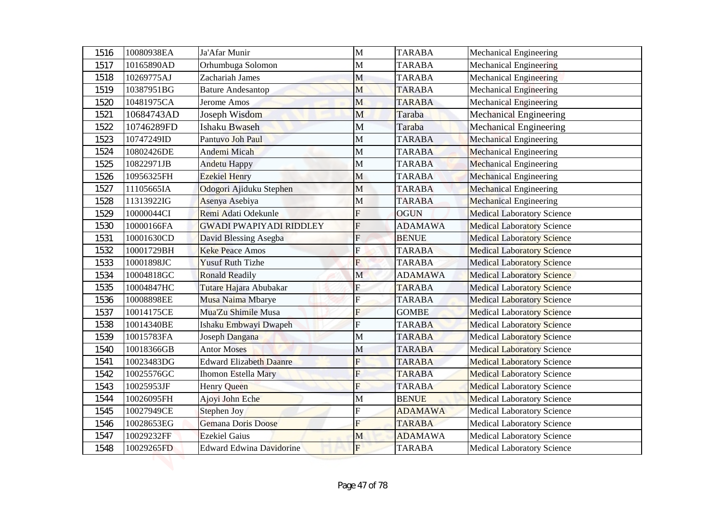| 1516 | 10080938EA | Ja'Afar Munir                  | M                         | <b>TARABA</b>  | Mechanical Engineering            |
|------|------------|--------------------------------|---------------------------|----------------|-----------------------------------|
| 1517 | 10165890AD | Orhumbuga Solomon              | M                         | <b>TARABA</b>  | <b>Mechanical Engineering</b>     |
| 1518 | 10269775AJ | Zachariah James                | M                         | <b>TARABA</b>  | <b>Mechanical Engineering</b>     |
| 1519 | 10387951BG | <b>Bature Andesantop</b>       | M                         | <b>TARABA</b>  | <b>Mechanical Engineering</b>     |
| 1520 | 10481975CA | Jerome Amos                    | M                         | <b>TARABA</b>  | <b>Mechanical Engineering</b>     |
| 1521 | 10684743AD | Joseph Wisdom                  | M                         | Taraba         | <b>Mechanical Engineering</b>     |
| 1522 | 10746289FD | <b>Ishaku Bwaseh</b>           | M                         | Taraba         | <b>Mechanical Engineering</b>     |
| 1523 | 10747249ID | Pantuvo Joh Paul               | $\mathbf M$               | <b>TARABA</b>  | <b>Mechanical Engineering</b>     |
| 1524 | 10802426DE | Andemi Micah                   | M                         | <b>TARABA</b>  | <b>Mechanical Engineering</b>     |
| 1525 | 10822971JB | Andetu Happy                   | M                         | <b>TARABA</b>  | <b>Mechanical Engineering</b>     |
| 1526 | 10956325FH | <b>Ezekiel Henry</b>           | M                         | <b>TARABA</b>  | <b>Mechanical Engineering</b>     |
| 1527 | 11105665IA | Odogori Ajiduku Stephen        | M                         | <b>TARABA</b>  | <b>Mechanical Engineering</b>     |
| 1528 | 11313922IG | Asenya Asebiya                 | M                         | <b>TARABA</b>  | <b>Mechanical Engineering</b>     |
| 1529 | 10000044CI | Remi Adati Odekunle            | F                         | <b>OGUN</b>    | <b>Medical Laboratory Science</b> |
| 1530 | 10000166FA | <b>GWADI PWAPIYADI RIDDLEY</b> | F                         | <b>ADAMAWA</b> | <b>Medical Laboratory Science</b> |
| 1531 | 10001630CD | David Blessing Asegba          | $\overline{F}$            | <b>BENUE</b>   | <b>Medical Laboratory Science</b> |
| 1532 | 10001729BH | <b>Keke Peace Amos</b>         | F                         | <b>TARABA</b>  | <b>Medical Laboratory Science</b> |
| 1533 | 10001898JC | <b>Yusuf Ruth Tizhe</b>        | F                         | <b>TARABA</b>  | <b>Medical Laboratory Science</b> |
| 1534 | 10004818GC | <b>Ronald Readily</b>          | $\mathbf M$               | <b>ADAMAWA</b> | <b>Medical Laboratory Science</b> |
| 1535 | 10004847HC | Tutare Hajara Abubakar         | $\boldsymbol{\mathrm{F}}$ | <b>TARABA</b>  | <b>Medical Laboratory Science</b> |
| 1536 | 10008898EE | Musa Naima Mbarye              | $\overline{F}$            | <b>TARABA</b>  | <b>Medical Laboratory Science</b> |
| 1537 | 10014175CE | Mua'Zu Shimile Musa            | F                         | <b>GOMBE</b>   | <b>Medical Laboratory Science</b> |
| 1538 | 10014340BE | Ishaku Embwayi Dwapeh          | $\overline{\mathrm{F}}$   | <b>TARABA</b>  | <b>Medical Laboratory Science</b> |
| 1539 | 10015783FA | Joseph Dangana                 | M                         | <b>TARABA</b>  | <b>Medical Laboratory Science</b> |
| 1540 | 10018366GB | <b>Antor Moses</b>             | M                         | <b>TARABA</b>  | <b>Medical Laboratory Science</b> |
| 1541 | 10023483DG | <b>Edward Elizabeth Daanre</b> | F                         | <b>TARABA</b>  | <b>Medical Laboratory Science</b> |
| 1542 | 10025576GC | <b>Ihomon Estella Mary</b>     | F                         | <b>TARABA</b>  | <b>Medical Laboratory Science</b> |
| 1543 | 10025953JF | Henry Queen                    | F                         | <b>TARABA</b>  | <b>Medical Laboratory Science</b> |
| 1544 | 10026095FH | Ajoyi John Eche                | M                         | <b>BENUE</b>   | <b>Medical Laboratory Science</b> |
| 1545 | 10027949CE | Stephen Joy                    | F                         | <b>ADAMAWA</b> | <b>Medical Laboratory Science</b> |
| 1546 | 10028653EG | <b>Gemana Doris Doose</b>      | F                         | <b>TARABA</b>  | <b>Medical Laboratory Science</b> |
| 1547 | 10029232FF | <b>Ezekiel Gaius</b>           | M                         | <b>ADAMAWA</b> | <b>Medical Laboratory Science</b> |
| 1548 | 10029265FD | Edward Edwina Davidorine       | $F_{\rm}$                 | <b>TARABA</b>  | <b>Medical Laboratory Science</b> |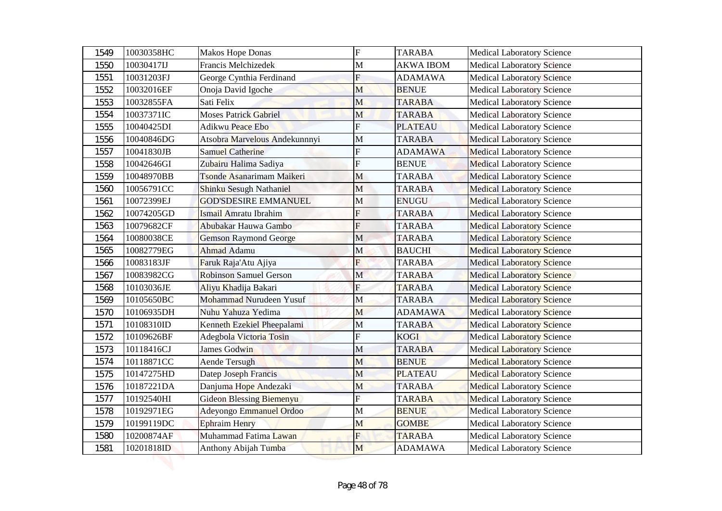| 1549 | 10030358HC | <b>Makos Hope Donas</b>         | $\mathbf F$    | <b>TARABA</b>    | <b>Medical Laboratory Science</b> |
|------|------------|---------------------------------|----------------|------------------|-----------------------------------|
| 1550 | 10030417IJ | Francis Melchizedek             | $\mathbf{M}$   | <b>AKWA IBOM</b> | <b>Medical Laboratory Science</b> |
| 1551 | 10031203FJ | George Cynthia Ferdinand        | $\mathbf F$    | <b>ADAMAWA</b>   | <b>Medical Laboratory Science</b> |
| 1552 | 10032016EF | Onoja David Igoche              | M              | <b>BENUE</b>     | <b>Medical Laboratory Science</b> |
| 1553 | 10032855FA | Sati Felix                      | M              | <b>TARABA</b>    | <b>Medical Laboratory Science</b> |
| 1554 | 10037371IC | <b>Moses Patrick Gabriel</b>    | M              | <b>TARABA</b>    | <b>Medical Laboratory Science</b> |
| 1555 | 10040425DI | <b>Adikwu Peace Ebo</b>         | $\overline{F}$ | <b>PLATEAU</b>   | <b>Medical Laboratory Science</b> |
| 1556 | 10040846DG | Atsobra Marvelous Andekunnnyi   | $\mathbf{M}$   | <b>TARABA</b>    | <b>Medical Laboratory Science</b> |
| 1557 | 10041830JB | <b>Samuel Catherine</b>         | F              | <b>ADAMAWA</b>   | <b>Medical Laboratory Science</b> |
| 1558 | 10042646GI | Zubairu Halima Sadiya           | F              | <b>BENUE</b>     | <b>Medical Laboratory Science</b> |
| 1559 | 10048970BB | Tsonde Asanarimam Maikeri       | M              | <b>TARABA</b>    | <b>Medical Laboratory Science</b> |
| 1560 | 10056791CC | <b>Shinku Sesugh Nathaniel</b>  | M              | <b>TARABA</b>    | <b>Medical Laboratory Science</b> |
| 1561 | 10072399EJ | <b>GOD'SDESIRE EMMANUEL</b>     | M              | <b>ENUGU</b>     | <b>Medical Laboratory Science</b> |
| 1562 | 10074205GD | Ismail Amratu Ibrahim           | F              | <b>TARABA</b>    | <b>Medical Laboratory Science</b> |
| 1563 | 10079682CF | Abubakar Hauwa Gambo            | F              | <b>TARABA</b>    | <b>Medical Laboratory Science</b> |
| 1564 | 10080038CE | <b>Gemson Raymond George</b>    | M              | <b>TARABA</b>    | <b>Medical Laboratory Science</b> |
| 1565 | 10082779EG | <b>Ahmad Adamu</b>              | M              | <b>BAUCHI</b>    | <b>Medical Laboratory Science</b> |
| 1566 | 10083183JF | Faruk Raja'Atu Ajiya            | $\overline{F}$ | <b>TARABA</b>    | <b>Medical Laboratory Science</b> |
| 1567 | 10083982CG | <b>Robinson Samuel Gerson</b>   | $\mathbf{M}$   | <b>TARABA</b>    | <b>Medical Laboratory Science</b> |
| 1568 | 10103036JE | Aliyu Khadija Bakari            | ${\bf F}$      | <b>TARABA</b>    | <b>Medical Laboratory Science</b> |
| 1569 | 10105650BC | Mohammad Nurudeen Yusuf         | M              | <b>TARABA</b>    | <b>Medical Laboratory Science</b> |
| 1570 | 10106935DH | Nuhu Yahuza Yedima              | M              | <b>ADAMAWA</b>   | <b>Medical Laboratory Science</b> |
| 1571 | 10108310ID | Kenneth Ezekiel Pheepalami      | $\mathbf M$    | <b>TARABA</b>    | <b>Medical Laboratory Science</b> |
| 1572 | 10109626BF | Adegbola Victoria Tosin         | F              | <b>KOGI</b>      | <b>Medical Laboratory Science</b> |
| 1573 | 10118416CJ | James Godwin                    | M              | <b>TARABA</b>    | <b>Medical Laboratory Science</b> |
| 1574 | 10118871CC | Aende Tersugh                   | M              | <b>BENUE</b>     | <b>Medical Laboratory Science</b> |
| 1575 | 10147275HD | Datep Joseph Francis            | M              | <b>PLATEAU</b>   | <b>Medical Laboratory Science</b> |
| 1576 | 10187221DA | Danjuma Hope Andezaki           | M              | <b>TARABA</b>    | <b>Medical Laboratory Science</b> |
| 1577 | 10192540HI | <b>Gideon Blessing Biemenyu</b> | F              | <b>TARABA</b>    | <b>Medical Laboratory Science</b> |
| 1578 | 10192971EG | Adeyongo Emmanuel Ordoo         | M              | <b>BENUE</b>     | <b>Medical Laboratory Science</b> |
| 1579 | 10199119DC | <b>Ephraim Henry</b>            | M              | <b>GOMBE</b>     | <b>Medical Laboratory Science</b> |
| 1580 | 10200874AF | Muhammad Fatima Lawan           | F              | <b>TARABA</b>    | <b>Medical Laboratory Science</b> |
| 1581 | 10201818ID | Anthony Abijah Tumba            | M              | <b>ADAMAWA</b>   | <b>Medical Laboratory Science</b> |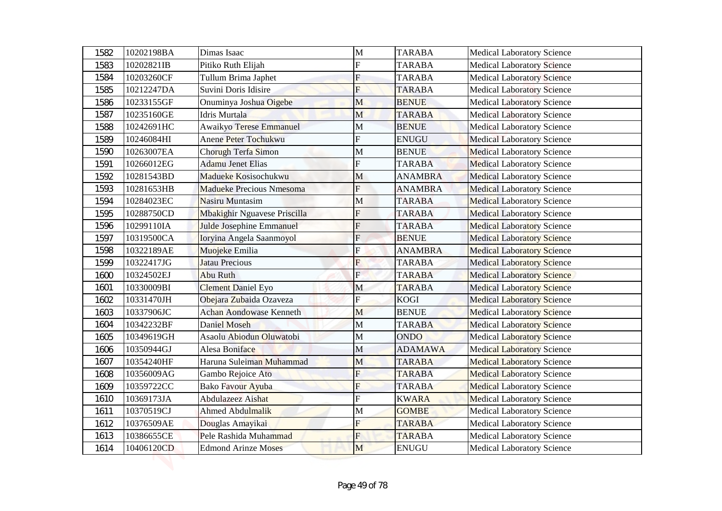| 1582 | 10202198BA | Dimas Isaac                     | $\mathbf{M}$ | <b>TARABA</b>  | <b>Medical Laboratory Science</b> |
|------|------------|---------------------------------|--------------|----------------|-----------------------------------|
| 1583 | 10202821IB | Pitiko Ruth Elijah              | F            | <b>TARABA</b>  | <b>Medical Laboratory Science</b> |
| 1584 | 10203260CF | Tullum Brima Japhet             | $\mathbf F$  | <b>TARABA</b>  | <b>Medical Laboratory Science</b> |
| 1585 | 10212247DA | Suvini Doris Idisire            | F            | <b>TARABA</b>  | <b>Medical Laboratory Science</b> |
| 1586 | 10233155GF | Onuminya Joshua Oigebe          | M            | <b>BENUE</b>   | <b>Medical Laboratory Science</b> |
| 1587 | 10235160GE | <b>Idris Murtala</b>            | M            | <b>TARABA</b>  | <b>Medical Laboratory Science</b> |
| 1588 | 10242691HC | <b>Awaikyo Terese Emmanuel</b>  | M            | <b>BENUE</b>   | <b>Medical Laboratory Science</b> |
| 1589 | 10246084HI | Anene Peter Tochukwu            | F            | <b>ENUGU</b>   | <b>Medical Laboratory Science</b> |
| 1590 | 10263007EA | Chorugh Terfa Simon             | М            | <b>BENUE</b>   | <b>Medical Laboratory Science</b> |
| 1591 | 10266012EG | Adamu Jenet Elias               | F            | <b>TARABA</b>  | <b>Medical Laboratory Science</b> |
| 1592 | 10281543BD | Madueke Kosisochukwu            | M            | <b>ANAMBRA</b> | <b>Medical Laboratory Science</b> |
| 1593 | 10281653HB | <b>Madueke Precious Nmesoma</b> | F            | <b>ANAMBRA</b> | <b>Medical Laboratory Science</b> |
| 1594 | 10284023EC | Nasiru Muntasim                 | M            | <b>TARABA</b>  | <b>Medical Laboratory Science</b> |
| 1595 | 10288750CD | Mbakighir Nguavese Priscilla    | F            | <b>TARABA</b>  | <b>Medical Laboratory Science</b> |
| 1596 | 10299110IA | Julde Josephine Emmanuel        | F            | <b>TARABA</b>  | <b>Medical Laboratory Science</b> |
| 1597 | 10319500CA | Ioryina Angela Saanmoyol        | $\mathbf F$  | <b>BENUE</b>   | <b>Medical Laboratory Science</b> |
| 1598 | 10322189AE | Muojeke Emilia                  | Ė            | <b>ANAMBRA</b> | <b>Medical Laboratory Science</b> |
| 1599 | 10322417JG | <b>Jatau Precious</b>           | F            | <b>TARABA</b>  | <b>Medical Laboratory Science</b> |
| 1600 | 10324502EJ | Abu Ruth                        | $\mathbf{E}$ | <b>TARABA</b>  | <b>Medical Laboratory Science</b> |
| 1601 | 10330009BI | <b>Clement Daniel Eyo</b>       | $\mathbf M$  | <b>TARABA</b>  | <b>Medical Laboratory Science</b> |
| 1602 | 10331470JH | Obejara Zubaida Ozaveza         | ${\bf F}$    | <b>KOGI</b>    | <b>Medical Laboratory Science</b> |
| 1603 | 10337906JC | <b>Achan Aondowase Kenneth</b>  | M            | <b>BENUE</b>   | <b>Medical Laboratory Science</b> |
| 1604 | 10342232BF | Daniel Moseh                    | M            | <b>TARABA</b>  | <b>Medical Laboratory Science</b> |
| 1605 | 10349619GH | Asaolu Abiodun Oluwatobi        | M            | <b>ONDO</b>    | <b>Medical Laboratory Science</b> |
| 1606 | 10350944GJ | Alesa Boniface                  | M            | <b>ADAMAWA</b> | <b>Medical Laboratory Science</b> |
| 1607 | 10354240HF | Haruna Suleiman Muhammad        | M            | <b>TARABA</b>  | <b>Medical Laboratory Science</b> |
| 1608 | 10356009AG | Gambo Rejoice Ato               | F            | <b>TARABA</b>  | <b>Medical Laboratory Science</b> |
| 1609 | 10359722CC | Bako Favour Ayuba               | F            | <b>TARABA</b>  | <b>Medical Laboratory Science</b> |
| 1610 | 10369173JA | Abdulazeez Aishat               | F            | <b>KWARA</b>   | <b>Medical Laboratory Science</b> |
| 1611 | 10370519CJ | Ahmed Abdulmalik                | M            | <b>GOMBE</b>   | <b>Medical Laboratory Science</b> |
| 1612 | 10376509AE | Douglas Amayikai                | F            | <b>TARABA</b>  | <b>Medical Laboratory Science</b> |
| 1613 | 10386655CE | Pele Rashida Muhammad           | F            | <b>TARABA</b>  | <b>Medical Laboratory Science</b> |
| 1614 | 10406120CD | <b>Edmond Arinze Moses</b>      | M            | <b>ENUGU</b>   | <b>Medical Laboratory Science</b> |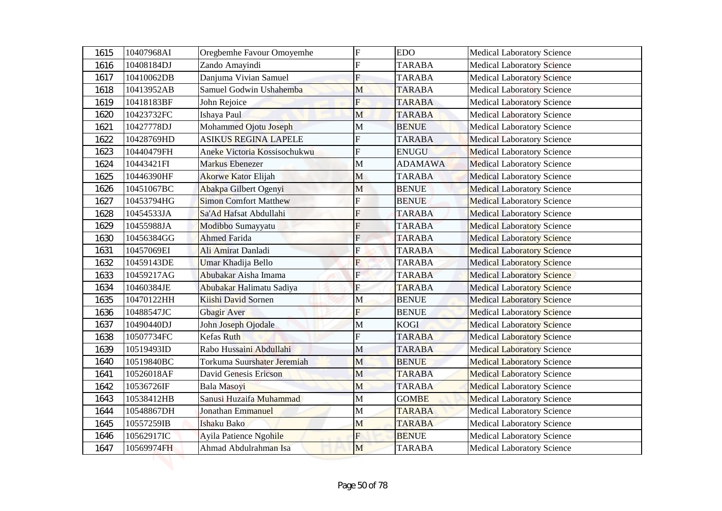| 1615 | 10407968AI | Oregbemhe Favour Omoyemhe    | $\mathbf F$             | <b>EDO</b>     | <b>Medical Laboratory Science</b> |
|------|------------|------------------------------|-------------------------|----------------|-----------------------------------|
| 1616 | 10408184DJ | Zando Amayindi               | F                       | <b>TARABA</b>  | <b>Medical Laboratory Science</b> |
| 1617 | 10410062DB | Danjuma Vivian Samuel        | $\mathbf F$             | <b>TARABA</b>  | <b>Medical Laboratory Science</b> |
| 1618 | 10413952AB | Samuel Godwin Ushahemba      | M                       | <b>TARABA</b>  | <b>Medical Laboratory Science</b> |
| 1619 | 10418183BF | John Rejoice                 | F                       | <b>TARABA</b>  | <b>Medical Laboratory Science</b> |
| 1620 | 10423732FC | Ishaya Paul                  | M                       | <b>TARABA</b>  | <b>Medical Laboratory Science</b> |
| 1621 | 10427778DJ | Mohammed Ojotu Joseph        | M                       | <b>BENUE</b>   | <b>Medical Laboratory Science</b> |
| 1622 | 10428769HD | <b>ASIKUS REGINA LAPELE</b>  | $\mathbf F$             | <b>TARABA</b>  | <b>Medical Laboratory Science</b> |
| 1623 | 10440479FH | Aneke Victoria Kossisochukwu | F                       | <b>ENUGU</b>   | <b>Medical Laboratory Science</b> |
| 1624 | 10443421FI | <b>Markus Ebenezer</b>       | M                       | <b>ADAMAWA</b> | <b>Medical Laboratory Science</b> |
| 1625 | 10446390HF | <b>Akorwe Kator Elijah</b>   | $\mathbf{M}$            | <b>TARABA</b>  | <b>Medical Laboratory Science</b> |
| 1626 | 10451067BC | Abakpa Gilbert Ogenyi        | M                       | <b>BENUE</b>   | <b>Medical Laboratory Science</b> |
| 1627 | 10453794HG | <b>Simon Comfort Matthew</b> | $\overline{\mathrm{F}}$ | <b>BENUE</b>   | <b>Medical Laboratory Science</b> |
| 1628 | 10454533JA | Sa'Ad Hafsat Abdullahi       | F                       | <b>TARABA</b>  | <b>Medical Laboratory Science</b> |
| 1629 | 10455988JA | Modibbo Sumayyatu            | F                       | <b>TARABA</b>  | <b>Medical Laboratory Science</b> |
| 1630 | 10456384GG | <b>Ahmed Farida</b>          | $\mathbf F$             | <b>TARABA</b>  | <b>Medical Laboratory Science</b> |
| 1631 | 10457069EI | Ali Amirat Danladi           | F                       | <b>TARABA</b>  | <b>Medical Laboratory Science</b> |
| 1632 | 10459143DE | Umar Khadija Bello           | $\overline{F}$          | <b>TARABA</b>  | <b>Medical Laboratory Science</b> |
| 1633 | 10459217AG | Abubakar Aisha Imama         | $\mathbf{F}$            | <b>TARABA</b>  | <b>Medical Laboratory Science</b> |
| 1634 | 10460384JE | Abubakar Halimatu Sadiya     | ${\bf F}$               | <b>TARABA</b>  | <b>Medical Laboratory Science</b> |
| 1635 | 10470122HH | Kiishi David Sornen          | M                       | <b>BENUE</b>   | <b>Medical Laboratory Science</b> |
| 1636 | 10488547JC | Gbagir Aver                  | F                       | <b>BENUE</b>   | <b>Medical Laboratory Science</b> |
| 1637 | 10490440DJ | John Joseph Ojodale          | $\mathbf M$             | <b>KOGI</b>    | <b>Medical Laboratory Science</b> |
| 1638 | 10507734FC | <b>Kefas Ruth</b>            | F                       | <b>TARABA</b>  | <b>Medical Laboratory Science</b> |
| 1639 | 10519493ID | Rabo Hussaini Abdullahi      | M                       | <b>TARABA</b>  | <b>Medical Laboratory Science</b> |
| 1640 | 10519840BC | Torkuma Suurshater Jeremiah  | M                       | <b>BENUE</b>   | <b>Medical Laboratory Science</b> |
| 1641 | 10526018AF | David Genesis Ericson        | M                       | <b>TARABA</b>  | <b>Medical Laboratory Science</b> |
| 1642 | 10536726IF | Bala Masoyi                  | M                       | <b>TARABA</b>  | <b>Medical Laboratory Science</b> |
| 1643 | 10538412HB | Sanusi Huzaifa Muhammad      | M                       | <b>GOMBE</b>   | <b>Medical Laboratory Science</b> |
| 1644 | 10548867DH | Jonathan Emmanuel            | M                       | <b>TARABA</b>  | <b>Medical Laboratory Science</b> |
| 1645 | 10557259IB | <b>Ishaku Bako</b>           | M                       | <b>TARABA</b>  | <b>Medical Laboratory Science</b> |
| 1646 | 10562917IC | Ayila Patience Ngohile       | F                       | <b>BENUE</b>   | <b>Medical Laboratory Science</b> |
| 1647 | 10569974FH | Ahmad Abdulrahman Isa        | M                       | TARABA         | <b>Medical Laboratory Science</b> |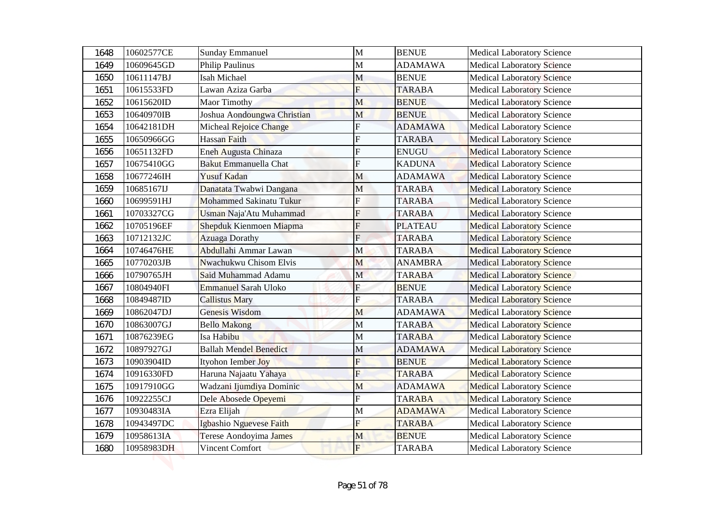| 1648 | 10602577CE | <b>Sunday Emmanuel</b>         | M              | <b>BENUE</b>   | <b>Medical Laboratory Science</b> |
|------|------------|--------------------------------|----------------|----------------|-----------------------------------|
| 1649 | 10609645GD | <b>Philip Paulinus</b>         | M              | <b>ADAMAWA</b> | <b>Medical Laboratory Science</b> |
| 1650 | 10611147BJ | Isah Michael                   | M              | <b>BENUE</b>   | <b>Medical Laboratory Science</b> |
| 1651 | 10615533FD | Lawan Aziza Garba              | F              | <b>TARABA</b>  | <b>Medical Laboratory Science</b> |
| 1652 | 10615620ID | <b>Maor Timothy</b>            | M              | <b>BENUE</b>   | <b>Medical Laboratory Science</b> |
| 1653 | 10640970IB | Joshua Aondoungwa Christian    | M              | <b>BENUE</b>   | <b>Medical Laboratory Science</b> |
| 1654 | 10642181DH | Micheal Rejoice Change         | F              | <b>ADAMAWA</b> | <b>Medical Laboratory Science</b> |
| 1655 | 10650966GG | <b>Hassan Faith</b>            | $\mathbf F$    | <b>TARABA</b>  | <b>Medical Laboratory Science</b> |
| 1656 | 10651132FD | Eneh Augusta Chinaza           | F              | <b>ENUGU</b>   | <b>Medical Laboratory Science</b> |
| 1657 | 10675410GG | <b>Bakut Emmanuella Chat</b>   | F              | <b>KADUNA</b>  | <b>Medical Laboratory Science</b> |
| 1658 | 10677246IH | <b>Yusuf Kadan</b>             | M              | <b>ADAMAWA</b> | <b>Medical Laboratory Science</b> |
| 1659 | 10685167IJ | Danatata Twabwi Dangana        | M              | <b>TARABA</b>  | <b>Medical Laboratory Science</b> |
| 1660 | 10699591HJ | <b>Mohammed Sakinatu Tukur</b> | F              | <b>TARABA</b>  | <b>Medical Laboratory Science</b> |
| 1661 | 10703327CG | Usman Naja'Atu Muhammad        | F              | <b>TARABA</b>  | <b>Medical Laboratory Science</b> |
| 1662 | 10705196EF | Shepduk Kienmoen Miapma        | F              | <b>PLATEAU</b> | <b>Medical Laboratory Science</b> |
| 1663 | 10712132JC | <b>Azuaga Dorathy</b>          | $\overline{F}$ | <b>TARABA</b>  | <b>Medical Laboratory Science</b> |
| 1664 | 10746476HE | Abdullahi Ammar Lawan          | M              | <b>TARABA</b>  | <b>Medical Laboratory Science</b> |
| 1665 | 10770203JB | Nwachukwu Chisom Elvis         | M              | <b>ANAMBRA</b> | <b>Medical Laboratory Science</b> |
| 1666 | 10790765JH | Said Muhammad Adamu            | $\mathbf{M}$   | <b>TARABA</b>  | <b>Medical Laboratory Science</b> |
| 1667 | 10804940FI | <b>Emmanuel Sarah Uloko</b>    | $\mathbf{F}$   | <b>BENUE</b>   | <b>Medical Laboratory Science</b> |
| 1668 | 10849487ID | <b>Callistus Mary</b>          | $\mathbf F$    | <b>TARABA</b>  | <b>Medical Laboratory Science</b> |
| 1669 | 10862047DJ | Genesis Wisdom                 | M              | <b>ADAMAWA</b> | <b>Medical Laboratory Science</b> |
| 1670 | 10863007GJ | <b>Bello Makong</b>            | M              | <b>TARABA</b>  | <b>Medical Laboratory Science</b> |
| 1671 | 10876239EG | Isa Habibu                     | M              | <b>TARABA</b>  | <b>Medical Laboratory Science</b> |
| 1672 | 10897927GJ | <b>Ballah Mendel Benedict</b>  | M              | <b>ADAMAWA</b> | <b>Medical Laboratory Science</b> |
| 1673 | 10903904ID | Ityohon Iember Joy             | $\overline{F}$ | <b>BENUE</b>   | <b>Medical Laboratory Science</b> |
| 1674 | 10916330FD | Haruna Najaatu Yahaya          | F              | <b>TARABA</b>  | <b>Medical Laboratory Science</b> |
| 1675 | 10917910GG | Wadzani Ijumdiya Dominic       | M              | <b>ADAMAWA</b> | <b>Medical Laboratory Science</b> |
| 1676 | 10922255CJ | Dele Abosede Opeyemi           | F              | <b>TARABA</b>  | <b>Medical Laboratory Science</b> |
| 1677 | 10930483IA | Ezra Elijah                    | M              | <b>ADAMAWA</b> | <b>Medical Laboratory Science</b> |
| 1678 | 10943497DC | Igbashio Nguevese Faith        | F              | <b>TARABA</b>  | <b>Medical Laboratory Science</b> |
| 1679 | 10958613IA | Terese Aondoyima James         | M              | <b>BENUE</b>   | <b>Medical Laboratory Science</b> |
| 1680 | 10958983DH | Vincent Comfort                | $\overline{F}$ | TARABA         | <b>Medical Laboratory Science</b> |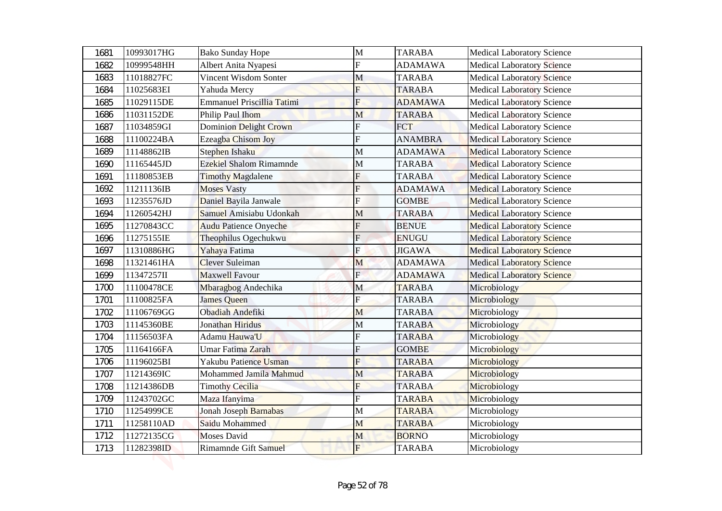| 1681 | 10993017HG | <b>Bako Sunday Hope</b>           | $\mathbf{M}$            | <b>TARABA</b>  | <b>Medical Laboratory Science</b> |
|------|------------|-----------------------------------|-------------------------|----------------|-----------------------------------|
| 1682 | 10999548HH | Albert Anita Nyapesi              | F                       | <b>ADAMAWA</b> | <b>Medical Laboratory Science</b> |
| 1683 | 11018827FC | Vincent Wisdom Sonter             | M                       | <b>TARABA</b>  | <b>Medical Laboratory Science</b> |
| 1684 | 11025683EI | Yahuda Mercy                      | F                       | <b>TARABA</b>  | <b>Medical Laboratory Science</b> |
| 1685 | 11029115DE | <b>Emmanuel Priscillia Tatimi</b> | F                       | <b>ADAMAWA</b> | <b>Medical Laboratory Science</b> |
| 1686 | 11031152DE | Philip Paul Ihom                  | M                       | <b>TARABA</b>  | <b>Medical Laboratory Science</b> |
| 1687 | 11034859GI | Dominion Delight Crown            | F                       | <b>FCT</b>     | <b>Medical Laboratory Science</b> |
| 1688 | 11100224BA | Ezeagba Chisom Joy                | F                       | <b>ANAMBRA</b> | <b>Medical Laboratory Science</b> |
| 1689 | 11148862IB | <b>Stephen Ishaku</b>             | M                       | <b>ADAMAWA</b> | <b>Medical Laboratory Science</b> |
| 1690 | 11165445JD | <b>Ezekiel Shalom Rimamnde</b>    | M                       | <b>TARABA</b>  | <b>Medical Laboratory Science</b> |
| 1691 | 11180853EB | <b>Timothy Magdalene</b>          | F                       | <b>TARABA</b>  | <b>Medical Laboratory Science</b> |
| 1692 | 11211136IB | <b>Moses Vasty</b>                | F                       | <b>ADAMAWA</b> | <b>Medical Laboratory Science</b> |
| 1693 | 11235576JD | Daniel Bayila Janwale             | F                       | <b>GOMBE</b>   | <b>Medical Laboratory Science</b> |
| 1694 | 11260542HJ | Samuel Amisiabu Udonkah           | М                       | <b>TARABA</b>  | <b>Medical Laboratory Science</b> |
| 1695 | 11270843CC | <b>Audu Patience Onyeche</b>      | F                       | <b>BENUE</b>   | <b>Medical Laboratory Science</b> |
| 1696 | 11275155IE | Theophilus Ogechukwu              | $\overline{F}$          | <b>ENUGU</b>   | <b>Medical Laboratory Science</b> |
| 1697 | 11310886HG | Yahaya Fatima                     | F                       | <b>JIGAWA</b>  | <b>Medical Laboratory Science</b> |
| 1698 | 11321461HA | <b>Clever Suleiman</b>            | M                       | <b>ADAMAWA</b> | <b>Medical Laboratory Science</b> |
| 1699 | 11347257II | <b>Maxwell Favour</b>             | $\mathbf{E}$            | <b>ADAMAWA</b> | <b>Medical Laboratory Science</b> |
| 1700 | 11100478CE | Mbaragbog Andechika               | M                       | <b>TARABA</b>  | Microbiology                      |
| 1701 | 11100825FA | <b>James Queen</b>                | ${\bf F}$               | <b>TARABA</b>  | Microbiology                      |
| 1702 | 11106769GG | Obadiah Andefiki                  | M                       | <b>TARABA</b>  | Microbiology                      |
| 1703 | 11145360BE | Jonathan Hiridus                  | M                       | <b>TARABA</b>  | Microbiology                      |
| 1704 | 11156503FA | Adamu Hauwa'U                     | F                       | <b>TARABA</b>  | Microbiology                      |
| 1705 | 11164166FA | Umar Fatima Zarah                 | F                       | <b>GOMBE</b>   | Microbiology                      |
| 1706 | 11196025BI | Yakubu Patience Usman             | $\overline{\mathrm{F}}$ | <b>TARABA</b>  | Microbiology                      |
| 1707 | 11214369IC | Mohammed Jamila Mahmud            | M                       | <b>TARABA</b>  | Microbiology                      |
| 1708 | 11214386DB | <b>Timothy Cecilia</b>            | F                       | <b>TARABA</b>  | Microbiology                      |
| 1709 | 11243702GC | Maza Ifanyima                     | F                       | <b>TARABA</b>  | Microbiology                      |
| 1710 | 11254999CE | Jonah Joseph Barnabas             | M                       | <b>TARABA</b>  | Microbiology                      |
| 1711 | 11258110AD | Saidu Mohammed                    | M                       | <b>TARABA</b>  | Microbiology                      |
| 1712 | 11272135CG | Moses David                       | M                       | <b>BORNO</b>   | Microbiology                      |
| 1713 | 11282398ID | Rimamnde Gift Samuel              | $\mathbf{F}$            | <b>TARABA</b>  | Microbiology                      |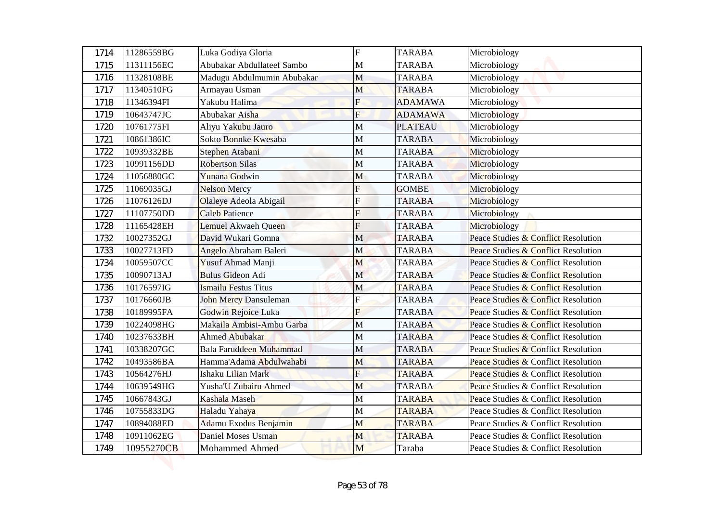| 1714         | 11286559BG               | Luka Godiya Gloria             | ${\rm F}$               | <b>TARABA</b>                    | Microbiology                        |
|--------------|--------------------------|--------------------------------|-------------------------|----------------------------------|-------------------------------------|
| 1715         | 11311156EC               | Abubakar Abdullateef Sambo     | M                       | <b>TARABA</b>                    | Microbiology                        |
| 1716         | 11328108BE               | Madugu Abdulmumin Abubakar     | M                       | <b>TARABA</b>                    | Microbiology                        |
| 1717         | 11340510FG<br>11346394FI | Armayau Usman<br>Yakubu Halima | M<br>F                  | <b>TARABA</b>                    | Microbiology                        |
| 1718         | 10643747JC               | Abubakar Aisha                 | $\overline{\mathrm{F}}$ | <b>ADAMAWA</b><br><b>ADAMAWA</b> | Microbiology                        |
| 1719<br>1720 | 10761775FI               | Aliyu Yakubu Jauro             | M                       | <b>PLATEAU</b>                   | Microbiology<br>Microbiology        |
| 1721         | 10861386IC               | Sokto Bonnke Kwesaba           | M                       | <b>TARABA</b>                    | Microbiology                        |
| 1722         | 10939332BE               | Stephen Atabani                | М                       | <b>TARABA</b>                    | Microbiology                        |
| 1723         | 10991156DD               | <b>Robertson Silas</b>         | M                       | <b>TARABA</b>                    | Microbiology                        |
| 1724         | 11056880GC               | Yunana Godwin                  | М                       | <b>TARABA</b>                    | Microbiology                        |
| 1725         | 11069035GJ               | <b>Nelson Mercy</b>            | F                       | <b>GOMBE</b>                     | Microbiology                        |
| 1726         | 11076126DJ               | Olaleye Adeola Abigail         | F                       | <b>TARABA</b>                    | Microbiology                        |
| 1727         | 11107750DD               | <b>Caleb Patience</b>          | F                       | <b>TARABA</b>                    | Microbiology                        |
| 1728         | 11165428EH               | Lemuel Akwaeh Queen            | F                       | <b>TARABA</b>                    | Microbiology                        |
| 1732         | 10027352GJ               | David Wukari Gomna             | $\mathbf M$             | <b>TARABA</b>                    | Peace Studies & Conflict Resolution |
| 1733         | 10027713FD               | Angelo Abraham Baleri          | M                       | <b>TARABA</b>                    | Peace Studies & Conflict Resolution |
| 1734         | 10059507CC               | Yusuf Ahmad Manji              | M                       | <b>TARABA</b>                    | Peace Studies & Conflict Resolution |
| 1735         | 10090713AJ               | <b>Bulus Gideon Adi</b>        | $\mathbf M$             | <b>TARABA</b>                    | Peace Studies & Conflict Resolution |
| 1736         | 10176597IG               | Ismailu Festus Titus           | M                       | <b>TARABA</b>                    | Peace Studies & Conflict Resolution |
| 1737         | 10176660JB               | <b>John Mercy Dansuleman</b>   | ${\bf F}$               | <b>TARABA</b>                    | Peace Studies & Conflict Resolution |
| 1738         | 10189995FA               | Godwin Rejoice Luka            | F                       | <b>TARABA</b>                    | Peace Studies & Conflict Resolution |
| 1739         | 10224098HG               | Makaila Ambisi-Ambu Garba      | M                       | <b>TARABA</b>                    | Peace Studies & Conflict Resolution |
| 1740         | 10237633BH               | <b>Ahmed Abubakar</b>          | M                       | <b>TARABA</b>                    | Peace Studies & Conflict Resolution |
| 1741         | 10338207GC               | Bala Faruddeen Muhammad        | M                       | <b>TARABA</b>                    | Peace Studies & Conflict Resolution |
| 1742         | 10493586BA               | Hamma'Adama Abdulwahabi        | M                       | <b>TARABA</b>                    | Peace Studies & Conflict Resolution |
| 1743         | 10564276HJ               | Ishaku Lilian Mark             | F                       | <b>TARABA</b>                    | Peace Studies & Conflict Resolution |
| 1744         | 10639549HG               | Yusha'U Zubairu Ahmed          | M                       | <b>TARABA</b>                    | Peace Studies & Conflict Resolution |
| 1745         | 10667843GJ               | Kashala Maseh                  | M                       | <b>TARABA</b>                    | Peace Studies & Conflict Resolution |
| 1746         | 10755833DG               | Haladu Yahaya                  | M                       | <b>TARABA</b>                    | Peace Studies & Conflict Resolution |
| 1747         | 10894088ED               | Adamu Exodus Benjamin          | M                       | <b>TARABA</b>                    | Peace Studies & Conflict Resolution |
| 1748         | 10911062EG               | Daniel Moses Usman             | M                       | <b>TARABA</b>                    | Peace Studies & Conflict Resolution |
| 1749         | 10955270CB               | Mohammed Ahmed                 | M                       | Taraba                           | Peace Studies & Conflict Resolution |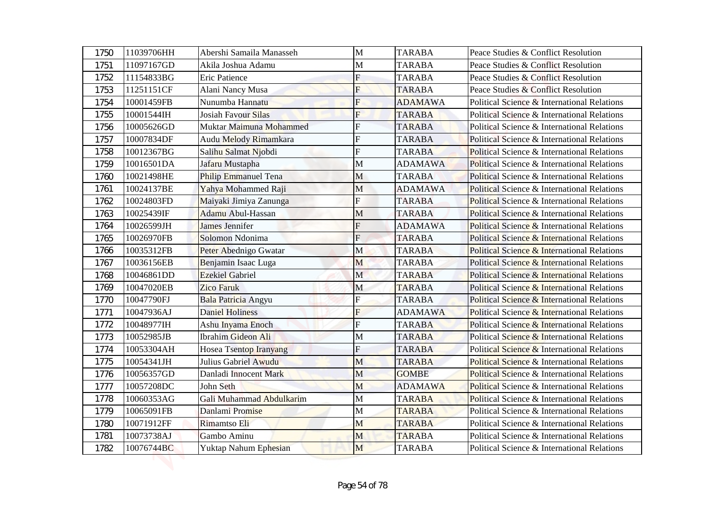| 1750 | 11039706HH | Abershi Samaila Manasseh      | $\mathbf{M}$            | <b>TARABA</b>  | Peace Studies & Conflict Resolution         |
|------|------------|-------------------------------|-------------------------|----------------|---------------------------------------------|
| 1751 | 11097167GD | Akila Joshua Adamu            | M                       | <b>TARABA</b>  | Peace Studies & Conflict Resolution         |
| 1752 | 11154833BG | <b>Eric Patience</b>          | $\overline{F}$          | <b>TARABA</b>  | Peace Studies & Conflict Resolution         |
| 1753 | 11251151CF | Alani Nancy Musa              | F                       | <b>TARABA</b>  | Peace Studies & Conflict Resolution         |
| 1754 | 10001459FB | Nunumba Hannatu               | F                       | <b>ADAMAWA</b> | Political Science & International Relations |
| 1755 | 10001544IH | <b>Josiah Favour Silas</b>    | $\overline{\mathrm{F}}$ | <b>TARABA</b>  | Political Science & International Relations |
| 1756 | 10005626GD | Muktar Maimuna Mohammed       | F                       | <b>TARABA</b>  | Political Science & International Relations |
| 1757 | 10007834DF | Audu Melody Rimamkara         | F                       | <b>TARABA</b>  | Political Science & International Relations |
| 1758 | 10012367BG | Salihu Salmat Njobdi          | F                       | <b>TARABA</b>  | Political Science & International Relations |
| 1759 | 10016501DA | Jafaru Mustapha               | M                       | <b>ADAMAWA</b> | Political Science & International Relations |
| 1760 | 10021498HE | <b>Philip Emmanuel Tena</b>   | M                       | <b>TARABA</b>  | Political Science & International Relations |
| 1761 | 10024137BE | Yahya Mohammed Raji           | М                       | <b>ADAMAWA</b> | Political Science & International Relations |
| 1762 | 10024803FD | Maiyaki Jimiya Zanunga        | F                       | <b>TARABA</b>  | Political Science & International Relations |
| 1763 | 10025439IF | <b>Adamu Abul-Hassan</b>      | М                       | <b>TARABA</b>  | Political Science & International Relations |
| 1764 | 10026599JH | <b>James Jennifer</b>         | F                       | <b>ADAMAWA</b> | Political Science & International Relations |
| 1765 | 10026970FB | Solomon Ndonima               | $\overline{F}$          | <b>TARABA</b>  | Political Science & International Relations |
| 1766 | 10035312FB | Peter Abednigo Gwatar         | M                       | <b>TARABA</b>  | Political Science & International Relations |
| 1767 | 10036156EB | Benjamin Isaac Luga           | M                       | <b>TARABA</b>  | Political Science & International Relations |
| 1768 | 10046861DD | <b>Ezekiel Gabriel</b>        | $\mathbf M$             | <b>TARABA</b>  | Political Science & International Relations |
| 1769 | 10047020EB | <b>Zico Faruk</b>             | M                       | <b>TARABA</b>  | Political Science & International Relations |
| 1770 | 10047790FJ | Bala Patricia Angyu           | ${\bf F}$               | <b>TARABA</b>  | Political Science & International Relations |
| 1771 | 10047936AJ | <b>Daniel Holiness</b>        | F                       | <b>ADAMAWA</b> | Political Science & International Relations |
| 1772 | 10048977IH | Ashu Inyama Enoch             | $\overline{F}$          | <b>TARABA</b>  | Political Science & International Relations |
| 1773 | 10052985JB | <b>Ibrahim Gideon Ali</b>     | М                       | <b>TARABA</b>  | Political Science & International Relations |
| 1774 | 10053304AH | <b>Hosea Tsentop Iranyang</b> | F                       | <b>TARABA</b>  | Political Science & International Relations |
| 1775 | 10054341JH | Julius Gabriel Awudu          | M                       | <b>TARABA</b>  | Political Science & International Relations |
| 1776 | 10056357GD | Danladi Innocent Mark         | M                       | <b>GOMBE</b>   | Political Science & International Relations |
| 1777 | 10057208DC | John Seth                     | M                       | <b>ADAMAWA</b> | Political Science & International Relations |
| 1778 | 10060353AG | Gali Muhammad Abdulkarim      | M                       | <b>TARABA</b>  | Political Science & International Relations |
| 1779 | 10065091FB | Danlami Promise               | M                       | <b>TARABA</b>  | Political Science & International Relations |
| 1780 | 10071912FF | Rimamtso Eli                  | M                       | <b>TARABA</b>  | Political Science & International Relations |
| 1781 | 10073738AJ | Gambo Aminu                   | M                       | <b>TARABA</b>  | Political Science & International Relations |
| 1782 | 10076744BC | Yuktap Nahum Ephesian         | M                       | <b>TARABA</b>  | Political Science & International Relations |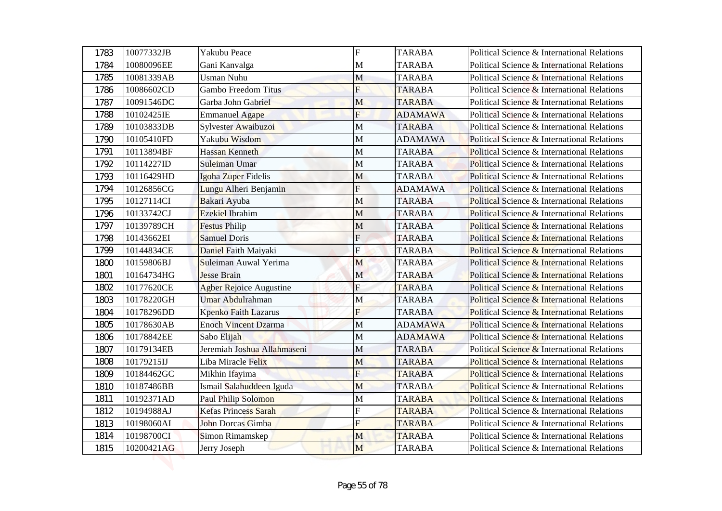| 1783 | 10077332JB | Yakubu Peace                   | $\overline{F}$ | <b>TARABA</b>  | Political Science & International Relations            |
|------|------------|--------------------------------|----------------|----------------|--------------------------------------------------------|
| 1784 | 10080096EE | Gani Kanvalga                  | M              | <b>TARABA</b>  | Political Science & International Relations            |
| 1785 | 10081339AB | <b>Usman Nuhu</b>              | M              | <b>TARABA</b>  | Political Science & International Relations            |
| 1786 | 10086602CD | Gambo Freedom Titus            | F              | <b>TARABA</b>  | Political Science & International Relations            |
| 1787 | 10091546DC | Garba John Gabriel             | M              | <b>TARABA</b>  | Political Science & International Relations            |
| 1788 | 10102425IE | <b>Emmanuel Agape</b>          | F              | <b>ADAMAWA</b> | Political Science & International Relations            |
| 1789 | 10103833DB | Sylvester Awaibuzoi            | M              | <b>TARABA</b>  | Political Science & International Relations            |
| 1790 | 10105410FD | Yakubu Wisdom                  | M              | <b>ADAMAWA</b> | Political Science & International Relations            |
| 1791 | 10113894BF | <b>Hassan Kenneth</b>          | M              | <b>TARABA</b>  | Political Science & International Relations            |
| 1792 | 10114227ID | Suleiman Umar                  | M              | <b>TARABA</b>  | Political Science & International Relations            |
| 1793 | 10116429HD | Igoha Zuper Fidelis            | M              | <b>TARABA</b>  | Political Science & International Relations            |
| 1794 | 10126856CG | Lungu Alheri Benjamin          | F              | <b>ADAMAWA</b> | Political Science & International Relations            |
| 1795 | 10127114CI | Bakari Ayuba                   | M              | <b>TARABA</b>  | Political Science & International Relations            |
| 1796 | 10133742CJ | <b>Ezekiel Ibrahim</b>         | M              | <b>TARABA</b>  | Political Science & International Relations            |
| 1797 | 10139789CH | <b>Festus Philip</b>           | M              | <b>TARABA</b>  | <b>Political Science &amp; International Relations</b> |
| 1798 | 10143662EI | <b>Samuel Doris</b>            | $\overline{F}$ | <b>TARABA</b>  | Political Science & International Relations            |
| 1799 | 10144834CE | Daniel Faith Maiyaki           | Ė              | <b>TARABA</b>  | Political Science & International Relations            |
| 1800 | 10159806BJ | Suleiman Auwal Yerima          | M              | <b>TARABA</b>  | Political Science & International Relations            |
| 1801 | 10164734HG | <b>Jesse Brain</b>             | $\mathbf M$    | <b>TARABA</b>  | Political Science & International Relations            |
| 1802 | 10177620CE | <b>Agber Rejoice Augustine</b> | ${\bf F}$      | <b>TARABA</b>  | Political Science & International Relations            |
| 1803 | 10178220GH | Umar Abdulrahman               | M              | <b>TARABA</b>  | Political Science & International Relations            |
| 1804 | 10178296DD | Kpenko Faith Lazarus           | F              | <b>TARABA</b>  | Political Science & International Relations            |
| 1805 | 10178630AB | <b>Enoch Vincent Dzarma</b>    | M              | <b>ADAMAWA</b> | Political Science & International Relations            |
| 1806 | 10178842EE | Sabo Elijah                    | M              | <b>ADAMAWA</b> | Political Science & International Relations            |
| 1807 | 10179134EB | Jeremiah Joshua Allahmaseni    | M              | <b>TARABA</b>  | Political Science & International Relations            |
| 1808 | 10179215IJ | Liba Miracle Felix             | M              | <b>TARABA</b>  | Political Science & International Relations            |
| 1809 | 10184462GC | Mikhin Ifayima                 | F              | <b>TARABA</b>  | Political Science & International Relations            |
| 1810 | 10187486BB | Ismail Salahuddeen Iguda       | M              | <b>TARABA</b>  | Political Science & International Relations            |
| 1811 | 10192371AD | <b>Paul Philip Solomon</b>     | M              | <b>TARABA</b>  | Political Science & International Relations            |
| 1812 | 10194988AJ | Kefas Princess Sarah           | F              | <b>TARABA</b>  | Political Science & International Relations            |
| 1813 | 10198060AI | John Dorcas Gimba              | F              | <b>TARABA</b>  | Political Science & International Relations            |
| 1814 | 10198700CI | Simon Rimamskep                | M              | <b>TARABA</b>  | Political Science & International Relations            |
| 1815 | 10200421AG | Jerry Joseph                   | M              | <b>TARABA</b>  | Political Science & International Relations            |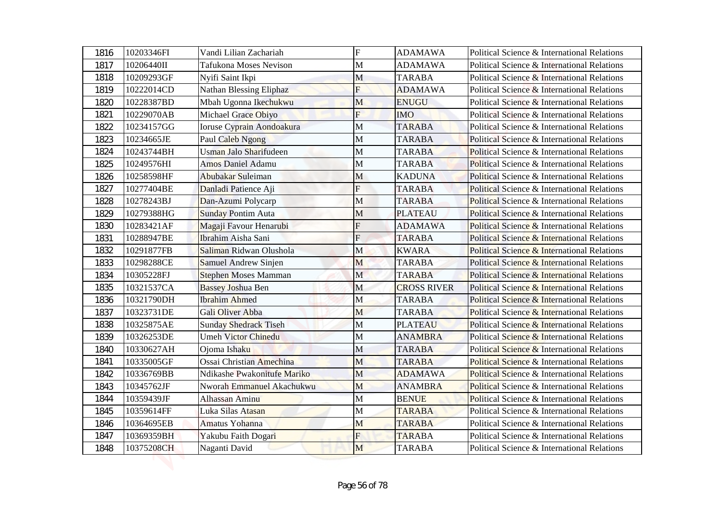| 1816         | 10203346FI               | Vandi Lilian Zachariah                           | $\overline{F}$             | <b>ADAMAWA</b>                 | Political Science & International Relations                                                |
|--------------|--------------------------|--------------------------------------------------|----------------------------|--------------------------------|--------------------------------------------------------------------------------------------|
| 1817         | 10206440II               | <b>Tafukona Moses Nevison</b>                    | M                          | <b>ADAMAWA</b>                 | Political Science & International Relations<br>Political Science & International Relations |
| 1818         | 10209293GF               | Nyifi Saint Ikpi                                 | M                          | <b>TARABA</b>                  |                                                                                            |
| 1819         | 10222014CD               | Nathan Blessing Eliphaz                          | F                          | <b>ADAMAWA</b>                 | Political Science & International Relations                                                |
| 1820         | 10228387BD               | Mbah Ugonna Ikechukwu                            | M                          | <b>ENUGU</b>                   | Political Science & International Relations                                                |
| 1821         | 10229070AB               | Michael Grace Obiyo                              | $\overline{F}$             | <b>IMO</b>                     | Political Science & International Relations                                                |
| 1822         | 10234157GG               | Ioruse Cyprain Aondoakura                        | M                          | <b>TARABA</b>                  | Political Science & International Relations                                                |
| 1823         | 10234665JE               | Paul Caleb Ngong<br>Usman Jalo Sharifudeen       | M                          | <b>TARABA</b>                  | Political Science & International Relations                                                |
| 1824         | 10243744BH               |                                                  | M                          | <b>TARABA</b>                  | Political Science & International Relations                                                |
| 1825         | 10249576HI               | <b>Amos Daniel Adamu</b>                         | M                          | <b>TARABA</b>                  | Political Science & International Relations                                                |
| 1826         | 10258598HF               | Abubakar Suleiman                                | M<br>F                     | <b>KADUNA</b>                  | Political Science & International Relations                                                |
| 1827         | 10277404BE               | Danladi Patience Aji                             |                            | <b>TARABA</b>                  | Political Science & International Relations                                                |
| 1828         | 10278243BJ               | Dan-Azumi Polycarp                               | M                          | <b>TARABA</b>                  | Political Science & International Relations                                                |
| 1829         | 10279388HG               | <b>Sunday Pontim Auta</b>                        | M                          | <b>PLATEAU</b>                 | Political Science & International Relations                                                |
| 1830         | 10283421AF               | Magaji Favour Henarubi                           | F                          | <b>ADAMAWA</b>                 | <b>Political Science &amp; International Relations</b>                                     |
| 1831         | 10288947BE               | Ibrahim Aisha Sani                               | $\overline{F}$             | <b>TARABA</b>                  | Political Science & International Relations                                                |
| 1832         | 10291877FB               | Saliman Ridwan Olushola                          | M                          | <b>KWARA</b>                   | Political Science & International Relations<br>Political Science & International Relations |
| 1833         | 10298288CE               | Samuel Andrew Sinjen                             | M                          | <b>TARABA</b><br><b>TARABA</b> |                                                                                            |
| 1834         | 10305228FJ<br>10321537CA | <b>Stephen Moses Mamman</b>                      | $\mathbf M$<br>$\mathbf M$ | <b>CROSS RIVER</b>             | Political Science & International Relations<br>Political Science & International Relations |
| 1835         | 10321790DH               | <b>Bassey Joshua Ben</b><br><b>Ibrahim Ahmed</b> | M                          | <b>TARABA</b>                  | Political Science & International Relations                                                |
| 1836<br>1837 | 10323731DE               | Gali Oliver Abba                                 | M                          | <b>TARABA</b>                  | Political Science & International Relations                                                |
| 1838         | 10325875AE               | <b>Sunday Shedrack Tiseh</b>                     | $\mathbf M$                | <b>PLATEAU</b>                 | Political Science & International Relations                                                |
| 1839         | 10326253DE               | <b>Umeh Victor Chinedu</b>                       | M                          | <b>ANAMBRA</b>                 | Political Science & International Relations                                                |
| 1840         | 10330627AH               | Ojoma Ishaku                                     | M                          | <b>TARABA</b>                  | Political Science & International Relations                                                |
| 1841         | 10335005GF               | <b>Ossai Christian Amechina</b>                  | M                          | <b>TARABA</b>                  | Political Science & International Relations                                                |
| 1842         | 10336769BB               | Ndikashe Pwakonitufe Mariko                      | M                          | <b>ADAMAWA</b>                 | Political Science & International Relations                                                |
| 1843         | 10345762JF               | Nworah Emmanuel Akachukwu                        | M                          | <b>ANAMBRA</b>                 | Political Science & International Relations                                                |
| 1844         | 10359439JF               | <b>Alhassan Aminu</b>                            | M                          | <b>BENUE</b>                   | Political Science & International Relations                                                |
| 1845         | 10359614FF               | Luka Silas Atasan                                | M                          | <b>TARABA</b>                  | Political Science & International Relations                                                |
| 1846         | 10364695EB               | Amatus Yohanna                                   | M                          | <b>TARABA</b>                  | Political Science & International Relations                                                |
| 1847         | 10369359BH               | Yakubu Faith Dogari                              | F                          | <b>TARABA</b>                  | Political Science & International Relations                                                |
|              | 10375208CH               | Naganti David                                    | M                          | <b>TARABA</b>                  | Political Science & International Relations                                                |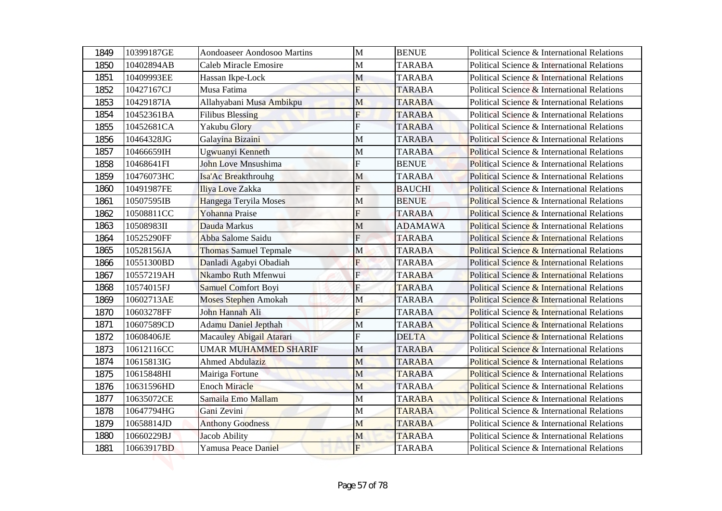| 1849 | 10399187GE | Aondoaseer Aondosoo Martins  | $\mathbf{M}$              | <b>BENUE</b>   | Political Science & International Relations            |
|------|------------|------------------------------|---------------------------|----------------|--------------------------------------------------------|
| 1850 | 10402894AB | <b>Caleb Miracle Emosire</b> | M                         | <b>TARABA</b>  | Political Science & International Relations            |
| 1851 | 10409993EE | Hassan Ikpe-Lock             | M                         | <b>TARABA</b>  | Political Science & International Relations            |
| 1852 | 10427167CJ | Musa Fatima                  | F                         | <b>TARABA</b>  | Political Science & International Relations            |
| 1853 | 10429187IA | Allahyabani Musa Ambikpu     | M                         | <b>TARABA</b>  | Political Science & International Relations            |
| 1854 | 10452361BA | <b>Filibus Blessing</b>      | $\overline{\mathrm{F}}$   | <b>TARABA</b>  | Political Science & International Relations            |
| 1855 | 10452681CA | Yakubu Glory                 | F                         | <b>TARABA</b>  | Political Science & International Relations            |
| 1856 | 10464328JG | Galayina Bizaini             | M                         | <b>TARABA</b>  | Political Science & International Relations            |
| 1857 | 10466659IH | Ugwuanyi Kenneth             | M                         | <b>TARABA</b>  | Political Science & International Relations            |
| 1858 | 10468641FI | John Love Mnsushima          | F                         | <b>BENUE</b>   | Political Science & International Relations            |
| 1859 | 10476073HC | Isa'Ac Breakthrouhg          | M                         | <b>TARABA</b>  | Political Science & International Relations            |
| 1860 | 10491987FE | Iliya Love Zakka             | F                         | <b>BAUCHI</b>  | Political Science & International Relations            |
| 1861 | 10507595IB | Hangega Teryila Moses        | M                         | <b>BENUE</b>   | Political Science & International Relations            |
| 1862 | 10508811CC | Yohanna Praise               | F                         | <b>TARABA</b>  | Political Science & International Relations            |
| 1863 | 10508983II | Dauda Markus                 | M                         | <b>ADAMAWA</b> | <b>Political Science &amp; International Relations</b> |
| 1864 | 10525290FF | Abba Salome Saidu            | $\overline{F}$            | <b>TARABA</b>  | Political Science & International Relations            |
| 1865 | 10528156JA | <b>Thomas Samuel Tepmale</b> | M                         | <b>TARABA</b>  | Political Science & International Relations            |
| 1866 | 10551300BD | Danladi Agabyi Obadiah       | F                         | <b>TARABA</b>  | Political Science & International Relations            |
| 1867 | 10557219AH | Nkambo Ruth Mfenwui          | $\mathbf{F}$              | <b>TARABA</b>  | Political Science & International Relations            |
| 1868 | 10574015FJ | Samuel Comfort Boyi          | $\boldsymbol{\mathrm{F}}$ | <b>TARABA</b>  | Political Science & International Relations            |
| 1869 | 10602713AE | <b>Moses Stephen Amokah</b>  | M                         | <b>TARABA</b>  | Political Science & International Relations            |
| 1870 | 10603278FF | John Hannah Ali              | F                         | <b>TARABA</b>  | Political Science & International Relations            |
| 1871 | 10607589CD | <b>Adamu Daniel Jepthah</b>  | $\mathbf M$               | <b>TARABA</b>  | Political Science & International Relations            |
| 1872 | 10608406JE | Macauley Abigail Atarari     | F                         | <b>DELTA</b>   | Political Science & International Relations            |
| 1873 | 10612116CC | <b>UMAR MUHAMMED SHARIF</b>  | M                         | <b>TARABA</b>  | Political Science & International Relations            |
| 1874 | 10615813IG | Ahmed Abdulaziz              | M                         | <b>TARABA</b>  | Political Science & International Relations            |
| 1875 | 10615848HI | Mairiga Fortune              | M                         | <b>TARABA</b>  | Political Science & International Relations            |
| 1876 | 10631596HD | <b>Enoch Miracle</b>         | M                         | <b>TARABA</b>  | Political Science & International Relations            |
| 1877 | 10635072CE | Samaila Emo Mallam           | $\mathbf M$               | <b>TARABA</b>  | Political Science & International Relations            |
| 1878 | 10647794HG | Gani Zevini                  | M                         | <b>TARABA</b>  | Political Science & International Relations            |
| 1879 | 10658814JD | <b>Anthony Goodness</b>      | M                         | <b>TARABA</b>  | Political Science & International Relations            |
| 1880 | 10660229BJ | Jacob Ability                | M                         | <b>TARABA</b>  | Political Science & International Relations            |
| 1881 | 10663917BD | Yamusa Peace Daniel          | F                         | <b>TARABA</b>  | Political Science & International Relations            |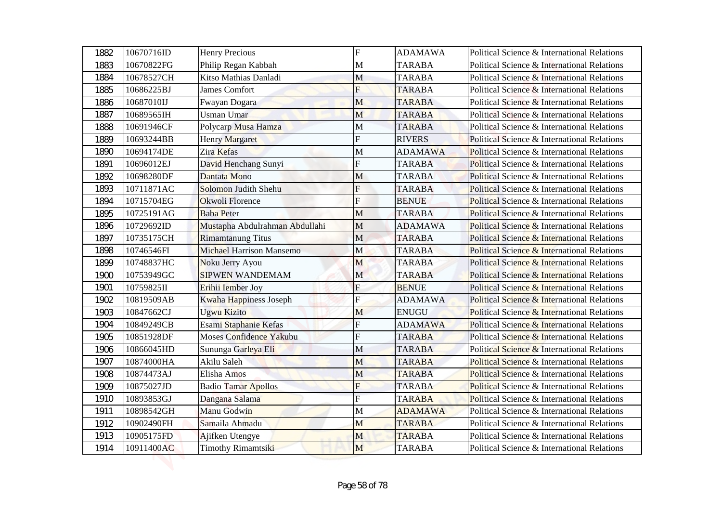| 1882 | 10670716ID | <b>Henry Precious</b>           | $\overline{F}$          | <b>ADAMAWA</b> | Political Science & International Relations |
|------|------------|---------------------------------|-------------------------|----------------|---------------------------------------------|
| 1883 | 10670822FG | Philip Regan Kabbah             | M                       | <b>TARABA</b>  | Political Science & International Relations |
| 1884 | 10678527CH | Kitso Mathias Danladi           | M                       | <b>TARABA</b>  | Political Science & International Relations |
| 1885 | 10686225BJ | James Comfort                   | F                       | <b>TARABA</b>  | Political Science & International Relations |
| 1886 | 10687010IJ | Fwayan Dogara                   | M                       | <b>TARABA</b>  | Political Science & International Relations |
| 1887 | 10689565IH | <b>Usman Umar</b>               | M                       | <b>TARABA</b>  | Political Science & International Relations |
| 1888 | 10691946CF | Polycarp Musa Hamza             | M                       | <b>TARABA</b>  | Political Science & International Relations |
| 1889 | 10693244BB | Henry Margaret                  | F                       | <b>RIVERS</b>  | Political Science & International Relations |
| 1890 | 10694174DE | <b>Zira Kefas</b>               | M                       | <b>ADAMAWA</b> | Political Science & International Relations |
| 1891 | 10696012EJ | David Henchang Sunyi            | F                       | <b>TARABA</b>  | Political Science & International Relations |
| 1892 | 10698280DF | Dantata Mono                    | M                       | <b>TARABA</b>  | Political Science & International Relations |
| 1893 | 10711871AC | Solomon Judith Shehu            | F                       | <b>TARABA</b>  | Political Science & International Relations |
| 1894 | 10715704EG | Okwoli Florence                 | F                       | <b>BENUE</b>   | Political Science & International Relations |
| 1895 | 10725191AG | <b>Baba Peter</b>               | M                       | <b>TARABA</b>  | Political Science & International Relations |
| 1896 | 10729692ID | Mustapha Abdulrahman Abdullahi  | M                       | <b>ADAMAWA</b> | Political Science & International Relations |
| 1897 | 10735175CH | <b>Rimamtanung Titus</b>        | M                       | <b>TARABA</b>  | Political Science & International Relations |
| 1898 | 10746546FI | <b>Michael Harrison Mansemo</b> | M                       | <b>TARABA</b>  | Political Science & International Relations |
| 1899 | 10748837HC | Noku Jerry Ayou                 | M                       | <b>TARABA</b>  | Political Science & International Relations |
| 1900 | 10753949GC | <b>SIPWEN WANDEMAM</b>          | $\mathbf M$             | <b>TARABA</b>  | Political Science & International Relations |
| 1901 | 10759825II | Erihii Iember Joy               | ${\bf F}$               | <b>BENUE</b>   | Political Science & International Relations |
| 1902 | 10819509AB | Kwaha Happiness Joseph          | $\overline{F}$          | <b>ADAMAWA</b> | Political Science & International Relations |
| 1903 | 10847662CJ | <b>Ugwu Kizito</b>              | M                       | <b>ENUGU</b>   | Political Science & International Relations |
| 1904 | 10849249CB | Esami Staphanie Kefas           | $\overline{\mathrm{F}}$ | <b>ADAMAWA</b> | Political Science & International Relations |
| 1905 | 10851928DF | Moses Confidence Yakubu         | F                       | <b>TARABA</b>  | Political Science & International Relations |
| 1906 | 10866045HD | Sununga Garleya Eli             | M                       | <b>TARABA</b>  | Political Science & International Relations |
| 1907 | 10874000HA | Akilu Saleh                     | M                       | <b>TARABA</b>  | Political Science & International Relations |
| 1908 | 10874473AJ | Elisha Amos                     | M                       | <b>TARABA</b>  | Political Science & International Relations |
| 1909 | 10875027JD | <b>Badio Tamar Apollos</b>      | F                       | <b>TARABA</b>  | Political Science & International Relations |
| 1910 | 10893853GJ | Dangana Salama                  | F                       | <b>TARABA</b>  | Political Science & International Relations |
| 1911 | 10898542GH | Manu Godwin                     | M                       | <b>ADAMAWA</b> | Political Science & International Relations |
| 1912 | 10902490FH | Samaila Ahmadu                  | M                       | <b>TARABA</b>  | Political Science & International Relations |
| 1913 | 10905175FD | Ajifken Utengye                 | M                       | <b>TARABA</b>  | Political Science & International Relations |
| 1914 | 10911400AC | Timothy Rimamtsiki              | M                       | <b>TARABA</b>  | Political Science & International Relations |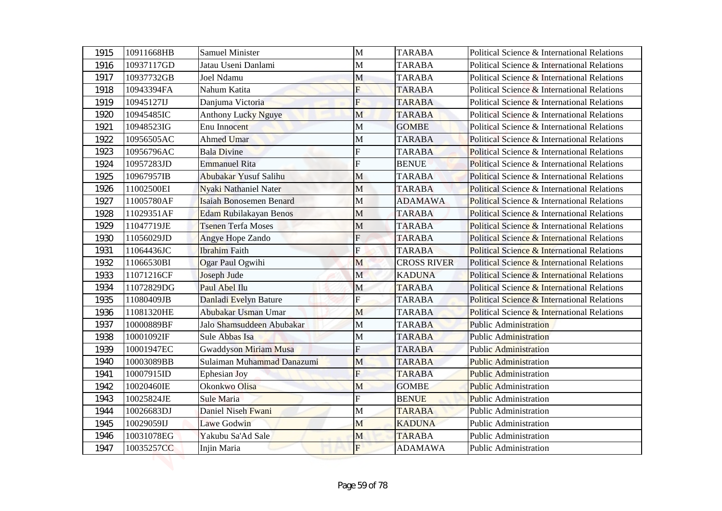| 1915 | 10911668HB | <b>Samuel Minister</b>         | $\mathbf{M}$ | <b>TARABA</b>      | Political Science & International Relations |
|------|------------|--------------------------------|--------------|--------------------|---------------------------------------------|
| 1916 | 10937117GD | Jatau Useni Danlami            | M            | <b>TARABA</b>      | Political Science & International Relations |
| 1917 | 10937732GB | Joel Ndamu                     | M            | <b>TARABA</b>      | Political Science & International Relations |
| 1918 | 10943394FA | Nahum Katita                   | F            | <b>TARABA</b>      | Political Science & International Relations |
| 1919 | 10945127IJ | Danjuma Victoria               | F            | <b>TARABA</b>      | Political Science & International Relations |
| 1920 | 10945485IC | <b>Anthony Lucky Nguye</b>     | M            | <b>TARABA</b>      | Political Science & International Relations |
| 1921 | 10948523IG | Enu Innocent                   | M            | <b>GOMBE</b>       | Political Science & International Relations |
| 1922 | 10956505AC | Ahmed Umar                     | M            | <b>TARABA</b>      | Political Science & International Relations |
| 1923 | 10956796AC | <b>Bala Divine</b>             | F            | <b>TARABA</b>      | Political Science & International Relations |
| 1924 | 10957283JD | Emmanuel Rita                  | F            | <b>BENUE</b>       | Political Science & International Relations |
| 1925 | 10967957IB | Abubakar Yusuf Salihu          | M            | <b>TARABA</b>      | Political Science & International Relations |
| 1926 | 11002500EI | <b>Nyaki Nathaniel Nater</b>   | M            | <b>TARABA</b>      | Political Science & International Relations |
| 1927 | 11005780AF | <b>Isaiah Bonosemen Benard</b> | M            | <b>ADAMAWA</b>     | Political Science & International Relations |
| 1928 | 11029351AF | Edam Rubilakayan Benos         | М            | <b>TARABA</b>      | Political Science & International Relations |
| 1929 | 11047719JE | <b>Tsenen Terfa Moses</b>      | M            | <b>TARABA</b>      | Political Science & International Relations |
| 1930 | 11056029JD | Angye Hope Zando               | $F_{\rm}$    | <b>TARABA</b>      | Political Science & International Relations |
| 1931 | 11064436JC | <b>Ibrahim</b> Faith           | Ė            | <b>TARABA</b>      | Political Science & International Relations |
| 1932 | 11066530BI | Ogar Paul Ogwihi               | M            | <b>CROSS RIVER</b> | Political Science & International Relations |
| 1933 | 11071216CF | Joseph Jude                    | $\mathbf M$  | <b>KADUNA</b>      | Political Science & International Relations |
| 1934 | 11072829DG | Paul Abel Ilu                  | M            | <b>TARABA</b>      | Political Science & International Relations |
| 1935 | 11080409JB | Danladi Evelyn Bature          | ${\bf F}$    | <b>TARABA</b>      | Political Science & International Relations |
| 1936 | 11081320HE | Abubakar Usman Umar            | M            | <b>TARABA</b>      | Political Science & International Relations |
| 1937 | 10000889BF | Jalo Shamsuddeen Abubakar      | M            | <b>TARABA</b>      | <b>Public Administration</b>                |
| 1938 | 10001092IF | Sule Abbas Isa                 | М            | <b>TARABA</b>      | <b>Public Administration</b>                |
| 1939 | 10001947EC | Gwaddyson Miriam Musa          | F            | <b>TARABA</b>      | Public Administration                       |
| 1940 | 10003089BB | Sulaiman Muhammad Danazumi     | M            | <b>TARABA</b>      | <b>Public Administration</b>                |
| 1941 | 10007915ID | Ephesian Joy                   | F            | <b>TARABA</b>      | <b>Public Administration</b>                |
| 1942 | 10020460IE | Okonkwo Olisa                  | M            | <b>GOMBE</b>       | <b>Public Administration</b>                |
| 1943 | 10025824JE | Sule Maria                     | F            | <b>BENUE</b>       | <b>Public Administration</b>                |
| 1944 | 10026683DJ | Daniel Niseh Fwani             | M            | <b>TARABA</b>      | Public Administration                       |
| 1945 | 10029059IJ | Lawe Godwin                    | M            | <b>KADUNA</b>      | <b>Public Administration</b>                |
| 1946 | 10031078EG | Yakubu Sa'Ad Sale              | M            | <b>TARABA</b>      | <b>Public Administration</b>                |
| 1947 | 10035257CC | Injin Maria                    | F            | <b>ADAMAWA</b>     | Public Administration                       |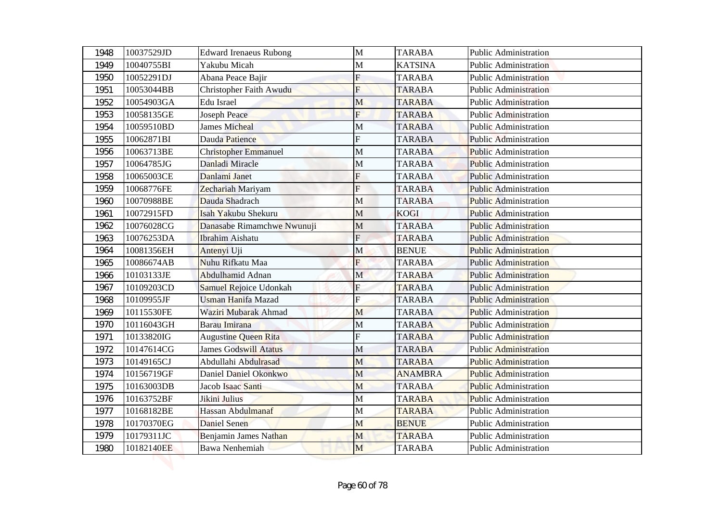| 1948 | 10037529JD | <b>Edward Irenaeus Rubong</b> | $\mathbf{M}$              | <b>TARABA</b>  | <b>Public Administration</b> |
|------|------------|-------------------------------|---------------------------|----------------|------------------------------|
| 1949 | 10040755BI | Yakubu Micah                  | М                         | <b>KATSINA</b> | Public Administration        |
| 1950 | 10052291DJ | Abana Peace Bajir             | F                         | <b>TARABA</b>  | <b>Public Administration</b> |
| 1951 | 10053044BB | Christopher Faith Awudu       | F                         | <b>TARABA</b>  | <b>Public Administration</b> |
| 1952 | 10054903GA | <b>Edu Israel</b>             | M                         | <b>TARABA</b>  | <b>Public Administration</b> |
| 1953 | 10058135GE | <b>Joseph Peace</b>           | $\overline{F}$            | <b>TARABA</b>  | <b>Public Administration</b> |
| 1954 | 10059510BD | <b>James Micheal</b>          | M                         | <b>TARABA</b>  | <b>Public Administration</b> |
| 1955 | 10062871BI | Dauda Patience                | F                         | <b>TARABA</b>  | <b>Public Administration</b> |
| 1956 | 10063713BE | <b>Christopher Emmanuel</b>   | М                         | <b>TARABA</b>  | <b>Public Administration</b> |
| 1957 | 10064785JG | Danladi Miracle               | M                         | <b>TARABA</b>  | <b>Public Administration</b> |
| 1958 | 10065003CE | Danlami Janet                 | F                         | <b>TARABA</b>  | <b>Public Administration</b> |
| 1959 | 10068776FE | Zechariah Mariyam             | F                         | <b>TARABA</b>  | <b>Public Administration</b> |
| 1960 | 10070988BE | Dauda Shadrach                | M                         | <b>TARABA</b>  | <b>Public Administration</b> |
| 1961 | 10072915FD | Isah Yakubu Shekuru           | М                         | <b>KOGI</b>    | <b>Public Administration</b> |
| 1962 | 10076028CG | Danasabe Rimamchwe Nwunuji    | M                         | <b>TARABA</b>  | <b>Public Administration</b> |
| 1963 | 10076253DA | <b>Ibrahim Aishatu</b>        | $\overline{F}$            | <b>TARABA</b>  | <b>Public Administration</b> |
| 1964 | 10081356EH | Antenyi Uji                   | М                         | <b>BENUE</b>   | <b>Public Administration</b> |
| 1965 | 10086674AB | Nuhu Rifkatu Maa              | F                         | <b>TARABA</b>  | <b>Public Administration</b> |
| 1966 | 10103133JE | Abdulhamid Adnan              | $\mathbf M$               | <b>TARABA</b>  | <b>Public Administration</b> |
| 1967 | 10109203CD | <b>Samuel Rejoice Udonkah</b> | $\boldsymbol{\mathrm{F}}$ | <b>TARABA</b>  | <b>Public Administration</b> |
| 1968 | 10109955JF | <b>Usman Hanifa Mazad</b>     | $\overline{F}$            | <b>TARABA</b>  | <b>Public Administration</b> |
| 1969 | 10115530FE | Waziri Mubarak Ahmad          | M                         | <b>TARABA</b>  | <b>Public Administration</b> |
| 1970 | 10116043GH | Barau Imirana                 | M                         | <b>TARABA</b>  | <b>Public Administration</b> |
| 1971 | 10133820IG | <b>Augustine Queen Rita</b>   | F                         | <b>TARABA</b>  | <b>Public Administration</b> |
| 1972 | 10147614CG | <b>James Godswill Atatus</b>  | M                         | <b>TARABA</b>  | <b>Public Administration</b> |
| 1973 | 10149165CJ | Abdullahi Abdulrasad          | M                         | <b>TARABA</b>  | <b>Public Administration</b> |
| 1974 | 10156719GF | Daniel Daniel Okonkwo         | M                         | <b>ANAMBRA</b> | <b>Public Administration</b> |
| 1975 | 10163003DB | Jacob Isaac Santi             | M                         | <b>TARABA</b>  | <b>Public Administration</b> |
| 1976 | 10163752BF | Jikini Julius                 | M                         | <b>TARABA</b>  | <b>Public Administration</b> |
| 1977 | 10168182BE | Hassan Abdulmanaf             | M                         | <b>TARABA</b>  | Public Administration        |
| 1978 | 10170370EG | Daniel Senen                  | M                         | <b>BENUE</b>   | <b>Public Administration</b> |
| 1979 | 10179311JC | Benjamin James Nathan         | M                         | <b>TARABA</b>  | <b>Public Administration</b> |
| 1980 | 10182140EE | <b>Bawa Nenhemiah</b>         | M                         | <b>TARABA</b>  | <b>Public Administration</b> |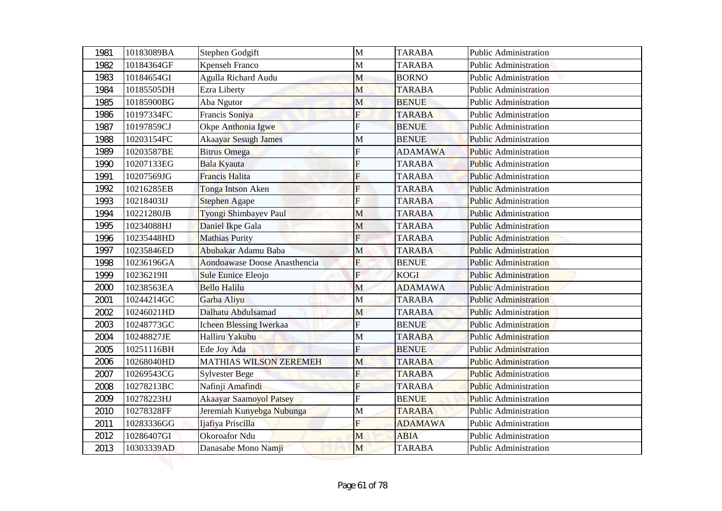| 1981 | 10183089BA | Stephen Godgift                | $\mathbf{M}$            | <b>TARABA</b>  | <b>Public Administration</b> |
|------|------------|--------------------------------|-------------------------|----------------|------------------------------|
| 1982 | 10184364GF | Kpenseh Franco                 | М                       | <b>TARABA</b>  | <b>Public Administration</b> |
| 1983 | 10184654GI | Agulla Richard Audu            | M                       | <b>BORNO</b>   | <b>Public Administration</b> |
| 1984 | 10185505DH | <b>Ezra Liberty</b>            | M                       | <b>TARABA</b>  | <b>Public Administration</b> |
| 1985 | 10185900BG | Aba Ngutor                     | M                       | <b>BENUE</b>   | <b>Public Administration</b> |
| 1986 | 10197334FC | Francis Soniya                 | $\overline{F}$          | <b>TARABA</b>  | <b>Public Administration</b> |
| 1987 | 10197859CJ | Okpe Anthonia Igwe             | F                       | <b>BENUE</b>   | Public Administration        |
| 1988 | 10203154FC | <b>Akaayar Sesugh James</b>    | M                       | <b>BENUE</b>   | <b>Public Administration</b> |
| 1989 | 10203587BE | <b>Bitrus Omega</b>            | F                       | <b>ADAMAWA</b> | <b>Public Administration</b> |
| 1990 | 10207133EG | Bala Kyauta                    | F                       | <b>TARABA</b>  | <b>Public Administration</b> |
| 1991 | 10207569JG | <b>Francis Halita</b>          | F                       | <b>TARABA</b>  | <b>Public Administration</b> |
| 1992 | 10216285EB | Tonga Intson Aken              | F                       | <b>TARABA</b>  | <b>Public Administration</b> |
| 1993 | 10218403IJ | <b>Stephen Agape</b>           | F                       | <b>TARABA</b>  | <b>Public Administration</b> |
| 1994 | 10221280JB | Tyongi Shimbayev Paul          | М                       | <b>TARABA</b>  | <b>Public Administration</b> |
| 1995 | 10234088HJ | Daniel Ikpe Gala               | M                       | <b>TARABA</b>  | <b>Public Administration</b> |
| 1996 | 10235448HD | <b>Mathias Purity</b>          | $F_{\rm}$               | <b>TARABA</b>  | <b>Public Administration</b> |
| 1997 | 10235846ED | Abubakar Adamu Baba            | M                       | <b>TARABA</b>  | <b>Public Administration</b> |
| 1998 | 10236196GA | Aondoawase Doose Anasthencia   | F                       | <b>BENUE</b>   | <b>Public Administration</b> |
| 1999 | 10236219II | Sule Eunice Eleojo             | $\mathbf{E}$            | <b>KOGI</b>    | <b>Public Administration</b> |
| 2000 | 10238563EA | <b>Bello Halilu</b>            | M                       | <b>ADAMAWA</b> | <b>Public Administration</b> |
| 2001 | 10244214GC | Garba Aliyu                    | M                       | <b>TARABA</b>  | <b>Public Administration</b> |
| 2002 | 10246021HD | Dalhatu Abdulsamad             | M                       | <b>TARABA</b>  | <b>Public Administration</b> |
| 2003 | 10248773GC | Icheen Blessing Iwerkaa        | $\overline{\mathrm{F}}$ | <b>BENUE</b>   | <b>Public Administration</b> |
| 2004 | 10248827JE | Halliru Yakubu                 | М                       | <b>TARABA</b>  | <b>Public Administration</b> |
| 2005 | 10251116BH | Ede Joy Ada                    | F                       | <b>BENUE</b>   | <b>Public Administration</b> |
| 2006 | 10268040HD | <b>MATHIAS WILSON ZEREMEH</b>  | M                       | <b>TARABA</b>  | <b>Public Administration</b> |
| 2007 | 10269543CG | <b>Sylvester Bege</b>          | F                       | <b>TARABA</b>  | <b>Public Administration</b> |
| 2008 | 10278213BC | Nafinji Amafindi               | F                       | <b>TARABA</b>  | <b>Public Administration</b> |
| 2009 | 10278223HJ | <b>Akaayar Saamoyol Patsey</b> | F                       | <b>BENUE</b>   | <b>Public Administration</b> |
| 2010 | 10278328FF | Jeremiah Kunyebga Nubunga      | M                       | <b>TARABA</b>  | Public Administration        |
| 2011 | 10283336GG | Ijafiya Priscilla              | F                       | <b>ADAMAWA</b> | <b>Public Administration</b> |
| 2012 | 10286407GI | Okoroafor Ndu                  | M                       | <b>ABIA</b>    | Public Administration        |
| 2013 | 10303339AD | Danasabe Mono Namji            | M                       | <b>TARABA</b>  | Public Administration        |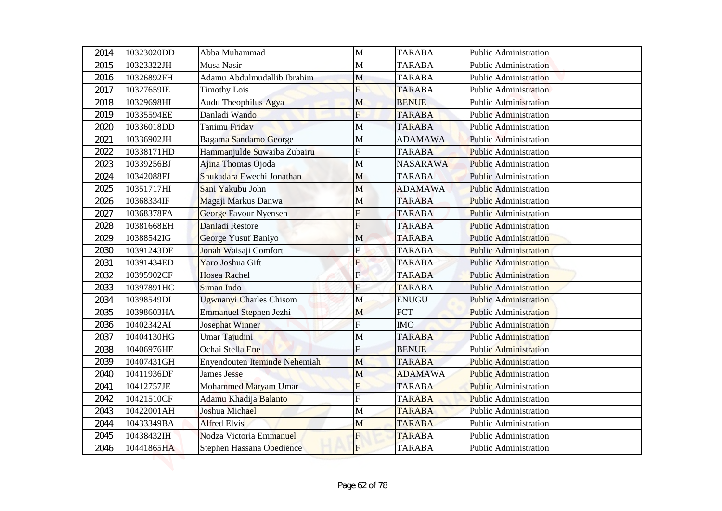| 2014 | 10323020DD | Abba Muhammad                  | $\mathbf{M}$   | <b>TARABA</b>   | Public Administration        |
|------|------------|--------------------------------|----------------|-----------------|------------------------------|
| 2015 | 10323322JH | Musa Nasir                     | M              | <b>TARABA</b>   | Public Administration        |
| 2016 | 10326892FH | Adamu Abdulmudallib Ibrahim    | M              | <b>TARABA</b>   | <b>Public Administration</b> |
| 2017 | 10327659IE | <b>Timothy Lois</b>            | F              | <b>TARABA</b>   | <b>Public Administration</b> |
| 2018 | 10329698HI | Audu Theophilus Agya           | M              | <b>BENUE</b>    | <b>Public Administration</b> |
| 2019 | 10335594EE | Danladi Wando                  | F              | <b>TARABA</b>   | <b>Public Administration</b> |
| 2020 | 10336018DD | Tanimu Friday                  | M              | <b>TARABA</b>   | Public Administration        |
| 2021 | 10336902JH | Bagama Sandamo George          | $\mathbf{M}$   | <b>ADAMAWA</b>  | <b>Public Administration</b> |
| 2022 | 10338171HD | Hammanjulde Suwaiba Zubairu    | F              | <b>TARABA</b>   | <b>Public Administration</b> |
| 2023 | 10339256BJ | Ajina Thomas Ojoda             | M              | <b>NASARAWA</b> | <b>Public Administration</b> |
| 2024 | 10342088FJ | Shukadara Ewechi Jonathan      | M              | <b>TARABA</b>   | <b>Public Administration</b> |
| 2025 | 10351717HI | Sani Yakubu John               | M              | <b>ADAMAWA</b>  | <b>Public Administration</b> |
| 2026 | 10368334IF | Magaji Markus Danwa            | M              | <b>TARABA</b>   | <b>Public Administration</b> |
| 2027 | 10368378FA | George Favour Nyenseh          | F              | <b>TARABA</b>   | <b>Public Administration</b> |
| 2028 | 10381668EH | Danladi Restore                | F              | <b>TARABA</b>   | <b>Public Administration</b> |
| 2029 | 10388542IG | George Yusuf Baniyo            | M              | <b>TARABA</b>   | <b>Public Administration</b> |
| 2030 | 10391243DE | Jonah Waisaji Comfort          | F              | <b>TARABA</b>   | <b>Public Administration</b> |
| 2031 | 10391434ED | Yaro Joshua Gift               | $\overline{F}$ | <b>TARABA</b>   | <b>Public Administration</b> |
| 2032 | 10395902CF | Hosea Rachel                   | $\mathbf{F}$   | <b>TARABA</b>   | <b>Public Administration</b> |
| 2033 | 10397891HC | Siman Indo                     | $\overline{F}$ | <b>TARABA</b>   | <b>Public Administration</b> |
| 2034 | 10398549DI | <b>Ugwuanyi Charles Chisom</b> | M              | <b>ENUGU</b>    | <b>Public Administration</b> |
| 2035 | 10398603HA | Emmanuel Stephen Jezhi         | M              | <b>FCT</b>      | <b>Public Administration</b> |
| 2036 | 10402342AI | Josephat Winner                | $\overline{F}$ | <b>IMO</b>      | <b>Public Administration</b> |
| 2037 | 10404130HG | Umar Tajudini                  | $\mathbf M$    | <b>TARABA</b>   | <b>Public Administration</b> |
| 2038 | 10406976HE | Ochai Stella Ene               | F              | <b>BENUE</b>    | <b>Public Administration</b> |
| 2039 | 10407431GH | Enyendouten Iteminde Nehemiah  | M              | <b>TARABA</b>   | <b>Public Administration</b> |
| 2040 | 10411936DF | <b>James Jesse</b>             | M              | <b>ADAMAWA</b>  | <b>Public Administration</b> |
| 2041 | 10412757JE | Mohammed Maryam Umar           | F              | <b>TARABA</b>   | <b>Public Administration</b> |
| 2042 | 10421510CF | Adamu Khadija Balanto          | F              | <b>TARABA</b>   | <b>Public Administration</b> |
| 2043 | 10422001AH | Joshua Michael                 | M              | <b>TARABA</b>   | Public Administration        |
| 2044 | 10433349BA | <b>Alfred Elvis</b>            | M              | <b>TARABA</b>   | <b>Public Administration</b> |
| 2045 | 10438432IH | Nodza Victoria Emmanuel        | $\overline{F}$ | <b>TARABA</b>   | <b>Public Administration</b> |
| 2046 | 10441865HA | Stephen Hassana Obedience      | F              | <b>TARABA</b>   | Public Administration        |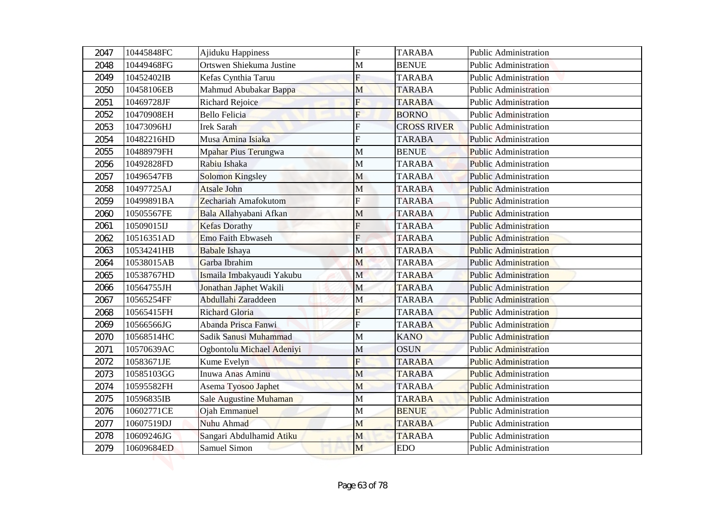| 2047 | 10445848FC | Ajiduku Happiness           | $\mathbf F$    | <b>TARABA</b>      | Public Administration        |
|------|------------|-----------------------------|----------------|--------------------|------------------------------|
| 2048 | 10449468FG | Ortswen Shiekuma Justine    | M              | <b>BENUE</b>       | <b>Public Administration</b> |
| 2049 | 10452402IB | Kefas Cynthia Taruu         | F              | <b>TARABA</b>      | <b>Public Administration</b> |
| 2050 | 10458106EB | Mahmud Abubakar Bappa       | M              | <b>TARABA</b>      | <b>Public Administration</b> |
| 2051 | 10469728JF | <b>Richard Rejoice</b>      | $\overline{F}$ | <b>TARABA</b>      | <b>Public Administration</b> |
| 2052 | 10470908EH | <b>Bello Felicia</b>        | $\mathbf{F}$   | <b>BORNO</b>       | <b>Public Administration</b> |
| 2053 | 10473096HJ | <b>Irek Sarah</b>           | F              | <b>CROSS RIVER</b> | Public Administration        |
| 2054 | 10482216HD | Musa Amina Isiaka           | F              | <b>TARABA</b>      | <b>Public Administration</b> |
| 2055 | 10488979FH | <b>Mpahar Pius Terungwa</b> | M              | <b>BENUE</b>       | <b>Public Administration</b> |
| 2056 | 10492828FD | Rabiu Ishaka                | M              | <b>TARABA</b>      | <b>Public Administration</b> |
| 2057 | 10496547FB | <b>Solomon Kingsley</b>     | M              | <b>TARABA</b>      | <b>Public Administration</b> |
| 2058 | 10497725AJ | <b>Atsale John</b>          | M              | <b>TARABA</b>      | <b>Public Administration</b> |
| 2059 | 10499891BA | Zechariah Amafokutom        | F              | <b>TARABA</b>      | <b>Public Administration</b> |
| 2060 | 10505567FE | Bala Allahyabani Afkan      | M              | <b>TARABA</b>      | <b>Public Administration</b> |
| 2061 | 10509015IJ | <b>Kefas Dorathy</b>        | F              | <b>TARABA</b>      | <b>Public Administration</b> |
| 2062 | 10516351AD | <b>Emo Faith Ebwaseh</b>    | $\overline{F}$ | <b>TARABA</b>      | <b>Public Administration</b> |
| 2063 | 10534241HB | <b>Babale</b> Ishaya        | M              | <b>TARABA</b>      | <b>Public Administration</b> |
| 2064 | 10538015AB | Garba Ibrahim               | M              | <b>TARABA</b>      | <b>Public Administration</b> |
| 2065 | 10538767HD | Ismaila Imbakyaudi Yakubu   | $\mathbf{M}$   | <b>TARABA</b>      | <b>Public Administration</b> |
| 2066 | 10564755JH | Jonathan Japhet Wakili      | M              | <b>TARABA</b>      | <b>Public Administration</b> |
| 2067 | 10565254FF | Abdullahi Zaraddeen         | M              | <b>TARABA</b>      | <b>Public Administration</b> |
| 2068 | 10565415FH | <b>Richard Gloria</b>       | F              | <b>TARABA</b>      | <b>Public Administration</b> |
| 2069 | 10566566JG | Abanda Prisca Fanwi         | $\overline{F}$ | <b>TARABA</b>      | <b>Public Administration</b> |
| 2070 | 10568514HC | Sadik Sanusi Muhammad       | $\mathbf M$    | <b>KANO</b>        | <b>Public Administration</b> |
| 2071 | 10570639AC | Ogbontolu Michael Adeniyi   | $\mathbf M$    | <b>OSUN</b>        | <b>Public Administration</b> |
| 2072 | 10583671JE | Kume Evelyn                 | $\overline{F}$ | <b>TARABA</b>      | <b>Public Administration</b> |
| 2073 | 10585103GG | Inuwa Anas Aminu            | M              | <b>TARABA</b>      | <b>Public Administration</b> |
| 2074 | 10595582FH | Asema Tyosoo Japhet         | M              | <b>TARABA</b>      | <b>Public Administration</b> |
| 2075 | 10596835IB | Sale Augustine Muhaman      | M              | <b>TARABA</b>      | <b>Public Administration</b> |
| 2076 | 10602771CE | Ojah Emmanuel               | M              | <b>BENUE</b>       | Public Administration        |
| 2077 | 10607519DJ | Nuhu Ahmad                  | M              | <b>TARABA</b>      | <b>Public Administration</b> |
| 2078 | 10609246JG | Sangari Abdulhamid Atiku    | M              | <b>TARABA</b>      | <b>Public Administration</b> |
| 2079 | 10609684ED | Samuel Simon                | M              | <b>EDO</b>         | Public Administration        |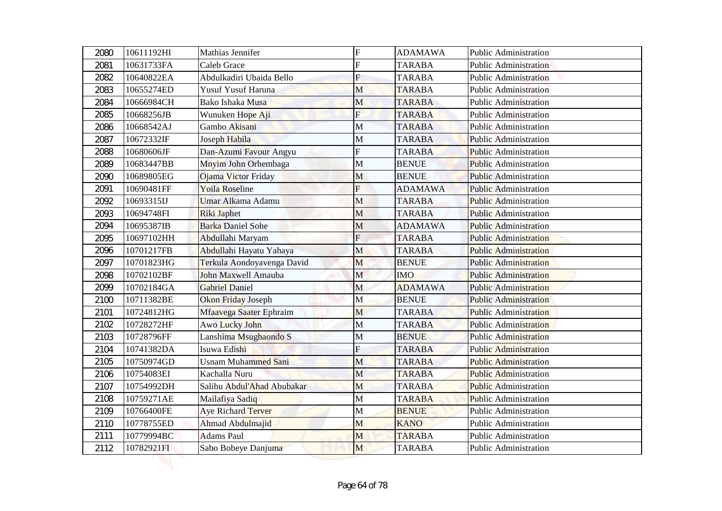| 2080 | 10611192HI | Mathias Jennifer           | $\mathbf F$    | <b>ADAMAWA</b> | Public Administration        |
|------|------------|----------------------------|----------------|----------------|------------------------------|
| 2081 | 10631733FA | <b>Caleb Grace</b>         | F              | <b>TARABA</b>  | <b>Public Administration</b> |
| 2082 | 10640822EA | Abdulkadiri Ubaida Bello   | $\overline{F}$ | <b>TARABA</b>  | <b>Public Administration</b> |
| 2083 | 10655274ED | Yusuf Yusuf Haruna         | M              | <b>TARABA</b>  | <b>Public Administration</b> |
| 2084 | 10666984CH | Bako Ishaka Musa           | M              | <b>TARABA</b>  | <b>Public Administration</b> |
| 2085 | 10668256JB | Wunuken Hope Aji           | $\mathbf{F}$   | <b>TARABA</b>  | <b>Public Administration</b> |
| 2086 | 10668542AJ | Gambo Akisani              | M              | <b>TARABA</b>  | Public Administration        |
| 2087 | 10672332IF | Joseph Habila              | $\mathbf{M}$   | <b>TARABA</b>  | <b>Public Administration</b> |
| 2088 | 10680606JF | Dan-Azumi Favour Angyu     | F              | <b>TARABA</b>  | <b>Public Administration</b> |
| 2089 | 10683447BB | Mnyim John Orhembaga       | M              | <b>BENUE</b>   | <b>Public Administration</b> |
| 2090 | 10689805EG | Ojama Victor Friday        | M              | <b>BENUE</b>   | <b>Public Administration</b> |
| 2091 | 10690481FF | <b>Yoila Roseline</b>      | F              | <b>ADAMAWA</b> | <b>Public Administration</b> |
| 2092 | 10693315IJ | Umar Alkama Adamu          | M              | <b>TARABA</b>  | <b>Public Administration</b> |
| 2093 | 10694748FI | <b>Riki Japhet</b>         | M              | <b>TARABA</b>  | <b>Public Administration</b> |
| 2094 | 10695387IB | <b>Barka Daniel Sohe</b>   | M              | <b>ADAMAWA</b> | <b>Public Administration</b> |
| 2095 | 10697102HH | Abdullahi Maryam           | $F_{\rm}$      | <b>TARABA</b>  | <b>Public Administration</b> |
| 2096 | 10701217FB | Abdullahi Hayatu Yahaya    | M              | <b>TARABA</b>  | <b>Public Administration</b> |
| 2097 | 10701823HG | Terkula Aondoyavenga David | M              | <b>BENUE</b>   | <b>Public Administration</b> |
| 2098 | 10702102BF | John Maxwell Amauba        | $\mathbf{M}$   | <b>IMO</b>     | <b>Public Administration</b> |
| 2099 | 10702184GA | <b>Gabriel Daniel</b>      | M              | <b>ADAMAWA</b> | <b>Public Administration</b> |
| 2100 | 10711382BE | Okon Friday Joseph         | M              | <b>BENUE</b>   | <b>Public Administration</b> |
| 2101 | 10724812HG | Mfaavega Saater Ephraim    | M              | <b>TARABA</b>  | <b>Public Administration</b> |
| 2102 | 10728272HF | Awo Lucky John             | M              | <b>TARABA</b>  | <b>Public Administration</b> |
| 2103 | 10728796FF | Lanshima Msughaondo S      | $\mathbf M$    | <b>BENUE</b>   | <b>Public Administration</b> |
| 2104 | 10741382DA | Isuwa Edishi               | F              | <b>TARABA</b>  | <b>Public Administration</b> |
| 2105 | 10750974GD | <b>Usnam Muhammed Sani</b> | M              | <b>TARABA</b>  | <b>Public Administration</b> |
| 2106 | 10754083EI | Kachalla Nuru              | M              | <b>TARABA</b>  | <b>Public Administration</b> |
| 2107 | 10754992DH | Salihu Abdul'Ahad Abubakar | M              | <b>TARABA</b>  | <b>Public Administration</b> |
| 2108 | 10759271AE | Mailafiya Sadiq            | M              | <b>TARABA</b>  | <b>Public Administration</b> |
| 2109 | 10766400FE | Aye Richard Terver         | M              | <b>BENUE</b>   | Public Administration        |
| 2110 | 10778755ED | Ahmad Abdulmajid           | M              | <b>KANO</b>    | Public Administration        |
| 2111 | 10779994BC | <b>Adams Paul</b>          | M              | <b>TARABA</b>  | Public Administration        |
| 2112 | 10782921FI | Sabo Bobeye Danjuma        | M              | <b>TARABA</b>  | Public Administration        |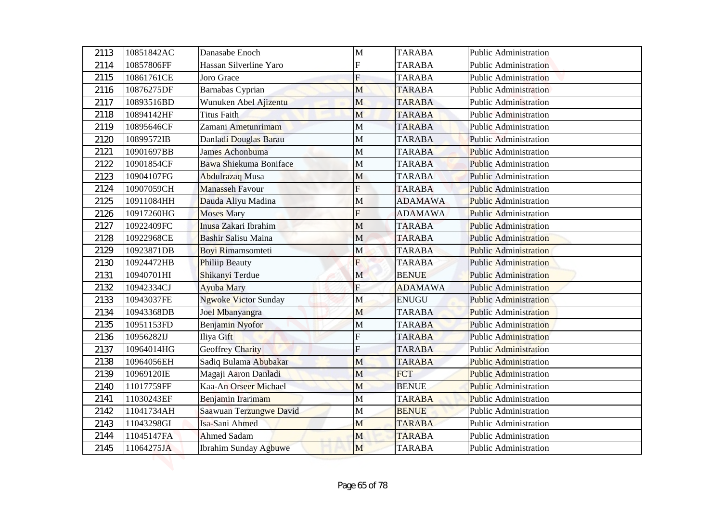| 2113 | 10851842AC | Danasabe Enoch               | M              | <b>TARABA</b>  | <b>Public Administration</b> |
|------|------------|------------------------------|----------------|----------------|------------------------------|
| 2114 | 10857806FF | Hassan Silverline Yaro       | F              | <b>TARABA</b>  | <b>Public Administration</b> |
| 2115 | 10861761CE | Joro Grace                   | $\mathbf F$    | <b>TARABA</b>  | <b>Public Administration</b> |
| 2116 | 10876275DF | Barnabas Cyprian             | M              | <b>TARABA</b>  | <b>Public Administration</b> |
| 2117 | 10893516BD | Wunuken Abel Ajizentu        | M              | <b>TARABA</b>  | <b>Public Administration</b> |
| 2118 | 10894142HF | <b>Titus Faith</b>           | M              | <b>TARABA</b>  | <b>Public Administration</b> |
| 2119 | 10895646CF | Zamani Ametunrimam           | M              | <b>TARABA</b>  | Public Administration        |
| 2120 | 10899572IB | Danladi Douglas Barau        | $\mathbf{M}$   | <b>TARABA</b>  | <b>Public Administration</b> |
| 2121 | 10901697BB | James Achonbuma              | M              | <b>TARABA</b>  | <b>Public Administration</b> |
| 2122 | 10901854CF | Bawa Shiekuma Boniface       | M              | <b>TARABA</b>  | <b>Public Administration</b> |
| 2123 | 10904107FG | <b>Abdulrazaq Musa</b>       | M              | <b>TARABA</b>  | <b>Public Administration</b> |
| 2124 | 10907059CH | <b>Manasseh Favour</b>       | F              | <b>TARABA</b>  | <b>Public Administration</b> |
| 2125 | 10911084HH | Dauda Aliyu Madina           | M              | <b>ADAMAWA</b> | <b>Public Administration</b> |
| 2126 | 10917260HG | <b>Moses</b> Mary            | F              | <b>ADAMAWA</b> | <b>Public Administration</b> |
| 2127 | 10922409FC | Inusa Zakari Ibrahim         | M              | <b>TARABA</b>  | <b>Public Administration</b> |
| 2128 | 10922968CE | <b>Bashir Salisu Maina</b>   | M              | <b>TARABA</b>  | <b>Public Administration</b> |
| 2129 | 10923871DB | <b>Boyi Rimamsomteti</b>     | M              | <b>TARABA</b>  | <b>Public Administration</b> |
| 2130 | 10924472HB | <b>Philiip Beauty</b>        | F              | <b>TARABA</b>  | <b>Public Administration</b> |
| 2131 | 10940701HI | Shikanyi Terdue              | $\mathbf{M}$   | <b>BENUE</b>   | <b>Public Administration</b> |
| 2132 | 10942334CJ | <b>Ayuba Mary</b>            | $\overline{F}$ | <b>ADAMAWA</b> | <b>Public Administration</b> |
| 2133 | 10943037FE | <b>Ngwoke Victor Sunday</b>  | M              | <b>ENUGU</b>   | <b>Public Administration</b> |
| 2134 | 10943368DB | Joel Mbanyangra              | M              | <b>TARABA</b>  | <b>Public Administration</b> |
| 2135 | 10951153FD | Benjamin Nyofor              | M              | <b>TARABA</b>  | <b>Public Administration</b> |
| 2136 | 10956282IJ | Iliya Gift                   | F              | <b>TARABA</b>  | <b>Public Administration</b> |
| 2137 | 10964014HG | <b>Geoffrey Charity</b>      | F              | <b>TARABA</b>  | <b>Public Administration</b> |
| 2138 | 10964056EH | Sadiq Bulama Abubakar        | M              | <b>TARABA</b>  | <b>Public Administration</b> |
| 2139 | 10969120IE | Magaji Aaron Danladi         | M              | <b>FCT</b>     | <b>Public Administration</b> |
| 2140 | 11017759FF | Kaa-An Orseer Michael        | M              | <b>BENUE</b>   | <b>Public Administration</b> |
| 2141 | 11030243EF | Benjamin Irarimam            | M              | <b>TARABA</b>  | <b>Public Administration</b> |
| 2142 | 11041734AH | Saawuan Terzungwe David      | M              | <b>BENUE</b>   | Public Administration        |
| 2143 | 11043298GI | Isa-Sani Ahmed               | M              | <b>TARABA</b>  | <b>Public Administration</b> |
| 2144 | 11045147FA | <b>Ahmed Sadam</b>           | M              | <b>TARABA</b>  | Public Administration        |
| 2145 | 11064275JA | <b>Ibrahim Sunday Agbuwe</b> | M              | TARABA         | Public Administration        |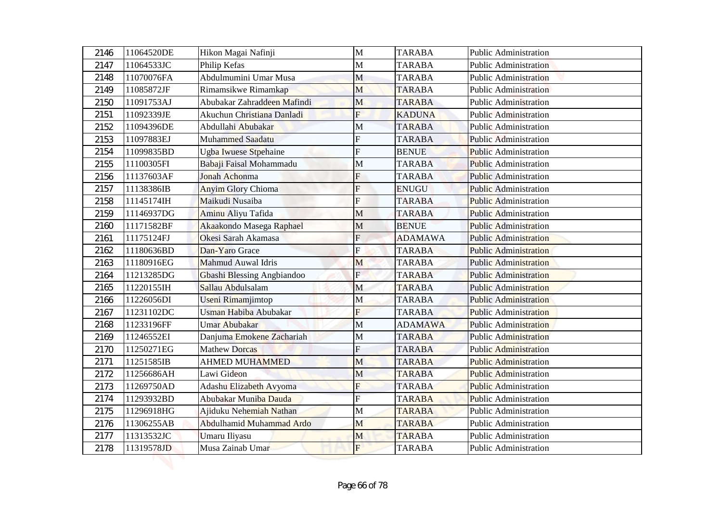| 2146 | 11064520DE | Hikon Magai Nafinji         | $\mathbf{M}$   | <b>TARABA</b>  | <b>Public Administration</b> |
|------|------------|-----------------------------|----------------|----------------|------------------------------|
| 2147 | 11064533JC | Philip Kefas                | М              | <b>TARABA</b>  | <b>Public Administration</b> |
| 2148 | 11070076FA | Abdulmumini Umar Musa       | M              | <b>TARABA</b>  | <b>Public Administration</b> |
| 2149 | 11085872JF | Rimamsikwe Rimamkap         | M              | <b>TARABA</b>  | <b>Public Administration</b> |
| 2150 | 11091753AJ | Abubakar Zahraddeen Mafindi | M              | <b>TARABA</b>  | <b>Public Administration</b> |
| 2151 | 11092339JE | Akuchun Christiana Danladi  | $\overline{F}$ | <b>KADUNA</b>  | <b>Public Administration</b> |
| 2152 | 11094396DE | Abdullahi Abubakar          | М              | <b>TARABA</b>  | <b>Public Administration</b> |
| 2153 | 11097883EJ | Muhammed Saadatu            | F              | <b>TARABA</b>  | <b>Public Administration</b> |
| 2154 | 11099835BD | Ugba Iwuese Stpehaine       | F              | <b>BENUE</b>   | <b>Public Administration</b> |
| 2155 | 11100305FI | Babaji Faisal Mohammadu     | М              | <b>TARABA</b>  | <b>Public Administration</b> |
| 2156 | 11137603AF | Jonah Achonma               | F              | <b>TARABA</b>  | <b>Public Administration</b> |
| 2157 | 11138386IB | <b>Anyim Glory Chioma</b>   | F              | <b>ENUGU</b>   | <b>Public Administration</b> |
| 2158 | 11145174IH | Maikudi Nusaiba             | F              | <b>TARABA</b>  | <b>Public Administration</b> |
| 2159 | 11146937DG | Aminu Aliyu Tafida          | М              | <b>TARABA</b>  | <b>Public Administration</b> |
| 2160 | 11171582BF | Akaakondo Masega Raphael    | M              | <b>BENUE</b>   | <b>Public Administration</b> |
| 2161 | 11175124FJ | Okesi Sarah Akamasa         | $F_{\rm}$      | <b>ADAMAWA</b> | <b>Public Administration</b> |
| 2162 | 11180636BD | Dan-Yaro Grace              | Ė              | <b>TARABA</b>  | <b>Public Administration</b> |
| 2163 | 11180916EG | Mahmud Auwal Idris          | M              | <b>TARABA</b>  | <b>Public Administration</b> |
| 2164 | 11213285DG | Gbashi Blessing Angbiandoo  | $\mathbf{E}$   | <b>TARABA</b>  | <b>Public Administration</b> |
| 2165 | 11220155IH | Sallau Abdulsalam           | M              | <b>TARABA</b>  | <b>Public Administration</b> |
| 2166 | 11226056DI | Useni Rimamjimtop           | M              | <b>TARABA</b>  | <b>Public Administration</b> |
| 2167 | 11231102DC | Usman Habiba Abubakar       | F              | <b>TARABA</b>  | <b>Public Administration</b> |
| 2168 | 11233196FF | Umar Abubakar               | M              | <b>ADAMAWA</b> | <b>Public Administration</b> |
| 2169 | 11246552EI | Danjuma Emokene Zachariah   | М              | <b>TARABA</b>  | <b>Public Administration</b> |
| 2170 | 11250271EG | <b>Mathew Dorcas</b>        | F              | <b>TARABA</b>  | <b>Public Administration</b> |
| 2171 | 11251585IB | <b>AHMED MUHAMMED</b>       | M              | <b>TARABA</b>  | <b>Public Administration</b> |
| 2172 | 11256686AH | Lawi Gideon                 | M              | <b>TARABA</b>  | <b>Public Administration</b> |
| 2173 | 11269750AD | Adashu Elizabeth Avyoma     | F              | <b>TARABA</b>  | <b>Public Administration</b> |
| 2174 | 11293932BD | Abubakar Muniba Dauda       |                | <b>TARABA</b>  | <b>Public Administration</b> |
| 2175 | 11296918HG | Ajiduku Nehemiah Nathan     | M              | <b>TARABA</b>  | <b>Public Administration</b> |
| 2176 | 11306255AB | Abdulhamid Muhammad Ardo    | M              | <b>TARABA</b>  | <b>Public Administration</b> |
| 2177 | 11313532JC | Umaru Iliyasu               | M              | <b>TARABA</b>  | <b>Public Administration</b> |
| 2178 | 11319578JD | Musa Zainab Umar            | $\mathbf{F}$   | <b>TARABA</b>  | <b>Public Administration</b> |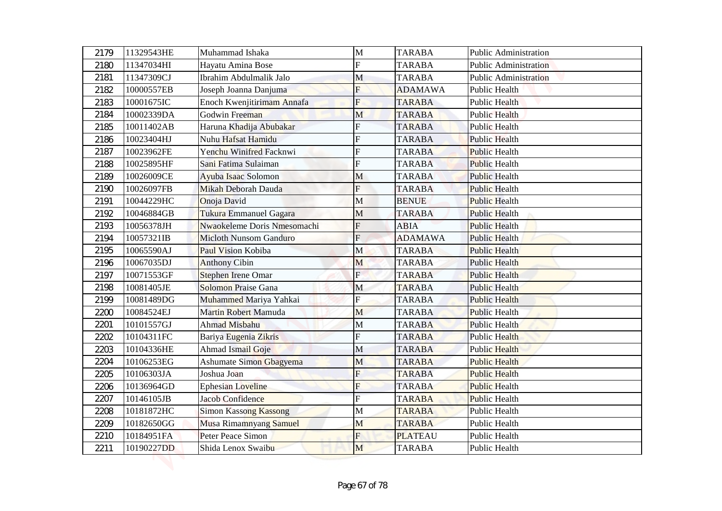| 2179 | 11329543HE | Muhammad Ishaka               | M                       | <b>TARABA</b>  | Public Administration        |
|------|------------|-------------------------------|-------------------------|----------------|------------------------------|
| 2180 | 11347034HI | Hayatu Amina Bose             | F                       | <b>TARABA</b>  | <b>Public Administration</b> |
| 2181 | 11347309CJ | Ibrahim Abdulmalik Jalo       | M                       | <b>TARABA</b>  | <b>Public Administration</b> |
| 2182 | 10000557EB | Joseph Joanna Danjuma         | F                       | <b>ADAMAWA</b> | Public Health                |
| 2183 | 10001675IC | Enoch Kwenjitirimam Annafa    | $\overline{F}$          | <b>TARABA</b>  | <b>Public Health</b>         |
| 2184 | 10002339DA | Godwin Freeman                | M                       | <b>TARABA</b>  | <b>Public Health</b>         |
| 2185 | 10011402AB | Haruna Khadija Abubakar       | F                       | <b>TARABA</b>  | <b>Public Health</b>         |
| 2186 | 10023404HJ | Nuhu Hafsat Hamidu            | F                       | <b>TARABA</b>  | <b>Public Health</b>         |
| 2187 | 10023962FE | Yenchu Winifred Facknwi       | F                       | <b>TARABA</b>  | <b>Public Health</b>         |
| 2188 | 10025895HF | Sani Fatima Sulaiman          | F                       | <b>TARABA</b>  | <b>Public Health</b>         |
| 2189 | 10026009CE | Ayuba Isaac Solomon           | M                       | <b>TARABA</b>  | <b>Public Health</b>         |
| 2190 | 10026097FB | Mikah Deborah Dauda           | F                       | <b>TARABA</b>  | <b>Public Health</b>         |
| 2191 | 10044229HC | Onoja David                   | M                       | <b>BENUE</b>   | <b>Public Health</b>         |
| 2192 | 10046884GB | Tukura Emmanuel Gagara        | M                       | <b>TARABA</b>  | <b>Public Health</b>         |
| 2193 | 10056378JH | Nwaokeleme Doris Nmesomachi   | ${\bf F}$               | ABIA           | <b>Public Health</b>         |
| 2194 | 10057321IB | <b>Micloth Nunsom Ganduro</b> | $\overline{F}$          | <b>ADAMAWA</b> | <b>Public Health</b>         |
| 2195 | 10065590AJ | Paul Vision Kobiba            | M                       | <b>TARABA</b>  | <b>Public Health</b>         |
| 2196 | 10067035DJ | <b>Anthony Cibin</b>          | M                       | <b>TARABA</b>  | <b>Public Health</b>         |
| 2197 | 10071553GF | <b>Stephen Irene Omar</b>     | F                       | <b>TARABA</b>  | <b>Public Health</b>         |
| 2198 | 10081405JE | <b>Solomon Praise Gana</b>    | M                       | <b>TARABA</b>  | <b>Public Health</b>         |
| 2199 | 10081489DG | Muhammed Mariya Yahkai        | $\overline{\mathrm{F}}$ | <b>TARABA</b>  | <b>Public Health</b>         |
| 2200 | 10084524EJ | Martin Robert Mamuda          | M                       | <b>TARABA</b>  | <b>Public Health</b>         |
| 2201 | 10101557GJ | Ahmad Misbahu                 | M                       | <b>TARABA</b>  | <b>Public Health</b>         |
| 2202 | 10104311FC | Bariya Eugenia Zikris         | F                       | <b>TARABA</b>  | <b>Public Health</b>         |
| 2203 | 10104336HE | Ahmad Ismail Goje             | M                       | <b>TARABA</b>  | <b>Public Health</b>         |
| 2204 | 10106253EG | Ashumate Simon Gbagyema       | M                       | <b>TARABA</b>  | <b>Public Health</b>         |
| 2205 | 10106303JA | Joshua Joan                   | F                       | <b>TARABA</b>  | <b>Public Health</b>         |
| 2206 | 10136964GD | <b>Ephesian Loveline</b>      | $\overline{F}$          | <b>TARABA</b>  | <b>Public Health</b>         |
| 2207 | 10146105JB | <b>Jacob Confidence</b>       | F                       | <b>TARABA</b>  | <b>Public Health</b>         |
| 2208 | 10181872HC | <b>Simon Kassong Kassong</b>  | M                       | <b>TARABA</b>  | Public Health                |
| 2209 | 10182650GG | Musa Rimamnyang Samuel        | M                       | <b>TARABA</b>  | Public Health                |
| 2210 | 10184951FA | Peter Peace Simon             | $\overline{F}$          | <b>PLATEAU</b> | <b>Public Health</b>         |
| 2211 | 10190227DD | Shida Lenox Swaibu            | M                       | <b>TARABA</b>  | Public Health                |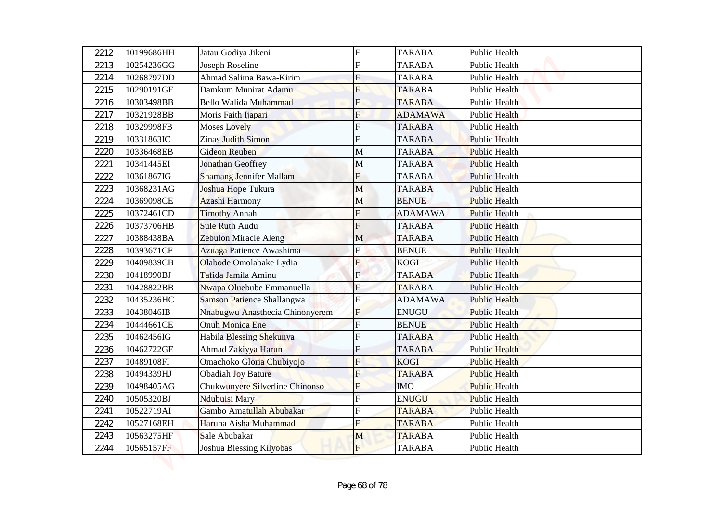| 2212 | 10199686HH | Jatau Godiya Jikeni             | $\mathbf F$    | <b>TARABA</b>  | <b>Public Health</b> |
|------|------------|---------------------------------|----------------|----------------|----------------------|
| 2213 | 10254236GG | Joseph Roseline                 | F              | <b>TARABA</b>  | <b>Public Health</b> |
| 2214 | 10268797DD | Ahmad Salima Bawa-Kirim         | $\mathbf F$    | <b>TARABA</b>  | <b>Public Health</b> |
| 2215 | 10290191GF | Damkum Munirat Adamu            | F              | <b>TARABA</b>  | Public Health        |
| 2216 | 10303498BB | Bello Walida Muhammad           | $\overline{F}$ | <b>TARABA</b>  | <b>Public Health</b> |
| 2217 | 10321928BB | Moris Faith Ijapari             | $\mathbf{F}$   | <b>ADAMAWA</b> | <b>Public Health</b> |
| 2218 | 10329998FB | <b>Moses Lovely</b>             | F              | <b>TARABA</b>  | <b>Public Health</b> |
| 2219 | 10331863IC | <b>Zinas Judith Simon</b>       | F              | <b>TARABA</b>  | <b>Public Health</b> |
| 2220 | 10336468EB | <b>Gideon Reuben</b>            | $\mathbf M$    | <b>TARABA</b>  | <b>Public Health</b> |
| 2221 | 10341445EI | Jonathan Geoffrey               | M              | <b>TARABA</b>  | <b>Public Health</b> |
| 2222 | 10361867IG | <b>Shamang Jennifer Mallam</b>  | F              | <b>TARABA</b>  | Public Health        |
| 2223 | 10368231AG | Joshua Hope Tukura              | M              | <b>TARABA</b>  | <b>Public Health</b> |
| 2224 | 10369098CE | Azashi Harmony                  | M              | <b>BENUE</b>   | <b>Public Health</b> |
| 2225 | 10372461CD | <b>Timothy Annah</b>            | F              | <b>ADAMAWA</b> | <b>Public Health</b> |
| 2226 | 10373706HB | Sule Ruth Audu                  | F              | <b>TARABA</b>  | <b>Public Health</b> |
| 2227 | 10388438BA | Zebulon Miracle Aleng           | M              | <b>TARABA</b>  | <b>Public Health</b> |
| 2228 | 10393671CF | Azuaga Patience Awashima        | F              | <b>BENUE</b>   | <b>Public Health</b> |
| 2229 | 10409839CB | Olabode Omolabake Lydia         | F              | <b>KOGI</b>    | <b>Public Health</b> |
| 2230 | 10418990BJ | Tafida Jamila Aminu             | $\mathbf{F}$   | <b>TARABA</b>  | <b>Public Health</b> |
| 2231 | 10428822BB | Nwapa Oluebube Emmanuella       | $\overline{F}$ | <b>TARABA</b>  | <b>Public Health</b> |
| 2232 | 10435236HC | Samson Patience Shallangwa      | $\overline{F}$ | <b>ADAMAWA</b> | <b>Public Health</b> |
| 2233 | 10438046IB | Nnabugwu Anasthecia Chinonyerem | $\overline{F}$ | <b>ENUGU</b>   | <b>Public Health</b> |
| 2234 | 10444661CE | Onuh Monica Ene                 | $\overline{F}$ | <b>BENUE</b>   | <b>Public Health</b> |
| 2235 | 10462456IG | Habila Blessing Shekunya        | F              | <b>TARABA</b>  | <b>Public Health</b> |
| 2236 | 10462722GE | Ahmad Zakiyya Harun             | F              | <b>TARABA</b>  | <b>Public Health</b> |
| 2237 | 10489108FI | Omachoko Gloria Chubiyojo       | F              | <b>KOGI</b>    | <b>Public Health</b> |
| 2238 | 10494339HJ | <b>Obadiah Joy Bature</b>       | $\overline{F}$ | <b>TARABA</b>  | <b>Public Health</b> |
| 2239 | 10498405AG | Chukwunyere Silverline Chinonso | $\overline{F}$ | <b>IMO</b>     | <b>Public Health</b> |
| 2240 | 10505320BJ | <b>Ndubuisi Mary</b>            | F              | <b>ENUGU</b>   | <b>Public Health</b> |
| 2241 | 10522719AI | Gambo Amatullah Abubakar        | F              | <b>TARABA</b>  | Public Health        |
| 2242 | 10527168EH | Haruna Aisha Muhammad           | F              | <b>TARABA</b>  | Public Health        |
| 2243 | 10563275HF | Sale Abubakar                   | M              | <b>TARABA</b>  | Public Health        |
| 2244 | 10565157FF | Joshua Blessing Kilyobas        | F              | <b>TARABA</b>  | Public Health        |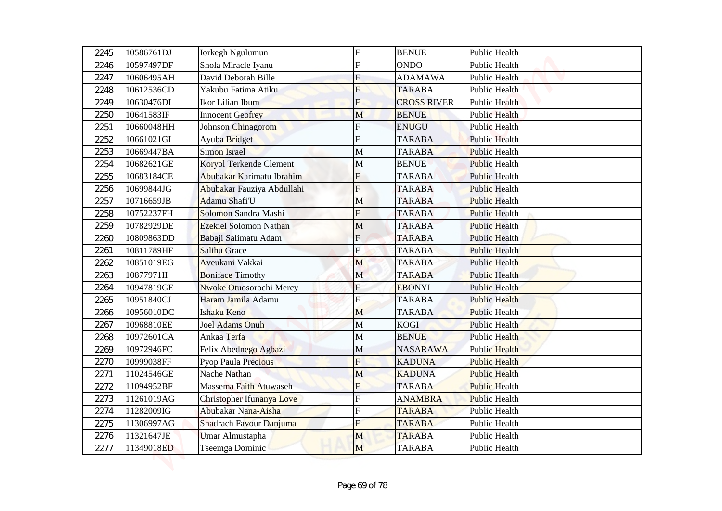| 2245         | 10586761DJ               | <b>Iorkegh Ngulumun</b>             | $\mathbf F$    | <b>BENUE</b>                       | Public Health                                |
|--------------|--------------------------|-------------------------------------|----------------|------------------------------------|----------------------------------------------|
| 2246         | 10597497DF               | Shola Miracle Iyanu                 | F              | <b>ONDO</b>                        | Public Health                                |
| 2247         | 10606495AH               | David Deborah Bille                 | $\mathbf F$    | <b>ADAMAWA</b>                     | <b>Public Health</b>                         |
| 2248         | 10612536CD               | Yakubu Fatima Atiku                 | F              | <b>TARABA</b>                      | Public Health                                |
| 2249         | 10630476DI               | Ikor Lilian Ibum                    | $\overline{F}$ | <b>CROSS RIVER</b><br><b>BENUE</b> | <b>Public Health</b>                         |
| 2250         | 10641583IF<br>10660048HH | <b>Innocent Geofrey</b>             | M<br>F         | <b>ENUGU</b>                       | <b>Public Health</b><br><b>Public Health</b> |
| 2251<br>2252 | 10661021GI               | Johnson Chinagorom<br>Ayuba Bridget | F              | <b>TARABA</b>                      | <b>Public Health</b>                         |
| 2253         | 10669447BA               | <b>Simon Israel</b>                 | $\mathbf M$    | <b>TARABA</b>                      | <b>Public Health</b>                         |
| 2254         | 10682621GE               | Koryol Terkende Clement             | M              | <b>BENUE</b>                       | <b>Public Health</b>                         |
| 2255         | 10683184CE               | Abubakar Karimatu Ibrahim           | F              | <b>TARABA</b>                      | <b>Public Health</b>                         |
| 2256         | 10699844JG               | Abubakar Fauziya Abdullahi          | F              | <b>TARABA</b>                      | <b>Public Health</b>                         |
| 2257         | 10716659JB               | <b>Adamu Shafi'U</b>                | M              | <b>TARABA</b>                      | <b>Public Health</b>                         |
| 2258         | 10752237FH               | Solomon Sandra Mashi                | F              | <b>TARABA</b>                      | <b>Public Health</b>                         |
| 2259         | 10782929DE               | <b>Ezekiel Solomon Nathan</b>       | M              | <b>TARABA</b>                      | <b>Public Health</b>                         |
| 2260         | 10809863DD               | Babaji Salimatu Adam                | $\mathbf F$    | <b>TARABA</b>                      | <b>Public Health</b>                         |
| 2261         | 10811789HF               | <b>Salihu Grace</b>                 | F              | <b>TARABA</b>                      | <b>Public Health</b>                         |
| 2262         | 10851019EG               | Aveukani Vakkai                     | M              | <b>TARABA</b>                      | <b>Public Health</b>                         |
| 2263         | 10877971II               | <b>Boniface Timothy</b>             | $\mathbf{M}$   | <b>TARABA</b>                      | <b>Public Health</b>                         |
| 2264         | 10947819GE               | <b>Nwoke Otuosorochi Mercy</b>      | $\overline{F}$ | <b>EBONYI</b>                      | <b>Public Health</b>                         |
| 2265         | 10951840CJ               | Haram Jamila Adamu                  | F              | <b>TARABA</b>                      | <b>Public Health</b>                         |
| 2266         | 10956010DC               | Ishaku Keno                         | M              | <b>TARABA</b>                      | Public Health                                |
| 2267         | 10968810EE               | Joel Adams Onuh                     | M              | <b>KOGI</b>                        | <b>Public Health</b>                         |
| 2268         | 10972601CA               | Ankaa Terfa                         | $\mathbf M$    | <b>BENUE</b>                       | <b>Public Health</b>                         |
| 2269         | 10972946FC               | Felix Abednego Agbazi               | $\mathbf M$    | <b>NASARAWA</b>                    | <b>Public Health</b>                         |
| 2270         | 10999038FF               | Pyop Paula Precious                 | $\overline{F}$ | <b>KADUNA</b>                      | <b>Public Health</b>                         |
| 2271         | 11024546GE               | Nache Nathan                        | M              | <b>KADUNA</b>                      | <b>Public Health</b>                         |
| 2272         | 11094952BF               | Massema Faith Atuwaseh              | F              | <b>TARABA</b>                      | <b>Public Health</b>                         |
| 2273         | 11261019AG               | Christopher Ifunanya Love           | F              | <b>ANAMBRA</b>                     | <b>Public Health</b>                         |
| 2274         | 11282009IG               | Abubakar Nana-Aisha                 | F              | <b>TARABA</b>                      | Public Health                                |
| 2275         | 11306997AG               | Shadrach Favour Danjuma             | F              | <b>TARABA</b>                      | Public Health                                |
| 2276         | 11321647JE               | Umar Almustapha                     | M              | <b>TARABA</b>                      | Public Health                                |
| 2277         | 11349018ED               | Tseemga Dominic                     | M              | <b>TARABA</b>                      | Public Health                                |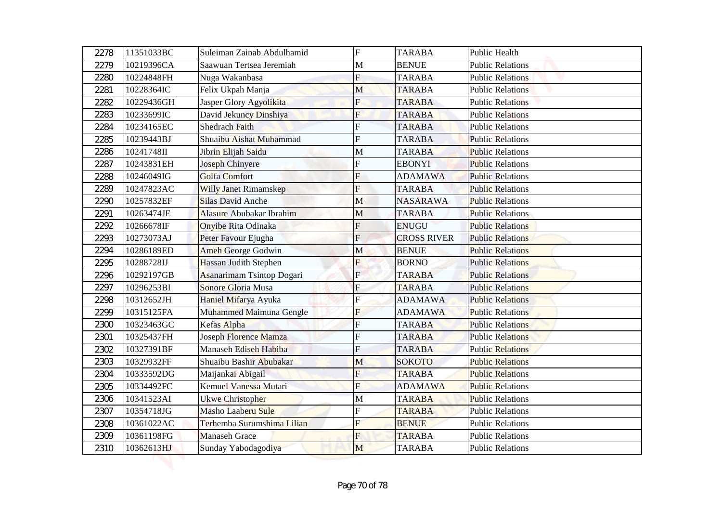| 2278 | 11351033BC | Suleiman Zainab Abdulhamid       | $\overline{F}$ | <b>TARABA</b>      | Public Health           |
|------|------------|----------------------------------|----------------|--------------------|-------------------------|
| 2279 | 10219396CA | Saawuan Tertsea Jeremiah         | M              | <b>BENUE</b>       | <b>Public Relations</b> |
| 2280 | 10224848FH | Nuga Wakanbasa                   | $\overline{F}$ | <b>TARABA</b>      | <b>Public Relations</b> |
| 2281 | 10228364IC | Felix Ukpah Manja                | M              | <b>TARABA</b>      | <b>Public Relations</b> |
| 2282 | 10229436GH | Jasper Glory Agyolikita          | $\overline{F}$ | <b>TARABA</b>      | <b>Public Relations</b> |
| 2283 | 10233699IC | David Jekuncy Dinshiya           | F              | <b>TARABA</b>      | <b>Public Relations</b> |
| 2284 | 10234165EC | Shedrach Faith                   | F              | <b>TARABA</b>      | <b>Public Relations</b> |
| 2285 | 10239443BJ | Shuaibu Aishat Muhammad          | F              | <b>TARABA</b>      | <b>Public Relations</b> |
| 2286 | 10241748II | Jibrin Elijah Saidu              | M              | <b>TARABA</b>      | <b>Public Relations</b> |
| 2287 | 10243831EH | <b>Joseph Chinyere</b>           | F              | <b>EBONYI</b>      | <b>Public Relations</b> |
| 2288 | 10246049IG | <b>Golfa Comfort</b>             | F              | <b>ADAMAWA</b>     | <b>Public Relations</b> |
| 2289 | 10247823AC | <b>Willy Janet Rimamskep</b>     | F              | <b>TARABA</b>      | <b>Public Relations</b> |
| 2290 | 10257832EF | <b>Silas David Anche</b>         | M              | <b>NASARAWA</b>    | <b>Public Relations</b> |
| 2291 | 10263474JE | <b>Alasure Abubakar Ibrahim</b>  | M              | <b>TARABA</b>      | <b>Public Relations</b> |
| 2292 | 10266678IF | Onyibe Rita Odinaka              | F              | <b>ENUGU</b>       | <b>Public Relations</b> |
| 2293 | 10273073AJ | Peter Favour Ejugha              | $\mathbf F$    | <b>CROSS RIVER</b> | <b>Public Relations</b> |
| 2294 | 10286189ED | <b>Ameh George Godwin</b>        | M              | <b>BENUE</b>       | <b>Public Relations</b> |
| 2295 | 10288728IJ | Hassan Judith Stephen            | $\overline{F}$ | <b>BORNO</b>       | <b>Public Relations</b> |
| 2296 | 10292197GB | <b>Asanarimam Tsintop Dogari</b> | $\mathbf{F}$   | <b>TARABA</b>      | <b>Public Relations</b> |
| 2297 | 10296253BI | Sonore Gloria Musa               | $\overline{F}$ | <b>TARABA</b>      | <b>Public Relations</b> |
| 2298 | 10312652JH | Haniel Mifarya Ayuka             | $\overline{F}$ | <b>ADAMAWA</b>     | <b>Public Relations</b> |
| 2299 | 10315125FA | Muhammed Maimuna Gengle          | F              | <b>ADAMAWA</b>     | <b>Public Relations</b> |
| 2300 | 10323463GC | Kefas Alpha                      | $\overline{F}$ | <b>TARABA</b>      | <b>Public Relations</b> |
| 2301 | 10325437FH | Joseph Florence Mamza            | F              | <b>TARABA</b>      | <b>Public Relations</b> |
| 2302 | 10327391BF | Manaseh Ediseh Habiba            | F              | <b>TARABA</b>      | <b>Public Relations</b> |
| 2303 | 10329932FF | Shuaibu Bashir Abubakar          | M              | <b>SOKOTO</b>      | <b>Public Relations</b> |
| 2304 | 10333592DG | Maijankai Abigail                | F              | <b>TARABA</b>      | <b>Public Relations</b> |
| 2305 | 10334492FC | Kemuel Vanessa Mutari            | $\overline{F}$ | <b>ADAMAWA</b>     | <b>Public Relations</b> |
| 2306 | 10341523AI | <b>Ukwe Christopher</b>          | M              | <b>TARABA</b>      | <b>Public Relations</b> |
| 2307 | 10354718JG | Masho Laaberu Sule               | F              | <b>TARABA</b>      | <b>Public Relations</b> |
| 2308 | 10361022AC | Terhemba Surumshima Lilian       | F              | <b>BENUE</b>       | <b>Public Relations</b> |
| 2309 | 10361198FG | <b>Manaseh Grace</b>             | $\overline{F}$ | <b>TARABA</b>      | <b>Public Relations</b> |
| 2310 | 10362613HJ | Sunday Yabodagodiya              | M              | <b>TARABA</b>      | <b>Public Relations</b> |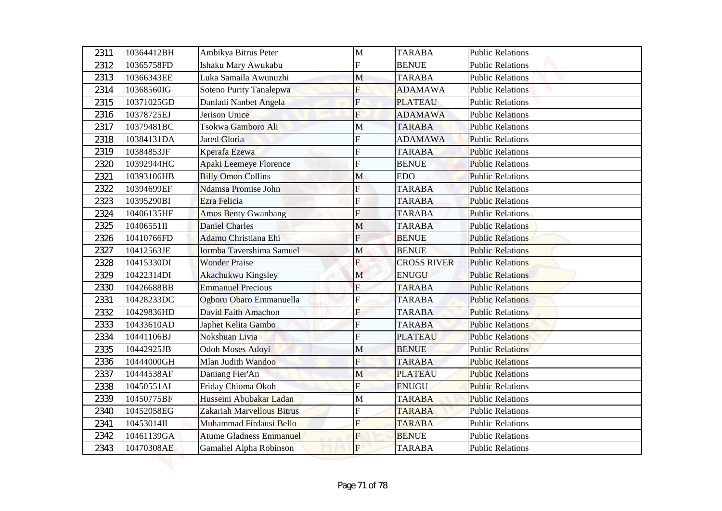| 2311 | 10364412BH | Ambikya Bitrus Peter           | M              | <b>TARABA</b>      | <b>Public Relations</b> |
|------|------------|--------------------------------|----------------|--------------------|-------------------------|
| 2312 | 10365758FD | Ishaku Mary Awukabu            | F              | <b>BENUE</b>       | <b>Public Relations</b> |
| 2313 | 10366343EE | Luka Samaila Awunuzhi          | M              | <b>TARABA</b>      | <b>Public Relations</b> |
| 2314 | 10368560IG | Soteno Purity Tanalepwa        | F              | <b>ADAMAWA</b>     | <b>Public Relations</b> |
| 2315 | 10371025GD | Danladi Nanbet Angela          | $\overline{F}$ | <b>PLATEAU</b>     | <b>Public Relations</b> |
| 2316 | 10378725EJ | Jerison Unice                  | $\overline{F}$ | <b>ADAMAWA</b>     | <b>Public Relations</b> |
| 2317 | 10379481BC | Tsokwa Gamboro Ali             | M              | <b>TARABA</b>      | <b>Public Relations</b> |
| 2318 | 10384131DA | <b>Jared Gloria</b>            | F              | <b>ADAMAWA</b>     | <b>Public Relations</b> |
| 2319 | 10384853JF | Kperafa Ezewa                  | F              | <b>TARABA</b>      | <b>Public Relations</b> |
| 2320 | 10392944HC | Apaki Leemeye Florence         | F              | <b>BENUE</b>       | <b>Public Relations</b> |
| 2321 | 10393106HB | <b>Billy Omon Collins</b>      | M              | <b>EDO</b>         | <b>Public Relations</b> |
| 2322 | 10394699EF | Ndamsa Promise John            | F              | <b>TARABA</b>      | <b>Public Relations</b> |
| 2323 | 10395290BI | Ezra Felicia                   | F              | <b>TARABA</b>      | <b>Public Relations</b> |
| 2324 | 10406135HF | <b>Amos Benty Gwanbang</b>     | F              | <b>TARABA</b>      | <b>Public Relations</b> |
| 2325 | 10406551II | <b>Daniel Charles</b>          | M              | <b>TARABA</b>      | <b>Public Relations</b> |
| 2326 | 10410766FD | Adamu Christiana Ehi           | $\mathbf F$    | <b>BENUE</b>       | <b>Public Relations</b> |
| 2327 | 10412563JE | Iormba Tavershima Samuel       | M              | <b>BENUE</b>       | <b>Public Relations</b> |
| 2328 | 10415330DI | <b>Wonder Praise</b>           | F              | <b>CROSS RIVER</b> | <b>Public Relations</b> |
| 2329 | 10422314DI | Akachukwu Kingsley             | $\mathbf{M}$   | <b>ENUGU</b>       | <b>Public Relations</b> |
| 2330 | 10426688BB | <b>Emmanuel Precious</b>       | $\overline{F}$ | <b>TARABA</b>      | <b>Public Relations</b> |
| 2331 | 10428233DC | Ogboru Obaro Emmanuella        | $\overline{F}$ | <b>TARABA</b>      | <b>Public Relations</b> |
| 2332 | 10429836HD | David Faith Amachon            | F              | <b>TARABA</b>      | <b>Public Relations</b> |
| 2333 | 10433610AD | Japhet Kelita Gambo            | $\overline{F}$ | <b>TARABA</b>      | <b>Public Relations</b> |
| 2334 | 10441106BJ | Nokshuan Livia                 | F              | <b>PLATEAU</b>     | <b>Public Relations</b> |
| 2335 | 10442925JB | Odoh Moses Adoyi               | M              | <b>BENUE</b>       | <b>Public Relations</b> |
| 2336 | 10444000GH | Mlan Judith Wandoo             | $\overline{F}$ | <b>TARABA</b>      | <b>Public Relations</b> |
| 2337 | 10444538AF | Daniang Fier'An                | M              | <b>PLATEAU</b>     | <b>Public Relations</b> |
| 2338 | 10450551AI | Friday Chioma Okoh             | $\overline{F}$ | <b>ENUGU</b>       | <b>Public Relations</b> |
| 2339 | 10450775BF | Husseini Abubakar Ladan        | M              | <b>TARABA</b>      | <b>Public Relations</b> |
| 2340 | 10452058EG | Zakariah Marvellous Bitrus     | F              | <b>TARABA</b>      | <b>Public Relations</b> |
| 2341 | 10453014II | Muhammad Firdausi Bello        | F              | <b>TARABA</b>      | <b>Public Relations</b> |
| 2342 | 10461139GA | <b>Atume Gladness Emmanuel</b> | $\overline{F}$ | <b>BENUE</b>       | <b>Public Relations</b> |
| 2343 | 10470308AE | Gamaliel Alpha Robinson        | F              | <b>TARABA</b>      | <b>Public Relations</b> |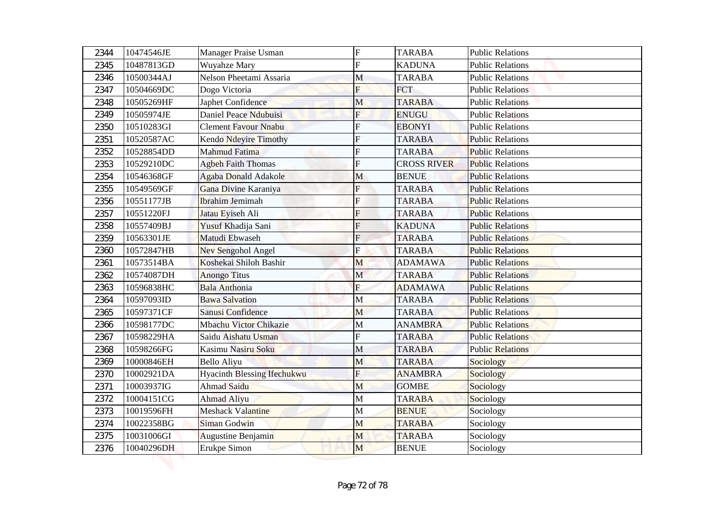| 2344 | 10474546JE | Manager Praise Usman               | $\overline{F}$ | <b>TARABA</b>      | <b>Public Relations</b> |
|------|------------|------------------------------------|----------------|--------------------|-------------------------|
| 2345 | 10487813GD | Wuyahze Mary                       | F              | <b>KADUNA</b>      | <b>Public Relations</b> |
| 2346 | 10500344AJ | Nelson Pheetami Assaria            | M              | <b>TARABA</b>      | <b>Public Relations</b> |
| 2347 | 10504669DC | Dogo Victoria                      | F              | <b>FCT</b>         | <b>Public Relations</b> |
| 2348 | 10505269HF | Japhet Confidence                  | M              | <b>TARABA</b>      | <b>Public Relations</b> |
| 2349 | 10505974JE | Daniel Peace Ndubuisi              | $\mathbf{F}$   | <b>ENUGU</b>       | <b>Public Relations</b> |
| 2350 | 10510283GI | <b>Clement Favour Nnabu</b>        | F              | <b>EBONYI</b>      | <b>Public Relations</b> |
| 2351 | 10520587AC | <b>Kendo Ndeyire Timothy</b>       | F              | <b>TARABA</b>      | <b>Public Relations</b> |
| 2352 | 10528854DD | Mahmud Fatima                      | F              | <b>TARABA</b>      | <b>Public Relations</b> |
| 2353 | 10529210DC | Agbeh Faith Thomas                 | F              | <b>CROSS RIVER</b> | <b>Public Relations</b> |
| 2354 | 10546368GF | <b>Agaba Donald Adakole</b>        | M              | <b>BENUE</b>       | <b>Public Relations</b> |
| 2355 | 10549569GF | Gana Divine Karaniya               | F              | <b>TARABA</b>      | <b>Public Relations</b> |
| 2356 | 10551177JB | <b>Ibrahim Jemimah</b>             | F              | <b>TARABA</b>      | <b>Public Relations</b> |
| 2357 | 10551220FJ | Jatau Eyiseh Ali                   | F              | <b>TARABA</b>      | <b>Public Relations</b> |
| 2358 | 10557409BJ | Yusuf Khadija Sani                 | F              | <b>KADUNA</b>      | <b>Public Relations</b> |
| 2359 | 10563301JE | Matudi Ebwaseh                     | $\mathbf F$    | <b>TARABA</b>      | <b>Public Relations</b> |
| 2360 | 10572847HB | Nev Sengohol Angel                 | F              | <b>TARABA</b>      | <b>Public Relations</b> |
| 2361 | 10573514BA | Koshekai Shiloh Bashir             | M              | <b>ADAMAWA</b>     | <b>Public Relations</b> |
| 2362 | 10574087DH | <b>Anongo</b> Titus                | $\mathbf{M}$   | <b>TARABA</b>      | <b>Public Relations</b> |
| 2363 | 10596838HC | <b>Bala Anthonia</b>               | $\overline{F}$ | <b>ADAMAWA</b>     | <b>Public Relations</b> |
| 2364 | 10597093ID | <b>Bawa Salvation</b>              | M              | <b>TARABA</b>      | <b>Public Relations</b> |
| 2365 | 10597371CF | Sanusi Confidence                  | M              | <b>TARABA</b>      | <b>Public Relations</b> |
| 2366 | 10598177DC | <b>Mbachu Victor Chikazie</b>      | M              | <b>ANAMBRA</b>     | <b>Public Relations</b> |
| 2367 | 10598229HA | Saidu Aishatu Usman                | F              | <b>TARABA</b>      | <b>Public Relations</b> |
| 2368 | 10598266FG | Kasimu Nasiru Soku                 | M              | <b>TARABA</b>      | <b>Public Relations</b> |
| 2369 | 10000846EH | Bello Aliyu                        | M              | <b>TARABA</b>      | <b>Sociology</b>        |
| 2370 | 10002921DA | <b>Hyacinth Blessing Ifechukwu</b> | $\overline{F}$ | <b>ANAMBRA</b>     | Sociology               |
| 2371 | 10003937IG | Ahmad Saidu                        | M              | <b>GOMBE</b>       | Sociology               |
| 2372 | 10004151CG | <b>Ahmad Aliyu</b>                 | $\mathbf M$    | <b>TARABA</b>      | Sociology               |
| 2373 | 10019596FH | <b>Meshack Valantine</b>           | $\mathbf M$    | <b>BENUE</b>       | Sociology               |
| 2374 | 10022358BG | Siman Godwin                       | M              | <b>TARABA</b>      | Sociology               |
| 2375 | 10031006GI | Augustine Benjamin                 | M              | <b>TARABA</b>      | Sociology               |
| 2376 | 10040296DH | Erukpe Simon                       | M              | <b>BENUE</b>       | Sociology               |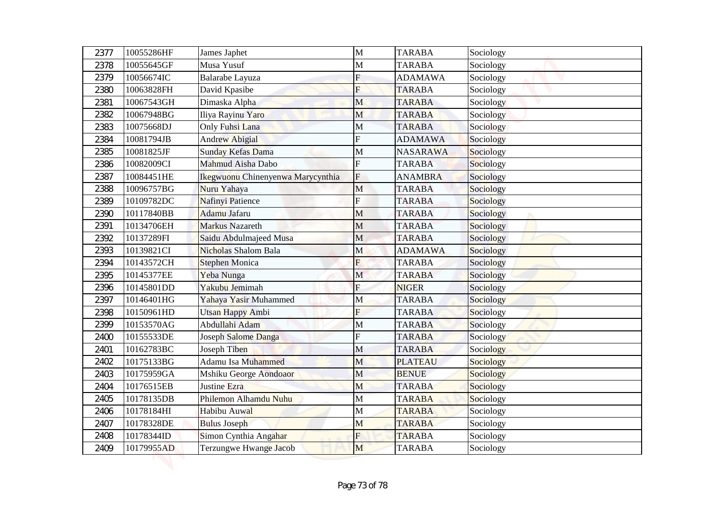| 2377 | 10055286HF | James Japhet                      | M                       | <b>TARABA</b>   | Sociology |
|------|------------|-----------------------------------|-------------------------|-----------------|-----------|
| 2378 | 10055645GF | Musa Yusuf                        | M                       | <b>TARABA</b>   | Sociology |
| 2379 | 10056674IC | Balarabe Layuza                   | $\overline{F}$          | <b>ADAMAWA</b>  | Sociology |
| 2380 | 10063828FH | David Kpasibe                     | F                       | <b>TARABA</b>   | Sociology |
| 2381 | 10067543GH | Dimaska Alpha                     | M                       | <b>TARABA</b>   | Sociology |
| 2382 | 10067948BG | Iliya Rayinu Yaro                 | M                       | <b>TARABA</b>   | Sociology |
| 2383 | 10075668DJ | Only Fuhsi Lana                   | M                       | <b>TARABA</b>   | Sociology |
| 2384 | 10081794JB | <b>Andrew Abigial</b>             | F                       | <b>ADAMAWA</b>  | Sociology |
| 2385 | 10081825JF | Sunday Kefas Dama                 | $\mathbf M$             | <b>NASARAWA</b> | Sociology |
| 2386 | 10082009CI | Mahmud Aisha Dabo                 | F                       | <b>TARABA</b>   | Sociology |
| 2387 | 10084451HE | Ikegwuonu Chinenyenwa Marycynthia | $\overline{F}$          | <b>ANAMBRA</b>  | Sociology |
| 2388 | 10096757BG | Nuru Yahaya                       | M                       | <b>TARABA</b>   | Sociology |
| 2389 | 10109782DC | Nafinyi Patience                  | F                       | <b>TARABA</b>   | Sociology |
| 2390 | 10117840BB | Adamu Jafaru                      | $\mathbf M$             | <b>TARABA</b>   | Sociology |
| 2391 | 10134706EH | <b>Markus Nazareth</b>            | $\mathbf M$             | <b>TARABA</b>   | Sociology |
| 2392 | 10137289FI | Saidu Abdulmajeed Musa            | M                       | <b>TARABA</b>   | Sociology |
| 2393 | 10139821CI | Nicholas Shalom Bala              | M                       | <b>ADAMAWA</b>  | Sociology |
| 2394 | 10143572CH | <b>Stephen Monica</b>             | F                       | <b>TARABA</b>   | Sociology |
| 2395 | 10145377EE | Yeba Nunga                        | $\mathbf{M}$            | <b>TARABA</b>   | Sociology |
| 2396 | 10145801DD | Yakubu Jemimah                    | $\overline{F}$          | <b>NIGER</b>    | Sociology |
| 2397 | 10146401HG | Yahaya Yasir Muhammed             | M                       | <b>TARABA</b>   | Sociology |
| 2398 | 10150961HD | Utsan Happy Ambi                  | $\overline{\mathrm{F}}$ | <b>TARABA</b>   | Sociology |
| 2399 | 10153570AG | Abdullahi Adam                    | M                       | <b>TARABA</b>   | Sociology |
| 2400 | 10155533DE | Joseph Salome Danga               | F                       | <b>TARABA</b>   | Sociology |
| 2401 | 10162783BC | Joseph Tiben                      | M                       | <b>TARABA</b>   | Sociology |
| 2402 | 10175133BG | Adamu Isa Muhammed                | M                       | <b>PLATEAU</b>  | Sociology |
| 2403 | 10175959GA | Mshiku George Aondoaor            | M                       | <b>BENUE</b>    | Sociology |
| 2404 | 10176515EB | Justine Ezra                      | M                       | <b>TARABA</b>   | Sociology |
| 2405 | 10178135DB | Philemon Alhamdu Nuhu             | $\mathbf M$             | <b>TARABA</b>   | Sociology |
| 2406 | 10178184HI | Habibu Auwal                      | $\mathbf M$             | <b>TARABA</b>   | Sociology |
| 2407 | 10178328DE | <b>Bulus Joseph</b>               | M                       | <b>TARABA</b>   | Sociology |
| 2408 | 10178344ID | Simon Cynthia Angahar             | $\overline{F}$          | <b>TARABA</b>   | Sociology |
| 2409 | 10179955AD | Terzungwe Hwange Jacob            | M                       | TARABA          | Sociology |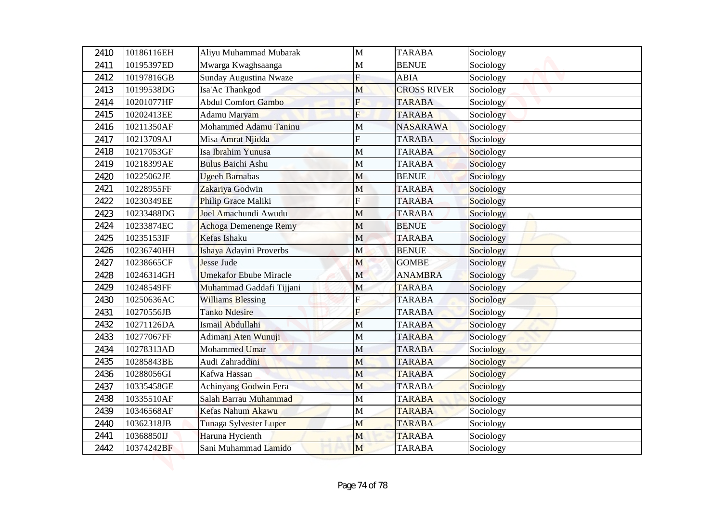| 2410         | 10186116EH               | Aliyu Muhammad Mubarak                | M                         | <b>TARABA</b>                    | Sociology              |
|--------------|--------------------------|---------------------------------------|---------------------------|----------------------------------|------------------------|
| 2411         | 10195397ED               | Mwarga Kwaghsaanga                    | M                         | <b>BENUE</b>                     | Sociology              |
| 2412         | 10197816GB               | Sunday Augustina Nwaze                | $\overline{F}$            | <b>ABIA</b>                      | Sociology              |
| 2413         | 10199538DG               | Isa'Ac Thankgod                       | M                         | <b>CROSS RIVER</b>               | Sociology              |
| 2414         | 10201077HF               | <b>Abdul Comfort Gambo</b>            | $\overline{F}$            | <b>TARABA</b>                    | Sociology              |
| 2415         | 10202413EE<br>10211350AF | Adamu Maryam<br>Mohammed Adamu Taninu | $\overline{F}$            | <b>TARABA</b><br><b>NASARAWA</b> | Sociology              |
| 2416<br>2417 | 10213709AJ               | Misa Amrat Njidda                     | M<br>F                    | <b>TARABA</b>                    | Sociology<br>Sociology |
| 2418         | 10217053GF               | Isa Ibrahim Yunusa                    | $\mathbf M$               | <b>TARABA</b>                    | Sociology              |
| 2419         | 10218399AE               | <b>Bulus Baichi Ashu</b>              | M                         | <b>TARABA</b>                    | Sociology              |
| 2420         | 10225062JE               | <b>Ugeeh Barnabas</b>                 | M                         | <b>BENUE</b>                     | Sociology              |
| 2421         | 10228955FF               | Zakariya Godwin                       | M                         | <b>TARABA</b>                    | Sociology              |
| 2422         | 10230349EE               | Philip Grace Maliki                   | F                         | <b>TARABA</b>                    | Sociology              |
| 2423         | 10233488DG               | Joel Amachundi Awudu                  | M                         | <b>TARABA</b>                    | Sociology              |
| 2424         | 10233874EC               | Achoga Demenenge Remy                 | $\mathbf{M}$              | <b>BENUE</b>                     | Sociology              |
| 2425         | 10235153IF               | Kefas Ishaku                          | M                         | <b>TARABA</b>                    | Sociology              |
| 2426         | 10236740HH               | Ishaya Adayini Proverbs               | M                         | <b>BENUE</b>                     | Sociology              |
| 2427         | 10238665CF               | <b>Jesse Jude</b>                     | M                         | <b>GOMBE</b>                     | Sociology              |
| 2428         | 10246314GH               | <b>Umekafor Ebube Miracle</b>         | $\mathbf{M}$              | <b>ANAMBRA</b>                   | Sociology              |
| 2429         | 10248549FF               | Muhammad Gaddafi Tijjani              | M                         | <b>TARABA</b>                    | Sociology              |
| 2430         | 10250636AC               | <b>Williams Blessing</b>              | $\boldsymbol{\mathrm{F}}$ | <b>TARABA</b>                    | Sociology              |
| 2431         | 10270556JB               | <b>Tanko Ndesire</b>                  | $\overline{\mathrm{F}}$   | <b>TARABA</b>                    | Sociology              |
| 2432         | 10271126DA               | Ismail Abdullahi                      | M                         | <b>TARABA</b>                    | Sociology              |
| 2433         | 10277067FF               | Adimani Aten Wunuji                   | $\mathbf M$               | <b>TARABA</b>                    | Sociology              |
| 2434         | 10278313AD               | Mohammed Umar                         | $\mathbf M$               | <b>TARABA</b>                    | Sociology              |
| 2435         | 10285843BE               | Audi Zahraddini                       | M                         | <b>TARABA</b>                    | Sociology              |
| 2436         | 10288056GI               | Kafwa Hassan                          | M                         | <b>TARABA</b>                    | Sociology              |
| 2437         | 10335458GE               | Achinyang Godwin Fera                 | M                         | <b>TARABA</b>                    | Sociology              |
| 2438         | 10335510AF               | Salah Barrau Muhammad                 | $\mathbf M$               | <b>TARABA</b>                    | Sociology              |
| 2439         | 10346568AF               | Kefas Nahum Akawu                     | $\mathbf M$               | <b>TARABA</b>                    | Sociology              |
| 2440         | 10362318JB               | Tunaga Sylvester Luper                | M                         | <b>TARABA</b>                    | Sociology              |
| 2441         | 10368850IJ               | Haruna Hycienth                       | M                         | <b>TARABA</b>                    | Sociology              |
| 2442         | 10374242BF               | Sani Muhammad Lamido                  | M                         | TARABA                           | Sociology              |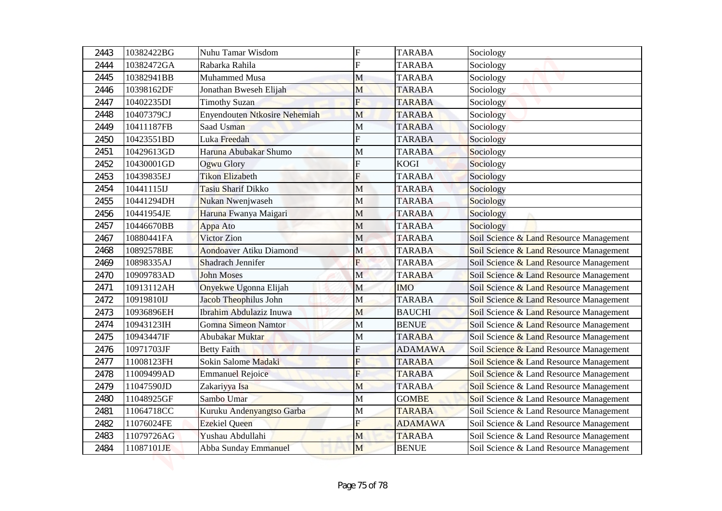| 2443 | 10382422BG | Nuhu Tamar Wisdom                    | $\mathbf F$               | <b>TARABA</b>  | Sociology                               |  |
|------|------------|--------------------------------------|---------------------------|----------------|-----------------------------------------|--|
| 2444 | 10382472GA | Rabarka Rahila                       | $\overline{F}$            | <b>TARABA</b>  | Sociology                               |  |
| 2445 | 10382941BB | Muhammed Musa                        | M                         | <b>TARABA</b>  | Sociology                               |  |
| 2446 | 10398162DF | Jonathan Bweseh Elijah               | M                         | <b>TARABA</b>  | Sociology                               |  |
| 2447 | 10402235DI | <b>Timothy Suzan</b>                 | F                         | <b>TARABA</b>  | Sociology                               |  |
| 2448 | 10407379CJ | <b>Enyendouten Ntkosire Nehemiah</b> | M                         | <b>TARABA</b>  | Sociology                               |  |
| 2449 | 10411187FB | Saad Usman                           | М                         | <b>TARABA</b>  | Sociology                               |  |
| 2450 | 10423551BD | Luka Freedah                         | $\mathbf F$               | <b>TARABA</b>  | Sociology                               |  |
| 2451 | 10429613GD | Haruna Abubakar Shumo                | M                         | <b>TARABA</b>  | Sociology                               |  |
| 2452 | 10430001GD | Ogwu Glory                           | F                         | <b>KOGI</b>    | Sociology                               |  |
| 2453 | 10439835EJ | <b>Tikon Elizabeth</b>               | F                         | <b>TARABA</b>  | Sociology                               |  |
| 2454 | 10441115IJ | <b>Tasiu Sharif Dikko</b>            | M                         | <b>TARABA</b>  | Sociology                               |  |
| 2455 | 10441294DH | Nukan Nwenjwaseh                     | M                         | <b>TARABA</b>  | Sociology                               |  |
| 2456 | 10441954JE | Haruna Fwanya Maigari                | M                         | <b>TARABA</b>  | Sociology                               |  |
| 2457 | 10446670BB | Appa Ato                             | M                         | <b>TARABA</b>  | Sociology                               |  |
| 2467 | 10880441FA | Victor Zion                          | M                         | <b>TARABA</b>  | Soil Science & Land Resource Management |  |
| 2468 | 10892578BE | Aondoaver Atiku Diamond              | M                         | <b>TARABA</b>  | Soil Science & Land Resource Management |  |
| 2469 | 10898335AJ | Shadrach Jennifer                    | F                         | <b>TARABA</b>  | Soil Science & Land Resource Management |  |
| 2470 | 10909783AD | <b>John Moses</b>                    | $\mathbf{M}$              | <b>TARABA</b>  | Soil Science & Land Resource Management |  |
| 2471 | 10913112AH | Onyekwe Ugonna Elijah                | $\mathbf M$               | <b>IMO</b>     | Soil Science & Land Resource Management |  |
| 2472 | 10919810IJ | Jacob Theophilus John                | M                         | <b>TARABA</b>  | Soil Science & Land Resource Management |  |
| 2473 | 10936896EH | Ibrahim Abdulaziz Inuwa              | M                         | <b>BAUCHI</b>  | Soil Science & Land Resource Management |  |
| 2474 | 10943123IH | Gomna Simeon Namtor                  | $\mathbf M$               | <b>BENUE</b>   | Soil Science & Land Resource Management |  |
| 2475 | 10943447IF | Abubakar Muktar                      | M                         | <b>TARABA</b>  | Soil Science & Land Resource Management |  |
| 2476 | 10971703JF | <b>Betty Faith</b>                   | F                         | <b>ADAMAWA</b> | Soil Science & Land Resource Management |  |
| 2477 | 11008123FH | Sokin Salome Madaki                  | $\overline{F}$            | <b>TARABA</b>  | Soil Science & Land Resource Management |  |
| 2478 | 11009499AD | <b>Emmanuel Rejoice</b>              | F                         | <b>TARABA</b>  | Soil Science & Land Resource Management |  |
| 2479 | 11047590JD | Zakariyya Isa                        | M                         | <b>TARABA</b>  | Soil Science & Land Resource Management |  |
| 2480 | 11048925GF | Sambo Umar                           | M                         | <b>GOMBE</b>   | Soil Science & Land Resource Management |  |
| 2481 | 11064718CC | Kuruku Andenyangtso Garba            | M                         | <b>TARABA</b>  | Soil Science & Land Resource Management |  |
| 2482 | 11076024FE | <b>Ezekiel Queen</b>                 | $\boldsymbol{\mathrm{F}}$ | <b>ADAMAWA</b> | Soil Science & Land Resource Management |  |
| 2483 | 11079726AG | Yushau Abdullahi                     | M                         | <b>TARABA</b>  | Soil Science & Land Resource Management |  |
| 2484 | 11087101JE | Abba Sunday Emmanuel                 | M                         | <b>BENUE</b>   | Soil Science & Land Resource Management |  |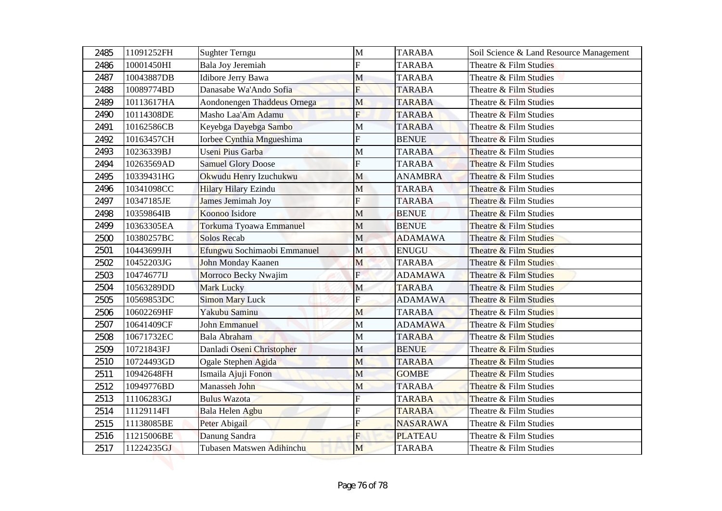| 2485 | 11091252FH | <b>Sughter Terngu</b>       | M                       | <b>TARABA</b>   | Soil Science & Land Resource Management |  |
|------|------------|-----------------------------|-------------------------|-----------------|-----------------------------------------|--|
| 2486 | 10001450HI | Bala Joy Jeremiah           | F                       | <b>TARABA</b>   | Theatre & Film Studies                  |  |
| 2487 | 10043887DB | Idibore Jerry Bawa          | M                       | <b>TARABA</b>   | Theatre & Film Studies                  |  |
| 2488 | 10089774BD | Danasabe Wa'Ando Sofia      | F                       | <b>TARABA</b>   | Theatre & Film Studies                  |  |
| 2489 | 10113617HA | Aondonengen Thaddeus Ornega | M                       | <b>TARABA</b>   | Theatre & Film Studies                  |  |
| 2490 | 10114308DE | Masho Laa'Am Adamu          | $\overline{F}$          | <b>TARABA</b>   | Theatre & Film Studies                  |  |
| 2491 | 10162586CB | Keyebga Dayebga Sambo       | M                       | <b>TARABA</b>   | Theatre & Film Studies                  |  |
| 2492 | 10163457CH | Iorbee Cynthia Mngueshima   | F                       | <b>BENUE</b>    | Theatre & Film Studies                  |  |
| 2493 | 10236339BJ | <b>Useni Pius Garba</b>     | $\mathbf{M}$            | <b>TARABA</b>   | Theatre & Film Studies                  |  |
| 2494 | 10263569AD | <b>Samuel Glory Doose</b>   | F                       | <b>TARABA</b>   | Theatre & Film Studies                  |  |
| 2495 | 10339431HG | Okwudu Henry Izuchukwu      | M                       | <b>ANAMBRA</b>  | Theatre & Film Studies                  |  |
| 2496 | 10341098CC | <b>Hilary Hilary Ezindu</b> | M                       | <b>TARABA</b>   | Theatre & Film Studies                  |  |
| 2497 | 10347185JE | <b>James Jemimah Joy</b>    | F                       | <b>TARABA</b>   | Theatre & Film Studies                  |  |
| 2498 | 10359864IB | Koonoo Isidore              | M                       | <b>BENUE</b>    | Theatre & Film Studies                  |  |
| 2499 | 10363305EA | Torkuma Tyoawa Emmanuel     | $\mathbf{M}$            | <b>BENUE</b>    | Theatre & Film Studies                  |  |
| 2500 | 10380257BC | <b>Solos Recab</b>          | M                       | <b>ADAMAWA</b>  | Theatre & Film Studies                  |  |
| 2501 | 10443699JH | Efungwu Sochimaobi Emmanuel | M                       | <b>ENUGU</b>    | Theatre & Film Studies                  |  |
| 2502 | 10452203JG | John Monday Kaanen          | M                       | <b>TARABA</b>   | Theatre & Film Studies                  |  |
| 2503 | 10474677IJ | Morroco Becky Nwajim        | F                       | <b>ADAMAWA</b>  | Theatre & Film Studies                  |  |
| 2504 | 10563289DD | <b>Mark Lucky</b>           | M                       | <b>TARABA</b>   | Theatre & Film Studies                  |  |
| 2505 | 10569853DC | <b>Simon Mary Luck</b>      | $\overline{\mathrm{F}}$ | <b>ADAMAWA</b>  | Theatre & Film Studies                  |  |
| 2506 | 10602269HF | Yakubu Saminu               | M                       | <b>TARABA</b>   | Theatre & Film Studies                  |  |
| 2507 | 10641409CF | John Emmanuel               | M                       | <b>ADAMAWA</b>  | Theatre & Film Studies                  |  |
| 2508 | 10671732EC | Bala Abraham                | $\mathbf M$             | <b>TARABA</b>   | Theatre & Film Studies                  |  |
| 2509 | 10721843FJ | Danladi Oseni Christopher   | $\mathbf M$             | <b>BENUE</b>    | Theatre & Film Studies                  |  |
| 2510 | 10724493GD | Ogale Stephen Agida         | M                       | <b>TARABA</b>   | Theatre & Film Studies                  |  |
| 2511 | 10942648FH | Ismaila Ajuji Fonon         | M                       | <b>GOMBE</b>    | Theatre & Film Studies                  |  |
| 2512 | 10949776BD | Manasseh John               | M                       | <b>TARABA</b>   | Theatre & Film Studies                  |  |
| 2513 | 11106283GJ | <b>Bulus Wazota</b>         | F                       | <b>TARABA</b>   | Theatre & Film Studies                  |  |
| 2514 | 11129114FI | Bala Helen Agbu             | F                       | <b>TARABA</b>   | Theatre & Film Studies                  |  |
| 2515 | 11138085BE | Peter Abigail               | $\overline{\mathrm{F}}$ | <b>NASARAWA</b> | Theatre & Film Studies                  |  |
| 2516 | 11215006BE | Danung Sandra               | F                       | <b>PLATEAU</b>  | Theatre & Film Studies                  |  |
| 2517 | 11224235GJ | Tubasen Matswen Adihinchu   | M                       | <b>TARABA</b>   | Theatre & Film Studies                  |  |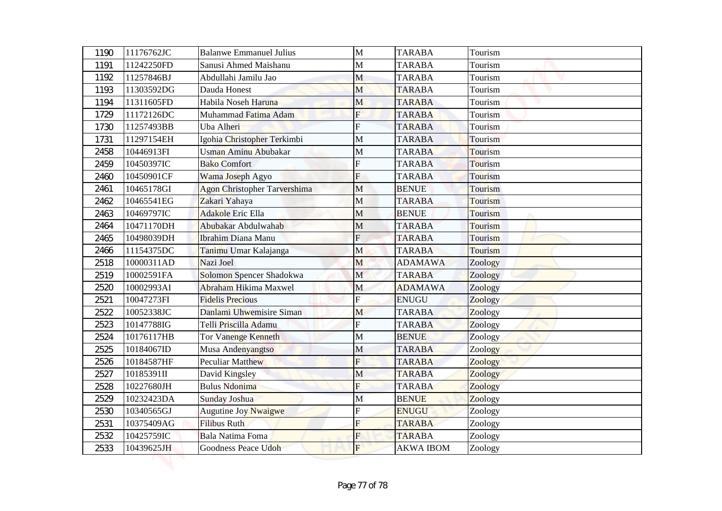| 1190 | 11176762JC | <b>Balanwe Emmanuel Julius</b>      | $\mathbf{M}$   | <b>TARABA</b>    | Tourism |
|------|------------|-------------------------------------|----------------|------------------|---------|
| 1191 | 11242250FD | Sanusi Ahmed Maishanu               | M              | <b>TARABA</b>    | Tourism |
| 1192 | 11257846BJ | Abdullahi Jamilu Jao                | M              | <b>TARABA</b>    | Tourism |
| 1193 | 11303592DG | Dauda Honest                        | M              | <b>TARABA</b>    | Tourism |
| 1194 | 11311605FD | Habila Noseh Haruna                 | M              | <b>TARABA</b>    | Tourism |
| 1729 | 11172126DC | Muhammad Fatima Adam                | $\overline{F}$ | <b>TARABA</b>    | Tourism |
| 1730 | 11257493BB | Uba Alheri                          | F              | <b>TARABA</b>    | Tourism |
| 1731 | 11297154EH | Igohia Christopher Terkimbi         | M              | <b>TARABA</b>    | Tourism |
| 2458 | 10446913FI | Usman Aminu Abubakar                | М              | <b>TARABA</b>    | Tourism |
| 2459 | 10450397IC | <b>Bako Comfort</b>                 | F              | <b>TARABA</b>    | Tourism |
| 2460 | 10450901CF | Wama Joseph Agyo                    | F              | <b>TARABA</b>    | Tourism |
| 2461 | 10465178GI | <b>Agon Christopher Tarvershima</b> | M              | <b>BENUE</b>     | Tourism |
| 2462 | 10465541EG | Zakari Yahaya                       | M              | <b>TARABA</b>    | Tourism |
| 2463 | 10469797IC | <b>Adakole Eric Ella</b>            | М              | <b>BENUE</b>     | Tourism |
| 2464 | 10471170DH | Abubakar Abdulwahab                 | M              | <b>TARABA</b>    | Tourism |
| 2465 | 10498039DH | <b>Ibrahim Diana Manu</b>           | $\mathbf F$    | <b>TARABA</b>    | Tourism |
| 2466 | 11154375DC | Tanimu Umar Kalajanga               | M              | <b>TARABA</b>    | Tourism |
| 2518 | 10000311AD | Nazi Joel                           | M              | <b>ADAMAWA</b>   | Zoology |
| 2519 | 10002591FA | Solomon Spencer Shadokwa            | $\mathbf M$    | <b>TARABA</b>    | Zoology |
| 2520 | 10002993AI | <b>Abraham Hikima Maxwel</b>        | M              | <b>ADAMAWA</b>   | Zoology |
| 2521 | 10047273FI | <b>Fidelis Precious</b>             | $\mathbf{F}$   | <b>ENUGU</b>     | Zoology |
| 2522 | 10052338JC | Danlami Uhwemisire Siman            | M              | <b>TARABA</b>    | Zoology |
| 2523 | 10147788IG | Telli Priscilla Adamu               | $\overline{F}$ | <b>TARABA</b>    | Zoology |
| 2524 | 10176117HB | <b>Tor Vanenge Kenneth</b>          | M              | <b>BENUE</b>     | Zoology |
| 2525 | 10184067ID | Musa Andenyangtso                   | M              | <b>TARABA</b>    | Zoology |
| 2526 | 10184587HF | <b>Peculiar Matthew</b>             | $\overline{F}$ | <b>TARABA</b>    | Zoology |
| 2527 | 10185391II | David Kingsley                      | M              | <b>TARABA</b>    | Zoology |
| 2528 | 10227680JH | <b>Bulus Ndonima</b>                | F              | <b>TARABA</b>    | Zoology |
| 2529 | 10232423DA | Sunday Joshua                       | M              | <b>BENUE</b>     | Zoology |
| 2530 | 10340565GJ | <b>Augutine Joy Nwaigwe</b>         | F              | <b>ENUGU</b>     | Zoology |
| 2531 | 10375409AG | <b>Filibus Ruth</b>                 | F              | <b>TARABA</b>    | Zoology |
| 2532 | 10425759IC | Bala Natima Foma                    | F              | <b>TARABA</b>    | Zoology |
| 2533 | 10439625JH | Goodness Peace Udoh                 | $\mathbf{F}$   | <b>AKWA IBOM</b> | Zoology |